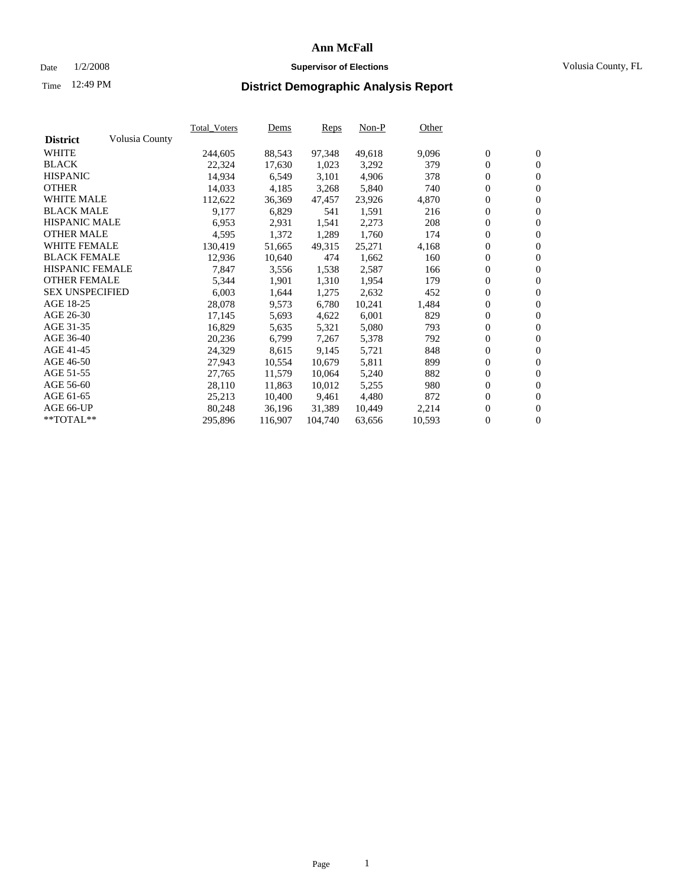### Date 1/2/2008 **Supervisor of Elections** Volusia County, FL

# Time **District Demographic Analysis Report** 12:49 PM

|                        |                | <b>Total Voters</b> | Dems    | <b>Reps</b> | $Non-P$ | Other  |                  |                  |  |
|------------------------|----------------|---------------------|---------|-------------|---------|--------|------------------|------------------|--|
| <b>District</b>        | Volusia County |                     |         |             |         |        |                  |                  |  |
| <b>WHITE</b>           |                | 244,605             | 88,543  | 97,348      | 49,618  | 9,096  | $\boldsymbol{0}$ | $\mathbf{0}$     |  |
| <b>BLACK</b>           |                | 22,324              | 17,630  | 1,023       | 3,292   | 379    | $\mathbf{0}$     | $\mathbf{0}$     |  |
| <b>HISPANIC</b>        |                | 14,934              | 6,549   | 3,101       | 4,906   | 378    | $\mathbf{0}$     | $\mathbf{0}$     |  |
| <b>OTHER</b>           |                | 14,033              | 4,185   | 3,268       | 5,840   | 740    | $\boldsymbol{0}$ | $\boldsymbol{0}$ |  |
| <b>WHITE MALE</b>      |                | 112,622             | 36,369  | 47,457      | 23,926  | 4,870  | 0                | $\overline{0}$   |  |
| <b>BLACK MALE</b>      |                | 9,177               | 6,829   | 541         | 1,591   | 216    | $\boldsymbol{0}$ | $\boldsymbol{0}$ |  |
| <b>HISPANIC MALE</b>   |                | 6,953               | 2,931   | 1,541       | 2,273   | 208    | 0                | $\overline{0}$   |  |
| <b>OTHER MALE</b>      |                | 4,595               | 1,372   | 1,289       | 1,760   | 174    | $\boldsymbol{0}$ | $\boldsymbol{0}$ |  |
| <b>WHITE FEMALE</b>    |                | 130,419             | 51,665  | 49,315      | 25,271  | 4,168  | 0                | $\mathbf{0}$     |  |
| <b>BLACK FEMALE</b>    |                | 12,936              | 10,640  | 474         | 1,662   | 160    | $\mathbf{0}$     | $\mathbf{0}$     |  |
| <b>HISPANIC FEMALE</b> |                | 7,847               | 3,556   | 1,538       | 2,587   | 166    | $\boldsymbol{0}$ | $\boldsymbol{0}$ |  |
| <b>OTHER FEMALE</b>    |                | 5,344               | 1,901   | 1,310       | 1,954   | 179    | 0                | $\overline{0}$   |  |
| <b>SEX UNSPECIFIED</b> |                | 6,003               | 1,644   | 1,275       | 2,632   | 452    | $\overline{0}$   | $\mathbf{0}$     |  |
| AGE 18-25              |                | 28,078              | 9,573   | 6,780       | 10,241  | 1,484  | 0                | $\mathbf{0}$     |  |
| AGE 26-30              |                | 17,145              | 5,693   | 4,622       | 6,001   | 829    | $\boldsymbol{0}$ | $\boldsymbol{0}$ |  |
| AGE 31-35              |                | 16,829              | 5,635   | 5,321       | 5,080   | 793    | 0                | $\boldsymbol{0}$ |  |
| AGE 36-40              |                | 20,236              | 6,799   | 7,267       | 5,378   | 792    | $\boldsymbol{0}$ | $\overline{0}$   |  |
| AGE 41-45              |                | 24,329              | 8,615   | 9,145       | 5,721   | 848    | 0                | $\mathbf{0}$     |  |
| AGE 46-50              |                | 27,943              | 10,554  | 10,679      | 5,811   | 899    | 0                | $\overline{0}$   |  |
| AGE 51-55              |                | 27,765              | 11,579  | 10,064      | 5,240   | 882    | $\boldsymbol{0}$ | $\mathbf{0}$     |  |
| AGE 56-60              |                | 28,110              | 11,863  | 10,012      | 5,255   | 980    | 0                | $\mathbf{0}$     |  |
| AGE 61-65              |                | 25,213              | 10,400  | 9,461       | 4,480   | 872    | $\mathbf{0}$     | $\boldsymbol{0}$ |  |
| AGE 66-UP              |                | 80,248              | 36,196  | 31,389      | 10,449  | 2,214  | 0                | $\boldsymbol{0}$ |  |
| **TOTAL**              |                | 295,896             | 116,907 | 104,740     | 63,656  | 10,593 | 0                | $\overline{0}$   |  |
|                        |                |                     |         |             |         |        |                  |                  |  |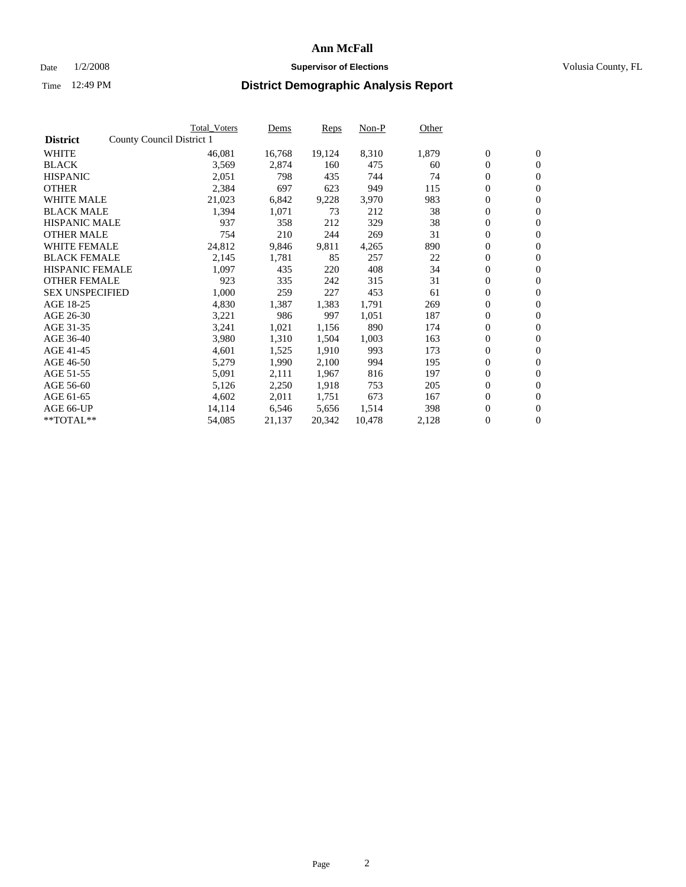#### Date  $1/2/2008$  **Supervisor of Elections** Volusia County, FL

|                        | Total_Voters              | Dems   | <b>Reps</b> | Non-P  | Other |                  |                  |  |
|------------------------|---------------------------|--------|-------------|--------|-------|------------------|------------------|--|
| <b>District</b>        | County Council District 1 |        |             |        |       |                  |                  |  |
| <b>WHITE</b>           | 46,081                    | 16,768 | 19,124      | 8,310  | 1,879 | $\overline{0}$   | $\mathbf{0}$     |  |
| <b>BLACK</b>           | 3,569                     | 2,874  | 160         | 475    | 60    | $\overline{0}$   | $\mathbf{0}$     |  |
| <b>HISPANIC</b>        | 2,051                     | 798    | 435         | 744    | 74    | $\boldsymbol{0}$ | $\mathbf{0}$     |  |
| <b>OTHER</b>           | 2,384                     | 697    | 623         | 949    | 115   | $\boldsymbol{0}$ | $\mathbf{0}$     |  |
| <b>WHITE MALE</b>      | 21,023                    | 6,842  | 9,228       | 3,970  | 983   | $\boldsymbol{0}$ | $\mathbf{0}$     |  |
| <b>BLACK MALE</b>      | 1,394                     | 1,071  | 73          | 212    | 38    | $\boldsymbol{0}$ | $\mathbf{0}$     |  |
| <b>HISPANIC MALE</b>   | 937                       | 358    | 212         | 329    | 38    | $\overline{0}$   | $\mathbf{0}$     |  |
| <b>OTHER MALE</b>      | 754                       | 210    | 244         | 269    | 31    | $\overline{0}$   | $\mathbf{0}$     |  |
| <b>WHITE FEMALE</b>    | 24,812                    | 9,846  | 9,811       | 4,265  | 890   | $\mathbf{0}$     | $\mathbf{0}$     |  |
| <b>BLACK FEMALE</b>    | 2,145                     | 1,781  | 85          | 257    | 22    | $\boldsymbol{0}$ | $\mathbf{0}$     |  |
| <b>HISPANIC FEMALE</b> | 1,097                     | 435    | 220         | 408    | 34    | $\boldsymbol{0}$ | $\mathbf{0}$     |  |
| <b>OTHER FEMALE</b>    | 923                       | 335    | 242         | 315    | 31    | 0                | $\mathbf{0}$     |  |
| <b>SEX UNSPECIFIED</b> | 1,000                     | 259    | 227         | 453    | 61    | $\boldsymbol{0}$ | $\mathbf{0}$     |  |
| AGE 18-25              | 4,830                     | 1,387  | 1,383       | 1,791  | 269   | $\boldsymbol{0}$ | $\mathbf{0}$     |  |
| AGE 26-30              | 3,221                     | 986    | 997         | 1,051  | 187   | $\overline{0}$   | $\mathbf{0}$     |  |
| AGE 31-35              | 3,241                     | 1,021  | 1,156       | 890    | 174   | $\boldsymbol{0}$ | $\mathbf{0}$     |  |
| AGE 36-40              | 3,980                     | 1,310  | 1,504       | 1,003  | 163   | $\boldsymbol{0}$ | $\mathbf{0}$     |  |
| AGE 41-45              | 4,601                     | 1,525  | 1,910       | 993    | 173   | $\boldsymbol{0}$ | $\mathbf{0}$     |  |
| AGE 46-50              | 5,279                     | 1,990  | 2,100       | 994    | 195   | $\boldsymbol{0}$ | $\mathbf{0}$     |  |
| AGE 51-55              | 5,091                     | 2,111  | 1,967       | 816    | 197   | $\boldsymbol{0}$ | $\mathbf{0}$     |  |
| AGE 56-60              | 5,126                     | 2,250  | 1,918       | 753    | 205   | $\overline{0}$   | $\mathbf{0}$     |  |
| AGE 61-65              | 4,602                     | 2,011  | 1,751       | 673    | 167   | $\mathbf{0}$     | $\boldsymbol{0}$ |  |
| AGE 66-UP              | 14,114                    | 6,546  | 5,656       | 1,514  | 398   | $\boldsymbol{0}$ | $\mathbf{0}$     |  |
| **TOTAL**              | 54,085                    | 21,137 | 20,342      | 10,478 | 2,128 | $\boldsymbol{0}$ | $\overline{0}$   |  |
|                        |                           |        |             |        |       |                  |                  |  |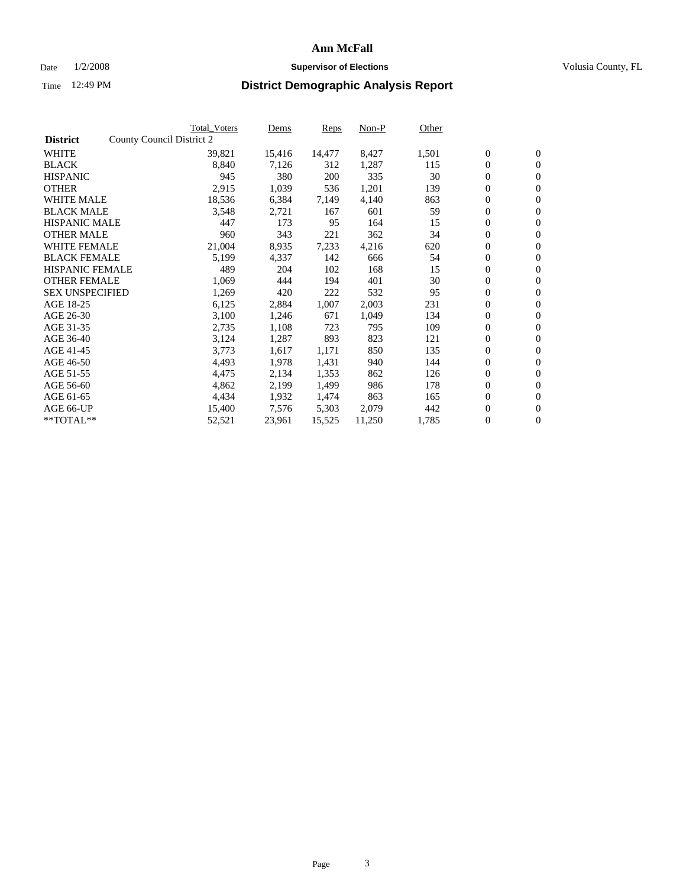#### Date  $1/2/2008$  **Supervisor of Elections** Volusia County, FL

|                        | Total_Voters              | Dems   | <b>Reps</b> | Non-P  | Other |                  |                  |  |
|------------------------|---------------------------|--------|-------------|--------|-------|------------------|------------------|--|
| <b>District</b>        | County Council District 2 |        |             |        |       |                  |                  |  |
| <b>WHITE</b>           | 39,821                    | 15,416 | 14,477      | 8,427  | 1,501 | $\boldsymbol{0}$ | $\mathbf{0}$     |  |
| <b>BLACK</b>           | 8,840                     | 7,126  | 312         | 1,287  | 115   | $\boldsymbol{0}$ | $\mathbf{0}$     |  |
| <b>HISPANIC</b>        | 945                       | 380    | 200         | 335    | 30    | $\boldsymbol{0}$ | $\mathbf{0}$     |  |
| <b>OTHER</b>           | 2,915                     | 1,039  | 536         | 1,201  | 139   | $\boldsymbol{0}$ | $\mathbf{0}$     |  |
| <b>WHITE MALE</b>      | 18,536                    | 6,384  | 7,149       | 4,140  | 863   | $\boldsymbol{0}$ | $\mathbf{0}$     |  |
| <b>BLACK MALE</b>      | 3,548                     | 2,721  | 167         | 601    | 59    | $\boldsymbol{0}$ | $\mathbf{0}$     |  |
| <b>HISPANIC MALE</b>   | 447                       | 173    | 95          | 164    | 15    | $\overline{0}$   | $\mathbf{0}$     |  |
| <b>OTHER MALE</b>      | 960                       | 343    | 221         | 362    | 34    | $\boldsymbol{0}$ | $\mathbf{0}$     |  |
| <b>WHITE FEMALE</b>    | 21,004                    | 8,935  | 7,233       | 4,216  | 620   | $\mathbf{0}$     | $\mathbf{0}$     |  |
| <b>BLACK FEMALE</b>    | 5,199                     | 4,337  | 142         | 666    | 54    | $\boldsymbol{0}$ | $\mathbf{0}$     |  |
| <b>HISPANIC FEMALE</b> | 489                       | 204    | 102         | 168    | 15    | $\boldsymbol{0}$ | $\mathbf{0}$     |  |
| <b>OTHER FEMALE</b>    | 1,069                     | 444    | 194         | 401    | 30    | 0                | $\mathbf{0}$     |  |
| <b>SEX UNSPECIFIED</b> | 1,269                     | 420    | 222         | 532    | 95    | $\boldsymbol{0}$ | $\mathbf{0}$     |  |
| AGE 18-25              | 6,125                     | 2,884  | 1,007       | 2,003  | 231   | $\boldsymbol{0}$ | $\mathbf{0}$     |  |
| AGE 26-30              | 3,100                     | 1,246  | 671         | 1,049  | 134   | $\overline{0}$   | $\mathbf{0}$     |  |
| AGE 31-35              | 2,735                     | 1,108  | 723         | 795    | 109   | $\boldsymbol{0}$ | $\mathbf{0}$     |  |
| AGE 36-40              | 3,124                     | 1,287  | 893         | 823    | 121   | $\boldsymbol{0}$ | $\mathbf{0}$     |  |
| AGE 41-45              | 3,773                     | 1,617  | 1,171       | 850    | 135   | $\boldsymbol{0}$ | $\mathbf{0}$     |  |
| AGE 46-50              | 4,493                     | 1,978  | 1,431       | 940    | 144   | 0                | $\mathbf{0}$     |  |
| AGE 51-55              | 4,475                     | 2,134  | 1,353       | 862    | 126   | $\boldsymbol{0}$ | $\mathbf{0}$     |  |
| AGE 56-60              | 4,862                     | 2,199  | 1,499       | 986    | 178   | $\overline{0}$   | $\mathbf{0}$     |  |
| AGE 61-65              | 4,434                     | 1,932  | 1,474       | 863    | 165   | $\mathbf{0}$     | $\boldsymbol{0}$ |  |
| AGE 66-UP              | 15,400                    | 7,576  | 5,303       | 2,079  | 442   | $\boldsymbol{0}$ | $\mathbf{0}$     |  |
| **TOTAL**              | 52,521                    | 23,961 | 15,525      | 11,250 | 1,785 | $\boldsymbol{0}$ | $\overline{0}$   |  |
|                        |                           |        |             |        |       |                  |                  |  |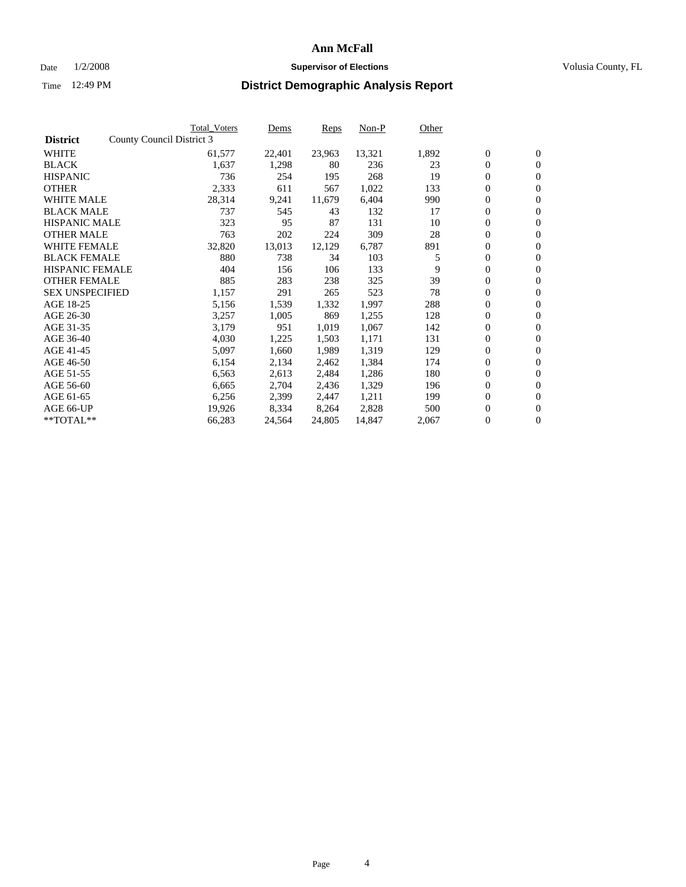#### Date  $1/2/2008$  **Supervisor of Elections** Volusia County, FL

|                        | Total_Voters              | Dems   | <b>Reps</b> | Non-P  | Other |                  |                  |  |
|------------------------|---------------------------|--------|-------------|--------|-------|------------------|------------------|--|
| <b>District</b>        | County Council District 3 |        |             |        |       |                  |                  |  |
| <b>WHITE</b>           | 61,577                    | 22,401 | 23,963      | 13,321 | 1,892 | $\boldsymbol{0}$ | $\mathbf{0}$     |  |
| <b>BLACK</b>           | 1,637                     | 1,298  | 80          | 236    | 23    | $\overline{0}$   | $\mathbf{0}$     |  |
| <b>HISPANIC</b>        | 736                       | 254    | 195         | 268    | 19    | $\boldsymbol{0}$ | $\mathbf{0}$     |  |
| <b>OTHER</b>           | 2,333                     | 611    | 567         | 1,022  | 133   | 0                | $\mathbf{0}$     |  |
| <b>WHITE MALE</b>      | 28,314                    | 9,241  | 11,679      | 6,404  | 990   | 0                | $\mathbf{0}$     |  |
| <b>BLACK MALE</b>      | 737                       | 545    | 43          | 132    | 17    | $\boldsymbol{0}$ | $\mathbf{0}$     |  |
| <b>HISPANIC MALE</b>   | 323                       | 95     | 87          | 131    | 10    | $\overline{0}$   | $\mathbf{0}$     |  |
| <b>OTHER MALE</b>      | 763                       | 202    | 224         | 309    | 28    | $\overline{0}$   | $\mathbf{0}$     |  |
| <b>WHITE FEMALE</b>    | 32,820                    | 13,013 | 12,129      | 6,787  | 891   | 0                | $\mathbf{0}$     |  |
| <b>BLACK FEMALE</b>    | 880                       | 738    | 34          | 103    | 5     | $\boldsymbol{0}$ | $\mathbf{0}$     |  |
| <b>HISPANIC FEMALE</b> | 404                       | 156    | 106         | 133    | 9     | $\boldsymbol{0}$ | $\boldsymbol{0}$ |  |
| <b>OTHER FEMALE</b>    | 885                       | 283    | 238         | 325    | 39    | 0                | $\mathbf{0}$     |  |
| <b>SEX UNSPECIFIED</b> | 1,157                     | 291    | 265         | 523    | 78    | $\boldsymbol{0}$ | $\mathbf{0}$     |  |
| AGE 18-25              | 5,156                     | 1,539  | 1,332       | 1,997  | 288   | $\boldsymbol{0}$ | $\mathbf{0}$     |  |
| AGE 26-30              | 3,257                     | 1,005  | 869         | 1,255  | 128   | $\overline{0}$   | $\mathbf{0}$     |  |
| AGE 31-35              | 3,179                     | 951    | 1,019       | 1,067  | 142   | $\boldsymbol{0}$ | $\mathbf{0}$     |  |
| AGE 36-40              | 4,030                     | 1,225  | 1,503       | 1,171  | 131   | $\boldsymbol{0}$ | $\mathbf{0}$     |  |
| AGE 41-45              | 5,097                     | 1,660  | 1,989       | 1,319  | 129   | $\boldsymbol{0}$ | $\mathbf{0}$     |  |
| AGE 46-50              | 6,154                     | 2,134  | 2,462       | 1,384  | 174   | 0                | $\mathbf{0}$     |  |
| AGE 51-55              | 6,563                     | 2,613  | 2,484       | 1,286  | 180   | $\boldsymbol{0}$ | $\boldsymbol{0}$ |  |
| AGE 56-60              | 6,665                     | 2,704  | 2,436       | 1,329  | 196   | $\overline{0}$   | $\mathbf{0}$     |  |
| AGE 61-65              | 6,256                     | 2,399  | 2,447       | 1,211  | 199   | $\mathbf{0}$     | $\mathbf{0}$     |  |
| AGE 66-UP              | 19,926                    | 8,334  | 8,264       | 2,828  | 500   | $\boldsymbol{0}$ | $\boldsymbol{0}$ |  |
| **TOTAL**              | 66,283                    | 24,564 | 24,805      | 14,847 | 2,067 | 0                | $\overline{0}$   |  |
|                        |                           |        |             |        |       |                  |                  |  |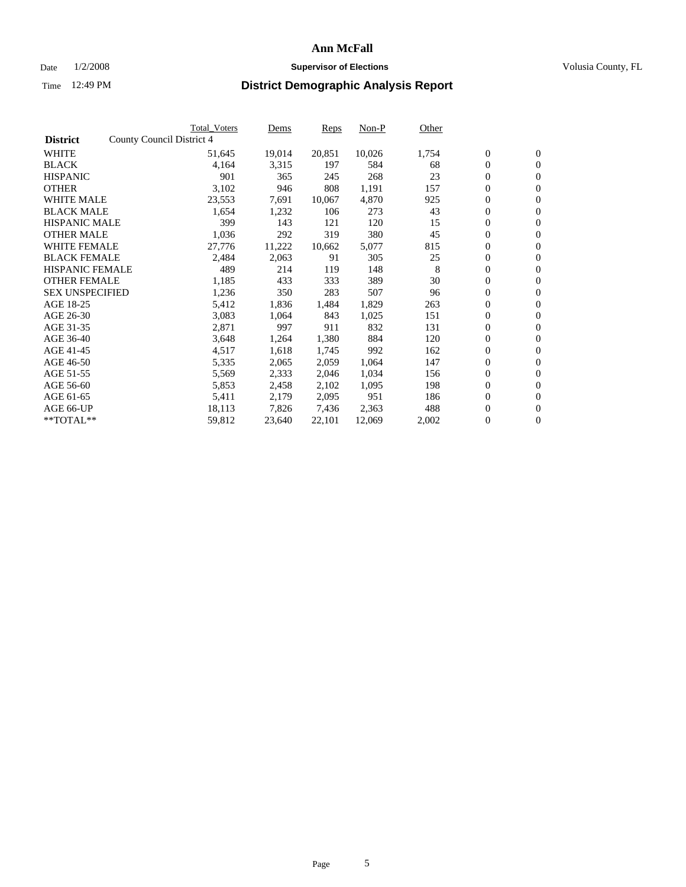#### Date  $1/2/2008$  **Supervisor of Elections** Volusia County, FL

|                        | Total_Voters              | Dems   | <b>Reps</b> | Non-P  | Other |                  |                  |  |
|------------------------|---------------------------|--------|-------------|--------|-------|------------------|------------------|--|
| <b>District</b>        | County Council District 4 |        |             |        |       |                  |                  |  |
| <b>WHITE</b>           | 51,645                    | 19,014 | 20,851      | 10,026 | 1,754 | $\boldsymbol{0}$ | $\boldsymbol{0}$ |  |
| <b>BLACK</b>           | 4,164                     | 3,315  | 197         | 584    | 68    | $\overline{0}$   | $\mathbf{0}$     |  |
| <b>HISPANIC</b>        | 901                       | 365    | 245         | 268    | 23    | $\overline{0}$   | $\mathbf{0}$     |  |
| <b>OTHER</b>           | 3,102                     | 946    | 808         | 1,191  | 157   | $\boldsymbol{0}$ | $\mathbf{0}$     |  |
| <b>WHITE MALE</b>      | 23,553                    | 7,691  | 10,067      | 4,870  | 925   | 0                | $\mathbf{0}$     |  |
| <b>BLACK MALE</b>      | 1,654                     | 1,232  | 106         | 273    | 43    | $\boldsymbol{0}$ | $\boldsymbol{0}$ |  |
| <b>HISPANIC MALE</b>   | 399                       | 143    | 121         | 120    | 15    | $\overline{0}$   | $\mathbf{0}$     |  |
| <b>OTHER MALE</b>      | 1,036                     | 292    | 319         | 380    | 45    | $\overline{0}$   | $\mathbf{0}$     |  |
| <b>WHITE FEMALE</b>    | 27,776                    | 11,222 | 10,662      | 5,077  | 815   | $\boldsymbol{0}$ | $\boldsymbol{0}$ |  |
| <b>BLACK FEMALE</b>    | 2,484                     | 2,063  | 91          | 305    | 25    | $\boldsymbol{0}$ | $\mathbf{0}$     |  |
| <b>HISPANIC FEMALE</b> | 489                       | 214    | 119         | 148    | 8     | $\boldsymbol{0}$ | $\mathbf{0}$     |  |
| <b>OTHER FEMALE</b>    | 1,185                     | 433    | 333         | 389    | 30    | $\overline{0}$   | $\mathbf{0}$     |  |
| <b>SEX UNSPECIFIED</b> | 1,236                     | 350    | 283         | 507    | 96    | $\boldsymbol{0}$ | $\mathbf{0}$     |  |
| AGE 18-25              | 5,412                     | 1,836  | 1,484       | 1,829  | 263   | 0                | $\mathbf{0}$     |  |
| AGE 26-30              | 3,083                     | 1,064  | 843         | 1,025  | 151   | $\overline{0}$   | $\mathbf{0}$     |  |
| AGE 31-35              | 2,871                     | 997    | 911         | 832    | 131   | $\boldsymbol{0}$ | $\mathbf{0}$     |  |
| AGE 36-40              | 3,648                     | 1,264  | 1,380       | 884    | 120   | 0                | $\mathbf{0}$     |  |
| AGE 41-45              | 4,517                     | 1,618  | 1,745       | 992    | 162   | $\boldsymbol{0}$ | $\mathbf{0}$     |  |
| AGE 46-50              | 5,335                     | 2,065  | 2,059       | 1,064  | 147   | $\overline{0}$   | $\mathbf{0}$     |  |
| AGE 51-55              | 5,569                     | 2,333  | 2,046       | 1,034  | 156   | $\overline{0}$   | $\mathbf{0}$     |  |
| AGE 56-60              | 5,853                     | 2,458  | 2,102       | 1,095  | 198   | $\overline{0}$   | $\mathbf{0}$     |  |
| AGE 61-65              | 5,411                     | 2,179  | 2,095       | 951    | 186   | $\boldsymbol{0}$ | $\mathbf{0}$     |  |
| AGE 66-UP              | 18,113                    | 7,826  | 7,436       | 2,363  | 488   | $\boldsymbol{0}$ | $\mathbf{0}$     |  |
| $*$ TOTAL $**$         | 59,812                    | 23,640 | 22,101      | 12,069 | 2,002 | 0                | $\mathbf{0}$     |  |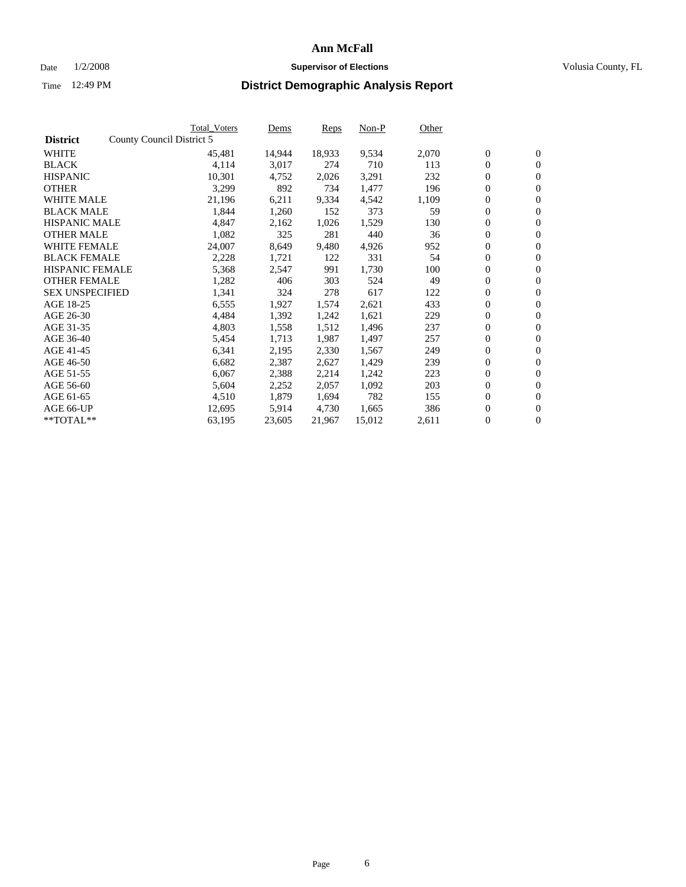#### Date  $1/2/2008$  **Supervisor of Elections** Volusia County, FL

|                        | <b>Total Voters</b>       | Dems             | <b>Reps</b> | Non-P  | Other |                  |                  |  |
|------------------------|---------------------------|------------------|-------------|--------|-------|------------------|------------------|--|
| <b>District</b>        | County Council District 5 |                  |             |        |       |                  |                  |  |
| <b>WHITE</b>           |                           | 45,481<br>14,944 | 18,933      | 9,534  | 2,070 | $\overline{0}$   | $\mathbf{0}$     |  |
| <b>BLACK</b>           |                           | 4,114<br>3,017   | 274         | 710    | 113   | $\overline{0}$   | $\mathbf{0}$     |  |
| <b>HISPANIC</b>        |                           | 10,301<br>4,752  | 2,026       | 3,291  | 232   | $\boldsymbol{0}$ | $\mathbf{0}$     |  |
| <b>OTHER</b>           |                           | 3,299<br>892     | 734         | 1,477  | 196   | $\boldsymbol{0}$ | $\mathbf{0}$     |  |
| <b>WHITE MALE</b>      |                           | 21,196<br>6,211  | 9,334       | 4,542  | 1,109 | $\boldsymbol{0}$ | $\mathbf{0}$     |  |
| <b>BLACK MALE</b>      |                           | 1,844<br>1,260   | 152         | 373    | 59    | $\boldsymbol{0}$ | $\mathbf{0}$     |  |
| <b>HISPANIC MALE</b>   |                           | 4,847<br>2,162   | 1,026       | 1,529  | 130   | $\overline{0}$   | $\mathbf{0}$     |  |
| <b>OTHER MALE</b>      |                           | 1,082<br>325     | 281         | 440    | 36    | $\boldsymbol{0}$ | $\mathbf{0}$     |  |
| <b>WHITE FEMALE</b>    |                           | 24,007<br>8,649  | 9,480       | 4,926  | 952   | $\mathbf{0}$     | $\mathbf{0}$     |  |
| <b>BLACK FEMALE</b>    |                           | 2,228<br>1,721   | 122         | 331    | 54    | $\boldsymbol{0}$ | $\mathbf{0}$     |  |
| <b>HISPANIC FEMALE</b> |                           | 5,368<br>2,547   | 991         | 1,730  | 100   | $\boldsymbol{0}$ | $\mathbf{0}$     |  |
| <b>OTHER FEMALE</b>    |                           | 1,282<br>406     | 303         | 524    | 49    | $\overline{0}$   | $\mathbf{0}$     |  |
| <b>SEX UNSPECIFIED</b> |                           | 1,341<br>324     | 278         | 617    | 122   | $\boldsymbol{0}$ | $\mathbf{0}$     |  |
| AGE 18-25              |                           | 6,555<br>1,927   | 1,574       | 2,621  | 433   | $\boldsymbol{0}$ | $\mathbf{0}$     |  |
| AGE 26-30              |                           | 4,484<br>1,392   | 1,242       | 1,621  | 229   | $\mathbf{0}$     | $\mathbf{0}$     |  |
| AGE 31-35              |                           | 4,803<br>1,558   | 1,512       | 1,496  | 237   | $\boldsymbol{0}$ | $\mathbf{0}$     |  |
| AGE 36-40              |                           | 1,713<br>5,454   | 1,987       | 1,497  | 257   | $\boldsymbol{0}$ | $\mathbf{0}$     |  |
| AGE 41-45              |                           | 6,341<br>2,195   | 2,330       | 1,567  | 249   | $\boldsymbol{0}$ | $\mathbf{0}$     |  |
| AGE 46-50              |                           | 6,682<br>2,387   | 2,627       | 1,429  | 239   | $\boldsymbol{0}$ | $\mathbf{0}$     |  |
| AGE 51-55              |                           | 6,067<br>2,388   | 2,214       | 1,242  | 223   | $\boldsymbol{0}$ | $\mathbf{0}$     |  |
| AGE 56-60              |                           | 5,604<br>2,252   | 2,057       | 1,092  | 203   | $\overline{0}$   | $\mathbf{0}$     |  |
| AGE 61-65              |                           | 4,510<br>1,879   | 1,694       | 782    | 155   | $\mathbf{0}$     | $\boldsymbol{0}$ |  |
| AGE 66-UP              |                           | 5,914<br>12,695  | 4,730       | 1,665  | 386   | $\boldsymbol{0}$ | $\mathbf{0}$     |  |
| **TOTAL**              |                           | 63,195<br>23,605 | 21,967      | 15,012 | 2,611 | $\boldsymbol{0}$ | $\overline{0}$   |  |
|                        |                           |                  |             |        |       |                  |                  |  |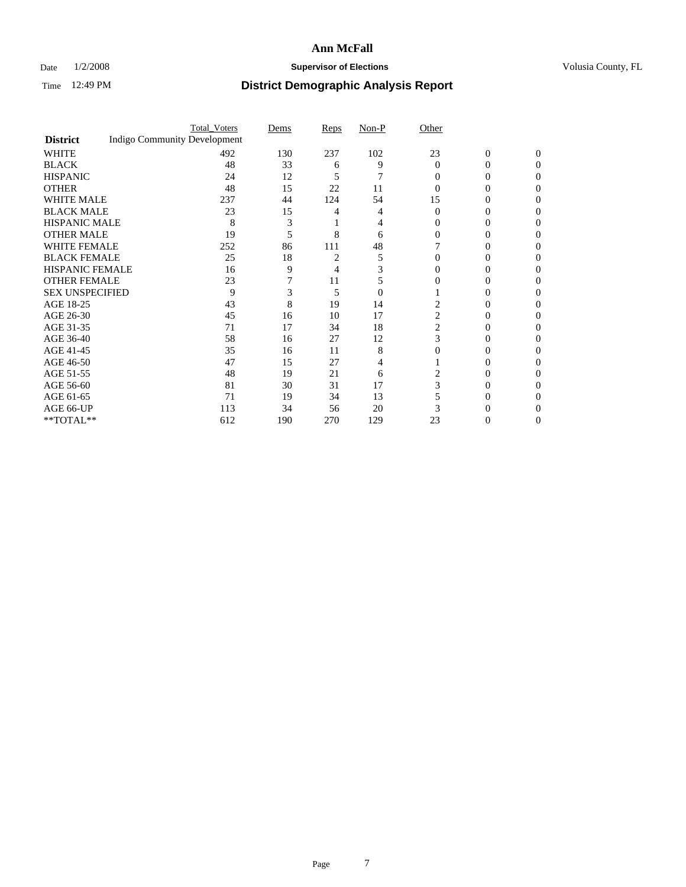### Date  $1/2/2008$  **Supervisor of Elections Supervisor of Elections** Volusia County, FL

|                        |                                     | <b>Total_Voters</b> | Dems | <b>Reps</b> | Non-P          | Other    |                |              |  |
|------------------------|-------------------------------------|---------------------|------|-------------|----------------|----------|----------------|--------------|--|
| <b>District</b>        | <b>Indigo Community Development</b> |                     |      |             |                |          |                |              |  |
| <b>WHITE</b>           |                                     | 492                 | 130  | 237         | 102            | 23       | $\overline{0}$ | $\mathbf{0}$ |  |
| <b>BLACK</b>           |                                     | 48                  | 33   | 6           | 9              | $\Omega$ | 0              | 0            |  |
| <b>HISPANIC</b>        |                                     | 24                  | 12   | 5           | 7              | 0        | 0              | 0            |  |
| <b>OTHER</b>           |                                     | 48                  | 15   | 22          | 11             |          |                |              |  |
| <b>WHITE MALE</b>      |                                     | 237                 | 44   | 124         | 54             | 15       | 0              |              |  |
| <b>BLACK MALE</b>      |                                     | 23                  | 15   |             |                | 0        | 0              |              |  |
| HISPANIC MALE          |                                     | 8                   | 3    |             |                |          |                |              |  |
| <b>OTHER MALE</b>      |                                     | 19                  | 5    | 8           | 6              |          | 0              |              |  |
| WHITE FEMALE           |                                     | 252                 | 86   | 111         | 48             |          |                |              |  |
| <b>BLACK FEMALE</b>    |                                     | 25                  | 18   |             | 5              | 0        | 0              | $\theta$     |  |
| <b>HISPANIC FEMALE</b> |                                     | 16                  | 9    | 4           |                |          |                |              |  |
| <b>OTHER FEMALE</b>    |                                     | 23                  |      | 11          | 5              |          |                |              |  |
| <b>SEX UNSPECIFIED</b> |                                     | 9                   | 3    | 5           | $\overline{0}$ |          |                |              |  |
| AGE 18-25              |                                     | 43                  | 8    | 19          | 14             | 2        | 0              |              |  |
| AGE 26-30              |                                     | 45                  | 16   | 10          | 17             | 2        | 0              |              |  |
| AGE 31-35              |                                     | 71                  | 17   | 34          | 18             | 2        | 0              |              |  |
| AGE 36-40              |                                     | 58                  | 16   | 27          | 12             | 3        | 0              | 0            |  |
| AGE 41-45              |                                     | 35                  | 16   | 11          | 8              |          |                |              |  |
| AGE 46-50              |                                     | 47                  | 15   | 27          | 4              |          | 0              | 0            |  |
| AGE 51-55              |                                     | 48                  | 19   | 21          | 6              |          |                |              |  |
| AGE 56-60              |                                     | 81                  | 30   | 31          | 17             | 3        | 0              |              |  |
| AGE 61-65              |                                     | 71                  | 19   | 34          | 13             |          |                |              |  |
| AGE 66-UP              |                                     | 113                 | 34   | 56          | 20             |          |                |              |  |
| **TOTAL**              |                                     | 612                 | 190  | 270         | 129            | 23       | 0              | 0            |  |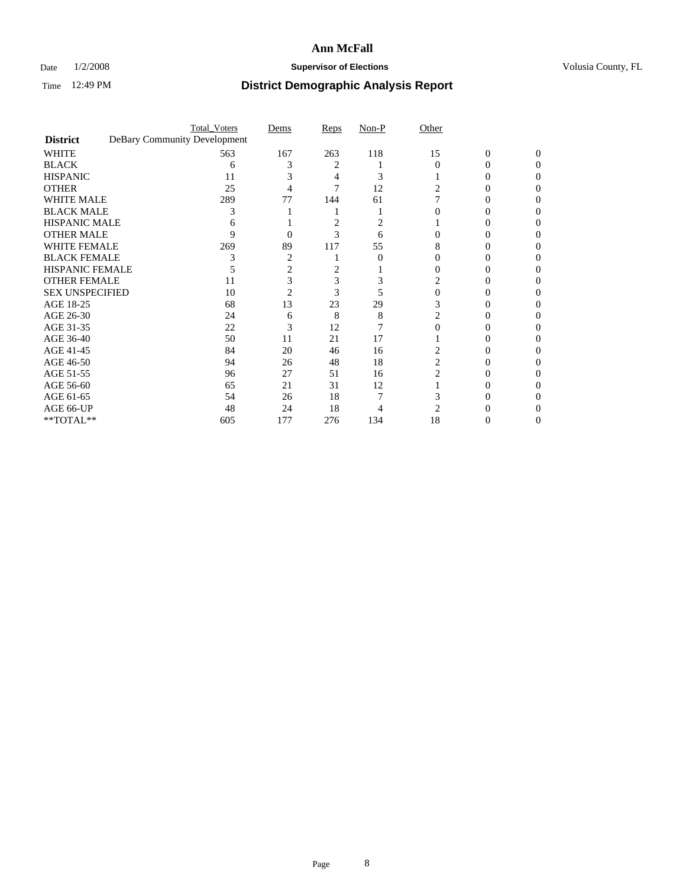### Date  $1/2/2008$  **Supervisor of Elections Supervisor of Elections** Volusia County, FL

|                        | <b>Total_Voters</b>          | Dems | Reps | Non-P    | Other          |                |          |  |
|------------------------|------------------------------|------|------|----------|----------------|----------------|----------|--|
| <b>District</b>        | DeBary Community Development |      |      |          |                |                |          |  |
| <b>WHITE</b>           | 563                          | 167  | 263  | 118      | 15             | $\overline{0}$ | $\Omega$ |  |
| <b>BLACK</b>           | 6                            | 3    | 2    |          | $\Omega$       | 0              | 0        |  |
| <b>HISPANIC</b>        | 11                           |      |      | 3        |                |                | 0        |  |
| <b>OTHER</b>           | 25                           |      |      | 12       |                |                |          |  |
| <b>WHITE MALE</b>      | 289                          | 77   | 144  | 61       |                |                |          |  |
| <b>BLACK MALE</b>      | 3                            |      |      |          |                |                |          |  |
| HISPANIC MALE          |                              |      | 2    |          |                |                |          |  |
| <b>OTHER MALE</b>      | 9                            | 0    | 3    | 6        |                |                |          |  |
| WHITE FEMALE           | 269                          | 89   | 117  | 55       | 8              |                |          |  |
| <b>BLACK FEMALE</b>    |                              | 2    |      | $\Omega$ |                |                | 0        |  |
| <b>HISPANIC FEMALE</b> |                              |      | 2    |          |                |                |          |  |
| <b>OTHER FEMALE</b>    | 11                           | 3    | 3    |          | 2              |                |          |  |
| <b>SEX UNSPECIFIED</b> | 10                           | 2    | 3    |          |                |                |          |  |
| AGE 18-25              | 68                           | 13   | 23   | 29       |                |                |          |  |
| AGE 26-30              | 24                           | 6    | 8    | 8        |                |                |          |  |
| AGE 31-35              | 22                           | 3    | 12   |          |                |                |          |  |
| AGE 36-40              | 50                           | 11   | 21   | 17       |                |                |          |  |
| AGE 41-45              | 84                           | 20   | 46   | 16       |                |                |          |  |
| AGE 46-50              | 94                           | 26   | 48   | 18       | $\overline{c}$ |                | 0        |  |
| AGE 51-55              | 96                           | 27   | 51   | 16       | 2              |                |          |  |
| AGE 56-60              | 65                           | 21   | 31   | 12       |                |                |          |  |
| AGE 61-65              | 54                           | 26   | 18   |          |                |                |          |  |
| AGE 66-UP              | 48                           | 24   | 18   |          |                |                |          |  |
| **TOTAL**              | 605                          | 177  | 276  | 134      | 18             | 0              | 0        |  |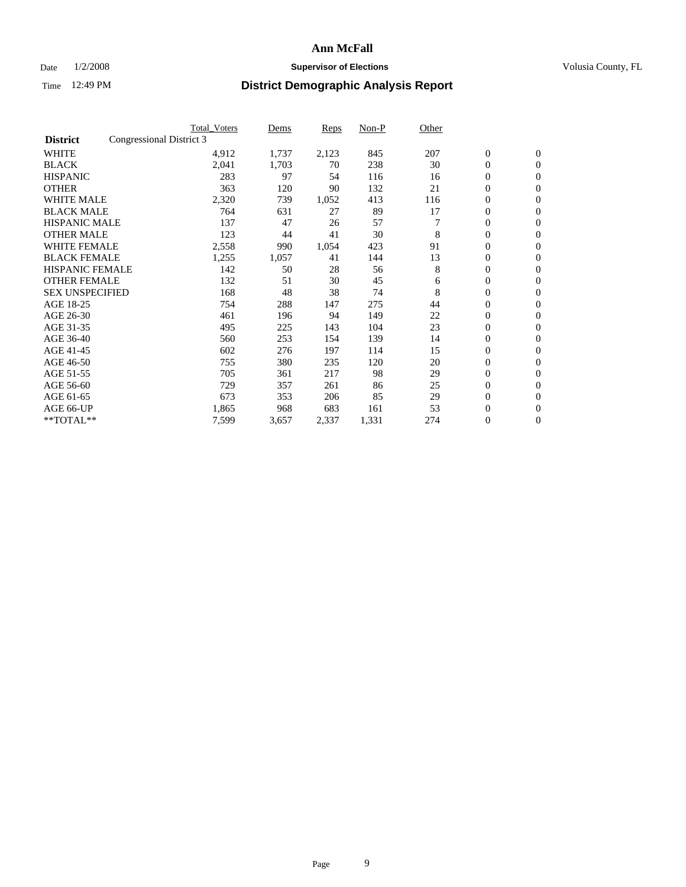### Date  $1/2/2008$  **Supervisor of Elections Supervisor of Elections** Volusia County, FL

|                        |                          | <b>Total Voters</b> | Dems  | Reps  | Non-P | Other |                  |                  |  |
|------------------------|--------------------------|---------------------|-------|-------|-------|-------|------------------|------------------|--|
| <b>District</b>        | Congressional District 3 |                     |       |       |       |       |                  |                  |  |
| <b>WHITE</b>           |                          | 4,912               | 1,737 | 2,123 | 845   | 207   | $\boldsymbol{0}$ | $\boldsymbol{0}$ |  |
| <b>BLACK</b>           |                          | 2,041               | 1,703 | 70    | 238   | 30    | $\mathbf{0}$     | $\mathbf{0}$     |  |
| <b>HISPANIC</b>        |                          | 283                 | 97    | 54    | 116   | 16    | $\mathbf{0}$     | $\mathbf{0}$     |  |
| <b>OTHER</b>           |                          | 363                 | 120   | 90    | 132   | 21    | 0                | $\mathbf{0}$     |  |
| <b>WHITE MALE</b>      |                          | 2,320               | 739   | 1,052 | 413   | 116   | 0                | $\mathbf{0}$     |  |
| <b>BLACK MALE</b>      |                          | 764                 | 631   | 27    | 89    | 17    | 0                | $\boldsymbol{0}$ |  |
| <b>HISPANIC MALE</b>   |                          | 137                 | 47    | 26    | 57    |       | 0                | $\mathbf{0}$     |  |
| <b>OTHER MALE</b>      |                          | 123                 | 44    | 41    | 30    | 8     | 0                | $\mathbf{0}$     |  |
| <b>WHITE FEMALE</b>    |                          | 2,558               | 990   | 1,054 | 423   | 91    | 0                | $\mathbf{0}$     |  |
| <b>BLACK FEMALE</b>    |                          | 1,255               | 1,057 | 41    | 144   | 13    | $\mathbf{0}$     | $\mathbf{0}$     |  |
| <b>HISPANIC FEMALE</b> |                          | 142                 | 50    | 28    | 56    | 8     | 0                | $\mathbf{0}$     |  |
| <b>OTHER FEMALE</b>    |                          | 132                 | 51    | 30    | 45    | 6     | 0                | $\mathbf{0}$     |  |
| <b>SEX UNSPECIFIED</b> |                          | 168                 | 48    | 38    | 74    | 8     | $\boldsymbol{0}$ | $\boldsymbol{0}$ |  |
| AGE 18-25              |                          | 754                 | 288   | 147   | 275   | 44    | 0                | $\mathbf{0}$     |  |
| AGE 26-30              |                          | 461                 | 196   | 94    | 149   | 22    | 0                | $\mathbf{0}$     |  |
| AGE 31-35              |                          | 495                 | 225   | 143   | 104   | 23    | 0                | $\mathbf{0}$     |  |
| AGE 36-40              |                          | 560                 | 253   | 154   | 139   | 14    | $\boldsymbol{0}$ | $\mathbf{0}$     |  |
| AGE 41-45              |                          | 602                 | 276   | 197   | 114   | 15    | 0                | $\mathbf{0}$     |  |
| AGE 46-50              |                          | 755                 | 380   | 235   | 120   | 20    | $\mathbf{0}$     | $\mathbf{0}$     |  |
| AGE 51-55              |                          | 705                 | 361   | 217   | 98    | 29    | $\overline{0}$   | $\mathbf{0}$     |  |
| AGE 56-60              |                          | 729                 | 357   | 261   | 86    | 25    | $\boldsymbol{0}$ | $\mathbf{0}$     |  |
| AGE 61-65              |                          | 673                 | 353   | 206   | 85    | 29    | 0                | $\mathbf{0}$     |  |
| AGE 66-UP              |                          | 1,865               | 968   | 683   | 161   | 53    | 0                | 0                |  |
| $*$ TOTAL $**$         |                          | 7,599               | 3,657 | 2,337 | 1,331 | 274   | 0                | $\boldsymbol{0}$ |  |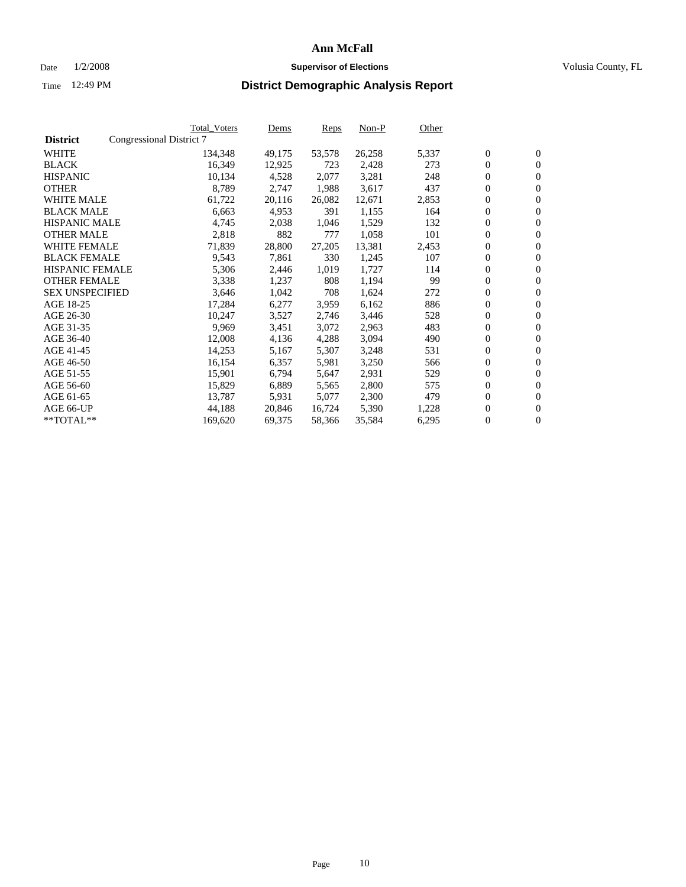#### Date  $1/2/2008$  **Supervisor of Elections** Volusia County, FL

|                        |                          | Total_Voters | Dems   | <b>Reps</b> | Non-P  | Other |                  |                  |  |
|------------------------|--------------------------|--------------|--------|-------------|--------|-------|------------------|------------------|--|
| <b>District</b>        | Congressional District 7 |              |        |             |        |       |                  |                  |  |
| <b>WHITE</b>           |                          | 134,348      | 49,175 | 53,578      | 26,258 | 5,337 | $\boldsymbol{0}$ | $\mathbf{0}$     |  |
| <b>BLACK</b>           |                          | 16,349       | 12,925 | 723         | 2,428  | 273   | $\overline{0}$   | $\mathbf{0}$     |  |
| <b>HISPANIC</b>        |                          | 10,134       | 4,528  | 2,077       | 3,281  | 248   | $\boldsymbol{0}$ | $\mathbf{0}$     |  |
| <b>OTHER</b>           |                          | 8,789        | 2,747  | 1,988       | 3,617  | 437   | $\boldsymbol{0}$ | $\mathbf{0}$     |  |
| <b>WHITE MALE</b>      |                          | 61,722       | 20,116 | 26,082      | 12,671 | 2,853 | 0                | $\mathbf{0}$     |  |
| <b>BLACK MALE</b>      |                          | 6,663        | 4,953  | 391         | 1,155  | 164   | $\boldsymbol{0}$ | $\mathbf{0}$     |  |
| <b>HISPANIC MALE</b>   |                          | 4,745        | 2,038  | 1,046       | 1,529  | 132   | $\overline{0}$   | $\mathbf{0}$     |  |
| <b>OTHER MALE</b>      |                          | 2,818        | 882    | 777         | 1,058  | 101   | $\overline{0}$   | $\mathbf{0}$     |  |
| <b>WHITE FEMALE</b>    |                          | 71,839       | 28,800 | 27,205      | 13,381 | 2,453 | $\mathbf{0}$     | $\mathbf{0}$     |  |
| <b>BLACK FEMALE</b>    |                          | 9,543        | 7,861  | 330         | 1,245  | 107   | $\overline{0}$   | $\mathbf{0}$     |  |
| HISPANIC FEMALE        |                          | 5,306        | 2,446  | 1,019       | 1,727  | 114   | $\boldsymbol{0}$ | $\mathbf{0}$     |  |
| <b>OTHER FEMALE</b>    |                          | 3,338        | 1,237  | 808         | 1,194  | 99    | 0                | $\mathbf{0}$     |  |
| <b>SEX UNSPECIFIED</b> |                          | 3,646        | 1,042  | 708         | 1,624  | 272   | $\overline{0}$   | $\mathbf{0}$     |  |
| AGE 18-25              |                          | 17,284       | 6,277  | 3,959       | 6,162  | 886   | $\boldsymbol{0}$ | $\mathbf{0}$     |  |
| AGE 26-30              |                          | 10,247       | 3,527  | 2,746       | 3,446  | 528   | $\overline{0}$   | $\mathbf{0}$     |  |
| AGE 31-35              |                          | 9,969        | 3,451  | 3,072       | 2,963  | 483   | $\overline{0}$   | $\mathbf{0}$     |  |
| AGE 36-40              |                          | 12,008       | 4,136  | 4,288       | 3,094  | 490   | $\boldsymbol{0}$ | $\mathbf{0}$     |  |
| AGE 41-45              |                          | 14,253       | 5,167  | 5,307       | 3,248  | 531   | $\boldsymbol{0}$ | $\mathbf{0}$     |  |
| AGE 46-50              |                          | 16,154       | 6,357  | 5,981       | 3,250  | 566   | 0                | $\mathbf{0}$     |  |
| AGE 51-55              |                          | 15,901       | 6,794  | 5,647       | 2,931  | 529   | $\boldsymbol{0}$ | $\mathbf{0}$     |  |
| AGE 56-60              |                          | 15,829       | 6,889  | 5,565       | 2,800  | 575   | $\overline{0}$   | $\mathbf{0}$     |  |
| AGE 61-65              |                          | 13,787       | 5,931  | 5,077       | 2,300  | 479   | $\mathbf{0}$     | $\boldsymbol{0}$ |  |
| AGE 66-UP              |                          | 44,188       | 20,846 | 16,724      | 5,390  | 1,228 | $\boldsymbol{0}$ | $\mathbf{0}$     |  |
| **TOTAL**              |                          | 169,620      | 69,375 | 58,366      | 35,584 | 6,295 | $\boldsymbol{0}$ | $\overline{0}$   |  |
|                        |                          |              |        |             |        |       |                  |                  |  |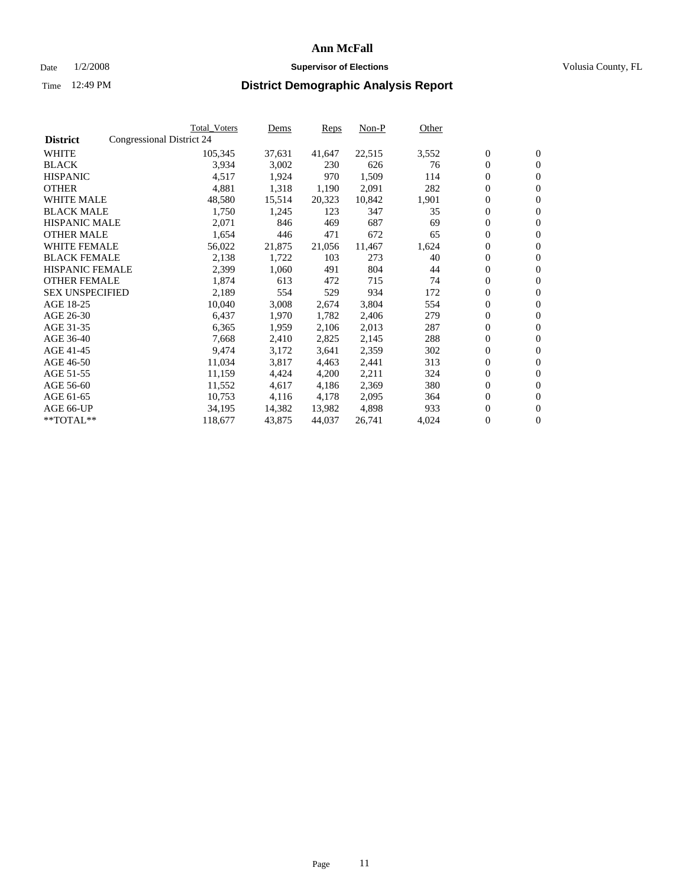#### Date  $1/2/2008$  **Supervisor of Elections** Volusia County, FL

|                        |                           | Total_Voters | Dems   | <b>Reps</b> | Non-P  | Other |                  |                  |
|------------------------|---------------------------|--------------|--------|-------------|--------|-------|------------------|------------------|
| <b>District</b>        | Congressional District 24 |              |        |             |        |       |                  |                  |
| <b>WHITE</b>           |                           | 105,345      | 37,631 | 41,647      | 22,515 | 3,552 | $\boldsymbol{0}$ | $\mathbf{0}$     |
| <b>BLACK</b>           |                           | 3,934        | 3,002  | 230         | 626    | 76    | $\overline{0}$   | $\mathbf{0}$     |
| <b>HISPANIC</b>        |                           | 4,517        | 1,924  | 970         | 1,509  | 114   | $\boldsymbol{0}$ | $\mathbf{0}$     |
| <b>OTHER</b>           |                           | 4,881        | 1,318  | 1,190       | 2,091  | 282   | $\boldsymbol{0}$ | $\mathbf{0}$     |
| <b>WHITE MALE</b>      |                           | 48,580       | 15,514 | 20,323      | 10,842 | 1,901 | 0                | $\mathbf{0}$     |
| <b>BLACK MALE</b>      |                           | 1,750        | 1,245  | 123         | 347    | 35    | $\boldsymbol{0}$ | $\mathbf{0}$     |
| <b>HISPANIC MALE</b>   |                           | 2,071        | 846    | 469         | 687    | 69    | $\overline{0}$   | $\mathbf{0}$     |
| <b>OTHER MALE</b>      |                           | 1,654        | 446    | 471         | 672    | 65    | $\overline{0}$   | $\mathbf{0}$     |
| <b>WHITE FEMALE</b>    |                           | 56,022       | 21,875 | 21,056      | 11,467 | 1,624 | $\mathbf{0}$     | $\mathbf{0}$     |
| <b>BLACK FEMALE</b>    |                           | 2,138        | 1,722  | 103         | 273    | 40    | $\boldsymbol{0}$ | $\mathbf{0}$     |
| <b>HISPANIC FEMALE</b> |                           | 2,399        | 1,060  | 491         | 804    | 44    | $\boldsymbol{0}$ | $\mathbf{0}$     |
| <b>OTHER FEMALE</b>    |                           | 1,874        | 613    | 472         | 715    | 74    | 0                | $\mathbf{0}$     |
| <b>SEX UNSPECIFIED</b> |                           | 2,189        | 554    | 529         | 934    | 172   | $\boldsymbol{0}$ | $\mathbf{0}$     |
| AGE 18-25              |                           | 10,040       | 3,008  | 2,674       | 3,804  | 554   | $\boldsymbol{0}$ | $\mathbf{0}$     |
| AGE 26-30              |                           | 6,437        | 1,970  | 1,782       | 2,406  | 279   | $\overline{0}$   | $\mathbf{0}$     |
| AGE 31-35              |                           | 6,365        | 1,959  | 2,106       | 2,013  | 287   | $\overline{0}$   | $\mathbf{0}$     |
| AGE 36-40              |                           | 7,668        | 2,410  | 2,825       | 2,145  | 288   | $\boldsymbol{0}$ | $\mathbf{0}$     |
| AGE 41-45              |                           | 9,474        | 3,172  | 3,641       | 2,359  | 302   | $\boldsymbol{0}$ | $\mathbf{0}$     |
| AGE 46-50              |                           | 11,034       | 3,817  | 4,463       | 2,441  | 313   | $\boldsymbol{0}$ | $\mathbf{0}$     |
| AGE 51-55              |                           | 11,159       | 4,424  | 4,200       | 2,211  | 324   | $\boldsymbol{0}$ | $\mathbf{0}$     |
| AGE 56-60              |                           | 11,552       | 4,617  | 4,186       | 2,369  | 380   | $\overline{0}$   | $\mathbf{0}$     |
| AGE 61-65              |                           | 10,753       | 4,116  | 4,178       | 2,095  | 364   | $\mathbf{0}$     | $\boldsymbol{0}$ |
| AGE 66-UP              |                           | 34,195       | 14,382 | 13,982      | 4,898  | 933   | $\boldsymbol{0}$ | $\mathbf{0}$     |
| **TOTAL**              |                           | 118,677      | 43,875 | 44,037      | 26,741 | 4,024 | 0                | $\overline{0}$   |
|                        |                           |              |        |             |        |       |                  |                  |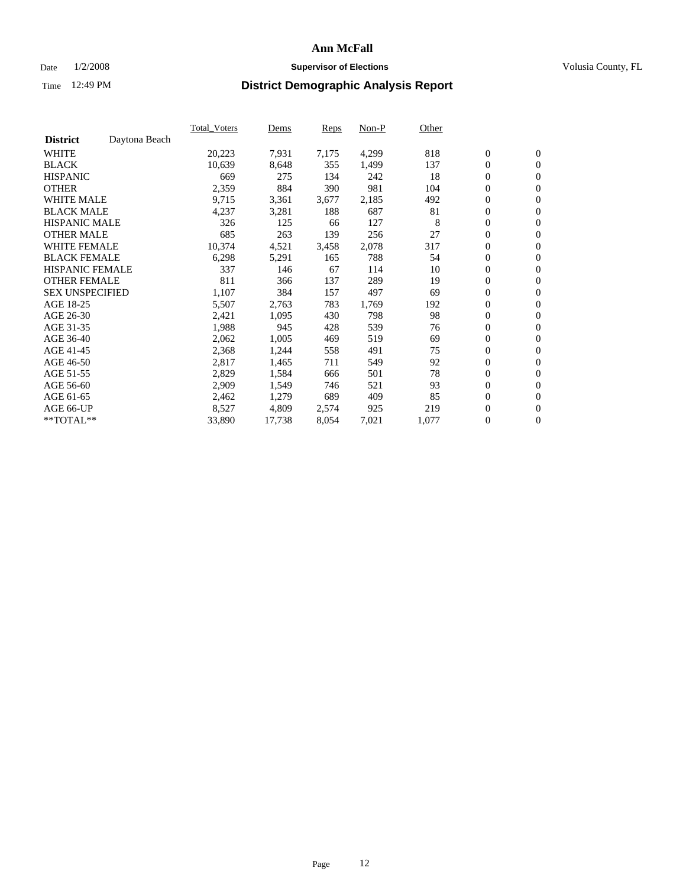#### Date  $1/2/2008$  **Supervisor of Elections** Volusia County, FL

|                        |               | Total Voters | Dems   | <b>Reps</b> | Non-P | Other |                  |                  |  |
|------------------------|---------------|--------------|--------|-------------|-------|-------|------------------|------------------|--|
| <b>District</b>        | Daytona Beach |              |        |             |       |       |                  |                  |  |
| <b>WHITE</b>           |               | 20,223       | 7,931  | 7,175       | 4,299 | 818   | $\boldsymbol{0}$ | $\mathbf{0}$     |  |
| <b>BLACK</b>           |               | 10,639       | 8,648  | 355         | 1,499 | 137   | $\overline{0}$   | $\mathbf{0}$     |  |
| <b>HISPANIC</b>        |               | 669          | 275    | 134         | 242   | 18    | $\boldsymbol{0}$ | $\mathbf{0}$     |  |
| <b>OTHER</b>           |               | 2,359        | 884    | 390         | 981   | 104   | 0                | $\mathbf{0}$     |  |
| <b>WHITE MALE</b>      |               | 9,715        | 3,361  | 3,677       | 2,185 | 492   | 0                | $\mathbf{0}$     |  |
| <b>BLACK MALE</b>      |               | 4,237        | 3,281  | 188         | 687   | 81    | $\boldsymbol{0}$ | $\mathbf{0}$     |  |
| <b>HISPANIC MALE</b>   |               | 326          | 125    | 66          | 127   | 8     | $\overline{0}$   | $\mathbf{0}$     |  |
| <b>OTHER MALE</b>      |               | 685          | 263    | 139         | 256   | 27    | $\overline{0}$   | $\mathbf{0}$     |  |
| <b>WHITE FEMALE</b>    |               | 10,374       | 4,521  | 3,458       | 2,078 | 317   | $\mathbf{0}$     | $\mathbf{0}$     |  |
| <b>BLACK FEMALE</b>    |               | 6,298        | 5,291  | 165         | 788   | 54    | $\boldsymbol{0}$ | $\mathbf{0}$     |  |
| <b>HISPANIC FEMALE</b> |               | 337          | 146    | 67          | 114   | 10    | $\boldsymbol{0}$ | $\mathbf{0}$     |  |
| <b>OTHER FEMALE</b>    |               | 811          | 366    | 137         | 289   | 19    | 0                | $\mathbf{0}$     |  |
| <b>SEX UNSPECIFIED</b> |               | 1,107        | 384    | 157         | 497   | 69    | $\boldsymbol{0}$ | $\mathbf{0}$     |  |
| AGE 18-25              |               | 5,507        | 2,763  | 783         | 1,769 | 192   | $\boldsymbol{0}$ | $\mathbf{0}$     |  |
| AGE 26-30              |               | 2,421        | 1,095  | 430         | 798   | 98    | $\overline{0}$   | $\mathbf{0}$     |  |
| AGE 31-35              |               | 1,988        | 945    | 428         | 539   | 76    | $\boldsymbol{0}$ | $\mathbf{0}$     |  |
| AGE 36-40              |               | 2,062        | 1,005  | 469         | 519   | 69    | $\boldsymbol{0}$ | $\mathbf{0}$     |  |
| AGE 41-45              |               | 2,368        | 1,244  | 558         | 491   | 75    | $\boldsymbol{0}$ | $\mathbf{0}$     |  |
| AGE 46-50              |               | 2,817        | 1,465  | 711         | 549   | 92    | $\boldsymbol{0}$ | $\mathbf{0}$     |  |
| AGE 51-55              |               | 2,829        | 1,584  | 666         | 501   | 78    | $\boldsymbol{0}$ | $\mathbf{0}$     |  |
| AGE 56-60              |               | 2,909        | 1,549  | 746         | 521   | 93    | $\overline{0}$   | $\mathbf{0}$     |  |
| AGE 61-65              |               | 2,462        | 1,279  | 689         | 409   | 85    | $\mathbf{0}$     | $\boldsymbol{0}$ |  |
| AGE 66-UP              |               | 8,527        | 4,809  | 2,574       | 925   | 219   | $\boldsymbol{0}$ | $\mathbf{0}$     |  |
| **TOTAL**              |               | 33,890       | 17,738 | 8,054       | 7,021 | 1,077 | $\boldsymbol{0}$ | $\overline{0}$   |  |
|                        |               |              |        |             |       |       |                  |                  |  |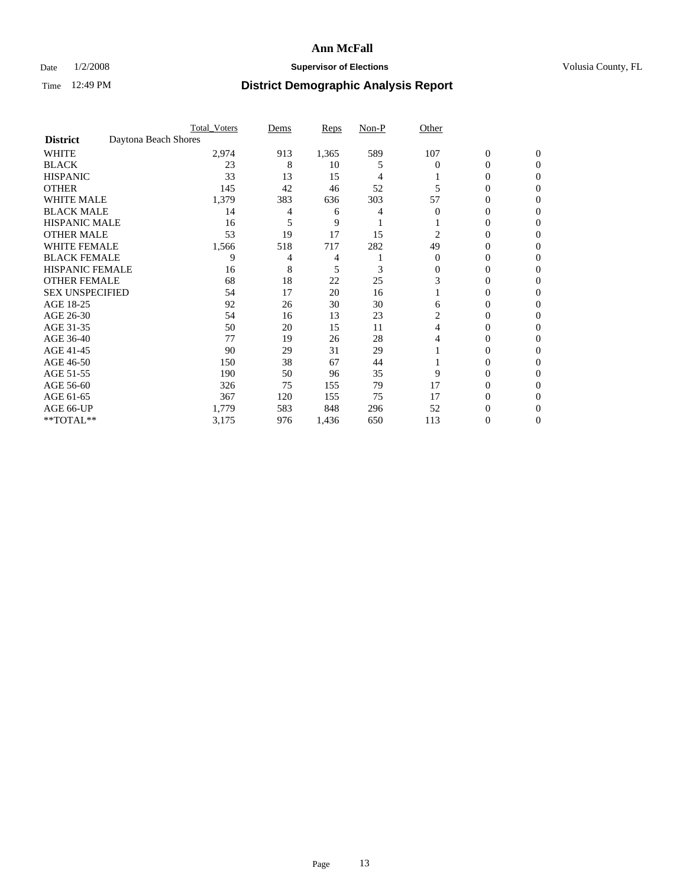### Date  $1/2/2008$  **Supervisor of Elections Supervisor of Elections** Volusia County, FL

|                        | <b>Total Voters</b>  | Dems | Reps  | Non-P | Other    |                  |                |  |
|------------------------|----------------------|------|-------|-------|----------|------------------|----------------|--|
| <b>District</b>        | Daytona Beach Shores |      |       |       |          |                  |                |  |
| <b>WHITE</b>           | 2,974                | 913  | 1,365 | 589   | 107      | $\boldsymbol{0}$ | $\mathbf{0}$   |  |
| <b>BLACK</b>           | 23                   | 8    | 10    | 5     | 0        | 0                | $\overline{0}$ |  |
| <b>HISPANIC</b>        | 33                   | 13   | 15    | 4     |          | 0                | $\Omega$       |  |
| <b>OTHER</b>           | 145                  | 42   | 46    | 52    |          | 0                | $\theta$       |  |
| <b>WHITE MALE</b>      | 1,379                | 383  | 636   | 303   | 57       | 0                | 0              |  |
| <b>BLACK MALE</b>      | 14                   |      | 6     |       | 0        | 0                | 0              |  |
| <b>HISPANIC MALE</b>   | 16                   |      | 9     |       |          | 0                |                |  |
| <b>OTHER MALE</b>      | 53                   | 19   | 17    | 15    | 2        | 0                | 0              |  |
| <b>WHITE FEMALE</b>    | 1,566                | 518  | 717   | 282   | 49       | 0                | 0              |  |
| <b>BLACK FEMALE</b>    | 9                    | 4    | 4     |       | $\Omega$ | 0                | 0              |  |
| <b>HISPANIC FEMALE</b> | 16                   | 8    | 5     | 3     | 0        | 0                | $\Omega$       |  |
| <b>OTHER FEMALE</b>    | 68                   | 18   | 22    | 25    | 3        | 0                | $\theta$       |  |
| <b>SEX UNSPECIFIED</b> | 54                   | 17   | 20    | 16    |          | 0                | 0              |  |
| AGE 18-25              | 92                   | 26   | 30    | 30    | 6        | 0                |                |  |
| AGE 26-30              | 54                   | 16   | 13    | 23    | 2        | 0                | 0              |  |
| AGE 31-35              | 50                   | 20   | 15    | 11    | 4        | 0                |                |  |
| AGE 36-40              | 77                   | 19   | 26    | 28    | 4        | 0                | 0              |  |
| AGE 41-45              | 90                   | 29   | 31    | 29    |          | 0                | 0              |  |
| AGE 46-50              | 150                  | 38   | 67    | 44    |          | 0                | 0              |  |
| AGE 51-55              | 190                  | 50   | 96    | 35    | 9        | 0                | $\theta$       |  |
| AGE 56-60              | 326                  | 75   | 155   | 79    | 17       | 0                | 0              |  |
| AGE 61-65              | 367                  | 120  | 155   | 75    | 17       | 0                | 0              |  |
| AGE 66-UP              | 1,779                | 583  | 848   | 296   | 52       | 0                |                |  |
| **TOTAL**              | 3,175                | 976  | 1,436 | 650   | 113      | 0                | 0              |  |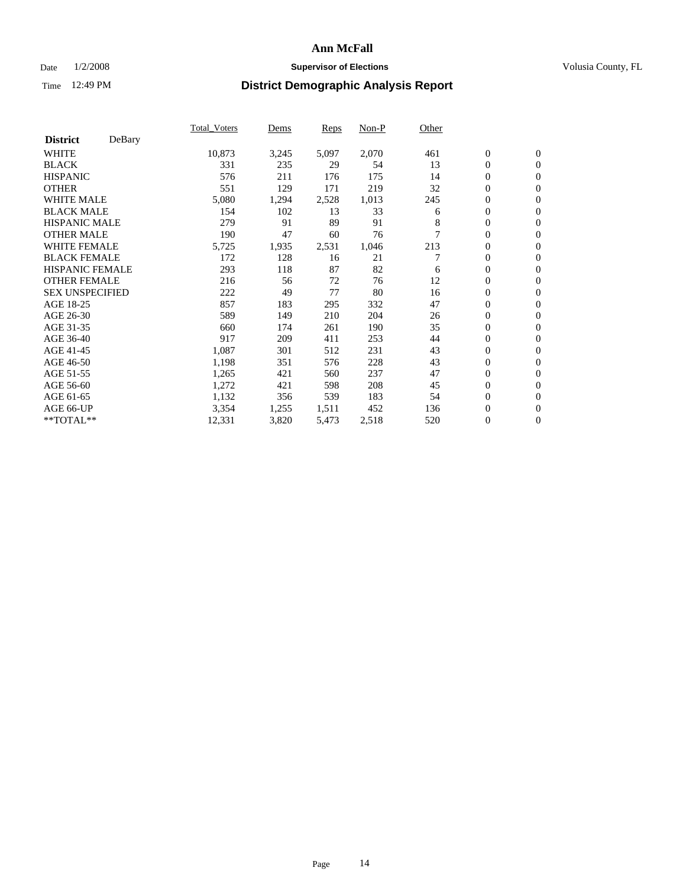### Date  $1/2/2008$  **Supervisor of Elections Supervisor of Elections** Volusia County, FL

|                        |        | Total Voters | Dems  | <b>Reps</b> | Non-P | Other |                  |                  |  |
|------------------------|--------|--------------|-------|-------------|-------|-------|------------------|------------------|--|
| <b>District</b>        | DeBary |              |       |             |       |       |                  |                  |  |
| <b>WHITE</b>           |        | 10,873       | 3,245 | 5,097       | 2,070 | 461   | $\boldsymbol{0}$ | $\mathbf{0}$     |  |
| <b>BLACK</b>           |        | 331          | 235   | 29          | 54    | 13    | $\overline{0}$   | $\mathbf{0}$     |  |
| <b>HISPANIC</b>        |        | 576          | 211   | 176         | 175   | 14    | $\overline{0}$   | $\mathbf{0}$     |  |
| <b>OTHER</b>           |        | 551          | 129   | 171         | 219   | 32    | $\overline{0}$   | $\mathbf{0}$     |  |
| <b>WHITE MALE</b>      |        | 5,080        | 1,294 | 2,528       | 1,013 | 245   | $\overline{0}$   | $\mathbf{0}$     |  |
| <b>BLACK MALE</b>      |        | 154          | 102   | 13          | 33    | 6     | $\boldsymbol{0}$ | $\mathbf{0}$     |  |
| <b>HISPANIC MALE</b>   |        | 279          | 91    | 89          | 91    | 8     | 0                | $\mathbf{0}$     |  |
| <b>OTHER MALE</b>      |        | 190          | 47    | 60          | 76    |       | $\overline{0}$   | $\mathbf{0}$     |  |
| <b>WHITE FEMALE</b>    |        | 5,725        | 1,935 | 2,531       | 1,046 | 213   | $\overline{0}$   | $\mathbf{0}$     |  |
| <b>BLACK FEMALE</b>    |        | 172          | 128   | 16          | 21    |       | $\boldsymbol{0}$ | $\mathbf{0}$     |  |
| <b>HISPANIC FEMALE</b> |        | 293          | 118   | 87          | 82    | 6     | $\overline{0}$   | $\mathbf{0}$     |  |
| <b>OTHER FEMALE</b>    |        | 216          | 56    | 72          | 76    | 12    | $\overline{0}$   | $\mathbf{0}$     |  |
| <b>SEX UNSPECIFIED</b> |        | 222          | 49    | 77          | 80    | 16    | $\boldsymbol{0}$ | $\mathbf{0}$     |  |
| AGE 18-25              |        | 857          | 183   | 295         | 332   | 47    | $\overline{0}$   | $\mathbf{0}$     |  |
| AGE 26-30              |        | 589          | 149   | 210         | 204   | 26    | $\boldsymbol{0}$ | $\mathbf{0}$     |  |
| AGE 31-35              |        | 660          | 174   | 261         | 190   | 35    | $\boldsymbol{0}$ | $\mathbf{0}$     |  |
| AGE 36-40              |        | 917          | 209   | 411         | 253   | 44    | $\boldsymbol{0}$ | $\mathbf{0}$     |  |
| AGE 41-45              |        | 1,087        | 301   | 512         | 231   | 43    | $\mathbf{0}$     | $\mathbf{0}$     |  |
| AGE 46-50              |        | 1,198        | 351   | 576         | 228   | 43    | $\overline{0}$   | $\mathbf{0}$     |  |
| AGE 51-55              |        | 1,265        | 421   | 560         | 237   | 47    | $\mathbf{0}$     | $\mathbf{0}$     |  |
| AGE 56-60              |        | 1,272        | 421   | 598         | 208   | 45    | $\boldsymbol{0}$ | $\mathbf{0}$     |  |
| AGE 61-65              |        | 1,132        | 356   | 539         | 183   | 54    | $\boldsymbol{0}$ | $\mathbf{0}$     |  |
| AGE 66-UP              |        | 3,354        | 1,255 | 1,511       | 452   | 136   | 0                | $\mathbf{0}$     |  |
| $*$ TOTAL $**$         |        | 12,331       | 3,820 | 5,473       | 2,518 | 520   | $\boldsymbol{0}$ | $\boldsymbol{0}$ |  |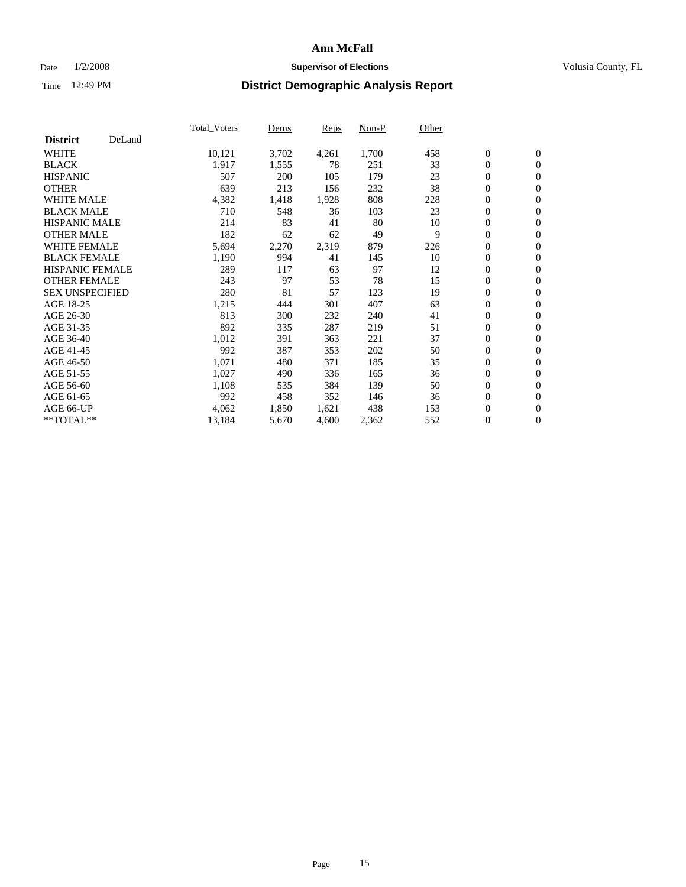### Date  $1/2/2008$  **Supervisor of Elections Supervisor of Elections** Volusia County, FL

|                        |        | Total_Voters | Dems  | <b>Reps</b> | Non-P | Other |                  |                |  |
|------------------------|--------|--------------|-------|-------------|-------|-------|------------------|----------------|--|
| <b>District</b>        | DeLand |              |       |             |       |       |                  |                |  |
| <b>WHITE</b>           |        | 10,121       | 3,702 | 4,261       | 1,700 | 458   | $\overline{0}$   | $\mathbf{0}$   |  |
| <b>BLACK</b>           |        | 1,917        | 1,555 | 78          | 251   | 33    | $\overline{0}$   | $\mathbf{0}$   |  |
| <b>HISPANIC</b>        |        | 507          | 200   | 105         | 179   | 23    | $\boldsymbol{0}$ | $\mathbf{0}$   |  |
| <b>OTHER</b>           |        | 639          | 213   | 156         | 232   | 38    | $\boldsymbol{0}$ | $\mathbf{0}$   |  |
| <b>WHITE MALE</b>      |        | 4,382        | 1,418 | 1,928       | 808   | 228   | 0                | $\mathbf{0}$   |  |
| <b>BLACK MALE</b>      |        | 710          | 548   | 36          | 103   | 23    | $\boldsymbol{0}$ | $\mathbf{0}$   |  |
| <b>HISPANIC MALE</b>   |        | 214          | 83    | 41          | 80    | 10    | $\overline{0}$   | $\mathbf{0}$   |  |
| <b>OTHER MALE</b>      |        | 182          | 62    | 62          | 49    | 9     | $\overline{0}$   | $\mathbf{0}$   |  |
| <b>WHITE FEMALE</b>    |        | 5,694        | 2,270 | 2,319       | 879   | 226   | $\mathbf{0}$     | $\mathbf{0}$   |  |
| <b>BLACK FEMALE</b>    |        | 1,190        | 994   | 41          | 145   | 10    | $\boldsymbol{0}$ | $\mathbf{0}$   |  |
| <b>HISPANIC FEMALE</b> |        | 289          | 117   | 63          | 97    | 12    | $\boldsymbol{0}$ | $\mathbf{0}$   |  |
| <b>OTHER FEMALE</b>    |        | 243          | 97    | 53          | 78    | 15    | 0                | $\mathbf{0}$   |  |
| <b>SEX UNSPECIFIED</b> |        | 280          | 81    | 57          | 123   | 19    | $\boldsymbol{0}$ | $\mathbf{0}$   |  |
| AGE 18-25              |        | 1,215        | 444   | 301         | 407   | 63    | $\boldsymbol{0}$ | $\mathbf{0}$   |  |
| AGE 26-30              |        | 813          | 300   | 232         | 240   | 41    | $\overline{0}$   | $\mathbf{0}$   |  |
| AGE 31-35              |        | 892          | 335   | 287         | 219   | 51    | $\boldsymbol{0}$ | $\mathbf{0}$   |  |
| AGE 36-40              |        | 1,012        | 391   | 363         | 221   | 37    | $\boldsymbol{0}$ | $\mathbf{0}$   |  |
| AGE 41-45              |        | 992          | 387   | 353         | 202   | 50    | $\boldsymbol{0}$ | $\mathbf{0}$   |  |
| AGE 46-50              |        | 1,071        | 480   | 371         | 185   | 35    | 0                | $\mathbf{0}$   |  |
| AGE 51-55              |        | 1,027        | 490   | 336         | 165   | 36    | $\boldsymbol{0}$ | $\mathbf{0}$   |  |
| AGE 56-60              |        | 1,108        | 535   | 384         | 139   | 50    | $\overline{0}$   | $\mathbf{0}$   |  |
| AGE 61-65              |        | 992          | 458   | 352         | 146   | 36    | $\mathbf{0}$     | $\mathbf{0}$   |  |
| AGE 66-UP              |        | 4,062        | 1,850 | 1,621       | 438   | 153   | $\boldsymbol{0}$ | $\mathbf{0}$   |  |
| **TOTAL**              |        | 13,184       | 5,670 | 4,600       | 2,362 | 552   | 0                | $\overline{0}$ |  |
|                        |        |              |       |             |       |       |                  |                |  |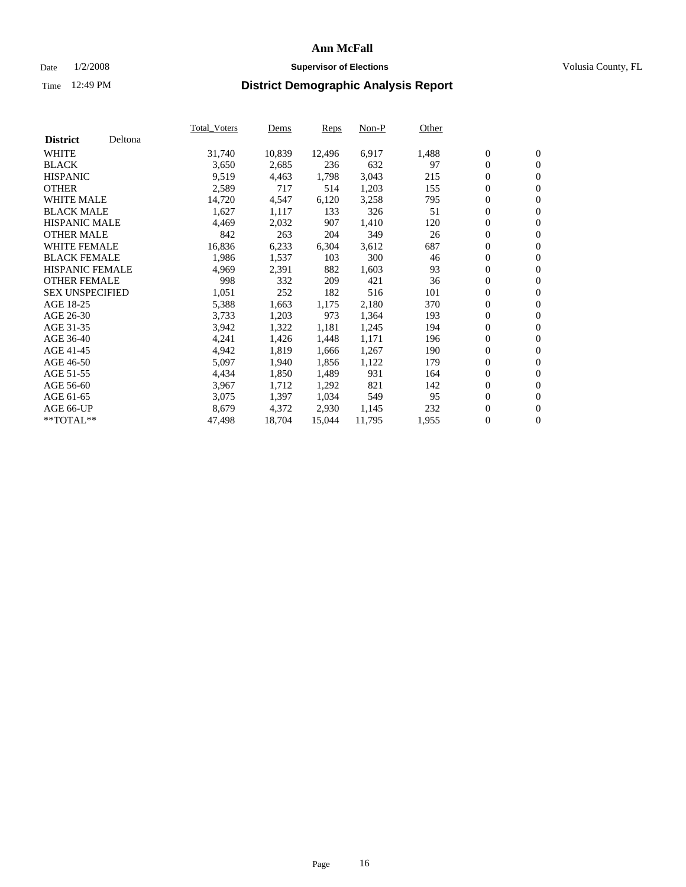#### Date  $1/2/2008$  **Supervisor of Elections** Volusia County, FL

|                        |         | Total_Voters | Dems   | <b>Reps</b> | Non-P  | Other |                  |                  |  |
|------------------------|---------|--------------|--------|-------------|--------|-------|------------------|------------------|--|
| <b>District</b>        | Deltona |              |        |             |        |       |                  |                  |  |
| <b>WHITE</b>           |         | 31,740       | 10,839 | 12,496      | 6,917  | 1,488 | $\boldsymbol{0}$ | $\mathbf{0}$     |  |
| <b>BLACK</b>           |         | 3,650        | 2,685  | 236         | 632    | 97    | $\overline{0}$   | $\mathbf{0}$     |  |
| <b>HISPANIC</b>        |         | 9,519        | 4,463  | 1,798       | 3,043  | 215   | $\boldsymbol{0}$ | $\mathbf{0}$     |  |
| <b>OTHER</b>           |         | 2,589        | 717    | 514         | 1,203  | 155   | $\boldsymbol{0}$ | $\mathbf{0}$     |  |
| <b>WHITE MALE</b>      |         | 14,720       | 4,547  | 6,120       | 3,258  | 795   | 0                | $\mathbf{0}$     |  |
| <b>BLACK MALE</b>      |         | 1,627        | 1,117  | 133         | 326    | 51    | $\boldsymbol{0}$ | $\mathbf{0}$     |  |
| <b>HISPANIC MALE</b>   |         | 4,469        | 2,032  | 907         | 1,410  | 120   | $\overline{0}$   | $\mathbf{0}$     |  |
| <b>OTHER MALE</b>      |         | 842          | 263    | 204         | 349    | 26    | $\overline{0}$   | $\mathbf{0}$     |  |
| WHITE FEMALE           |         | 16,836       | 6,233  | 6,304       | 3,612  | 687   | $\mathbf{0}$     | $\mathbf{0}$     |  |
| <b>BLACK FEMALE</b>    |         | 1,986        | 1,537  | 103         | 300    | 46    | $\boldsymbol{0}$ | $\mathbf{0}$     |  |
| <b>HISPANIC FEMALE</b> |         | 4,969        | 2,391  | 882         | 1,603  | 93    | $\boldsymbol{0}$ | $\mathbf{0}$     |  |
| <b>OTHER FEMALE</b>    |         | 998          | 332    | 209         | 421    | 36    | 0                | $\mathbf{0}$     |  |
| <b>SEX UNSPECIFIED</b> |         | 1,051        | 252    | 182         | 516    | 101   | $\boldsymbol{0}$ | $\mathbf{0}$     |  |
| AGE 18-25              |         | 5,388        | 1,663  | 1,175       | 2,180  | 370   | $\boldsymbol{0}$ | $\mathbf{0}$     |  |
| AGE 26-30              |         | 3,733        | 1,203  | 973         | 1,364  | 193   | $\overline{0}$   | $\mathbf{0}$     |  |
| AGE 31-35              |         | 3,942        | 1,322  | 1,181       | 1,245  | 194   | $\overline{0}$   | $\mathbf{0}$     |  |
| AGE 36-40              |         | 4,241        | 1,426  | 1,448       | 1,171  | 196   | $\boldsymbol{0}$ | $\mathbf{0}$     |  |
| AGE 41-45              |         | 4,942        | 1,819  | 1,666       | 1,267  | 190   | $\boldsymbol{0}$ | $\mathbf{0}$     |  |
| AGE 46-50              |         | 5,097        | 1,940  | 1,856       | 1,122  | 179   | 0                | $\mathbf{0}$     |  |
| AGE 51-55              |         | 4,434        | 1,850  | 1,489       | 931    | 164   | $\boldsymbol{0}$ | $\mathbf{0}$     |  |
| AGE 56-60              |         | 3,967        | 1,712  | 1,292       | 821    | 142   | $\overline{0}$   | $\mathbf{0}$     |  |
| AGE 61-65              |         | 3,075        | 1,397  | 1,034       | 549    | 95    | $\mathbf{0}$     | $\boldsymbol{0}$ |  |
| AGE 66-UP              |         | 8,679        | 4,372  | 2,930       | 1,145  | 232   | $\boldsymbol{0}$ | $\mathbf{0}$     |  |
| **TOTAL**              |         | 47,498       | 18,704 | 15,044      | 11,795 | 1,955 | $\boldsymbol{0}$ | $\overline{0}$   |  |
|                        |         |              |        |             |        |       |                  |                  |  |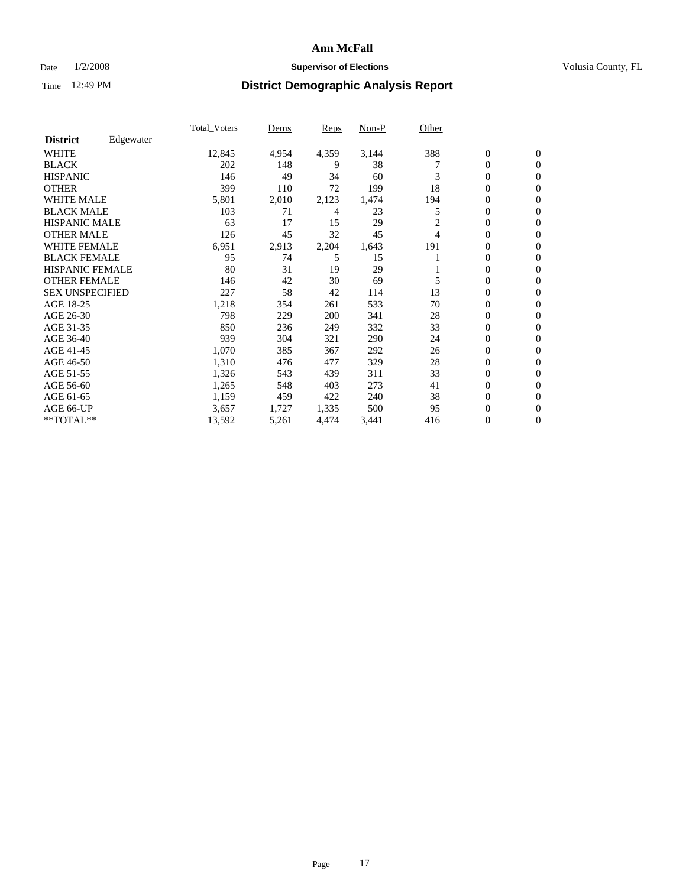#### Date  $1/2/2008$  **Supervisor of Elections** Volusia County, FL

|                        |           | Total Voters | Dems  | <b>Reps</b> | Non-P | Other |                  |                |  |
|------------------------|-----------|--------------|-------|-------------|-------|-------|------------------|----------------|--|
| <b>District</b>        | Edgewater |              |       |             |       |       |                  |                |  |
| <b>WHITE</b>           |           | 12,845       | 4,954 | 4,359       | 3,144 | 388   | $\overline{0}$   | $\mathbf{0}$   |  |
| <b>BLACK</b>           |           | 202          | 148   | 9           | 38    |       | $\overline{0}$   | $\mathbf{0}$   |  |
| <b>HISPANIC</b>        |           | 146          | 49    | 34          | 60    | 3     | $\overline{0}$   | $\mathbf{0}$   |  |
| <b>OTHER</b>           |           | 399          | 110   | 72          | 199   | 18    | 0                | $\mathbf{0}$   |  |
| <b>WHITE MALE</b>      |           | 5,801        | 2,010 | 2,123       | 1,474 | 194   | 0                | $\mathbf{0}$   |  |
| <b>BLACK MALE</b>      |           | 103          | 71    | 4           | 23    | 5     | $\boldsymbol{0}$ | $\mathbf{0}$   |  |
| <b>HISPANIC MALE</b>   |           | 63           | 17    | 15          | 29    | 2     | $\overline{0}$   | $\mathbf{0}$   |  |
| <b>OTHER MALE</b>      |           | 126          | 45    | 32          | 45    | 4     | $\overline{0}$   | $\mathbf{0}$   |  |
| <b>WHITE FEMALE</b>    |           | 6,951        | 2,913 | 2,204       | 1,643 | 191   | 0                | $\mathbf{0}$   |  |
| <b>BLACK FEMALE</b>    |           | 95           | 74    | 5           | 15    |       | $\overline{0}$   | $\mathbf{0}$   |  |
| <b>HISPANIC FEMALE</b> |           | 80           | 31    | 19          | 29    |       | $\boldsymbol{0}$ | $\mathbf{0}$   |  |
| <b>OTHER FEMALE</b>    |           | 146          | 42    | 30          | 69    | 5     | 0                | $\mathbf{0}$   |  |
| <b>SEX UNSPECIFIED</b> |           | 227          | 58    | 42          | 114   | 13    | $\overline{0}$   | $\mathbf{0}$   |  |
| AGE 18-25              |           | 1,218        | 354   | 261         | 533   | 70    | $\overline{0}$   | $\mathbf{0}$   |  |
| AGE 26-30              |           | 798          | 229   | 200         | 341   | 28    | $\overline{0}$   | $\mathbf{0}$   |  |
| AGE 31-35              |           | 850          | 236   | 249         | 332   | 33    | $\overline{0}$   | $\mathbf{0}$   |  |
| AGE 36-40              |           | 939          | 304   | 321         | 290   | 24    | $\boldsymbol{0}$ | $\mathbf{0}$   |  |
| AGE 41-45              |           | 1,070        | 385   | 367         | 292   | 26    | $\boldsymbol{0}$ | $\mathbf{0}$   |  |
| AGE 46-50              |           | 1,310        | 476   | 477         | 329   | 28    | 0                | $\Omega$       |  |
| AGE 51-55              |           | 1,326        | 543   | 439         | 311   | 33    | $\boldsymbol{0}$ | $\mathbf{0}$   |  |
| AGE 56-60              |           | 1,265        | 548   | 403         | 273   | 41    | $\overline{0}$   | $\mathbf{0}$   |  |
| AGE 61-65              |           | 1,159        | 459   | 422         | 240   | 38    | $\mathbf{0}$     | $\mathbf{0}$   |  |
| AGE 66-UP              |           | 3,657        | 1,727 | 1,335       | 500   | 95    | $\boldsymbol{0}$ | $\mathbf{0}$   |  |
| **TOTAL**              |           | 13,592       | 5,261 | 4,474       | 3,441 | 416   | 0                | $\overline{0}$ |  |
|                        |           |              |       |             |       |       |                  |                |  |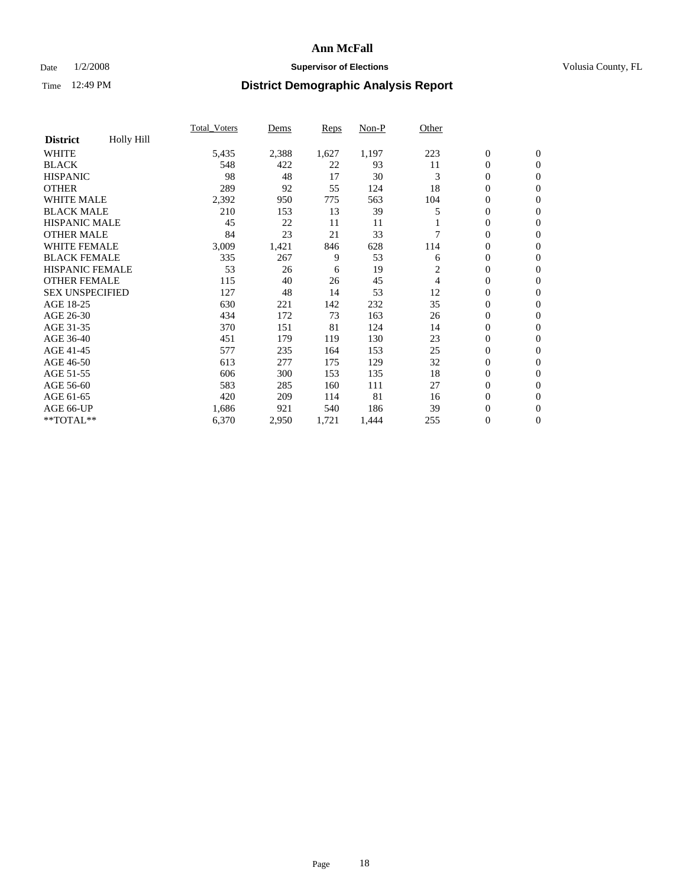### Date  $1/2/2008$  **Supervisor of Elections Supervisor of Elections** Volusia County, FL

|                        |            | Total Voters | Dems  | <b>Reps</b> | Non-P | Other |                  |                  |  |
|------------------------|------------|--------------|-------|-------------|-------|-------|------------------|------------------|--|
| <b>District</b>        | Holly Hill |              |       |             |       |       |                  |                  |  |
| <b>WHITE</b>           |            | 5,435        | 2,388 | 1,627       | 1,197 | 223   | $\boldsymbol{0}$ | $\mathbf{0}$     |  |
| <b>BLACK</b>           |            | 548          | 422   | 22          | 93    | 11    | $\overline{0}$   | $\mathbf{0}$     |  |
| <b>HISPANIC</b>        |            | 98           | 48    | 17          | 30    | 3     | $\overline{0}$   | $\mathbf{0}$     |  |
| <b>OTHER</b>           |            | 289          | 92    | 55          | 124   | 18    | 0                | $\mathbf{0}$     |  |
| <b>WHITE MALE</b>      |            | 2,392        | 950   | 775         | 563   | 104   | 0                | $\mathbf{0}$     |  |
| <b>BLACK MALE</b>      |            | 210          | 153   | 13          | 39    |       | $\boldsymbol{0}$ | $\mathbf{0}$     |  |
| <b>HISPANIC MALE</b>   |            | 45           | 22    | 11          | 11    |       | 0                | $\mathbf{0}$     |  |
| <b>OTHER MALE</b>      |            | 84           | 23    | 21          | 33    |       | 0                | $\mathbf{0}$     |  |
| <b>WHITE FEMALE</b>    |            | 3,009        | 1,421 | 846         | 628   | 114   | 0                | $\Omega$         |  |
| <b>BLACK FEMALE</b>    |            | 335          | 267   | 9           | 53    | 6     | $\boldsymbol{0}$ | $\mathbf{0}$     |  |
| <b>HISPANIC FEMALE</b> |            | 53           | 26    | 6           | 19    | 2     | 0                | $\mathbf{0}$     |  |
| <b>OTHER FEMALE</b>    |            | 115          | 40    | 26          | 45    | 4     | $\overline{0}$   | $\mathbf{0}$     |  |
| <b>SEX UNSPECIFIED</b> |            | 127          | 48    | 14          | 53    | 12    | $\boldsymbol{0}$ | $\mathbf{0}$     |  |
| AGE 18-25              |            | 630          | 221   | 142         | 232   | 35    | $\overline{0}$   | $\mathbf{0}$     |  |
| AGE 26-30              |            | 434          | 172   | 73          | 163   | 26    | $\boldsymbol{0}$ | $\mathbf{0}$     |  |
| AGE 31-35              |            | 370          | 151   | 81          | 124   | 14    | 0                | $\mathbf{0}$     |  |
| AGE 36-40              |            | 451          | 179   | 119         | 130   | 23    | $\boldsymbol{0}$ | $\mathbf{0}$     |  |
| AGE 41-45              |            | 577          | 235   | 164         | 153   | 25    | $\mathbf{0}$     | $\mathbf{0}$     |  |
| AGE 46-50              |            | 613          | 277   | 175         | 129   | 32    | $\overline{0}$   | $\mathbf{0}$     |  |
| AGE 51-55              |            | 606          | 300   | 153         | 135   | 18    | $\overline{0}$   | $\mathbf{0}$     |  |
| AGE 56-60              |            | 583          | 285   | 160         | 111   | 27    | $\boldsymbol{0}$ | $\mathbf{0}$     |  |
| AGE 61-65              |            | 420          | 209   | 114         | 81    | 16    | 0                | $\mathbf{0}$     |  |
| AGE 66-UP              |            | 1,686        | 921   | 540         | 186   | 39    | 0                | 0                |  |
| $*$ TOTAL $**$         |            | 6,370        | 2,950 | 1,721       | 1,444 | 255   | 0                | $\boldsymbol{0}$ |  |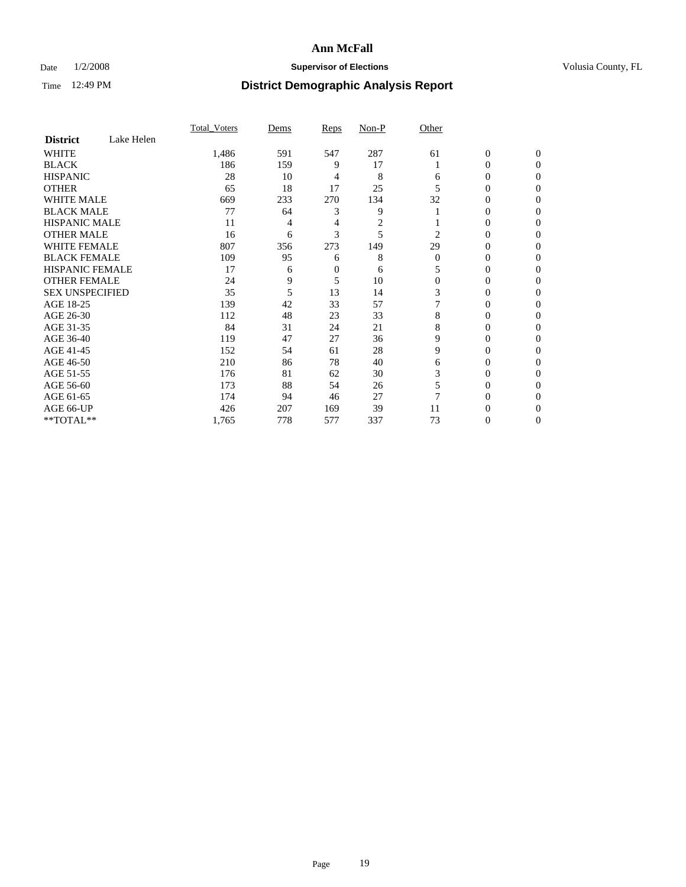### Date  $1/2/2008$  **Supervisor of Elections Supervisor of Elections** Volusia County, FL

|                        |            | <b>Total Voters</b> | Dems | Reps   | Non-P | Other    |                  |              |  |
|------------------------|------------|---------------------|------|--------|-------|----------|------------------|--------------|--|
| <b>District</b>        | Lake Helen |                     |      |        |       |          |                  |              |  |
| <b>WHITE</b>           |            | 1,486               | 591  | 547    | 287   | 61       | $\boldsymbol{0}$ | $\mathbf{0}$ |  |
| <b>BLACK</b>           |            | 186                 | 159  | 9      | 17    |          | 0                | $\mathbf{0}$ |  |
| <b>HISPANIC</b>        |            | 28                  | 10   | 4      | 8     | 6        | 0                | $\Omega$     |  |
| <b>OTHER</b>           |            | 65                  | 18   | 17     | 25    |          | $\overline{0}$   | $\theta$     |  |
| <b>WHITE MALE</b>      |            | 669                 | 233  | 270    | 134   | 32       | 0                | 0            |  |
| <b>BLACK MALE</b>      |            | 77                  | 64   | 3      | 9     |          | 0                | 0            |  |
| <b>HISPANIC MALE</b>   |            | 11                  | 4    | 4      | 2     |          | 0                |              |  |
| <b>OTHER MALE</b>      |            | 16                  | 6    | 3      | 5     | 2        | 0                | 0            |  |
| <b>WHITE FEMALE</b>    |            | 807                 | 356  | 273    | 149   | 29       | 0                | 0            |  |
| <b>BLACK FEMALE</b>    |            | 109                 | 95   | 6      | 8     | $\Omega$ | 0                | 0            |  |
| <b>HISPANIC FEMALE</b> |            | 17                  | 6    | $_{0}$ | 6     |          | 0                | $\Omega$     |  |
| <b>OTHER FEMALE</b>    |            | 24                  | 9    | 5      | 10    | $\Omega$ | 0                | $\theta$     |  |
| <b>SEX UNSPECIFIED</b> |            | 35                  | 5    | 13     | 14    | 3        | 0                | $\theta$     |  |
| AGE 18-25              |            | 139                 | 42   | 33     | 57    |          | 0                | $_{0}$       |  |
| AGE 26-30              |            | 112                 | 48   | 23     | 33    | 8        | 0                | 0            |  |
| AGE 31-35              |            | 84                  | 31   | 24     | 21    | 8        | 0                |              |  |
| AGE 36-40              |            | 119                 | 47   | 27     | 36    | 9        | 0                | 0            |  |
| AGE 41-45              |            | 152                 | 54   | 61     | 28    | 9        | 0                | 0            |  |
| AGE 46-50              |            | 210                 | 86   | 78     | 40    | 6        | 0                | $\Omega$     |  |
| AGE 51-55              |            | 176                 | 81   | 62     | 30    | 3        | 0                | $\theta$     |  |
| AGE 56-60              |            | 173                 | 88   | 54     | 26    | 5        | 0                | $\theta$     |  |
| AGE 61-65              |            | 174                 | 94   | 46     | 27    |          | 0                | 0            |  |
| AGE 66-UP              |            | 426                 | 207  | 169    | 39    | 11       | 0                |              |  |
| **TOTAL**              |            | 1,765               | 778  | 577    | 337   | 73       | 0                | 0            |  |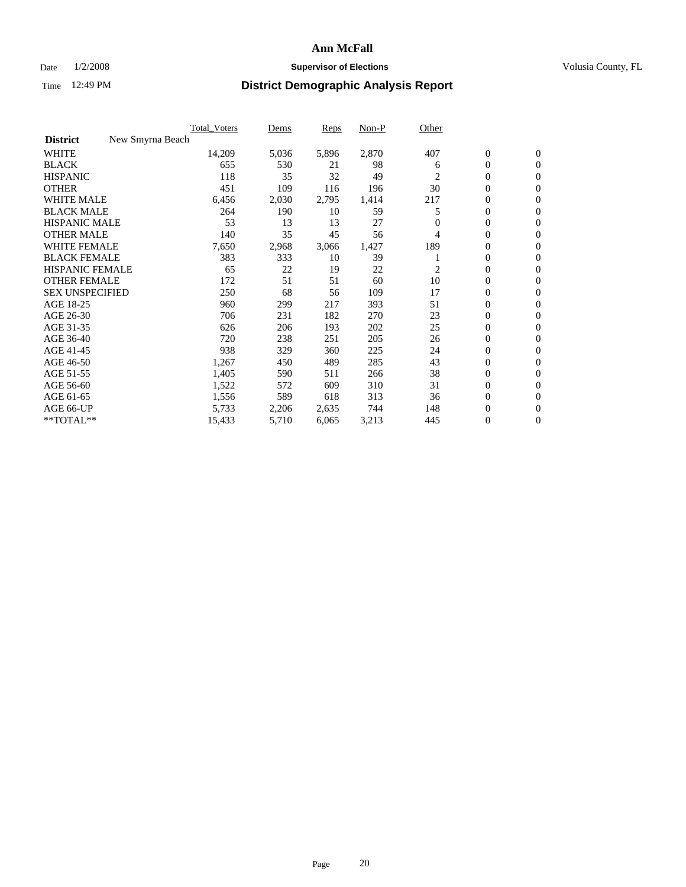### Date  $1/2/2008$  **Supervisor of Elections Supervisor of Elections** Volusia County, FL

|                                     | Total Voters | Dems  | <b>Reps</b> | Non-P | Other          |                  |                  |  |
|-------------------------------------|--------------|-------|-------------|-------|----------------|------------------|------------------|--|
| <b>District</b><br>New Smyrna Beach |              |       |             |       |                |                  |                  |  |
| <b>WHITE</b>                        | 14,209       | 5,036 | 5,896       | 2,870 | 407            | $\boldsymbol{0}$ | $\mathbf{0}$     |  |
| <b>BLACK</b>                        | 655          | 530   | 21          | 98    | 6              | $\overline{0}$   | $\mathbf{0}$     |  |
| <b>HISPANIC</b>                     | 118          | 35    | 32          | 49    | $\mathfrak{2}$ | $\overline{0}$   | $\mathbf{0}$     |  |
| <b>OTHER</b>                        | 451          | 109   | 116         | 196   | 30             | 0                | $\mathbf{0}$     |  |
| <b>WHITE MALE</b>                   | 6,456        | 2,030 | 2,795       | 1,414 | 217            | $\overline{0}$   | $\mathbf{0}$     |  |
| <b>BLACK MALE</b>                   | 264          | 190   | 10          | 59    | 5              | $\boldsymbol{0}$ | $\mathbf{0}$     |  |
| <b>HISPANIC MALE</b>                | 53           | 13    | 13          | 27    |                | 0                | $\mathbf{0}$     |  |
| <b>OTHER MALE</b>                   | 140          | 35    | 45          | 56    | 4              | 0                | $\mathbf{0}$     |  |
| <b>WHITE FEMALE</b>                 | 7,650        | 2,968 | 3,066       | 1,427 | 189            | 0                | $\mathbf{0}$     |  |
| <b>BLACK FEMALE</b>                 | 383          | 333   | 10          | 39    |                | $\overline{0}$   | $\mathbf{0}$     |  |
| <b>HISPANIC FEMALE</b>              | 65           | 22    | 19          | 22    | 2              | 0                | $\mathbf{0}$     |  |
| <b>OTHER FEMALE</b>                 | 172          | 51    | 51          | 60    | 10             | 0                | $\mathbf{0}$     |  |
| <b>SEX UNSPECIFIED</b>              | 250          | 68    | 56          | 109   | 17             | $\boldsymbol{0}$ | $\mathbf{0}$     |  |
| AGE 18-25                           | 960          | 299   | 217         | 393   | 51             | $\overline{0}$   | $\mathbf{0}$     |  |
| AGE 26-30                           | 706          | 231   | 182         | 270   | 23             | $\boldsymbol{0}$ | $\mathbf{0}$     |  |
| AGE 31-35                           | 626          | 206   | 193         | 202   | 25             | 0                | $\mathbf{0}$     |  |
| AGE 36-40                           | 720          | 238   | 251         | 205   | 26             | $\boldsymbol{0}$ | $\mathbf{0}$     |  |
| AGE 41-45                           | 938          | 329   | 360         | 225   | 24             | $\mathbf{0}$     | $\mathbf{0}$     |  |
| AGE 46-50                           | 1,267        | 450   | 489         | 285   | 43             | $\overline{0}$   | $\mathbf{0}$     |  |
| AGE 51-55                           | 1,405        | 590   | 511         | 266   | 38             | $\overline{0}$   | $\mathbf{0}$     |  |
| AGE 56-60                           | 1,522        | 572   | 609         | 310   | 31             | $\boldsymbol{0}$ | $\mathbf{0}$     |  |
| AGE 61-65                           | 1,556        | 589   | 618         | 313   | 36             | 0                | $\mathbf{0}$     |  |
| AGE 66-UP                           | 5,733        | 2,206 | 2,635       | 744   | 148            | 0                | $\mathbf{0}$     |  |
| $*$ TOTAL $**$                      | 15,433       | 5,710 | 6,065       | 3,213 | 445            | 0                | $\boldsymbol{0}$ |  |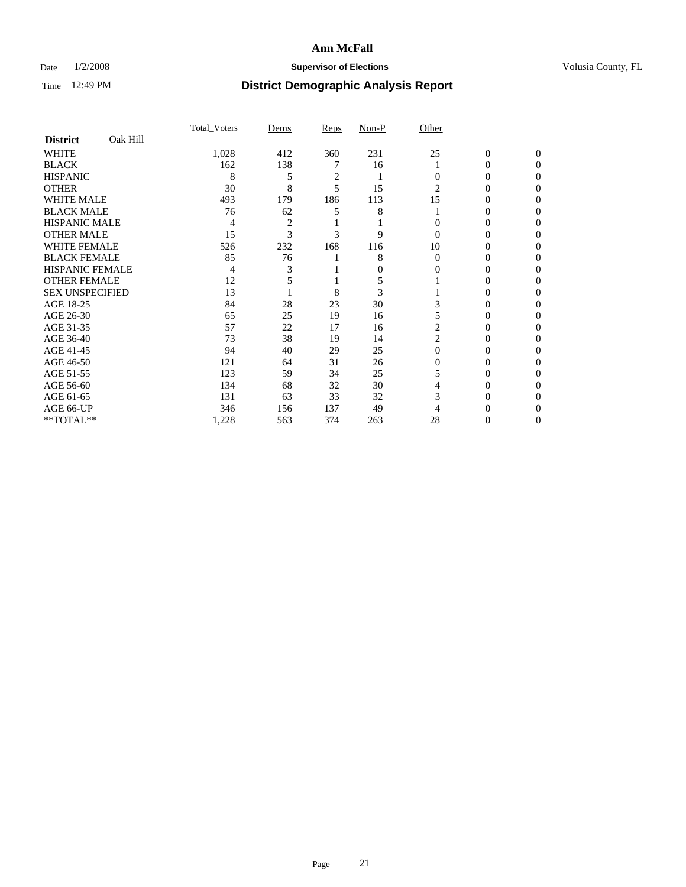### Date  $1/2/2008$  **Supervisor of Elections Supervisor of Elections** Volusia County, FL

|                        |          | <b>Total Voters</b> | Dems           | Reps           | Non-P | Other    |              |              |  |
|------------------------|----------|---------------------|----------------|----------------|-------|----------|--------------|--------------|--|
| <b>District</b>        | Oak Hill |                     |                |                |       |          |              |              |  |
| <b>WHITE</b>           |          | 1,028               | 412            | 360            | 231   | 25       | $\mathbf{0}$ | $\mathbf{0}$ |  |
| <b>BLACK</b>           |          | 162                 | 138            |                | 16    |          | 0            | $\Omega$     |  |
| <b>HISPANIC</b>        |          | 8                   | 5              | $\overline{c}$ |       | 0        | 0            | $\theta$     |  |
| <b>OTHER</b>           |          | 30                  | 8              | 5              | 15    | 2        | 0            | 0            |  |
| <b>WHITE MALE</b>      |          | 493                 | 179            | 186            | 113   | 15       | 0            |              |  |
| <b>BLACK MALE</b>      |          | 76                  | 62             | 5              | 8     |          | 0            | 0            |  |
| <b>HISPANIC MALE</b>   |          | 4                   | $\overline{2}$ |                |       |          | 0            |              |  |
| <b>OTHER MALE</b>      |          | 15                  | 3              | 3              | 9     | $\Omega$ | 0            | 0            |  |
| <b>WHITE FEMALE</b>    |          | 526                 | 232            | 168            | 116   | 10       | 0            | 0            |  |
| <b>BLACK FEMALE</b>    |          | 85                  | 76             |                | 8     | $\Omega$ | 0            | 0            |  |
| <b>HISPANIC FEMALE</b> |          | 4                   |                |                | 0     | 0        | 0            | 0            |  |
| <b>OTHER FEMALE</b>    |          | 12                  |                |                | 5     |          | 0            | 0            |  |
| <b>SEX UNSPECIFIED</b> |          | 13                  |                | 8              | 3     |          | 0            | 0            |  |
| AGE 18-25              |          | 84                  | 28             | 23             | 30    |          | 0            |              |  |
| AGE 26-30              |          | 65                  | 25             | 19             | 16    |          | 0            | 0            |  |
| AGE 31-35              |          | 57                  | 22             | 17             | 16    | 2        | 0            |              |  |
| AGE 36-40              |          | 73                  | 38             | 19             | 14    | 2        | 0            | 0            |  |
| AGE 41-45              |          | 94                  | 40             | 29             | 25    | $\Omega$ | 0            | 0            |  |
| AGE 46-50              |          | 121                 | 64             | 31             | 26    | $\Omega$ | 0            | 0            |  |
| AGE 51-55              |          | 123                 | 59             | 34             | 25    | 5        | 0            | $\theta$     |  |
| AGE 56-60              |          | 134                 | 68             | 32             | 30    | 4        | 0            | 0            |  |
| AGE 61-65              |          | 131                 | 63             | 33             | 32    | 3        | 0            |              |  |
| AGE 66-UP              |          | 346                 | 156            | 137            | 49    |          |              |              |  |
| **TOTAL**              |          | 1,228               | 563            | 374            | 263   | 28       | 0            | 0            |  |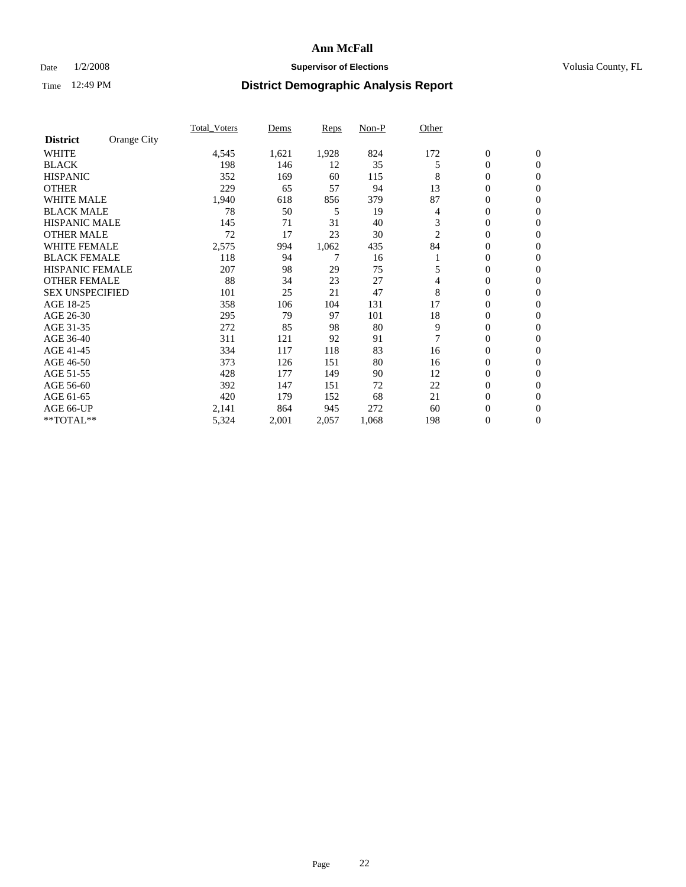### Date  $1/2/2008$  **Supervisor of Elections Supervisor of Elections** Volusia County, FL

|                        |             | Total Voters | Dems  | <b>Reps</b> | Non-P | Other |                  |                  |  |
|------------------------|-------------|--------------|-------|-------------|-------|-------|------------------|------------------|--|
| <b>District</b>        | Orange City |              |       |             |       |       |                  |                  |  |
| <b>WHITE</b>           |             | 4,545        | 1,621 | 1,928       | 824   | 172   | $\boldsymbol{0}$ | $\mathbf{0}$     |  |
| <b>BLACK</b>           |             | 198          | 146   | 12          | 35    | 5     | $\overline{0}$   | $\mathbf{0}$     |  |
| <b>HISPANIC</b>        |             | 352          | 169   | 60          | 115   | 8     | $\overline{0}$   | $\mathbf{0}$     |  |
| <b>OTHER</b>           |             | 229          | 65    | 57          | 94    | 13    | 0                | $\mathbf{0}$     |  |
| <b>WHITE MALE</b>      |             | 1,940        | 618   | 856         | 379   | 87    | $\overline{0}$   | $\overline{0}$   |  |
| <b>BLACK MALE</b>      |             | 78           | 50    | 5           | 19    | 4     | 0                | $\mathbf{0}$     |  |
| <b>HISPANIC MALE</b>   |             | 145          | 71    | 31          | 40    | 3     | 0                | $\Omega$         |  |
| <b>OTHER MALE</b>      |             | 72           | 17    | 23          | 30    | 2     | 0                | $\mathbf{0}$     |  |
| <b>WHITE FEMALE</b>    |             | 2,575        | 994   | 1,062       | 435   | 84    | 0                | $\Omega$         |  |
| <b>BLACK FEMALE</b>    |             | 118          | 94    |             | 16    |       | $\overline{0}$   | $\mathbf{0}$     |  |
| <b>HISPANIC FEMALE</b> |             | 207          | 98    | 29          | 75    | 5     | 0                | $\mathbf{0}$     |  |
| <b>OTHER FEMALE</b>    |             | 88           | 34    | 23          | 27    | 4     | 0                | $\mathbf{0}$     |  |
| <b>SEX UNSPECIFIED</b> |             | 101          | 25    | 21          | 47    | 8     | $\boldsymbol{0}$ | $\mathbf{0}$     |  |
| AGE 18-25              |             | 358          | 106   | 104         | 131   | 17    | 0                | $\overline{0}$   |  |
| AGE 26-30              |             | 295          | 79    | 97          | 101   | 18    | 0                | $\mathbf{0}$     |  |
| AGE 31-35              |             | 272          | 85    | 98          | 80    | 9     | 0                | $\overline{0}$   |  |
| AGE 36-40              |             | 311          | 121   | 92          | 91    | 7     | $\overline{0}$   | $\mathbf{0}$     |  |
| AGE 41-45              |             | 334          | 117   | 118         | 83    | 16    | 0                | $\mathbf{0}$     |  |
| AGE 46-50              |             | 373          | 126   | 151         | 80    | 16    | $\overline{0}$   | $\mathbf{0}$     |  |
| AGE 51-55              |             | 428          | 177   | 149         | 90    | 12    | $\overline{0}$   | $\mathbf{0}$     |  |
| AGE 56-60              |             | 392          | 147   | 151         | 72    | 22    | $\boldsymbol{0}$ | $\mathbf{0}$     |  |
| AGE 61-65              |             | 420          | 179   | 152         | 68    | 21    | $\boldsymbol{0}$ | $\overline{0}$   |  |
| AGE 66-UP              |             | 2,141        | 864   | 945         | 272   | 60    | 0                | 0                |  |
| **TOTAL**              |             | 5,324        | 2,001 | 2,057       | 1,068 | 198   | 0                | $\boldsymbol{0}$ |  |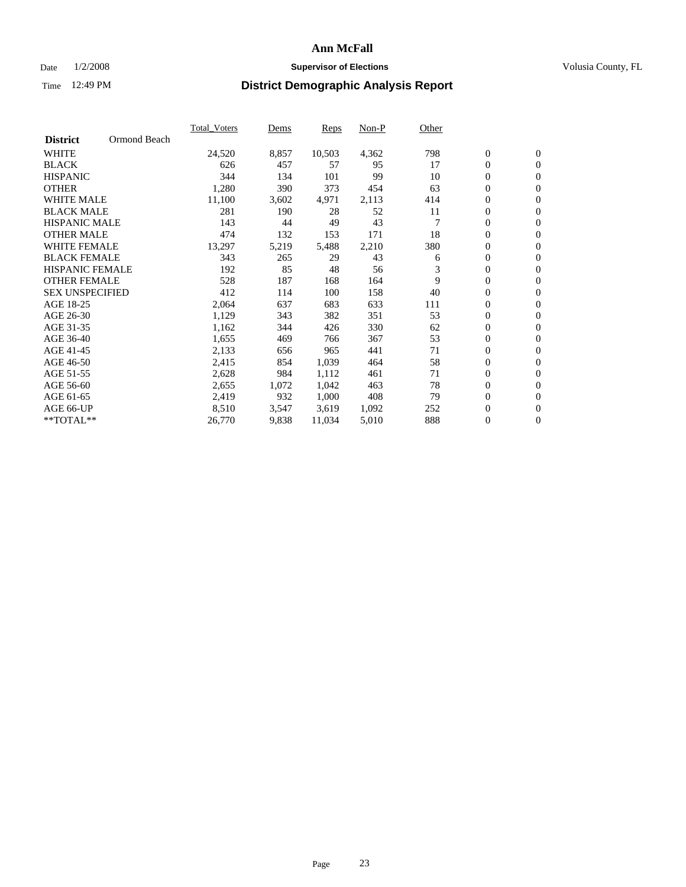### Date  $1/2/2008$  **Supervisor of Elections Supervisor of Elections** Volusia County, FL

|                        |              | <b>Total Voters</b> | Dems  | Reps   | Non-P | Other |                  |                |  |
|------------------------|--------------|---------------------|-------|--------|-------|-------|------------------|----------------|--|
| <b>District</b>        | Ormond Beach |                     |       |        |       |       |                  |                |  |
| <b>WHITE</b>           |              | 24,520              | 8,857 | 10,503 | 4,362 | 798   | $\mathbf{0}$     | $\mathbf{0}$   |  |
| <b>BLACK</b>           |              | 626                 | 457   | 57     | 95    | 17    | $\mathbf{0}$     | $\mathbf{0}$   |  |
| <b>HISPANIC</b>        |              | 344                 | 134   | 101    | 99    | 10    | 0                | $\overline{0}$ |  |
| <b>OTHER</b>           |              | 1,280               | 390   | 373    | 454   | 63    | 0                | $\mathbf{0}$   |  |
| <b>WHITE MALE</b>      |              | 11,100              | 3,602 | 4,971  | 2,113 | 414   | 0                | $\overline{0}$ |  |
| <b>BLACK MALE</b>      |              | 281                 | 190   | 28     | 52    | 11    | 0                | $\mathbf{0}$   |  |
| <b>HISPANIC MALE</b>   |              | 143                 | 44    | 49     | 43    |       | 0                | $\mathbf{0}$   |  |
| <b>OTHER MALE</b>      |              | 474                 | 132   | 153    | 171   | 18    | $\mathbf{0}$     | $\mathbf{0}$   |  |
| <b>WHITE FEMALE</b>    |              | 13,297              | 5,219 | 5,488  | 2,210 | 380   | 0                | $\mathbf{0}$   |  |
| <b>BLACK FEMALE</b>    |              | 343                 | 265   | 29     | 43    | 6     | $\boldsymbol{0}$ | $\mathbf{0}$   |  |
| <b>HISPANIC FEMALE</b> |              | 192                 | 85    | 48     | 56    | 3     | $\boldsymbol{0}$ | $\mathbf{0}$   |  |
| <b>OTHER FEMALE</b>    |              | 528                 | 187   | 168    | 164   | 9     | 0                | $\overline{0}$ |  |
| <b>SEX UNSPECIFIED</b> |              | 412                 | 114   | 100    | 158   | 40    | 0                | $\mathbf{0}$   |  |
| AGE 18-25              |              | 2,064               | 637   | 683    | 633   | 111   | 0                | $\mathbf{0}$   |  |
| AGE 26-30              |              | 1,129               | 343   | 382    | 351   | 53    | $\mathbf{0}$     | $\mathbf{0}$   |  |
| AGE 31-35              |              | 1,162               | 344   | 426    | 330   | 62    | 0                | $\mathbf{0}$   |  |
| AGE 36-40              |              | 1,655               | 469   | 766    | 367   | 53    | 0                | $\overline{0}$ |  |
| AGE 41-45              |              | 2,133               | 656   | 965    | 441   | 71    | 0                | $\mathbf{0}$   |  |
| AGE 46-50              |              | 2,415               | 854   | 1,039  | 464   | 58    | 0                | $\overline{0}$ |  |
| AGE 51-55              |              | 2,628               | 984   | 1,112  | 461   | 71    | $\boldsymbol{0}$ | $\mathbf{0}$   |  |
| AGE 56-60              |              | 2,655               | 1,072 | 1,042  | 463   | 78    | 0                | $\mathbf{0}$   |  |
| AGE 61-65              |              | 2,419               | 932   | 1,000  | 408   | 79    | $\mathbf{0}$     | $\mathbf{0}$   |  |
| AGE 66-UP              |              | 8,510               | 3,547 | 3,619  | 1,092 | 252   | 0                | $\mathbf{0}$   |  |
| **TOTAL**              |              | 26,770              | 9,838 | 11,034 | 5,010 | 888   | 0                | $\overline{0}$ |  |
|                        |              |                     |       |        |       |       |                  |                |  |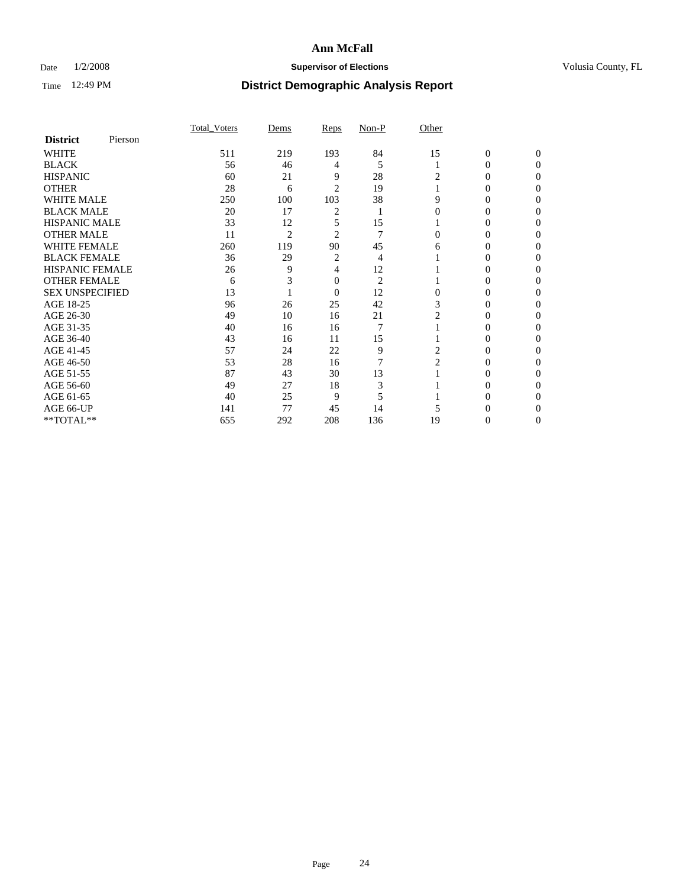### Date  $1/2/2008$  **Supervisor of Elections Supervisor of Elections** Volusia County, FL

|                        |         | Total Voters | Dems           | Reps           | Non-P          | Other          |              |              |
|------------------------|---------|--------------|----------------|----------------|----------------|----------------|--------------|--------------|
| <b>District</b>        | Pierson |              |                |                |                |                |              |              |
| <b>WHITE</b>           |         | 511          | 219            | 193            | 84             | 15             | $\mathbf{0}$ | $\mathbf{0}$ |
| <b>BLACK</b>           |         | 56           | 46             | 4              | 5              |                | 0            | $\Omega$     |
| <b>HISPANIC</b>        |         | 60           | 21             | 9              | 28             | 2              | 0            | $\Omega$     |
| <b>OTHER</b>           |         | 28           | 6              | $\overline{2}$ | 19             |                | 0            | 0            |
| WHITE MALE             |         | 250          | 100            | 103            | 38             | 9              | 0            | $\theta$     |
| <b>BLACK MALE</b>      |         | 20           | 17             | 2              |                |                | 0            | 0            |
| <b>HISPANIC MALE</b>   |         | 33           | 12             | 5              | 15             |                | 0            | 0            |
| <b>OTHER MALE</b>      |         | 11           | $\overline{c}$ | $\overline{c}$ | 7              | 0              | 0            | 0            |
| <b>WHITE FEMALE</b>    |         | 260          | 119            | 90             | 45             | 6              | 0            | 0            |
| <b>BLACK FEMALE</b>    |         | 36           | 29             | 2              | 4              |                | 0            | $\theta$     |
| <b>HISPANIC FEMALE</b> |         | 26           | 9              | 4              | 12             |                | 0            | 0            |
| <b>OTHER FEMALE</b>    |         | 6            |                | 0              | $\overline{2}$ |                | 0            | 0            |
| <b>SEX UNSPECIFIED</b> |         | 13           |                | $\overline{0}$ | 12             | $\theta$       | 0            | 0            |
| AGE 18-25              |         | 96           | 26             | 25             | 42             | 3              | 0            | $\Omega$     |
| AGE 26-30              |         | 49           | 10             | 16             | 21             | 2              | 0            | $\theta$     |
| AGE 31-35              |         | 40           | 16             | 16             | $\overline{7}$ |                | 0            | 0            |
| AGE 36-40              |         | 43           | 16             | 11             | 15             |                | 0            | 0            |
| AGE 41-45              |         | 57           | 24             | 22             | 9              | 2              | 0            | $\theta$     |
| AGE 46-50              |         | 53           | 28             | 16             | $\overline{7}$ | $\overline{2}$ | 0            | 0            |
| AGE 51-55              |         | 87           | 43             | 30             | 13             |                | 0            | 0            |
| AGE 56-60              |         | 49           | 27             | 18             | 3              |                | 0            | $\Omega$     |
| AGE 61-65              |         | 40           | 25             | 9              | 5              |                | 0            | 0            |
| AGE 66-UP              |         | 141          | 77             | 45             | 14             |                |              |              |
| **TOTAL**              |         | 655          | 292            | 208            | 136            | 19             | 0            | 0            |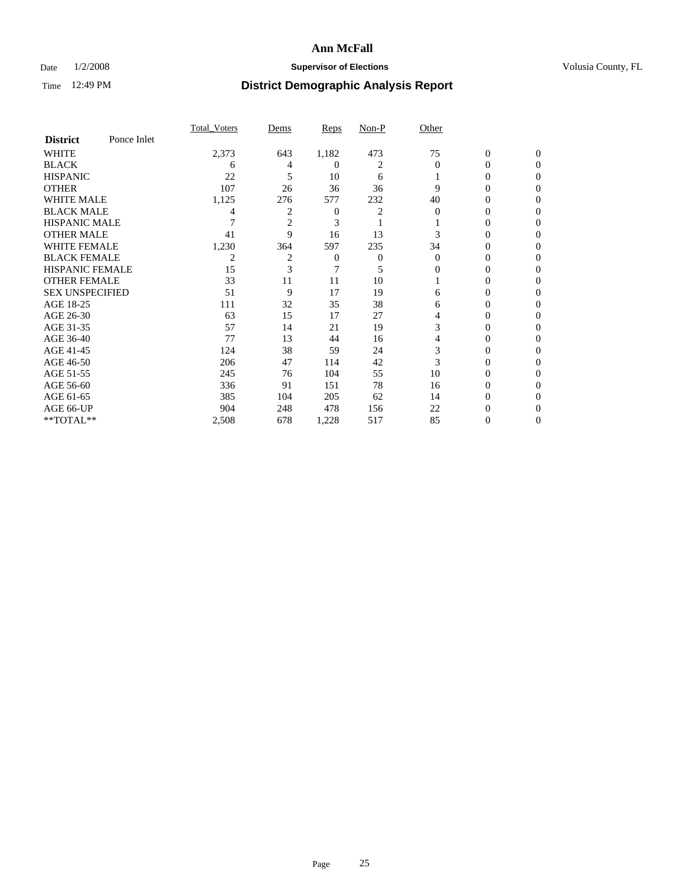### Date  $1/2/2008$  **Supervisor of Elections Supervisor of Elections** Volusia County, FL

|                        |             | <b>Total Voters</b> | Dems           | Reps           | Non-P | Other    |                  |                |  |
|------------------------|-------------|---------------------|----------------|----------------|-------|----------|------------------|----------------|--|
| <b>District</b>        | Ponce Inlet |                     |                |                |       |          |                  |                |  |
| <b>WHITE</b>           |             | 2,373               | 643            | 1,182          | 473   | 75       | $\boldsymbol{0}$ | $\mathbf{0}$   |  |
| <b>BLACK</b>           |             | 6                   | 4              | 0              | 2     | $\Omega$ | 0                | $\overline{0}$ |  |
| <b>HISPANIC</b>        |             | 22                  | 5              | 10             | 6     |          | 0                | $\Omega$       |  |
| <b>OTHER</b>           |             | 107                 | 26             | 36             | 36    | 9        | $\overline{0}$   | $\theta$       |  |
| <b>WHITE MALE</b>      |             | 1,125               | 276            | 577            | 232   | 40       | 0                | 0              |  |
| <b>BLACK MALE</b>      |             | 4                   | $\overline{c}$ | $\overline{0}$ | 2     | $\Omega$ | 0                | 0              |  |
| <b>HISPANIC MALE</b>   |             |                     | $\overline{2}$ | 3              |       |          | 0                |                |  |
| <b>OTHER MALE</b>      |             | 41                  | 9              | 16             | 13    |          | 0                | 0              |  |
| <b>WHITE FEMALE</b>    |             | 1,230               | 364            | 597            | 235   | 34       | 0                | 0              |  |
| <b>BLACK FEMALE</b>    |             | 2                   | $\overline{2}$ | 0              | 0     | $\Omega$ | 0                | 0              |  |
| <b>HISPANIC FEMALE</b> |             | 15                  | 3              |                | 5     | 0        | 0                | $\Omega$       |  |
| <b>OTHER FEMALE</b>    |             | 33                  | 11             | 11             | 10    |          | 0                | $\theta$       |  |
| <b>SEX UNSPECIFIED</b> |             | 51                  | 9              | 17             | 19    | 6        | 0                | $\theta$       |  |
| AGE 18-25              |             | 111                 | 32             | 35             | 38    | 6        | 0                | $_{0}$         |  |
| AGE 26-30              |             | 63                  | 15             | 17             | 27    | 4        | 0                | 0              |  |
| AGE 31-35              |             | 57                  | 14             | 21             | 19    | 3        | 0                |                |  |
| AGE 36-40              |             | 77                  | 13             | 44             | 16    | 4        | 0                | 0              |  |
| AGE 41-45              |             | 124                 | 38             | 59             | 24    | 3        | 0                | 0              |  |
| AGE 46-50              |             | 206                 | 47             | 114            | 42    | 3        | 0                | $\Omega$       |  |
| AGE 51-55              |             | 245                 | 76             | 104            | 55    | 10       | 0                | $\theta$       |  |
| AGE 56-60              |             | 336                 | 91             | 151            | 78    | 16       | 0                | $\theta$       |  |
| AGE 61-65              |             | 385                 | 104            | 205            | 62    | 14       | 0                | 0              |  |
| AGE 66-UP              |             | 904                 | 248            | 478            | 156   | 22       | 0                |                |  |
| **TOTAL**              |             | 2,508               | 678            | 1,228          | 517   | 85       | 0                | 0              |  |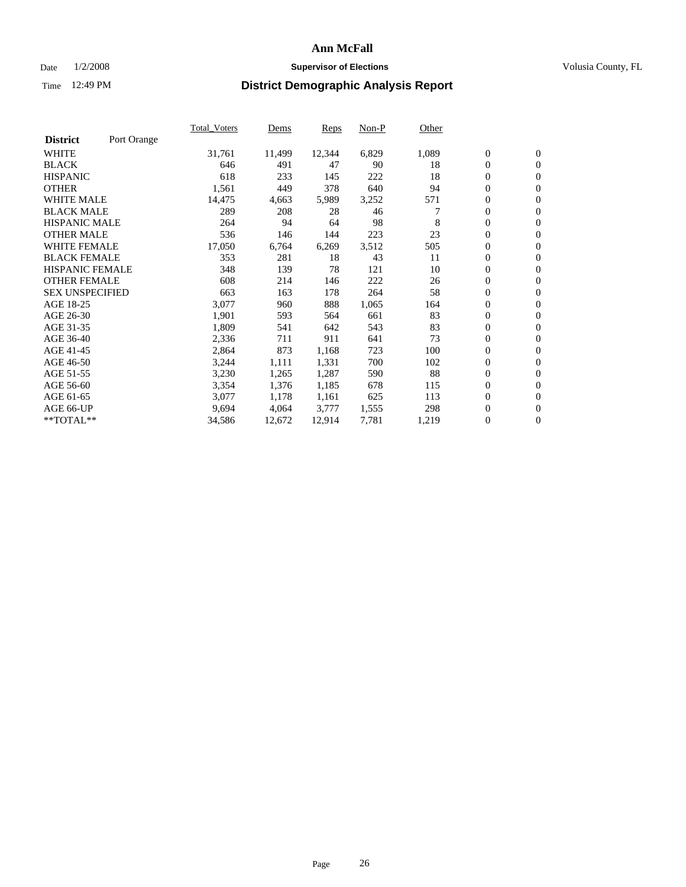#### Date  $1/2/2008$  **Supervisor of Elections** Volusia County, FL

|                        |             | Total Voters | Dems   | <b>Reps</b> | Non-P | Other |                  |                  |  |
|------------------------|-------------|--------------|--------|-------------|-------|-------|------------------|------------------|--|
| <b>District</b>        | Port Orange |              |        |             |       |       |                  |                  |  |
| <b>WHITE</b>           |             | 31,761       | 11,499 | 12,344      | 6,829 | 1,089 | $\boldsymbol{0}$ | $\mathbf{0}$     |  |
| <b>BLACK</b>           |             | 646          | 491    | 47          | 90    | 18    | $\overline{0}$   | $\mathbf{0}$     |  |
| <b>HISPANIC</b>        |             | 618          | 233    | 145         | 222   | 18    | $\boldsymbol{0}$ | $\mathbf{0}$     |  |
| <b>OTHER</b>           |             | 1,561        | 449    | 378         | 640   | 94    | 0                | $\mathbf{0}$     |  |
| <b>WHITE MALE</b>      |             | 14,475       | 4,663  | 5,989       | 3,252 | 571   | 0                | $\mathbf{0}$     |  |
| <b>BLACK MALE</b>      |             | 289          | 208    | 28          | 46    |       | $\boldsymbol{0}$ | $\mathbf{0}$     |  |
| <b>HISPANIC MALE</b>   |             | 264          | 94     | 64          | 98    | 8     | $\overline{0}$   | $\mathbf{0}$     |  |
| <b>OTHER MALE</b>      |             | 536          | 146    | 144         | 223   | 23    | $\overline{0}$   | $\mathbf{0}$     |  |
| <b>WHITE FEMALE</b>    |             | 17,050       | 6,764  | 6,269       | 3,512 | 505   | $\overline{0}$   | $\mathbf{0}$     |  |
| <b>BLACK FEMALE</b>    |             | 353          | 281    | 18          | 43    | 11    | $\boldsymbol{0}$ | $\mathbf{0}$     |  |
| <b>HISPANIC FEMALE</b> |             | 348          | 139    | 78          | 121   | 10    | $\boldsymbol{0}$ | $\boldsymbol{0}$ |  |
| <b>OTHER FEMALE</b>    |             | 608          | 214    | 146         | 222   | 26    | 0                | $\mathbf{0}$     |  |
| <b>SEX UNSPECIFIED</b> |             | 663          | 163    | 178         | 264   | 58    | $\boldsymbol{0}$ | $\mathbf{0}$     |  |
| AGE 18-25              |             | 3,077        | 960    | 888         | 1,065 | 164   | $\boldsymbol{0}$ | $\mathbf{0}$     |  |
| AGE 26-30              |             | 1,901        | 593    | 564         | 661   | 83    | $\overline{0}$   | $\mathbf{0}$     |  |
| AGE 31-35              |             | 1,809        | 541    | 642         | 543   | 83    | $\overline{0}$   | $\mathbf{0}$     |  |
| AGE 36-40              |             | 2,336        | 711    | 911         | 641   | 73    | $\boldsymbol{0}$ | $\mathbf{0}$     |  |
| AGE 41-45              |             | 2,864        | 873    | 1,168       | 723   | 100   | $\boldsymbol{0}$ | $\mathbf{0}$     |  |
| AGE 46-50              |             | 3,244        | 1,111  | 1,331       | 700   | 102   | 0                | $\mathbf{0}$     |  |
| AGE 51-55              |             | 3,230        | 1,265  | 1,287       | 590   | 88    | $\boldsymbol{0}$ | $\boldsymbol{0}$ |  |
| AGE 56-60              |             | 3,354        | 1,376  | 1,185       | 678   | 115   | $\overline{0}$   | $\mathbf{0}$     |  |
| AGE 61-65              |             | 3,077        | 1,178  | 1,161       | 625   | 113   | $\mathbf{0}$     | $\mathbf{0}$     |  |
| AGE 66-UP              |             | 9,694        | 4,064  | 3,777       | 1,555 | 298   | $\boldsymbol{0}$ | $\boldsymbol{0}$ |  |
| **TOTAL**              |             | 34,586       | 12,672 | 12,914      | 7,781 | 1,219 | $\boldsymbol{0}$ | $\overline{0}$   |  |
|                        |             |              |        |             |       |       |                  |                  |  |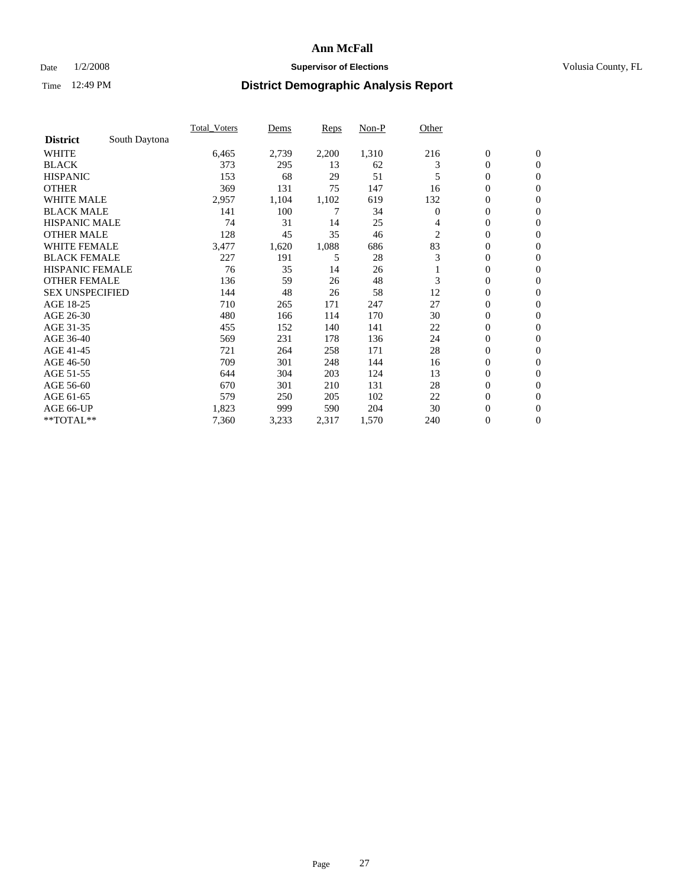### Date  $1/2/2008$  **Supervisor of Elections Supervisor of Elections** Volusia County, FL

|                        |               | Total Voters | Dems  | Reps  | Non-P | Other          |                  |                  |
|------------------------|---------------|--------------|-------|-------|-------|----------------|------------------|------------------|
| <b>District</b>        | South Daytona |              |       |       |       |                |                  |                  |
| <b>WHITE</b>           |               | 6,465        | 2,739 | 2,200 | 1,310 | 216            | $\boldsymbol{0}$ | $\boldsymbol{0}$ |
| <b>BLACK</b>           |               | 373          | 295   | 13    | 62    | 3              | $\boldsymbol{0}$ | $\mathbf{0}$     |
| <b>HISPANIC</b>        |               | 153          | 68    | 29    | 51    | 5              | 0                | $\mathbf{0}$     |
| <b>OTHER</b>           |               | 369          | 131   | 75    | 147   | 16             | 0                | $\mathbf{0}$     |
| WHITE MALE             |               | 2,957        | 1,104 | 1,102 | 619   | 132            | 0                | $\boldsymbol{0}$ |
| <b>BLACK MALE</b>      |               | 141          | 100   | 7     | 34    | $\overline{0}$ | 0                | $\mathbf{0}$     |
| <b>HISPANIC MALE</b>   |               | 74           | 31    | 14    | 25    | 4              | 0                | $\boldsymbol{0}$ |
| <b>OTHER MALE</b>      |               | 128          | 45    | 35    | 46    | 2              | 0                | $\mathbf{0}$     |
| WHITE FEMALE           |               | 3,477        | 1,620 | 1,088 | 686   | 83             | $\mathbf{0}$     | $\mathbf{0}$     |
| <b>BLACK FEMALE</b>    |               | 227          | 191   | 5     | 28    | 3              | 0                | $\mathbf{0}$     |
| <b>HISPANIC FEMALE</b> |               | 76           | 35    | 14    | 26    |                | 0                | $\boldsymbol{0}$ |
| <b>OTHER FEMALE</b>    |               | 136          | 59    | 26    | 48    | 3              | 0                | $\mathbf{0}$     |
| <b>SEX UNSPECIFIED</b> |               | 144          | 48    | 26    | 58    | 12             | 0                | $\mathbf{0}$     |
| AGE 18-25              |               | 710          | 265   | 171   | 247   | 27             | $\boldsymbol{0}$ | $\mathbf{0}$     |
| AGE 26-30              |               | 480          | 166   | 114   | 170   | 30             | $\mathbf{0}$     | $\mathbf{0}$     |
| AGE 31-35              |               | 455          | 152   | 140   | 141   | 22             | $\mathbf{0}$     | $\mathbf{0}$     |
| AGE 36-40              |               | 569          | 231   | 178   | 136   | 24             | $\boldsymbol{0}$ | $\mathbf{0}$     |
| AGE 41-45              |               | 721          | 264   | 258   | 171   | 28             | 0                | $\mathbf{0}$     |
| AGE 46-50              |               | 709          | 301   | 248   | 144   | 16             | $\boldsymbol{0}$ | $\mathbf{0}$     |
| AGE 51-55              |               | 644          | 304   | 203   | 124   | 13             | $\boldsymbol{0}$ | $\mathbf{0}$     |
| AGE 56-60              |               | 670          | 301   | 210   | 131   | 28             | $\boldsymbol{0}$ | $\mathbf{0}$     |
| AGE 61-65              |               | 579          | 250   | 205   | 102   | 22             | $\boldsymbol{0}$ | $\boldsymbol{0}$ |
| AGE 66-UP              |               | 1,823        | 999   | 590   | 204   | 30             | 0                | $\mathbf{0}$     |
| **TOTAL**              |               | 7,360        | 3,233 | 2,317 | 1,570 | 240            | $\boldsymbol{0}$ | $\boldsymbol{0}$ |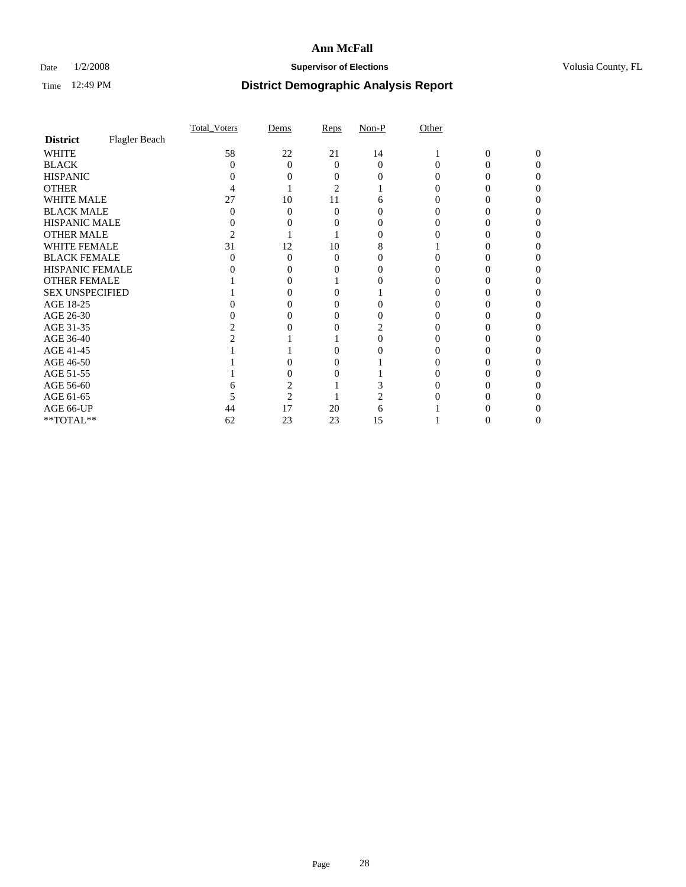### Date  $1/2/2008$  **Supervisor of Elections Supervisor of Elections** Volusia County, FL

|                        |               | Total Voters | Dems           | Reps | $Non-P$  | Other |              |          |  |
|------------------------|---------------|--------------|----------------|------|----------|-------|--------------|----------|--|
| <b>District</b>        | Flagler Beach |              |                |      |          |       |              |          |  |
| <b>WHITE</b>           |               | 58           | 22             | 21   | 14       |       | $\mathbf{0}$ | $\Omega$ |  |
| <b>BLACK</b>           |               | 0            | $\Omega$       | 0    | $\Omega$ |       |              | O        |  |
| <b>HISPANIC</b>        |               |              |                |      |          |       |              |          |  |
| <b>OTHER</b>           |               |              |                | 2    |          |       |              |          |  |
| <b>WHITE MALE</b>      |               | 27           | 10             | 11   |          |       |              |          |  |
| <b>BLACK MALE</b>      |               |              | 0              | 0    |          |       |              |          |  |
| HISPANIC MALE          |               |              |                |      |          |       |              |          |  |
| <b>OTHER MALE</b>      |               |              |                |      |          |       |              |          |  |
| WHITE FEMALE           |               | 31           | 12             | 10   |          |       |              |          |  |
| <b>BLACK FEMALE</b>    |               |              | 0              | 0    |          |       |              |          |  |
| <b>HISPANIC FEMALE</b> |               |              |                |      |          |       |              |          |  |
| <b>OTHER FEMALE</b>    |               |              |                |      |          |       |              |          |  |
| <b>SEX UNSPECIFIED</b> |               |              |                |      |          |       |              |          |  |
| AGE 18-25              |               |              |                |      |          |       |              |          |  |
| AGE 26-30              |               |              |                |      |          |       |              |          |  |
| AGE 31-35              |               |              |                |      |          |       |              |          |  |
| AGE 36-40              |               |              |                |      |          |       |              |          |  |
| AGE 41-45              |               |              |                |      |          |       |              |          |  |
| AGE 46-50              |               |              |                |      |          |       |              |          |  |
| AGE 51-55              |               |              |                |      |          |       |              |          |  |
| AGE 56-60              |               |              |                |      |          |       |              |          |  |
| AGE 61-65              |               |              | $\overline{c}$ |      |          |       |              |          |  |
| AGE 66-UP              |               | 44           | 17             | 20   | 6        |       |              |          |  |
| **TOTAL**              |               | 62           | 23             | 23   | 15       |       | U            | 0        |  |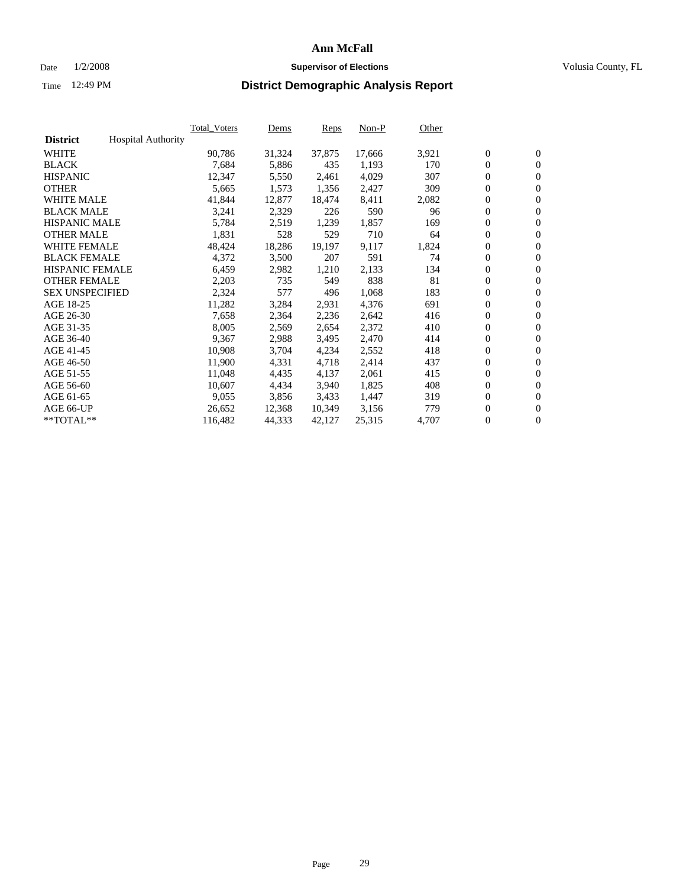#### Date  $1/2/2008$  **Supervisor of Elections** Volusia County, FL

|                        |                           | Total Voters | Dems   | <b>Reps</b> | Non-P  | Other |                  |                  |  |
|------------------------|---------------------------|--------------|--------|-------------|--------|-------|------------------|------------------|--|
| <b>District</b>        | <b>Hospital Authority</b> |              |        |             |        |       |                  |                  |  |
| <b>WHITE</b>           |                           | 90,786       | 31,324 | 37,875      | 17,666 | 3,921 | $\overline{0}$   | $\mathbf{0}$     |  |
| <b>BLACK</b>           |                           | 7,684        | 5,886  | 435         | 1,193  | 170   | $\overline{0}$   | $\mathbf{0}$     |  |
| <b>HISPANIC</b>        |                           | 12,347       | 5,550  | 2,461       | 4,029  | 307   | $\boldsymbol{0}$ | $\mathbf{0}$     |  |
| <b>OTHER</b>           |                           | 5,665        | 1,573  | 1,356       | 2,427  | 309   | $\boldsymbol{0}$ | $\mathbf{0}$     |  |
| <b>WHITE MALE</b>      |                           | 41,844       | 12,877 | 18,474      | 8,411  | 2,082 | 0                | $\mathbf{0}$     |  |
| <b>BLACK MALE</b>      |                           | 3,241        | 2,329  | 226         | 590    | 96    | $\boldsymbol{0}$ | $\mathbf{0}$     |  |
| <b>HISPANIC MALE</b>   |                           | 5,784        | 2,519  | 1,239       | 1,857  | 169   | $\overline{0}$   | $\mathbf{0}$     |  |
| <b>OTHER MALE</b>      |                           | 1,831        | 528    | 529         | 710    | 64    | $\overline{0}$   | $\mathbf{0}$     |  |
| <b>WHITE FEMALE</b>    |                           | 48,424       | 18,286 | 19,197      | 9,117  | 1,824 | $\mathbf{0}$     | $\mathbf{0}$     |  |
| <b>BLACK FEMALE</b>    |                           | 4,372        | 3,500  | 207         | 591    | 74    | $\boldsymbol{0}$ | $\mathbf{0}$     |  |
| <b>HISPANIC FEMALE</b> |                           | 6,459        | 2,982  | 1,210       | 2,133  | 134   | $\boldsymbol{0}$ | $\mathbf{0}$     |  |
| <b>OTHER FEMALE</b>    |                           | 2,203        | 735    | 549         | 838    | 81    | 0                | $\mathbf{0}$     |  |
| <b>SEX UNSPECIFIED</b> |                           | 2,324        | 577    | 496         | 1,068  | 183   | $\boldsymbol{0}$ | $\mathbf{0}$     |  |
| AGE 18-25              |                           | 11,282       | 3,284  | 2,931       | 4,376  | 691   | $\boldsymbol{0}$ | $\mathbf{0}$     |  |
| AGE 26-30              |                           | 7,658        | 2,364  | 2,236       | 2,642  | 416   | $\overline{0}$   | $\mathbf{0}$     |  |
| AGE 31-35              |                           | 8,005        | 2,569  | 2,654       | 2,372  | 410   | $\overline{0}$   | $\mathbf{0}$     |  |
| AGE 36-40              |                           | 9,367        | 2,988  | 3,495       | 2,470  | 414   | $\boldsymbol{0}$ | $\mathbf{0}$     |  |
| AGE 41-45              |                           | 10,908       | 3,704  | 4,234       | 2,552  | 418   | $\boldsymbol{0}$ | $\mathbf{0}$     |  |
| AGE 46-50              |                           | 11,900       | 4,331  | 4,718       | 2,414  | 437   | $\boldsymbol{0}$ | $\mathbf{0}$     |  |
| AGE 51-55              |                           | 11,048       | 4,435  | 4,137       | 2,061  | 415   | $\boldsymbol{0}$ | $\mathbf{0}$     |  |
| AGE 56-60              |                           | 10,607       | 4,434  | 3,940       | 1,825  | 408   | $\overline{0}$   | $\mathbf{0}$     |  |
| AGE 61-65              |                           | 9,055        | 3,856  | 3,433       | 1,447  | 319   | $\mathbf{0}$     | $\boldsymbol{0}$ |  |
| AGE 66-UP              |                           | 26,652       | 12,368 | 10,349      | 3,156  | 779   | $\boldsymbol{0}$ | $\boldsymbol{0}$ |  |
| **TOTAL**              |                           | 116,482      | 44,333 | 42,127      | 25,315 | 4,707 | $\boldsymbol{0}$ | $\overline{0}$   |  |
|                        |                           |              |        |             |        |       |                  |                  |  |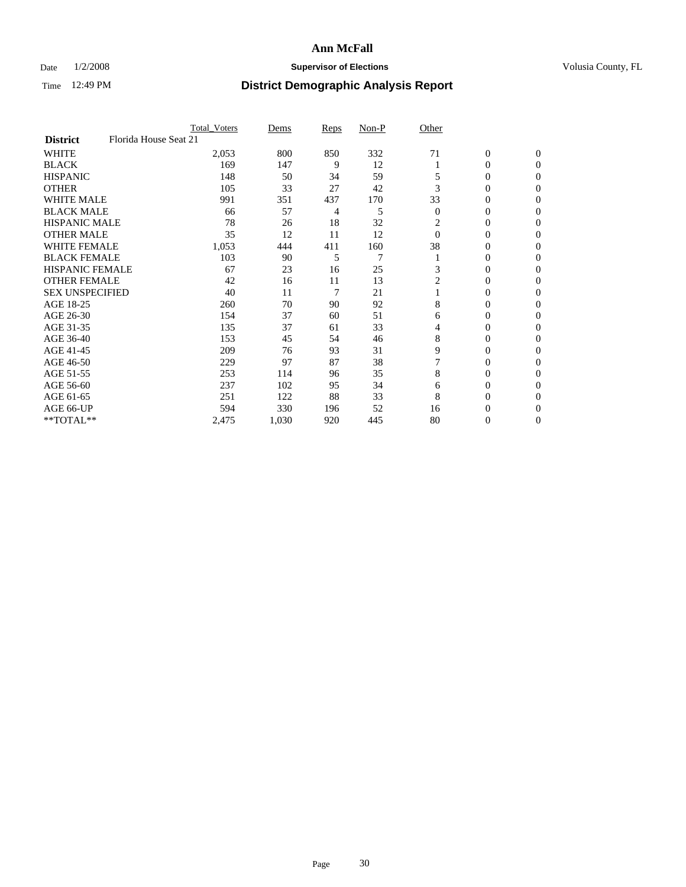### Date  $1/2/2008$  **Supervisor of Elections Supervisor of Elections** Volusia County, FL

|                                          | <b>Total Voters</b> | Dems  | Reps | Non-P          | Other          |                  |                  |  |
|------------------------------------------|---------------------|-------|------|----------------|----------------|------------------|------------------|--|
| Florida House Seat 21<br><b>District</b> |                     |       |      |                |                |                  |                  |  |
| <b>WHITE</b>                             | 2,053               | 800   | 850  | 332            | 71             | $\boldsymbol{0}$ | $\mathbf{0}$     |  |
| <b>BLACK</b>                             | 169                 | 147   | 9    | 12             |                | 0                | $\mathbf{0}$     |  |
| <b>HISPANIC</b>                          | 148                 | 50    | 34   | 59             |                | 0                | $\mathbf{0}$     |  |
| <b>OTHER</b>                             | 105                 | 33    | 27   | 42             | 3              | 0                | $\boldsymbol{0}$ |  |
| <b>WHITE MALE</b>                        | 991                 | 351   | 437  | 170            | 33             | 0                | $\theta$         |  |
| <b>BLACK MALE</b>                        | 66                  | 57    | 4    | 5              | $\overline{0}$ | 0                | $\Omega$         |  |
| <b>HISPANIC MALE</b>                     | 78                  | 26    | 18   | 32             | 2              | 0                | 0                |  |
| <b>OTHER MALE</b>                        | 35                  | 12    | 11   | 12             | $\Omega$       | 0                | 0                |  |
| <b>WHITE FEMALE</b>                      | 1,053               | 444   | 411  | 160            | 38             | 0                | 0                |  |
| <b>BLACK FEMALE</b>                      | 103                 | 90    | 5    | $\overline{7}$ |                | 0                | $\overline{0}$   |  |
| <b>HISPANIC FEMALE</b>                   | 67                  | 23    | 16   | 25             | 3              | 0                | $\Omega$         |  |
| <b>OTHER FEMALE</b>                      | 42                  | 16    | 11   | 13             | $\overline{2}$ | 0                | $\boldsymbol{0}$ |  |
| <b>SEX UNSPECIFIED</b>                   | 40                  | 11    | 7    | 21             |                | 0                | $\Omega$         |  |
| AGE 18-25                                | 260                 | 70    | 90   | 92             | 8              | 0                | 0                |  |
| AGE 26-30                                | 154                 | 37    | 60   | 51             | 6              | 0                | $\Omega$         |  |
| AGE 31-35                                | 135                 | 37    | 61   | 33             | 4              | 0                | 0                |  |
| AGE 36-40                                | 153                 | 45    | 54   | 46             | 8              | 0                | $\overline{0}$   |  |
| AGE 41-45                                | 209                 | 76    | 93   | 31             | 9              | 0                | 0                |  |
| AGE 46-50                                | 229                 | 97    | 87   | 38             |                | 0                | $\overline{0}$   |  |
| AGE 51-55                                | 253                 | 114   | 96   | 35             | 8              | 0                | $\Omega$         |  |
| AGE 56-60                                | 237                 | 102   | 95   | 34             | 6              | 0                | $\theta$         |  |
| AGE 61-65                                | 251                 | 122   | 88   | 33             | 8              | 0                | 0                |  |
| AGE 66-UP                                | 594                 | 330   | 196  | 52             | 16             | 0                | $_{0}$           |  |
| **TOTAL**                                | 2,475               | 1,030 | 920  | 445            | 80             | 0                | $\overline{0}$   |  |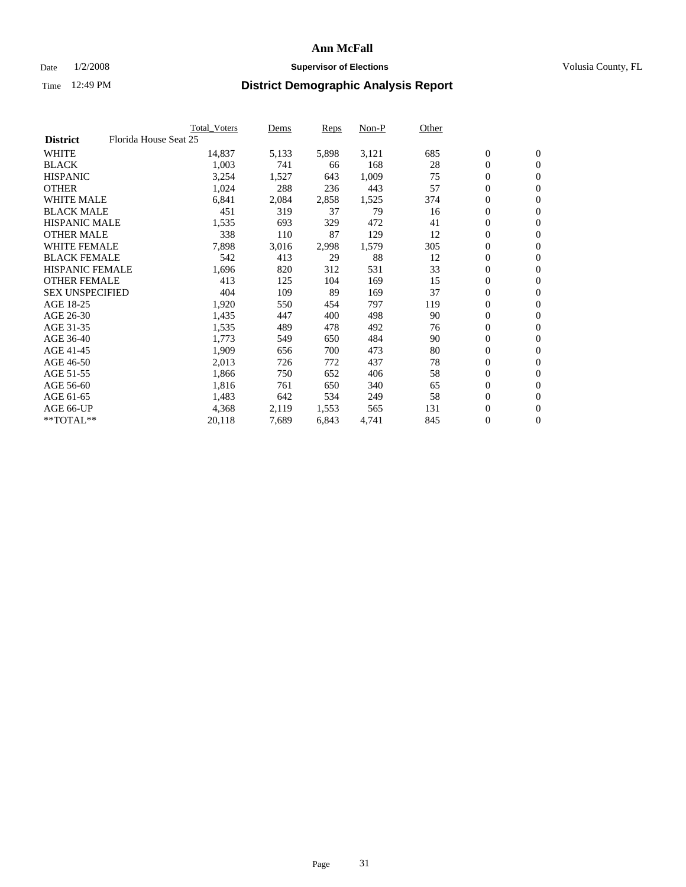#### Date  $1/2/2008$  **Supervisor of Elections** Volusia County, FL

|                                          | <b>Total Voters</b> | Dems  | Reps  | Non-P | Other |                  |                  |  |
|------------------------------------------|---------------------|-------|-------|-------|-------|------------------|------------------|--|
| Florida House Seat 25<br><b>District</b> |                     |       |       |       |       |                  |                  |  |
| <b>WHITE</b>                             | 14,837              | 5,133 | 5,898 | 3,121 | 685   | $\boldsymbol{0}$ | $\mathbf{0}$     |  |
| <b>BLACK</b>                             | 1,003               | 741   | 66    | 168   | 28    | $\mathbf{0}$     | $\mathbf{0}$     |  |
| <b>HISPANIC</b>                          | 3,254               | 1,527 | 643   | 1,009 | 75    | $\boldsymbol{0}$ | $\mathbf{0}$     |  |
| <b>OTHER</b>                             | 1,024               | 288   | 236   | 443   | 57    | $\boldsymbol{0}$ | $\mathbf{0}$     |  |
| <b>WHITE MALE</b>                        | 6,841               | 2,084 | 2,858 | 1,525 | 374   | 0                | $\mathbf{0}$     |  |
| <b>BLACK MALE</b>                        | 451                 | 319   | 37    | 79    | 16    | $\boldsymbol{0}$ | $\boldsymbol{0}$ |  |
| <b>HISPANIC MALE</b>                     | 1,535               | 693   | 329   | 472   | 41    | 0                | $\mathbf{0}$     |  |
| <b>OTHER MALE</b>                        | 338                 | 110   | 87    | 129   | 12    | $\boldsymbol{0}$ | $\mathbf{0}$     |  |
| <b>WHITE FEMALE</b>                      | 7,898               | 3,016 | 2,998 | 1,579 | 305   | 0                | $\mathbf{0}$     |  |
| <b>BLACK FEMALE</b>                      | 542                 | 413   | 29    | 88    | 12    | $\boldsymbol{0}$ | $\mathbf{0}$     |  |
| <b>HISPANIC FEMALE</b>                   | 1,696               | 820   | 312   | 531   | 33    | $\boldsymbol{0}$ | $\boldsymbol{0}$ |  |
| <b>OTHER FEMALE</b>                      | 413                 | 125   | 104   | 169   | 15    | 0                | $\overline{0}$   |  |
| <b>SEX UNSPECIFIED</b>                   | 404                 | 109   | 89    | 169   | 37    | $\boldsymbol{0}$ | $\mathbf{0}$     |  |
| AGE 18-25                                | 1,920               | 550   | 454   | 797   | 119   | $\boldsymbol{0}$ | $\mathbf{0}$     |  |
| AGE 26-30                                | 1,435               | 447   | 400   | 498   | 90    | $\mathbf{0}$     | $\mathbf{0}$     |  |
| AGE 31-35                                | 1,535               | 489   | 478   | 492   | 76    | 0                | $\mathbf{0}$     |  |
| AGE 36-40                                | 1,773               | 549   | 650   | 484   | 90    | $\boldsymbol{0}$ | $\mathbf{0}$     |  |
| AGE 41-45                                | 1,909               | 656   | 700   | 473   | 80    | $\boldsymbol{0}$ | $\mathbf{0}$     |  |
| AGE 46-50                                | 2,013               | 726   | 772   | 437   | 78    | $\boldsymbol{0}$ | $\mathbf{0}$     |  |
| AGE 51-55                                | 1,866               | 750   | 652   | 406   | 58    | $\boldsymbol{0}$ | $\mathbf{0}$     |  |
| AGE 56-60                                | 1,816               | 761   | 650   | 340   | 65    | $\mathbf{0}$     | $\mathbf{0}$     |  |
| AGE 61-65                                | 1,483               | 642   | 534   | 249   | 58    | $\mathbf{0}$     | $\mathbf{0}$     |  |
| AGE 66-UP                                | 4,368               | 2,119 | 1,553 | 565   | 131   | 0                | $\mathbf{0}$     |  |
| **TOTAL**                                | 20,118              | 7,689 | 6,843 | 4,741 | 845   | 0                | $\overline{0}$   |  |
|                                          |                     |       |       |       |       |                  |                  |  |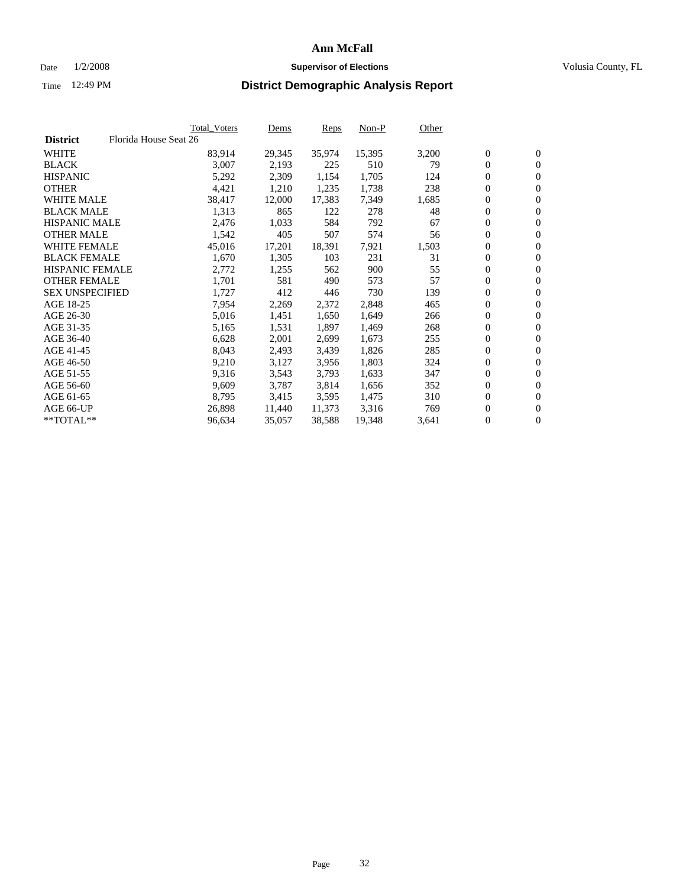#### Date  $1/2/2008$  **Supervisor of Elections** Volusia County, FL

|                        | Total_Voters          | Dems   | <b>Reps</b> | Non-P  | Other |                  |                |  |
|------------------------|-----------------------|--------|-------------|--------|-------|------------------|----------------|--|
| <b>District</b>        | Florida House Seat 26 |        |             |        |       |                  |                |  |
| <b>WHITE</b>           | 83,914                | 29,345 | 35,974      | 15,395 | 3,200 | $\overline{0}$   | $\mathbf{0}$   |  |
| <b>BLACK</b>           | 3,007                 | 2,193  | 225         | 510    | 79    | $\overline{0}$   | $\mathbf{0}$   |  |
| <b>HISPANIC</b>        | 5,292                 | 2,309  | 1,154       | 1,705  | 124   | $\boldsymbol{0}$ | $\mathbf{0}$   |  |
| <b>OTHER</b>           | 4,421                 | 1,210  | 1,235       | 1,738  | 238   | $\boldsymbol{0}$ | $\mathbf{0}$   |  |
| <b>WHITE MALE</b>      | 38,417                | 12,000 | 17,383      | 7,349  | 1,685 | 0                | $\mathbf{0}$   |  |
| <b>BLACK MALE</b>      | 1,313                 | 865    | 122         | 278    | 48    | $\boldsymbol{0}$ | $\mathbf{0}$   |  |
| <b>HISPANIC MALE</b>   | 2,476                 | 1,033  | 584         | 792    | 67    | $\overline{0}$   | $\mathbf{0}$   |  |
| <b>OTHER MALE</b>      | 1,542                 | 405    | 507         | 574    | 56    | $\overline{0}$   | $\mathbf{0}$   |  |
| <b>WHITE FEMALE</b>    | 45,016                | 17,201 | 18,391      | 7,921  | 1,503 | $\mathbf{0}$     | $\mathbf{0}$   |  |
| <b>BLACK FEMALE</b>    | 1,670                 | 1,305  | 103         | 231    | 31    | $\boldsymbol{0}$ | $\mathbf{0}$   |  |
| HISPANIC FEMALE        | 2,772                 | 1,255  | 562         | 900    | 55    | $\boldsymbol{0}$ | $\mathbf{0}$   |  |
| <b>OTHER FEMALE</b>    | 1,701                 | 581    | 490         | 573    | 57    | 0                | $\mathbf{0}$   |  |
| <b>SEX UNSPECIFIED</b> | 1,727                 | 412    | 446         | 730    | 139   | $\boldsymbol{0}$ | $\mathbf{0}$   |  |
| AGE 18-25              | 7,954                 | 2,269  | 2,372       | 2,848  | 465   | $\boldsymbol{0}$ | $\mathbf{0}$   |  |
| AGE 26-30              | 5,016                 | 1,451  | 1,650       | 1,649  | 266   | $\overline{0}$   | $\mathbf{0}$   |  |
| AGE 31-35              | 5,165                 | 1,531  | 1,897       | 1,469  | 268   | $\overline{0}$   | $\mathbf{0}$   |  |
| AGE 36-40              | 6,628                 | 2,001  | 2,699       | 1,673  | 255   | $\boldsymbol{0}$ | $\mathbf{0}$   |  |
| AGE 41-45              | 8,043                 | 2,493  | 3,439       | 1,826  | 285   | $\boldsymbol{0}$ | $\mathbf{0}$   |  |
| AGE 46-50              | 9,210                 | 3,127  | 3,956       | 1,803  | 324   | 0                | $\mathbf{0}$   |  |
| AGE 51-55              | 9,316                 | 3,543  | 3,793       | 1,633  | 347   | $\boldsymbol{0}$ | $\mathbf{0}$   |  |
| AGE 56-60              | 9,609                 | 3,787  | 3,814       | 1,656  | 352   | $\overline{0}$   | $\mathbf{0}$   |  |
| AGE 61-65              | 8,795                 | 3,415  | 3,595       | 1,475  | 310   | $\mathbf{0}$     | $\mathbf{0}$   |  |
| AGE 66-UP              | 26,898                | 11,440 | 11,373      | 3,316  | 769   | $\boldsymbol{0}$ | $\mathbf{0}$   |  |
| **TOTAL**              | 96,634                | 35,057 | 38,588      | 19,348 | 3,641 | 0                | $\overline{0}$ |  |
|                        |                       |        |             |        |       |                  |                |  |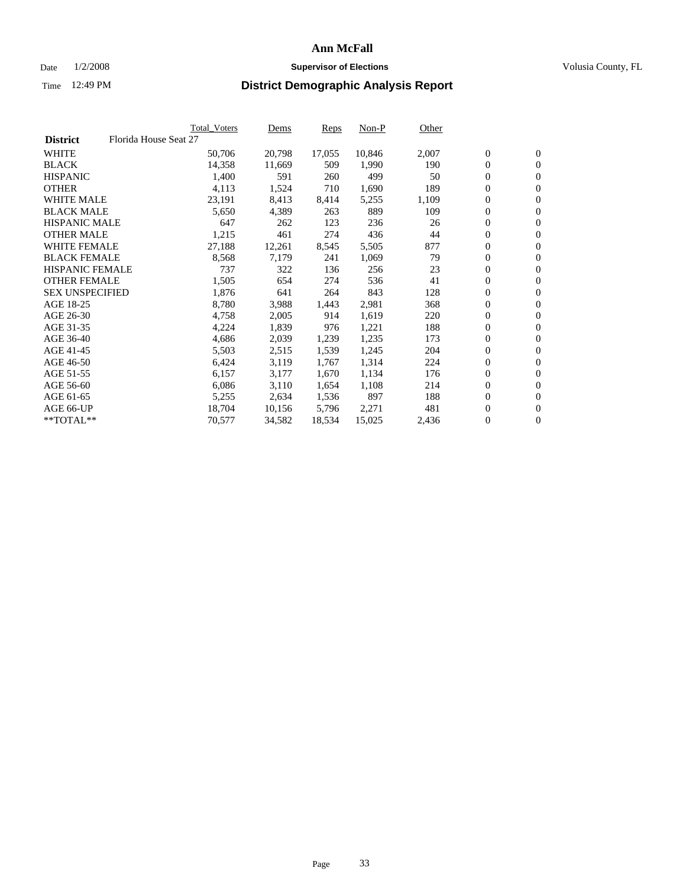#### Date  $1/2/2008$  **Supervisor of Elections** Volusia County, FL

|                        |                       | Total_Voters | Dems   | <b>Reps</b> | Non-P  | Other |                  |                |  |
|------------------------|-----------------------|--------------|--------|-------------|--------|-------|------------------|----------------|--|
| <b>District</b>        | Florida House Seat 27 |              |        |             |        |       |                  |                |  |
| <b>WHITE</b>           |                       | 50,706       | 20,798 | 17,055      | 10,846 | 2,007 | $\overline{0}$   | $\mathbf{0}$   |  |
| <b>BLACK</b>           |                       | 14,358       | 11,669 | 509         | 1,990  | 190   | $\overline{0}$   | $\mathbf{0}$   |  |
| <b>HISPANIC</b>        |                       | 1,400        | 591    | 260         | 499    | 50    | $\boldsymbol{0}$ | $\mathbf{0}$   |  |
| <b>OTHER</b>           |                       | 4,113        | 1,524  | 710         | 1,690  | 189   | $\boldsymbol{0}$ | $\mathbf{0}$   |  |
| <b>WHITE MALE</b>      |                       | 23,191       | 8,413  | 8,414       | 5,255  | 1,109 | 0                | $\mathbf{0}$   |  |
| <b>BLACK MALE</b>      |                       | 5,650        | 4,389  | 263         | 889    | 109   | $\boldsymbol{0}$ | $\mathbf{0}$   |  |
| <b>HISPANIC MALE</b>   |                       | 647          | 262    | 123         | 236    | 26    | $\overline{0}$   | $\mathbf{0}$   |  |
| <b>OTHER MALE</b>      |                       | 1,215        | 461    | 274         | 436    | 44    | $\overline{0}$   | $\mathbf{0}$   |  |
| <b>WHITE FEMALE</b>    |                       | 27,188       | 12,261 | 8,545       | 5,505  | 877   | $\mathbf{0}$     | $\mathbf{0}$   |  |
| <b>BLACK FEMALE</b>    |                       | 8,568        | 7,179  | 241         | 1,069  | 79    | $\boldsymbol{0}$ | $\mathbf{0}$   |  |
| HISPANIC FEMALE        |                       | 737          | 322    | 136         | 256    | 23    | $\boldsymbol{0}$ | $\mathbf{0}$   |  |
| <b>OTHER FEMALE</b>    |                       | 1,505        | 654    | 274         | 536    | 41    | 0                | $\mathbf{0}$   |  |
| <b>SEX UNSPECIFIED</b> |                       | 1,876        | 641    | 264         | 843    | 128   | $\boldsymbol{0}$ | $\mathbf{0}$   |  |
| AGE 18-25              |                       | 8,780        | 3,988  | 1,443       | 2,981  | 368   | $\boldsymbol{0}$ | $\mathbf{0}$   |  |
| AGE 26-30              |                       | 4,758        | 2,005  | 914         | 1,619  | 220   | $\overline{0}$   | $\mathbf{0}$   |  |
| AGE 31-35              |                       | 4,224        | 1,839  | 976         | 1,221  | 188   | $\overline{0}$   | $\mathbf{0}$   |  |
| AGE 36-40              |                       | 4,686        | 2,039  | 1,239       | 1,235  | 173   | $\boldsymbol{0}$ | $\mathbf{0}$   |  |
| AGE 41-45              |                       | 5,503        | 2,515  | 1,539       | 1,245  | 204   | $\boldsymbol{0}$ | $\mathbf{0}$   |  |
| AGE 46-50              |                       | 6,424        | 3,119  | 1,767       | 1,314  | 224   | 0                | $\mathbf{0}$   |  |
| AGE 51-55              |                       | 6,157        | 3,177  | 1,670       | 1,134  | 176   | $\boldsymbol{0}$ | $\mathbf{0}$   |  |
| AGE 56-60              |                       | 6,086        | 3,110  | 1,654       | 1,108  | 214   | $\overline{0}$   | $\mathbf{0}$   |  |
| AGE 61-65              |                       | 5,255        | 2,634  | 1,536       | 897    | 188   | $\mathbf{0}$     | $\mathbf{0}$   |  |
| AGE 66-UP              |                       | 18,704       | 10,156 | 5,796       | 2,271  | 481   | $\boldsymbol{0}$ | $\mathbf{0}$   |  |
| **TOTAL**              |                       | 70,577       | 34,582 | 18,534      | 15,025 | 2,436 | 0                | $\overline{0}$ |  |
|                        |                       |              |        |             |        |       |                  |                |  |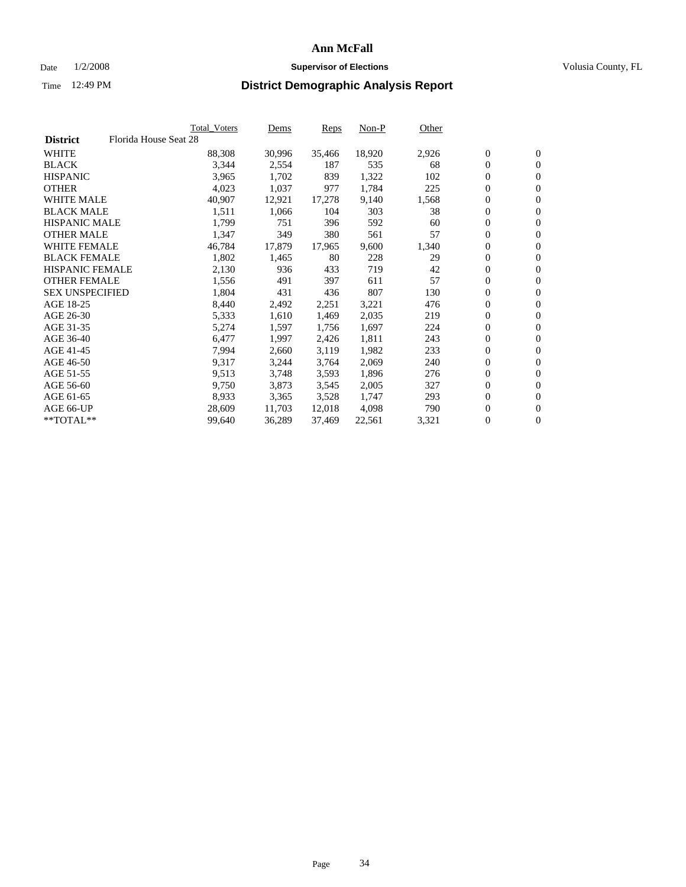### Date  $1/2/2008$  **Supervisor of Elections Supervisor of Elections** Volusia County, FL

|                        | Total_Voters          | Dems   | Reps   | Non-P  | Other |                  |                  |  |
|------------------------|-----------------------|--------|--------|--------|-------|------------------|------------------|--|
| <b>District</b>        | Florida House Seat 28 |        |        |        |       |                  |                  |  |
| <b>WHITE</b>           | 88,308                | 30,996 | 35,466 | 18,920 | 2,926 | $\boldsymbol{0}$ | $\mathbf{0}$     |  |
| <b>BLACK</b>           | 3,344                 | 2,554  | 187    | 535    | 68    | $\overline{0}$   | $\mathbf{0}$     |  |
| <b>HISPANIC</b>        | 3,965                 | 1,702  | 839    | 1,322  | 102   | $\overline{0}$   | $\mathbf{0}$     |  |
| <b>OTHER</b>           | 4,023                 | 1,037  | 977    | 1,784  | 225   | 0                | $\overline{0}$   |  |
| <b>WHITE MALE</b>      | 40,907                | 12,921 | 17,278 | 9,140  | 1,568 | $\overline{0}$   | $\mathbf{0}$     |  |
| <b>BLACK MALE</b>      | 1,511                 | 1,066  | 104    | 303    | 38    | $\boldsymbol{0}$ | $\mathbf{0}$     |  |
| <b>HISPANIC MALE</b>   | 1,799                 | 751    | 396    | 592    | 60    | 0                | $\mathbf{0}$     |  |
| <b>OTHER MALE</b>      | 1,347                 | 349    | 380    | 561    | 57    | 0                | $\mathbf{0}$     |  |
| <b>WHITE FEMALE</b>    | 46,784                | 17,879 | 17,965 | 9,600  | 1,340 | 0                | $\mathbf{0}$     |  |
| <b>BLACK FEMALE</b>    | 1,802                 | 1,465  | 80     | 228    | 29    | $\overline{0}$   | $\mathbf{0}$     |  |
| <b>HISPANIC FEMALE</b> | 2,130                 | 936    | 433    | 719    | 42    | 0                | $\mathbf{0}$     |  |
| <b>OTHER FEMALE</b>    | 1,556                 | 491    | 397    | 611    | 57    | $\overline{0}$   | $\overline{0}$   |  |
| <b>SEX UNSPECIFIED</b> | 1,804                 | 431    | 436    | 807    | 130   | $\boldsymbol{0}$ | $\mathbf{0}$     |  |
| AGE 18-25              | 8,440                 | 2,492  | 2,251  | 3,221  | 476   | 0                | $\mathbf{0}$     |  |
| AGE 26-30              | 5,333                 | 1,610  | 1,469  | 2,035  | 219   | 0                | $\mathbf{0}$     |  |
| AGE 31-35              | 5,274                 | 1,597  | 1,756  | 1,697  | 224   | 0                | $\mathbf{0}$     |  |
| AGE 36-40              | 6,477                 | 1,997  | 2,426  | 1,811  | 243   | $\boldsymbol{0}$ | $\mathbf{0}$     |  |
| AGE 41-45              | 7,994                 | 2,660  | 3,119  | 1,982  | 233   | 0                | $\mathbf{0}$     |  |
| AGE 46-50              | 9,317                 | 3,244  | 3,764  | 2,069  | 240   | $\overline{0}$   | $\mathbf{0}$     |  |
| AGE 51-55              | 9,513                 | 3,748  | 3,593  | 1,896  | 276   | 0                | $\mathbf{0}$     |  |
| AGE 56-60              | 9,750                 | 3,873  | 3,545  | 2,005  | 327   | $\overline{0}$   | $\mathbf{0}$     |  |
| AGE 61-65              | 8,933                 | 3,365  | 3,528  | 1,747  | 293   | 0                | $\mathbf{0}$     |  |
| AGE 66-UP              | 28,609                | 11,703 | 12,018 | 4,098  | 790   | 0                | $\mathbf{0}$     |  |
| $*$ TOTAL $**$         | 99,640                | 36,289 | 37,469 | 22,561 | 3,321 | 0                | $\boldsymbol{0}$ |  |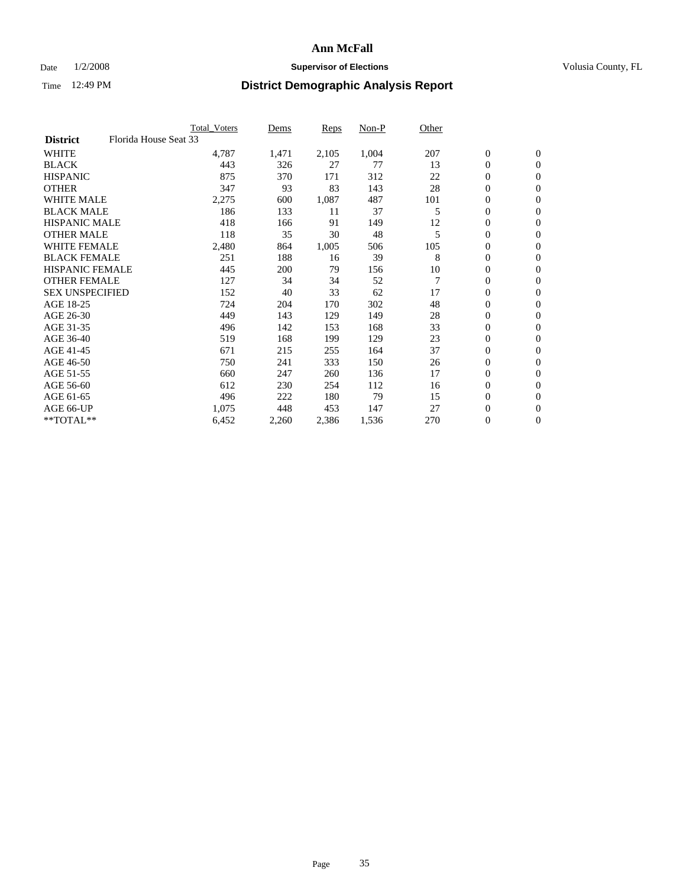### Date  $1/2/2008$  **Supervisor of Elections Supervisor of Elections** Volusia County, FL

|                        | <b>Total_Voters</b>   | Dems  | <b>Reps</b> | Non-P | Other          |                  |                |  |
|------------------------|-----------------------|-------|-------------|-------|----------------|------------------|----------------|--|
| <b>District</b>        | Florida House Seat 33 |       |             |       |                |                  |                |  |
| <b>WHITE</b>           | 4,787                 | 1,471 | 2,105       | 1,004 | 207            | $\boldsymbol{0}$ | $\mathbf{0}$   |  |
| <b>BLACK</b>           | 443                   | 326   | 27          | 77    | 13             | $\overline{0}$   | $\mathbf{0}$   |  |
| <b>HISPANIC</b>        | 875                   | 370   | 171         | 312   | 22             | $\boldsymbol{0}$ | $\mathbf{0}$   |  |
| <b>OTHER</b>           | 347                   | 93    | 83          | 143   | 28             | 0                | $\mathbf{0}$   |  |
| <b>WHITE MALE</b>      | 2,275                 | 600   | 1,087       | 487   | 101            | 0                | $\mathbf{0}$   |  |
| <b>BLACK MALE</b>      | 186                   | 133   | 11          | 37    | 5              | $\boldsymbol{0}$ | $\mathbf{0}$   |  |
| <b>HISPANIC MALE</b>   | 418                   | 166   | 91          | 149   | 12             | $\overline{0}$   | $\mathbf{0}$   |  |
| <b>OTHER MALE</b>      | 118                   | 35    | 30          | 48    | 5              | $\overline{0}$   | $\mathbf{0}$   |  |
| <b>WHITE FEMALE</b>    | 2,480                 | 864   | 1,005       | 506   | 105            | 0                | $\mathbf{0}$   |  |
| <b>BLACK FEMALE</b>    | 251                   | 188   | 16          | 39    | 8              | $\overline{0}$   | $\mathbf{0}$   |  |
| <b>HISPANIC FEMALE</b> | 445                   | 200   | 79          | 156   | 10             | 0                | $\mathbf{0}$   |  |
| <b>OTHER FEMALE</b>    | 127                   | 34    | 34          | 52    | $\overline{7}$ | 0                | $\mathbf{0}$   |  |
| <b>SEX UNSPECIFIED</b> | 152                   | 40    | 33          | 62    | 17             | $\boldsymbol{0}$ | $\mathbf{0}$   |  |
| AGE 18-25              | 724                   | 204   | 170         | 302   | 48             | $\boldsymbol{0}$ | $\mathbf{0}$   |  |
| AGE 26-30              | 449                   | 143   | 129         | 149   | 28             | $\overline{0}$   | $\mathbf{0}$   |  |
| AGE 31-35              | 496                   | 142   | 153         | 168   | 33             | $\overline{0}$   | $\mathbf{0}$   |  |
| AGE 36-40              | 519                   | 168   | 199         | 129   | 23             | $\boldsymbol{0}$ | $\mathbf{0}$   |  |
| AGE 41-45              | 671                   | 215   | 255         | 164   | 37             | $\boldsymbol{0}$ | $\mathbf{0}$   |  |
| AGE 46-50              | 750                   | 241   | 333         | 150   | 26             | 0                | $\mathbf{0}$   |  |
| AGE 51-55              | 660                   | 247   | 260         | 136   | 17             | $\boldsymbol{0}$ | $\mathbf{0}$   |  |
| AGE 56-60              | 612                   | 230   | 254         | 112   | 16             | $\overline{0}$   | $\mathbf{0}$   |  |
| AGE 61-65              | 496                   | 222   | 180         | 79    | 15             | $\mathbf{0}$     | $\mathbf{0}$   |  |
| AGE 66-UP              | 1,075                 | 448   | 453         | 147   | 27             | $\boldsymbol{0}$ | $\mathbf{0}$   |  |
| **TOTAL**              | 6,452                 | 2,260 | 2,386       | 1,536 | 270            | 0                | $\overline{0}$ |  |
|                        |                       |       |             |       |                |                  |                |  |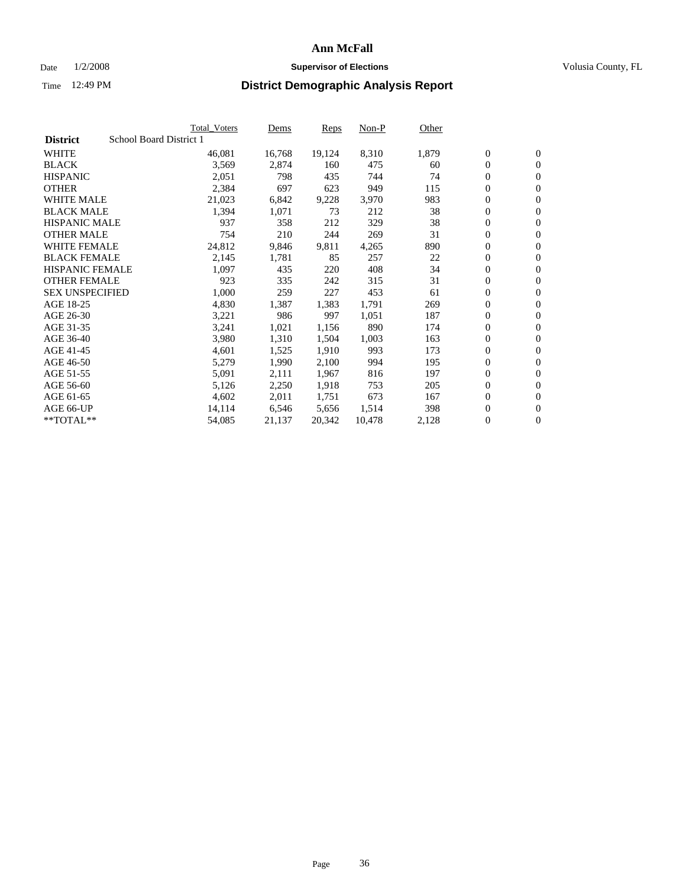#### Date  $1/2/2008$  **Supervisor of Elections** Volusia County, FL

|                        | Total Voters            | Dems   | <b>Reps</b> | Non-P  | Other |                  |                |  |
|------------------------|-------------------------|--------|-------------|--------|-------|------------------|----------------|--|
| <b>District</b>        | School Board District 1 |        |             |        |       |                  |                |  |
| <b>WHITE</b>           | 46,081                  | 16,768 | 19,124      | 8,310  | 1,879 | $\overline{0}$   | $\mathbf{0}$   |  |
| <b>BLACK</b>           | 3,569                   | 2,874  | 160         | 475    | 60    | $\overline{0}$   | $\mathbf{0}$   |  |
| <b>HISPANIC</b>        | 2,051                   | 798    | 435         | 744    | 74    | $\boldsymbol{0}$ | $\mathbf{0}$   |  |
| <b>OTHER</b>           | 2,384                   | 697    | 623         | 949    | 115   | $\boldsymbol{0}$ | $\mathbf{0}$   |  |
| <b>WHITE MALE</b>      | 21,023                  | 6,842  | 9,228       | 3,970  | 983   | 0                | $\mathbf{0}$   |  |
| <b>BLACK MALE</b>      | 1,394                   | 1,071  | 73          | 212    | 38    | $\boldsymbol{0}$ | $\mathbf{0}$   |  |
| <b>HISPANIC MALE</b>   | 937                     | 358    | 212         | 329    | 38    | $\overline{0}$   | $\mathbf{0}$   |  |
| <b>OTHER MALE</b>      | 754                     | 210    | 244         | 269    | 31    | $\overline{0}$   | $\mathbf{0}$   |  |
| <b>WHITE FEMALE</b>    | 24,812                  | 9,846  | 9,811       | 4,265  | 890   | $\mathbf{0}$     | $\mathbf{0}$   |  |
| <b>BLACK FEMALE</b>    | 2,145                   | 1,781  | 85          | 257    | 22    | $\overline{0}$   | $\mathbf{0}$   |  |
| <b>HISPANIC FEMALE</b> | 1,097                   | 435    | 220         | 408    | 34    | $\boldsymbol{0}$ | $\mathbf{0}$   |  |
| <b>OTHER FEMALE</b>    | 923                     | 335    | 242         | 315    | 31    | 0                | $\mathbf{0}$   |  |
| <b>SEX UNSPECIFIED</b> | 1,000                   | 259    | 227         | 453    | 61    | $\boldsymbol{0}$ | $\mathbf{0}$   |  |
| AGE 18-25              | 4,830                   | 1,387  | 1,383       | 1,791  | 269   | $\boldsymbol{0}$ | $\mathbf{0}$   |  |
| AGE 26-30              | 3,221                   | 986    | 997         | 1,051  | 187   | $\overline{0}$   | $\mathbf{0}$   |  |
| AGE 31-35              | 3,241                   | 1,021  | 1,156       | 890    | 174   | $\overline{0}$   | $\mathbf{0}$   |  |
| AGE 36-40              | 3,980                   | 1,310  | 1,504       | 1,003  | 163   | $\boldsymbol{0}$ | $\mathbf{0}$   |  |
| AGE 41-45              | 4,601                   | 1,525  | 1,910       | 993    | 173   | $\boldsymbol{0}$ | $\mathbf{0}$   |  |
| AGE 46-50              | 5,279                   | 1,990  | 2,100       | 994    | 195   | 0                | $\mathbf{0}$   |  |
| AGE 51-55              | 5,091                   | 2,111  | 1,967       | 816    | 197   | $\boldsymbol{0}$ | $\mathbf{0}$   |  |
| AGE 56-60              | 5,126                   | 2,250  | 1,918       | 753    | 205   | $\overline{0}$   | $\mathbf{0}$   |  |
| AGE 61-65              | 4,602                   | 2,011  | 1,751       | 673    | 167   | $\mathbf{0}$     | $\mathbf{0}$   |  |
| AGE 66-UP              | 14,114                  | 6,546  | 5,656       | 1,514  | 398   | $\boldsymbol{0}$ | $\mathbf{0}$   |  |
| **TOTAL**              | 54,085                  | 21,137 | 20,342      | 10,478 | 2,128 | 0                | $\overline{0}$ |  |
|                        |                         |        |             |        |       |                  |                |  |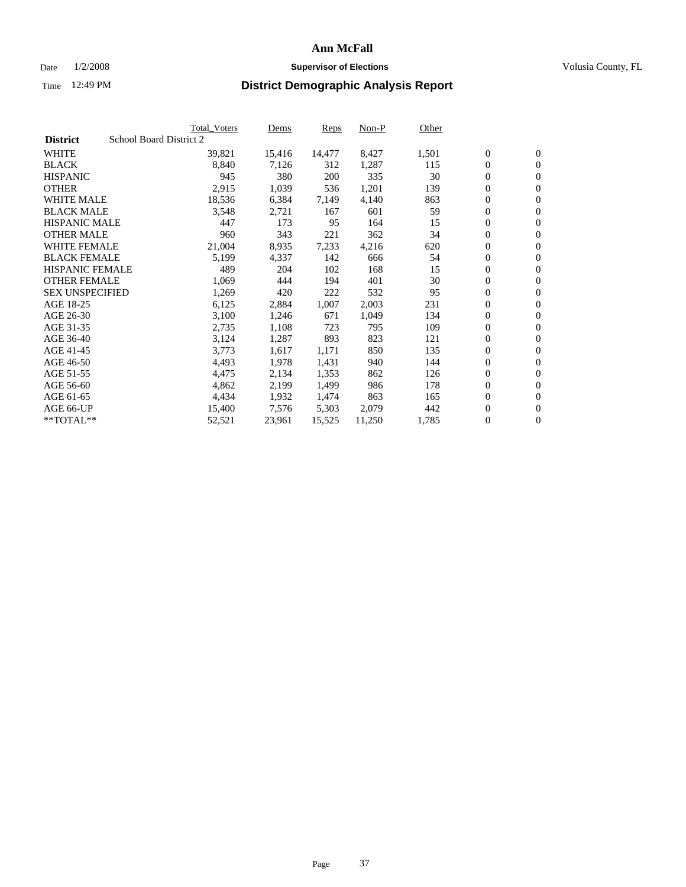#### Date  $1/2/2008$  **Supervisor of Elections** Volusia County, FL

|                        | Total_Voters            | Dems   | <b>Reps</b> | Non-P  | Other |                  |                  |  |
|------------------------|-------------------------|--------|-------------|--------|-------|------------------|------------------|--|
| <b>District</b>        | School Board District 2 |        |             |        |       |                  |                  |  |
| <b>WHITE</b>           | 39,821                  | 15,416 | 14,477      | 8,427  | 1,501 | $\overline{0}$   | $\mathbf{0}$     |  |
| <b>BLACK</b>           | 8,840                   | 7,126  | 312         | 1,287  | 115   | $\overline{0}$   | $\mathbf{0}$     |  |
| <b>HISPANIC</b>        | 945                     | 380    | 200         | 335    | 30    | $\boldsymbol{0}$ | $\mathbf{0}$     |  |
| <b>OTHER</b>           | 2,915                   | 1,039  | 536         | 1,201  | 139   | $\boldsymbol{0}$ | $\mathbf{0}$     |  |
| <b>WHITE MALE</b>      | 18,536                  | 6,384  | 7,149       | 4,140  | 863   | 0                | $\mathbf{0}$     |  |
| <b>BLACK MALE</b>      | 3,548                   | 2,721  | 167         | 601    | 59    | $\boldsymbol{0}$ | $\mathbf{0}$     |  |
| <b>HISPANIC MALE</b>   | 447                     | 173    | 95          | 164    | 15    | $\overline{0}$   | $\mathbf{0}$     |  |
| <b>OTHER MALE</b>      | 960                     | 343    | 221         | 362    | 34    | $\overline{0}$   | $\mathbf{0}$     |  |
| <b>WHITE FEMALE</b>    | 21,004                  | 8,935  | 7,233       | 4,216  | 620   | $\mathbf{0}$     | $\mathbf{0}$     |  |
| <b>BLACK FEMALE</b>    | 5,199                   | 4,337  | 142         | 666    | 54    | $\boldsymbol{0}$ | $\mathbf{0}$     |  |
| <b>HISPANIC FEMALE</b> | 489                     | 204    | 102         | 168    | 15    | $\boldsymbol{0}$ | $\mathbf{0}$     |  |
| <b>OTHER FEMALE</b>    | 1,069                   | 444    | 194         | 401    | 30    | 0                | $\mathbf{0}$     |  |
| <b>SEX UNSPECIFIED</b> | 1,269                   | 420    | 222         | 532    | 95    | $\boldsymbol{0}$ | $\mathbf{0}$     |  |
| AGE 18-25              | 6,125                   | 2,884  | 1,007       | 2,003  | 231   | $\boldsymbol{0}$ | $\mathbf{0}$     |  |
| AGE 26-30              | 3,100                   | 1,246  | 671         | 1,049  | 134   | $\overline{0}$   | $\mathbf{0}$     |  |
| AGE 31-35              | 2,735                   | 1,108  | 723         | 795    | 109   | $\overline{0}$   | $\mathbf{0}$     |  |
| AGE 36-40              | 3,124                   | 1,287  | 893         | 823    | 121   | $\boldsymbol{0}$ | $\mathbf{0}$     |  |
| AGE 41-45              | 3,773                   | 1,617  | 1,171       | 850    | 135   | $\boldsymbol{0}$ | $\mathbf{0}$     |  |
| AGE 46-50              | 4,493                   | 1,978  | 1,431       | 940    | 144   | 0                | $\mathbf{0}$     |  |
| AGE 51-55              | 4,475                   | 2,134  | 1,353       | 862    | 126   | $\boldsymbol{0}$ | $\mathbf{0}$     |  |
| AGE 56-60              | 4,862                   | 2,199  | 1,499       | 986    | 178   | $\overline{0}$   | $\mathbf{0}$     |  |
| AGE 61-65              | 4,434                   | 1,932  | 1,474       | 863    | 165   | $\mathbf{0}$     | $\mathbf{0}$     |  |
| AGE 66-UP              | 15,400                  | 7,576  | 5,303       | 2,079  | 442   | $\boldsymbol{0}$ | $\boldsymbol{0}$ |  |
| $*$ TOTAL $**$         | 52,521                  | 23,961 | 15,525      | 11,250 | 1,785 | $\boldsymbol{0}$ | $\overline{0}$   |  |
|                        |                         |        |             |        |       |                  |                  |  |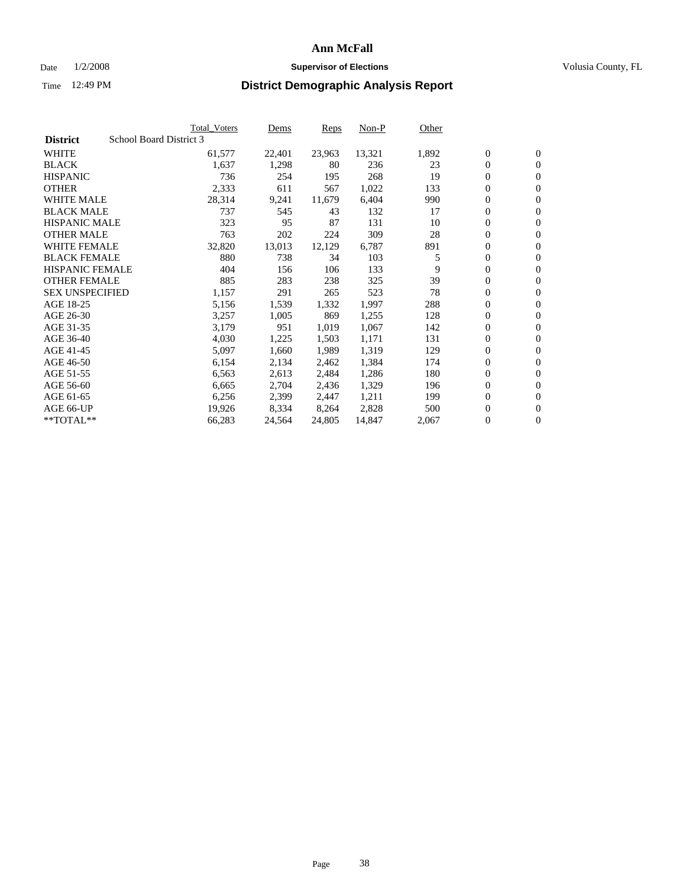#### Date  $1/2/2008$  **Supervisor of Elections** Volusia County, FL

|                        |                         | Total_Voters | Dems   | <b>Reps</b> | Non-P  | Other |                  |                  |  |
|------------------------|-------------------------|--------------|--------|-------------|--------|-------|------------------|------------------|--|
| <b>District</b>        | School Board District 3 |              |        |             |        |       |                  |                  |  |
| <b>WHITE</b>           |                         | 61,577       | 22,401 | 23,963      | 13,321 | 1,892 | $\overline{0}$   | $\mathbf{0}$     |  |
| <b>BLACK</b>           |                         | 1,637        | 1,298  | 80          | 236    | 23    | $\overline{0}$   | $\mathbf{0}$     |  |
| <b>HISPANIC</b>        |                         | 736          | 254    | 195         | 268    | 19    | $\boldsymbol{0}$ | $\mathbf{0}$     |  |
| <b>OTHER</b>           |                         | 2,333        | 611    | 567         | 1,022  | 133   | 0                | $\mathbf{0}$     |  |
| <b>WHITE MALE</b>      |                         | 28,314       | 9,241  | 11,679      | 6,404  | 990   | 0                | $\mathbf{0}$     |  |
| <b>BLACK MALE</b>      |                         | 737          | 545    | 43          | 132    | 17    | $\boldsymbol{0}$ | $\boldsymbol{0}$ |  |
| <b>HISPANIC MALE</b>   |                         | 323          | 95     | 87          | 131    | 10    | $\overline{0}$   | $\mathbf{0}$     |  |
| <b>OTHER MALE</b>      |                         | 763          | 202    | 224         | 309    | 28    | $\overline{0}$   | $\mathbf{0}$     |  |
| <b>WHITE FEMALE</b>    |                         | 32,820       | 13,013 | 12,129      | 6,787  | 891   | 0                | $\mathbf{0}$     |  |
| <b>BLACK FEMALE</b>    |                         | 880          | 738    | 34          | 103    | 5     | $\boldsymbol{0}$ | $\mathbf{0}$     |  |
| <b>HISPANIC FEMALE</b> |                         | 404          | 156    | 106         | 133    | 9     | $\boldsymbol{0}$ | $\boldsymbol{0}$ |  |
| <b>OTHER FEMALE</b>    |                         | 885          | 283    | 238         | 325    | 39    | 0                | $\mathbf{0}$     |  |
| <b>SEX UNSPECIFIED</b> |                         | 1,157        | 291    | 265         | 523    | 78    | $\boldsymbol{0}$ | $\mathbf{0}$     |  |
| AGE 18-25              |                         | 5,156        | 1,539  | 1,332       | 1,997  | 288   | 0                | $\mathbf{0}$     |  |
| AGE 26-30              |                         | 3,257        | 1,005  | 869         | 1,255  | 128   | $\overline{0}$   | $\mathbf{0}$     |  |
| AGE 31-35              |                         | 3,179        | 951    | 1,019       | 1,067  | 142   | $\overline{0}$   | $\mathbf{0}$     |  |
| AGE 36-40              |                         | 4,030        | 1,225  | 1,503       | 1,171  | 131   | $\boldsymbol{0}$ | $\mathbf{0}$     |  |
| AGE 41-45              |                         | 5,097        | 1,660  | 1,989       | 1,319  | 129   | $\boldsymbol{0}$ | $\mathbf{0}$     |  |
| AGE 46-50              |                         | 6,154        | 2,134  | 2,462       | 1,384  | 174   | 0                | $\mathbf{0}$     |  |
| AGE 51-55              |                         | 6,563        | 2,613  | 2,484       | 1,286  | 180   | $\boldsymbol{0}$ | $\boldsymbol{0}$ |  |
| AGE 56-60              |                         | 6,665        | 2,704  | 2,436       | 1,329  | 196   | $\overline{0}$   | $\mathbf{0}$     |  |
| AGE 61-65              |                         | 6,256        | 2,399  | 2,447       | 1,211  | 199   | $\mathbf{0}$     | $\mathbf{0}$     |  |
| AGE 66-UP              |                         | 19,926       | 8,334  | 8,264       | 2,828  | 500   | $\boldsymbol{0}$ | $\boldsymbol{0}$ |  |
| **TOTAL**              |                         | 66,283       | 24,564 | 24,805      | 14,847 | 2,067 | 0                | $\overline{0}$   |  |
|                        |                         |              |        |             |        |       |                  |                  |  |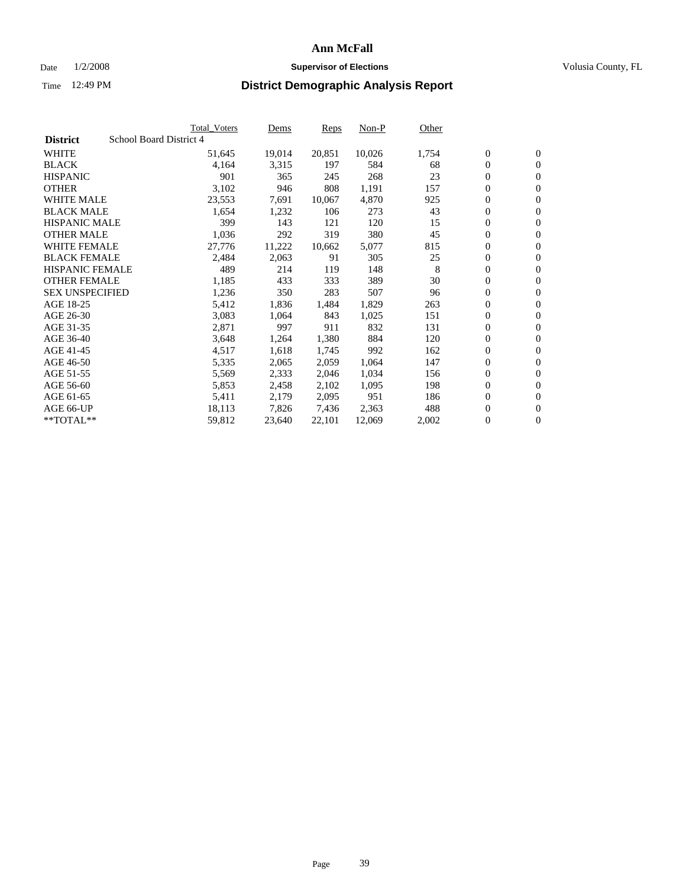#### Date  $1/2/2008$  **Supervisor of Elections** Volusia County, FL

| School Board District 4<br><b>District</b><br>20,851<br>10,026<br>1,754<br>$\boldsymbol{0}$<br>$\mathbf{0}$<br>51,645<br>19,014<br>$\overline{0}$<br>4,164<br>3,315<br>584<br>68<br>$\mathbf{0}$<br>197<br>23<br>$\overline{0}$<br>901<br>365<br>245<br>268<br>$\mathbf{0}$<br>3,102<br>0<br>946<br>808<br>1,191<br>157<br>$\mathbf{0}$<br>0<br>23,553<br>7,691<br>10,067<br>4,870<br>925<br>$\mathbf{0}$<br>$\boldsymbol{0}$<br>1,654<br>1,232<br>106<br>273<br>43<br>$\boldsymbol{0}$<br>399<br>143<br>120<br>15<br>$\overline{0}$<br>$\mathbf{0}$<br>121<br>380<br>$\overline{0}$<br>1,036<br>292<br>319<br>45<br>$\mathbf{0}$<br>$\boldsymbol{0}$<br>27,776<br>815<br>$\boldsymbol{0}$<br>11,222<br>10,662<br>5,077<br>305<br>$\boldsymbol{0}$<br>2,484<br>2,063<br>91<br>25<br>$\mathbf{0}$<br>$\boldsymbol{0}$<br>148<br>489<br>214<br>119<br>8<br>$\mathbf{0}$<br>30<br>0<br>1,185<br>389<br>433<br>333<br>$\mathbf{0}$<br>$\overline{0}$<br>1,236<br>350<br>283<br>507<br>96<br>$\mathbf{0}$<br>0<br>$\mathbf{0}$<br>5,412<br>1,836<br>1,484<br>1,829<br>263<br>$\overline{0}$<br>3,083<br>1,064<br>843<br>1,025<br>151<br>$\mathbf{0}$<br>832<br>$\boldsymbol{0}$<br>2,871<br>997<br>911<br>131<br>$\mathbf{0}$<br>0<br>3,648<br>1,264<br>1,380<br>884<br>120<br>$\mathbf{0}$<br>4,517<br>1,618<br>$\boldsymbol{0}$<br>1,745<br>992<br>162<br>$\boldsymbol{0}$<br>5,335<br>147<br>$\overline{0}$<br>$\mathbf{0}$<br>2,065<br>2,059<br>1,064<br>$\overline{0}$<br>1,034<br>$\mathbf{0}$<br>5,569<br>2,333<br>2,046<br>156<br>$\overline{0}$<br>2,102<br>1,095<br>198<br>$\mathbf{0}$<br>5,853<br>2,458<br>5,411<br>951<br>$\boldsymbol{0}$<br>2,179<br>2,095<br>$\mathbf{0}$<br>186<br>7,826<br>2,363<br>488<br>0<br>$\boldsymbol{0}$<br>18,113<br>7,436<br>0<br>$\mathbf{0}$<br>59,812<br>22,101<br>2,002<br>23,640<br>12,069 |                        | Total_Voters | Dems | <b>Reps</b> | Non-P | Other |  |
|----------------------------------------------------------------------------------------------------------------------------------------------------------------------------------------------------------------------------------------------------------------------------------------------------------------------------------------------------------------------------------------------------------------------------------------------------------------------------------------------------------------------------------------------------------------------------------------------------------------------------------------------------------------------------------------------------------------------------------------------------------------------------------------------------------------------------------------------------------------------------------------------------------------------------------------------------------------------------------------------------------------------------------------------------------------------------------------------------------------------------------------------------------------------------------------------------------------------------------------------------------------------------------------------------------------------------------------------------------------------------------------------------------------------------------------------------------------------------------------------------------------------------------------------------------------------------------------------------------------------------------------------------------------------------------------------------------------------------------------------------------------------------------------------------------------------------------------|------------------------|--------------|------|-------------|-------|-------|--|
|                                                                                                                                                                                                                                                                                                                                                                                                                                                                                                                                                                                                                                                                                                                                                                                                                                                                                                                                                                                                                                                                                                                                                                                                                                                                                                                                                                                                                                                                                                                                                                                                                                                                                                                                                                                                                                        |                        |              |      |             |       |       |  |
|                                                                                                                                                                                                                                                                                                                                                                                                                                                                                                                                                                                                                                                                                                                                                                                                                                                                                                                                                                                                                                                                                                                                                                                                                                                                                                                                                                                                                                                                                                                                                                                                                                                                                                                                                                                                                                        | <b>WHITE</b>           |              |      |             |       |       |  |
|                                                                                                                                                                                                                                                                                                                                                                                                                                                                                                                                                                                                                                                                                                                                                                                                                                                                                                                                                                                                                                                                                                                                                                                                                                                                                                                                                                                                                                                                                                                                                                                                                                                                                                                                                                                                                                        | <b>BLACK</b>           |              |      |             |       |       |  |
|                                                                                                                                                                                                                                                                                                                                                                                                                                                                                                                                                                                                                                                                                                                                                                                                                                                                                                                                                                                                                                                                                                                                                                                                                                                                                                                                                                                                                                                                                                                                                                                                                                                                                                                                                                                                                                        | <b>HISPANIC</b>        |              |      |             |       |       |  |
|                                                                                                                                                                                                                                                                                                                                                                                                                                                                                                                                                                                                                                                                                                                                                                                                                                                                                                                                                                                                                                                                                                                                                                                                                                                                                                                                                                                                                                                                                                                                                                                                                                                                                                                                                                                                                                        | <b>OTHER</b>           |              |      |             |       |       |  |
|                                                                                                                                                                                                                                                                                                                                                                                                                                                                                                                                                                                                                                                                                                                                                                                                                                                                                                                                                                                                                                                                                                                                                                                                                                                                                                                                                                                                                                                                                                                                                                                                                                                                                                                                                                                                                                        | <b>WHITE MALE</b>      |              |      |             |       |       |  |
|                                                                                                                                                                                                                                                                                                                                                                                                                                                                                                                                                                                                                                                                                                                                                                                                                                                                                                                                                                                                                                                                                                                                                                                                                                                                                                                                                                                                                                                                                                                                                                                                                                                                                                                                                                                                                                        | <b>BLACK MALE</b>      |              |      |             |       |       |  |
|                                                                                                                                                                                                                                                                                                                                                                                                                                                                                                                                                                                                                                                                                                                                                                                                                                                                                                                                                                                                                                                                                                                                                                                                                                                                                                                                                                                                                                                                                                                                                                                                                                                                                                                                                                                                                                        | <b>HISPANIC MALE</b>   |              |      |             |       |       |  |
|                                                                                                                                                                                                                                                                                                                                                                                                                                                                                                                                                                                                                                                                                                                                                                                                                                                                                                                                                                                                                                                                                                                                                                                                                                                                                                                                                                                                                                                                                                                                                                                                                                                                                                                                                                                                                                        | <b>OTHER MALE</b>      |              |      |             |       |       |  |
|                                                                                                                                                                                                                                                                                                                                                                                                                                                                                                                                                                                                                                                                                                                                                                                                                                                                                                                                                                                                                                                                                                                                                                                                                                                                                                                                                                                                                                                                                                                                                                                                                                                                                                                                                                                                                                        | WHITE FEMALE           |              |      |             |       |       |  |
|                                                                                                                                                                                                                                                                                                                                                                                                                                                                                                                                                                                                                                                                                                                                                                                                                                                                                                                                                                                                                                                                                                                                                                                                                                                                                                                                                                                                                                                                                                                                                                                                                                                                                                                                                                                                                                        | <b>BLACK FEMALE</b>    |              |      |             |       |       |  |
|                                                                                                                                                                                                                                                                                                                                                                                                                                                                                                                                                                                                                                                                                                                                                                                                                                                                                                                                                                                                                                                                                                                                                                                                                                                                                                                                                                                                                                                                                                                                                                                                                                                                                                                                                                                                                                        | <b>HISPANIC FEMALE</b> |              |      |             |       |       |  |
|                                                                                                                                                                                                                                                                                                                                                                                                                                                                                                                                                                                                                                                                                                                                                                                                                                                                                                                                                                                                                                                                                                                                                                                                                                                                                                                                                                                                                                                                                                                                                                                                                                                                                                                                                                                                                                        | <b>OTHER FEMALE</b>    |              |      |             |       |       |  |
|                                                                                                                                                                                                                                                                                                                                                                                                                                                                                                                                                                                                                                                                                                                                                                                                                                                                                                                                                                                                                                                                                                                                                                                                                                                                                                                                                                                                                                                                                                                                                                                                                                                                                                                                                                                                                                        | <b>SEX UNSPECIFIED</b> |              |      |             |       |       |  |
|                                                                                                                                                                                                                                                                                                                                                                                                                                                                                                                                                                                                                                                                                                                                                                                                                                                                                                                                                                                                                                                                                                                                                                                                                                                                                                                                                                                                                                                                                                                                                                                                                                                                                                                                                                                                                                        | AGE 18-25              |              |      |             |       |       |  |
|                                                                                                                                                                                                                                                                                                                                                                                                                                                                                                                                                                                                                                                                                                                                                                                                                                                                                                                                                                                                                                                                                                                                                                                                                                                                                                                                                                                                                                                                                                                                                                                                                                                                                                                                                                                                                                        | AGE 26-30              |              |      |             |       |       |  |
|                                                                                                                                                                                                                                                                                                                                                                                                                                                                                                                                                                                                                                                                                                                                                                                                                                                                                                                                                                                                                                                                                                                                                                                                                                                                                                                                                                                                                                                                                                                                                                                                                                                                                                                                                                                                                                        | AGE 31-35              |              |      |             |       |       |  |
|                                                                                                                                                                                                                                                                                                                                                                                                                                                                                                                                                                                                                                                                                                                                                                                                                                                                                                                                                                                                                                                                                                                                                                                                                                                                                                                                                                                                                                                                                                                                                                                                                                                                                                                                                                                                                                        | AGE 36-40              |              |      |             |       |       |  |
|                                                                                                                                                                                                                                                                                                                                                                                                                                                                                                                                                                                                                                                                                                                                                                                                                                                                                                                                                                                                                                                                                                                                                                                                                                                                                                                                                                                                                                                                                                                                                                                                                                                                                                                                                                                                                                        | AGE 41-45              |              |      |             |       |       |  |
|                                                                                                                                                                                                                                                                                                                                                                                                                                                                                                                                                                                                                                                                                                                                                                                                                                                                                                                                                                                                                                                                                                                                                                                                                                                                                                                                                                                                                                                                                                                                                                                                                                                                                                                                                                                                                                        | AGE 46-50              |              |      |             |       |       |  |
|                                                                                                                                                                                                                                                                                                                                                                                                                                                                                                                                                                                                                                                                                                                                                                                                                                                                                                                                                                                                                                                                                                                                                                                                                                                                                                                                                                                                                                                                                                                                                                                                                                                                                                                                                                                                                                        | AGE 51-55              |              |      |             |       |       |  |
|                                                                                                                                                                                                                                                                                                                                                                                                                                                                                                                                                                                                                                                                                                                                                                                                                                                                                                                                                                                                                                                                                                                                                                                                                                                                                                                                                                                                                                                                                                                                                                                                                                                                                                                                                                                                                                        | AGE 56-60              |              |      |             |       |       |  |
|                                                                                                                                                                                                                                                                                                                                                                                                                                                                                                                                                                                                                                                                                                                                                                                                                                                                                                                                                                                                                                                                                                                                                                                                                                                                                                                                                                                                                                                                                                                                                                                                                                                                                                                                                                                                                                        | AGE 61-65              |              |      |             |       |       |  |
|                                                                                                                                                                                                                                                                                                                                                                                                                                                                                                                                                                                                                                                                                                                                                                                                                                                                                                                                                                                                                                                                                                                                                                                                                                                                                                                                                                                                                                                                                                                                                                                                                                                                                                                                                                                                                                        | AGE 66-UP              |              |      |             |       |       |  |
|                                                                                                                                                                                                                                                                                                                                                                                                                                                                                                                                                                                                                                                                                                                                                                                                                                                                                                                                                                                                                                                                                                                                                                                                                                                                                                                                                                                                                                                                                                                                                                                                                                                                                                                                                                                                                                        | $*$ TOTAL $**$         |              |      |             |       |       |  |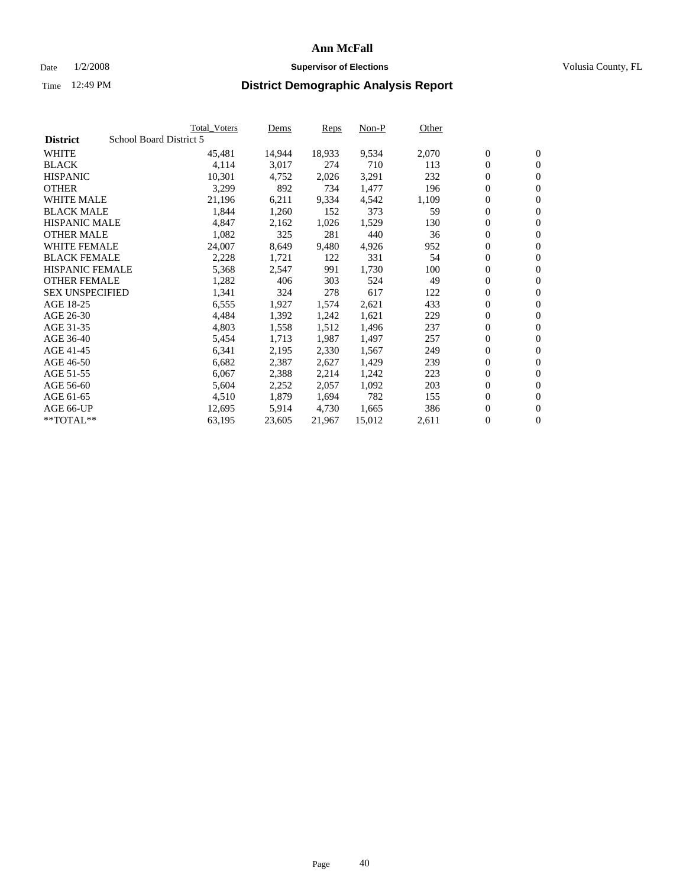#### Date  $1/2/2008$  **Supervisor of Elections** Volusia County, FL

|                        | Total_Voters            | Dems   | <b>Reps</b> | Non-P  | Other |                  |                  |  |
|------------------------|-------------------------|--------|-------------|--------|-------|------------------|------------------|--|
| <b>District</b>        | School Board District 5 |        |             |        |       |                  |                  |  |
| <b>WHITE</b>           | 45,481                  | 14,944 | 18,933      | 9,534  | 2,070 | $\overline{0}$   | $\mathbf{0}$     |  |
| <b>BLACK</b>           | 4,114                   | 3,017  | 274         | 710    | 113   | $\overline{0}$   | $\mathbf{0}$     |  |
| <b>HISPANIC</b>        | 10,301                  | 4,752  | 2,026       | 3,291  | 232   | $\boldsymbol{0}$ | $\mathbf{0}$     |  |
| <b>OTHER</b>           | 3,299                   | 892    | 734         | 1,477  | 196   | $\boldsymbol{0}$ | $\mathbf{0}$     |  |
| <b>WHITE MALE</b>      | 21,196                  | 6,211  | 9,334       | 4,542  | 1,109 | 0                | $\mathbf{0}$     |  |
| <b>BLACK MALE</b>      | 1,844                   | 1,260  | 152         | 373    | 59    | $\boldsymbol{0}$ | $\mathbf{0}$     |  |
| <b>HISPANIC MALE</b>   | 4,847                   | 2,162  | 1,026       | 1,529  | 130   | $\overline{0}$   | $\mathbf{0}$     |  |
| <b>OTHER MALE</b>      | 1,082                   | 325    | 281         | 440    | 36    | $\boldsymbol{0}$ | $\mathbf{0}$     |  |
| <b>WHITE FEMALE</b>    | 24,007                  | 8,649  | 9,480       | 4,926  | 952   | $\mathbf{0}$     | $\mathbf{0}$     |  |
| <b>BLACK FEMALE</b>    | 2,228                   | 1,721  | 122         | 331    | 54    | $\boldsymbol{0}$ | $\mathbf{0}$     |  |
| HISPANIC FEMALE        | 5,368                   | 2,547  | 991         | 1,730  | 100   | $\boldsymbol{0}$ | $\mathbf{0}$     |  |
| <b>OTHER FEMALE</b>    | 1,282                   | 406    | 303         | 524    | 49    | 0                | $\mathbf{0}$     |  |
| <b>SEX UNSPECIFIED</b> | 1,341                   | 324    | 278         | 617    | 122   | $\boldsymbol{0}$ | $\mathbf{0}$     |  |
| AGE 18-25              | 6,555                   | 1,927  | 1,574       | 2,621  | 433   | $\boldsymbol{0}$ | $\mathbf{0}$     |  |
| AGE 26-30              | 4,484                   | 1,392  | 1,242       | 1,621  | 229   | $\overline{0}$   | $\mathbf{0}$     |  |
| AGE 31-35              | 4,803                   | 1,558  | 1,512       | 1,496  | 237   | $\overline{0}$   | $\mathbf{0}$     |  |
| AGE 36-40              | 5,454                   | 1,713  | 1,987       | 1,497  | 257   | $\boldsymbol{0}$ | $\mathbf{0}$     |  |
| AGE 41-45              | 6,341                   | 2,195  | 2,330       | 1,567  | 249   | $\boldsymbol{0}$ | $\mathbf{0}$     |  |
| AGE 46-50              | 6,682                   | 2,387  | 2,627       | 1,429  | 239   | 0                | $\mathbf{0}$     |  |
| AGE 51-55              | 6,067                   | 2,388  | 2,214       | 1,242  | 223   | $\boldsymbol{0}$ | $\boldsymbol{0}$ |  |
| AGE 56-60              | 5,604                   | 2,252  | 2,057       | 1,092  | 203   | $\overline{0}$   | $\mathbf{0}$     |  |
| AGE 61-65              | 4,510                   | 1,879  | 1,694       | 782    | 155   | $\mathbf{0}$     | $\mathbf{0}$     |  |
| AGE 66-UP              | 12,695                  | 5,914  | 4,730       | 1,665  | 386   | $\boldsymbol{0}$ | $\boldsymbol{0}$ |  |
| $*$ TOTAL $**$         | 63,195                  | 23,605 | 21,967      | 15,012 | 2,611 | 0                | $\overline{0}$   |  |
|                        |                         |        |             |        |       |                  |                  |  |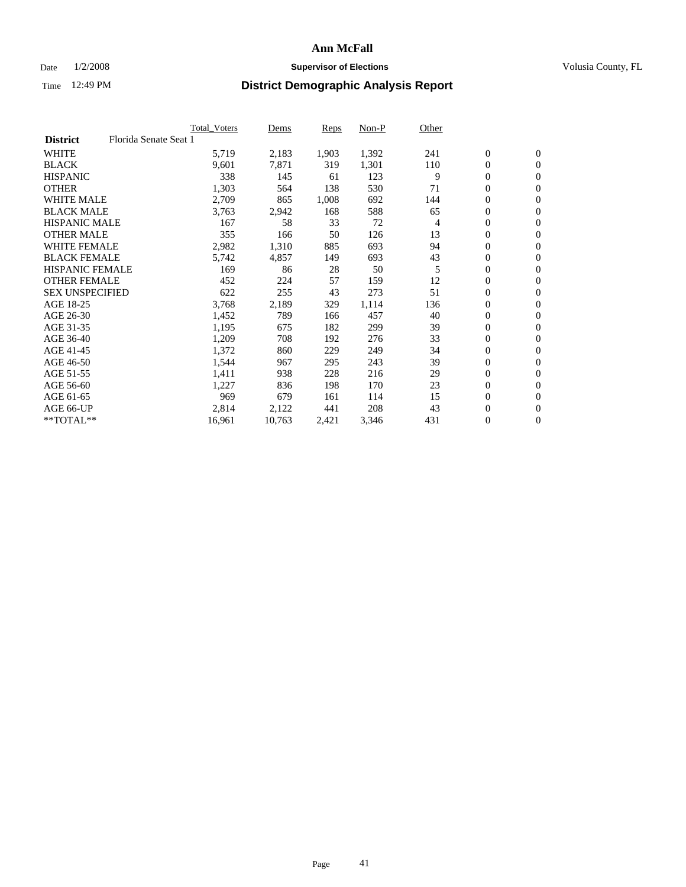### Date  $1/2/2008$  **Supervisor of Elections Supervisor of Elections** Volusia County, FL

|                        | <b>Total Voters</b>   |        | Dems   | Reps  | Non-P | Other |                  |                  |
|------------------------|-----------------------|--------|--------|-------|-------|-------|------------------|------------------|
| <b>District</b>        | Florida Senate Seat 1 |        |        |       |       |       |                  |                  |
| <b>WHITE</b>           |                       | 5,719  | 2,183  | 1,903 | 1,392 | 241   | $\mathbf{0}$     | $\mathbf{0}$     |
| <b>BLACK</b>           |                       | 9,601  | 7,871  | 319   | 1,301 | 110   | $\mathbf{0}$     | $\mathbf{0}$     |
| <b>HISPANIC</b>        |                       | 338    | 145    | 61    | 123   | 9     | $\boldsymbol{0}$ | $\mathbf{0}$     |
| <b>OTHER</b>           |                       | 1,303  | 564    | 138   | 530   | 71    | 0                | $\mathbf{0}$     |
| <b>WHITE MALE</b>      |                       | 2,709  | 865    | 1,008 | 692   | 144   | 0                | $\mathbf{0}$     |
| <b>BLACK MALE</b>      |                       | 3,763  | 2,942  | 168   | 588   | 65    | $\boldsymbol{0}$ | $\boldsymbol{0}$ |
| <b>HISPANIC MALE</b>   |                       | 167    | 58     | 33    | 72    | 4     | 0                | $\mathbf{0}$     |
| <b>OTHER MALE</b>      |                       | 355    | 166    | 50    | 126   | 13    | $\mathbf{0}$     | $\mathbf{0}$     |
| <b>WHITE FEMALE</b>    |                       | 2,982  | 1,310  | 885   | 693   | 94    | 0                | $\mathbf{0}$     |
| <b>BLACK FEMALE</b>    |                       | 5,742  | 4,857  | 149   | 693   | 43    | $\boldsymbol{0}$ | $\mathbf{0}$     |
| <b>HISPANIC FEMALE</b> |                       | 169    | 86     | 28    | 50    | 5     | $\boldsymbol{0}$ | $\boldsymbol{0}$ |
| <b>OTHER FEMALE</b>    |                       | 452    | 224    | 57    | 159   | 12    | 0                | $\mathbf{0}$     |
| <b>SEX UNSPECIFIED</b> |                       | 622    | 255    | 43    | 273   | 51    | 0                | $\mathbf{0}$     |
| AGE 18-25              |                       | 3,768  | 2,189  | 329   | 1,114 | 136   | 0                | $\mathbf{0}$     |
| AGE 26-30              |                       | 1,452  | 789    | 166   | 457   | 40    | $\mathbf{0}$     | $\mathbf{0}$     |
| AGE 31-35              |                       | 1,195  | 675    | 182   | 299   | 39    | 0                | $\mathbf{0}$     |
| AGE 36-40              |                       | 1,209  | 708    | 192   | 276   | 33    | 0                | $\mathbf{0}$     |
| AGE 41-45              |                       | 1,372  | 860    | 229   | 249   | 34    | $\boldsymbol{0}$ | $\mathbf{0}$     |
| AGE 46-50              |                       | 1,544  | 967    | 295   | 243   | 39    | 0                | $\mathbf{0}$     |
| AGE 51-55              |                       | 1,411  | 938    | 228   | 216   | 29    | $\boldsymbol{0}$ | $\boldsymbol{0}$ |
| AGE 56-60              |                       | 1,227  | 836    | 198   | 170   | 23    | 0                | $\mathbf{0}$     |
| AGE 61-65              |                       | 969    | 679    | 161   | 114   | 15    | $\mathbf{0}$     | $\mathbf{0}$     |
| AGE 66-UP              |                       | 2,814  | 2,122  | 441   | 208   | 43    | $\boldsymbol{0}$ | $\boldsymbol{0}$ |
| **TOTAL**              |                       | 16,961 | 10,763 | 2,421 | 3,346 | 431   | 0                | $\overline{0}$   |
|                        |                       |        |        |       |       |       |                  |                  |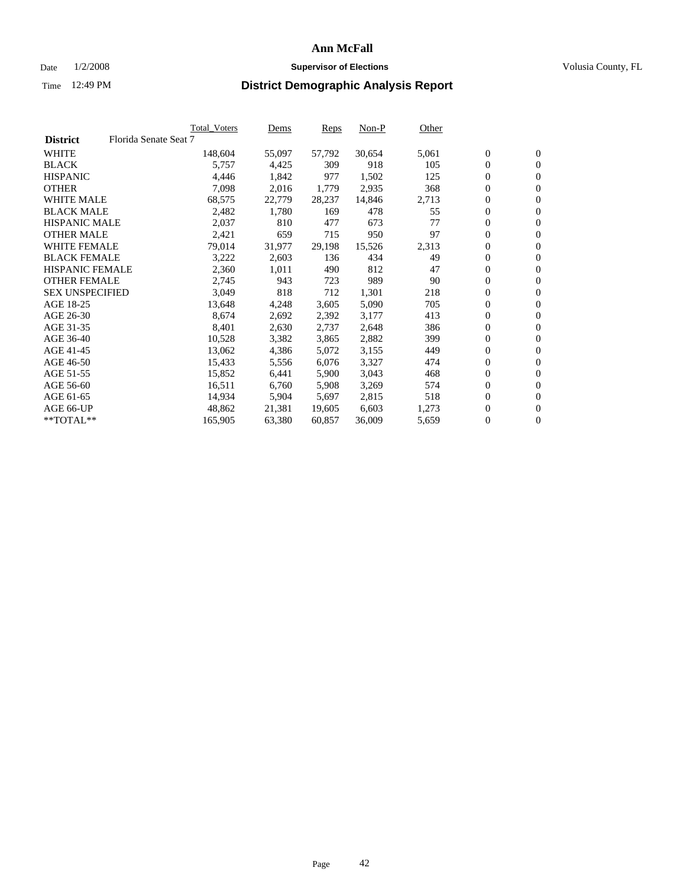#### Date  $1/2/2008$  **Supervisor of Elections** Volusia County, FL

|                        |                       | Total_Voters | Dems   | <b>Reps</b> | Non-P  | Other |                  |                  |  |
|------------------------|-----------------------|--------------|--------|-------------|--------|-------|------------------|------------------|--|
| <b>District</b>        | Florida Senate Seat 7 |              |        |             |        |       |                  |                  |  |
| <b>WHITE</b>           |                       | 148,604      | 55,097 | 57,792      | 30,654 | 5,061 | $\boldsymbol{0}$ | $\mathbf{0}$     |  |
| <b>BLACK</b>           |                       | 5,757        | 4,425  | 309         | 918    | 105   | $\boldsymbol{0}$ | $\mathbf{0}$     |  |
| <b>HISPANIC</b>        |                       | 4,446        | 1,842  | 977         | 1,502  | 125   | $\boldsymbol{0}$ | $\boldsymbol{0}$ |  |
| <b>OTHER</b>           |                       | 7,098        | 2,016  | 1,779       | 2,935  | 368   | $\boldsymbol{0}$ | $\mathbf{0}$     |  |
| <b>WHITE MALE</b>      |                       | 68,575       | 22,779 | 28,237      | 14,846 | 2,713 | 0                | $\mathbf{0}$     |  |
| <b>BLACK MALE</b>      |                       | 2,482        | 1,780  | 169         | 478    | 55    | $\boldsymbol{0}$ | $\boldsymbol{0}$ |  |
| <b>HISPANIC MALE</b>   |                       | 2,037        | 810    | 477         | 673    | 77    | $\overline{0}$   | $\mathbf{0}$     |  |
| <b>OTHER MALE</b>      |                       | 2,421        | 659    | 715         | 950    | 97    | $\overline{0}$   | $\mathbf{0}$     |  |
| <b>WHITE FEMALE</b>    |                       | 79,014       | 31,977 | 29,198      | 15,526 | 2,313 | $\mathbf{0}$     | $\mathbf{0}$     |  |
| <b>BLACK FEMALE</b>    |                       | 3,222        | 2,603  | 136         | 434    | 49    | $\boldsymbol{0}$ | $\mathbf{0}$     |  |
| <b>HISPANIC FEMALE</b> |                       | 2,360        | 1,011  | 490         | 812    | 47    | $\boldsymbol{0}$ | $\boldsymbol{0}$ |  |
| <b>OTHER FEMALE</b>    |                       | 2,745        | 943    | 723         | 989    | 90    | 0                | $\mathbf{0}$     |  |
| <b>SEX UNSPECIFIED</b> |                       | 3,049        | 818    | 712         | 1,301  | 218   | $\boldsymbol{0}$ | $\mathbf{0}$     |  |
| AGE 18-25              |                       | 13,648       | 4,248  | 3,605       | 5,090  | 705   | $\boldsymbol{0}$ | $\mathbf{0}$     |  |
| AGE 26-30              |                       | 8,674        | 2,692  | 2,392       | 3,177  | 413   | $\overline{0}$   | $\mathbf{0}$     |  |
| AGE 31-35              |                       | 8,401        | 2,630  | 2,737       | 2,648  | 386   | $\boldsymbol{0}$ | $\mathbf{0}$     |  |
| AGE 36-40              |                       | 10,528       | 3,382  | 3,865       | 2,882  | 399   | $\boldsymbol{0}$ | $\mathbf{0}$     |  |
| AGE 41-45              |                       | 13,062       | 4,386  | 5,072       | 3,155  | 449   | $\boldsymbol{0}$ | $\mathbf{0}$     |  |
| AGE 46-50              |                       | 15,433       | 5,556  | 6,076       | 3,327  | 474   | 0                | $\mathbf{0}$     |  |
| AGE 51-55              |                       | 15,852       | 6,441  | 5,900       | 3,043  | 468   | $\boldsymbol{0}$ | $\mathbf{0}$     |  |
| AGE 56-60              |                       | 16,511       | 6,760  | 5,908       | 3,269  | 574   | $\overline{0}$   | $\mathbf{0}$     |  |
| AGE 61-65              |                       | 14,934       | 5,904  | 5,697       | 2,815  | 518   | $\mathbf{0}$     | $\boldsymbol{0}$ |  |
| AGE 66-UP              |                       | 48,862       | 21,381 | 19,605      | 6,603  | 1,273 | $\boldsymbol{0}$ | $\mathbf{0}$     |  |
| **TOTAL**              |                       | 165,905      | 63,380 | 60,857      | 36,009 | 5,659 | 0                | $\overline{0}$   |  |
|                        |                       |              |        |             |        |       |                  |                  |  |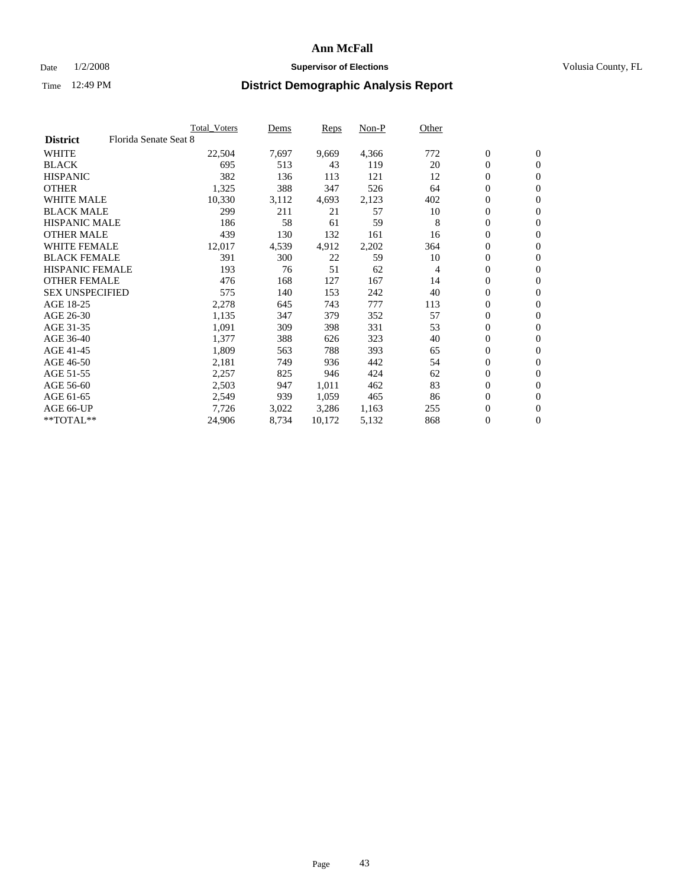### Date  $1/2/2008$  **Supervisor of Elections Supervisor of Elections** Volusia County, FL

|                        |                       | Total_Voters | Dems  | <b>Reps</b> | Non-P | Other |                  |                  |  |
|------------------------|-----------------------|--------------|-------|-------------|-------|-------|------------------|------------------|--|
| <b>District</b>        | Florida Senate Seat 8 |              |       |             |       |       |                  |                  |  |
| <b>WHITE</b>           |                       | 22,504       | 7,697 | 9,669       | 4,366 | 772   | $\boldsymbol{0}$ | $\mathbf{0}$     |  |
| <b>BLACK</b>           |                       | 695          | 513   | 43          | 119   | 20    | $\overline{0}$   | $\mathbf{0}$     |  |
| <b>HISPANIC</b>        |                       | 382          | 136   | 113         | 121   | 12    | $\boldsymbol{0}$ | $\mathbf{0}$     |  |
| <b>OTHER</b>           |                       | 1,325        | 388   | 347         | 526   | 64    | 0                | $\mathbf{0}$     |  |
| <b>WHITE MALE</b>      |                       | 10,330       | 3,112 | 4,693       | 2,123 | 402   | 0                | $\mathbf{0}$     |  |
| <b>BLACK MALE</b>      |                       | 299          | 211   | 21          | 57    | 10    | $\boldsymbol{0}$ | $\mathbf{0}$     |  |
| <b>HISPANIC MALE</b>   |                       | 186          | 58    | 61          | 59    | 8     | $\overline{0}$   | $\mathbf{0}$     |  |
| <b>OTHER MALE</b>      |                       | 439          | 130   | 132         | 161   | 16    | $\overline{0}$   | $\mathbf{0}$     |  |
| <b>WHITE FEMALE</b>    |                       | 12,017       | 4,539 | 4,912       | 2,202 | 364   | 0                | $\mathbf{0}$     |  |
| <b>BLACK FEMALE</b>    |                       | 391          | 300   | 22          | 59    | 10    | $\overline{0}$   | $\mathbf{0}$     |  |
| <b>HISPANIC FEMALE</b> |                       | 193          | 76    | 51          | 62    | 4     | $\boldsymbol{0}$ | $\boldsymbol{0}$ |  |
| <b>OTHER FEMALE</b>    |                       | 476          | 168   | 127         | 167   | 14    | 0                | $\mathbf{0}$     |  |
| <b>SEX UNSPECIFIED</b> |                       | 575          | 140   | 153         | 242   | 40    | $\boldsymbol{0}$ | $\mathbf{0}$     |  |
| AGE 18-25              |                       | 2,278        | 645   | 743         | 777   | 113   | $\boldsymbol{0}$ | $\mathbf{0}$     |  |
| AGE 26-30              |                       | 1,135        | 347   | 379         | 352   | 57    | $\overline{0}$   | $\mathbf{0}$     |  |
| AGE 31-35              |                       | 1,091        | 309   | 398         | 331   | 53    | $\boldsymbol{0}$ | $\mathbf{0}$     |  |
| AGE 36-40              |                       | 1,377        | 388   | 626         | 323   | 40    | $\boldsymbol{0}$ | $\mathbf{0}$     |  |
| AGE 41-45              |                       | 1,809        | 563   | 788         | 393   | 65    | $\boldsymbol{0}$ | $\mathbf{0}$     |  |
| AGE 46-50              |                       | 2,181        | 749   | 936         | 442   | 54    | 0                | $\mathbf{0}$     |  |
| AGE 51-55              |                       | 2,257        | 825   | 946         | 424   | 62    | $\boldsymbol{0}$ | $\boldsymbol{0}$ |  |
| AGE 56-60              |                       | 2,503        | 947   | 1,011       | 462   | 83    | $\overline{0}$   | $\mathbf{0}$     |  |
| AGE 61-65              |                       | 2,549        | 939   | 1,059       | 465   | 86    | $\mathbf{0}$     | $\mathbf{0}$     |  |
| AGE 66-UP              |                       | 7,726        | 3,022 | 3,286       | 1,163 | 255   | $\boldsymbol{0}$ | $\boldsymbol{0}$ |  |
| **TOTAL**              |                       | 24,906       | 8,734 | 10,172      | 5,132 | 868   | $\boldsymbol{0}$ | $\overline{0}$   |  |
|                        |                       |              |       |             |       |       |                  |                  |  |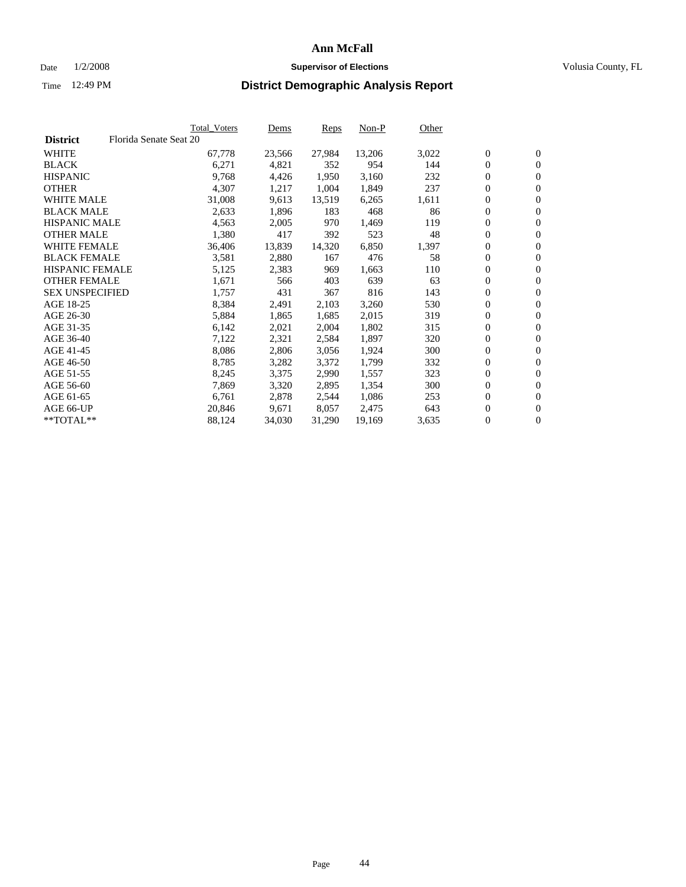#### Date  $1/2/2008$  **Supervisor of Elections** Volusia County, FL

|                        |                        | Total_Voters | Dems   | <b>Reps</b> | Non-P  | Other |                  |                  |
|------------------------|------------------------|--------------|--------|-------------|--------|-------|------------------|------------------|
| <b>District</b>        | Florida Senate Seat 20 |              |        |             |        |       |                  |                  |
| <b>WHITE</b>           |                        | 67,778       | 23,566 | 27,984      | 13,206 | 3,022 | $\overline{0}$   | $\mathbf{0}$     |
| <b>BLACK</b>           |                        | 6,271        | 4,821  | 352         | 954    | 144   | $\overline{0}$   | $\mathbf{0}$     |
| <b>HISPANIC</b>        |                        | 9,768        | 4,426  | 1,950       | 3,160  | 232   | $\boldsymbol{0}$ | $\mathbf{0}$     |
| <b>OTHER</b>           |                        | 4,307        | 1,217  | 1,004       | 1,849  | 237   | $\boldsymbol{0}$ | $\mathbf{0}$     |
| <b>WHITE MALE</b>      |                        | 31,008       | 9,613  | 13,519      | 6,265  | 1,611 | 0                | $\mathbf{0}$     |
| <b>BLACK MALE</b>      |                        | 2,633        | 1,896  | 183         | 468    | 86    | $\boldsymbol{0}$ | $\boldsymbol{0}$ |
| <b>HISPANIC MALE</b>   |                        | 4,563        | 2,005  | 970         | 1,469  | 119   | $\overline{0}$   | $\mathbf{0}$     |
| <b>OTHER MALE</b>      |                        | 1,380        | 417    | 392         | 523    | 48    | $\overline{0}$   | $\mathbf{0}$     |
| <b>WHITE FEMALE</b>    |                        | 36,406       | 13,839 | 14,320      | 6,850  | 1,397 | $\overline{0}$   | $\mathbf{0}$     |
| <b>BLACK FEMALE</b>    |                        | 3,581        | 2,880  | 167         | 476    | 58    | $\boldsymbol{0}$ | $\mathbf{0}$     |
| <b>HISPANIC FEMALE</b> |                        | 5,125        | 2,383  | 969         | 1,663  | 110   | $\boldsymbol{0}$ | $\boldsymbol{0}$ |
| <b>OTHER FEMALE</b>    |                        | 1,671        | 566    | 403         | 639    | 63    | 0                | $\mathbf{0}$     |
| <b>SEX UNSPECIFIED</b> |                        | 1,757        | 431    | 367         | 816    | 143   | $\boldsymbol{0}$ | $\mathbf{0}$     |
| AGE 18-25              |                        | 8,384        | 2,491  | 2,103       | 3,260  | 530   | $\boldsymbol{0}$ | $\mathbf{0}$     |
| AGE 26-30              |                        | 5,884        | 1,865  | 1,685       | 2,015  | 319   | $\overline{0}$   | $\mathbf{0}$     |
| AGE 31-35              |                        | 6,142        | 2,021  | 2,004       | 1,802  | 315   | $\overline{0}$   | $\mathbf{0}$     |
| AGE 36-40              |                        | 7,122        | 2,321  | 2,584       | 1,897  | 320   | $\boldsymbol{0}$ | $\boldsymbol{0}$ |
| AGE 41-45              |                        | 8,086        | 2,806  | 3,056       | 1,924  | 300   | $\boldsymbol{0}$ | $\mathbf{0}$     |
| AGE 46-50              |                        | 8,785        | 3,282  | 3,372       | 1,799  | 332   | 0                | $\mathbf{0}$     |
| AGE 51-55              |                        | 8,245        | 3,375  | 2,990       | 1,557  | 323   | $\boldsymbol{0}$ | $\mathbf{0}$     |
| AGE 56-60              |                        | 7,869        | 3,320  | 2,895       | 1,354  | 300   | $\overline{0}$   | $\mathbf{0}$     |
| AGE 61-65              |                        | 6,761        | 2,878  | 2,544       | 1,086  | 253   | $\mathbf{0}$     | $\boldsymbol{0}$ |
| AGE 66-UP              |                        | 20,846       | 9,671  | 8,057       | 2,475  | 643   | $\boldsymbol{0}$ | $\mathbf{0}$     |
| **TOTAL**              |                        | 88,124       | 34,030 | 31,290      | 19,169 | 3,635 | 0                | $\overline{0}$   |
|                        |                        |              |        |             |        |       |                  |                  |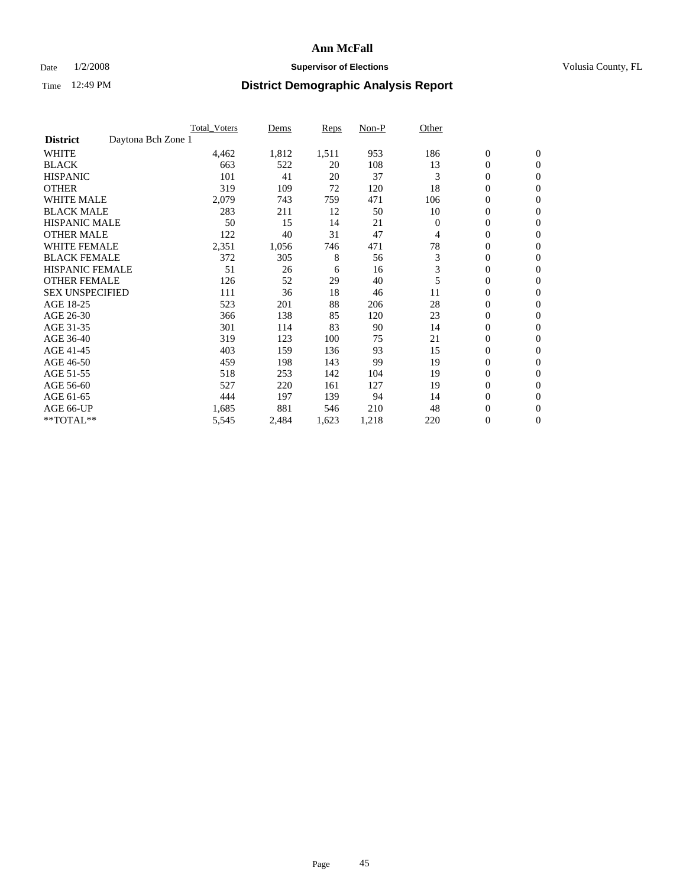### Date  $1/2/2008$  **Supervisor of Elections Supervisor of Elections** Volusia County, FL

|                                       | Total Voters | Dems  | Reps  | Non-P | Other    |                  |                  |  |
|---------------------------------------|--------------|-------|-------|-------|----------|------------------|------------------|--|
| Daytona Bch Zone 1<br><b>District</b> |              |       |       |       |          |                  |                  |  |
| <b>WHITE</b>                          | 4,462        | 1,812 | 1,511 | 953   | 186      | $\boldsymbol{0}$ | $\boldsymbol{0}$ |  |
| <b>BLACK</b>                          | 663          | 522   | 20    | 108   | 13       | $\overline{0}$   | $\mathbf{0}$     |  |
| <b>HISPANIC</b>                       | 101          | 41    | 20    | 37    | 3        | $\overline{0}$   | $\mathbf{0}$     |  |
| <b>OTHER</b>                          | 319          | 109   | 72    | 120   | 18       | 0                | $\mathbf{0}$     |  |
| <b>WHITE MALE</b>                     | 2,079        | 743   | 759   | 471   | 106      | $\overline{0}$   | $\mathbf{0}$     |  |
| <b>BLACK MALE</b>                     | 283          | 211   | 12    | 50    | 10       | 0                | $\mathbf{0}$     |  |
| <b>HISPANIC MALE</b>                  | 50           | 15    | 14    | 21    | $\Omega$ | 0                | $\mathbf{0}$     |  |
| <b>OTHER MALE</b>                     | 122          | 40    | 31    | 47    | 4        | 0                | $\mathbf{0}$     |  |
| <b>WHITE FEMALE</b>                   | 2,351        | 1,056 | 746   | 471   | 78       | 0                | $\mathbf{0}$     |  |
| <b>BLACK FEMALE</b>                   | 372          | 305   | 8     | 56    | 3        | $\overline{0}$   | $\mathbf{0}$     |  |
| <b>HISPANIC FEMALE</b>                | 51           | 26    | 6     | 16    | 3        | 0                | $\mathbf{0}$     |  |
| <b>OTHER FEMALE</b>                   | 126          | 52    | 29    | 40    | 5        | $\overline{0}$   | $\mathbf{0}$     |  |
| <b>SEX UNSPECIFIED</b>                | 111          | 36    | 18    | 46    | 11       | $\boldsymbol{0}$ | $\mathbf{0}$     |  |
| AGE 18-25                             | 523          | 201   | 88    | 206   | 28       | 0                | $\mathbf{0}$     |  |
| AGE 26-30                             | 366          | 138   | 85    | 120   | 23       | $\boldsymbol{0}$ | $\mathbf{0}$     |  |
| AGE 31-35                             | 301          | 114   | 83    | 90    | 14       | 0                | $\mathbf{0}$     |  |
| AGE 36-40                             | 319          | 123   | 100   | 75    | 21       | $\boldsymbol{0}$ | $\mathbf{0}$     |  |
| AGE 41-45                             | 403          | 159   | 136   | 93    | 15       | $\mathbf{0}$     | $\mathbf{0}$     |  |
| AGE 46-50                             | 459          | 198   | 143   | 99    | 19       | $\overline{0}$   | $\mathbf{0}$     |  |
| AGE 51-55                             | 518          | 253   | 142   | 104   | 19       | 0                | $\mathbf{0}$     |  |
| AGE 56-60                             | 527          | 220   | 161   | 127   | 19       | $\boldsymbol{0}$ | $\mathbf{0}$     |  |
| AGE 61-65                             | 444          | 197   | 139   | 94    | 14       | 0                | $\mathbf{0}$     |  |
| AGE 66-UP                             | 1,685        | 881   | 546   | 210   | 48       | 0                | $\bf{0}$         |  |
| $*$ TOTAL $**$                        | 5,545        | 2,484 | 1,623 | 1,218 | 220      | 0                | $\boldsymbol{0}$ |  |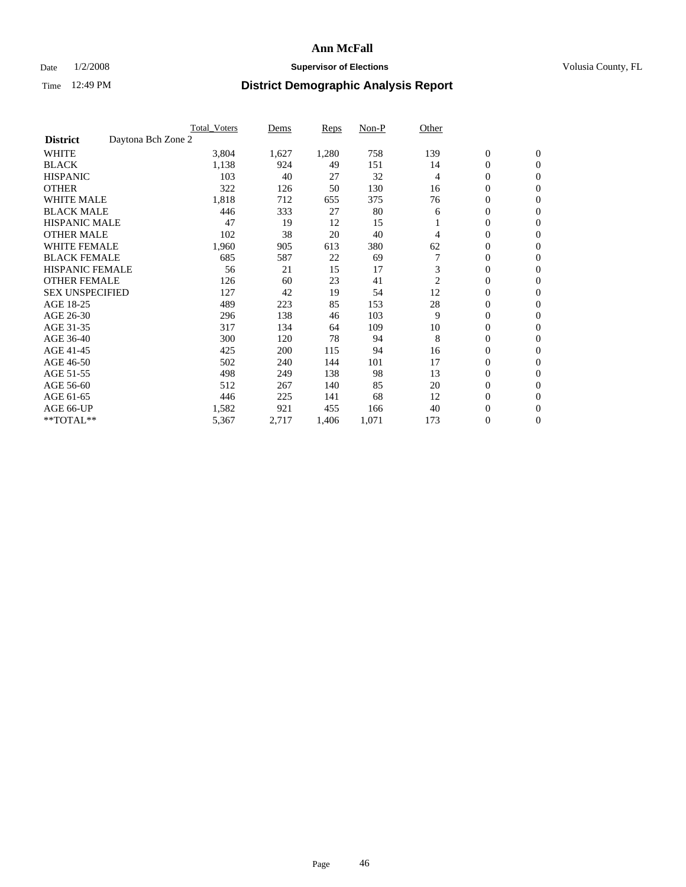### Date  $1/2/2008$  **Supervisor of Elections Supervisor of Elections** Volusia County, FL

|                                       | <b>Total Voters</b> | Dems  | Reps  | Non-P | Other        |                  |                  |  |
|---------------------------------------|---------------------|-------|-------|-------|--------------|------------------|------------------|--|
| Daytona Bch Zone 2<br><b>District</b> |                     |       |       |       |              |                  |                  |  |
| <b>WHITE</b>                          | 3,804               | 1,627 | 1,280 | 758   | 139          | $\boldsymbol{0}$ | $\boldsymbol{0}$ |  |
| <b>BLACK</b>                          | 1,138               | 924   | 49    | 151   | 14           | $\mathbf{0}$     | $\mathbf{0}$     |  |
| <b>HISPANIC</b>                       | 103                 | 40    | 27    | 32    | 4            | $\mathbf{0}$     | $\mathbf{0}$     |  |
| <b>OTHER</b>                          | 322                 | 126   | 50    | 130   | 16           | 0                | $\mathbf{0}$     |  |
| <b>WHITE MALE</b>                     | 1,818               | 712   | 655   | 375   | 76           | 0                | $\mathbf{0}$     |  |
| <b>BLACK MALE</b>                     | 446                 | 333   | 27    | 80    | 6            | 0                | $\boldsymbol{0}$ |  |
| <b>HISPANIC MALE</b>                  | 47                  | 19    | 12    | 15    |              | 0                | $\mathbf{0}$     |  |
| <b>OTHER MALE</b>                     | 102                 | 38    | 20    | 40    | 4            | 0                | $\mathbf{0}$     |  |
| <b>WHITE FEMALE</b>                   | 1,960               | 905   | 613   | 380   | 62           | 0                | $\mathbf{0}$     |  |
| <b>BLACK FEMALE</b>                   | 685                 | 587   | 22    | 69    |              | $\mathbf{0}$     | $\mathbf{0}$     |  |
| <b>HISPANIC FEMALE</b>                | 56                  | 21    | 15    | 17    | 3            | $\overline{0}$   | $\mathbf{0}$     |  |
| <b>OTHER FEMALE</b>                   | 126                 | 60    | 23    | 41    | $\mathbf{2}$ | $\overline{0}$   | $\mathbf{0}$     |  |
| <b>SEX UNSPECIFIED</b>                | 127                 | 42    | 19    | 54    | 12           | $\boldsymbol{0}$ | $\mathbf{0}$     |  |
| AGE 18-25                             | 489                 | 223   | 85    | 153   | 28           | 0                | $\mathbf{0}$     |  |
| AGE 26-30                             | 296                 | 138   | 46    | 103   | 9            | 0                | $\mathbf{0}$     |  |
| AGE 31-35                             | 317                 | 134   | 64    | 109   | 10           | 0                | $\mathbf{0}$     |  |
| AGE 36-40                             | 300                 | 120   | 78    | 94    | 8            | $\boldsymbol{0}$ | $\mathbf{0}$     |  |
| AGE 41-45                             | 425                 | 200   | 115   | 94    | 16           | 0                | $\mathbf{0}$     |  |
| AGE 46-50                             | 502                 | 240   | 144   | 101   | 17           | $\mathbf{0}$     | $\mathbf{0}$     |  |
| AGE 51-55                             | 498                 | 249   | 138   | 98    | 13           | $\overline{0}$   | $\mathbf{0}$     |  |
| AGE 56-60                             | 512                 | 267   | 140   | 85    | 20           | 0                | $\mathbf{0}$     |  |
| AGE 61-65                             | 446                 | 225   | 141   | 68    | 12           | 0                | $\mathbf{0}$     |  |
| AGE 66-UP                             | 1,582               | 921   | 455   | 166   | 40           | 0                | 0                |  |
| **TOTAL**                             | 5,367               | 2,717 | 1,406 | 1,071 | 173          | 0                | $\boldsymbol{0}$ |  |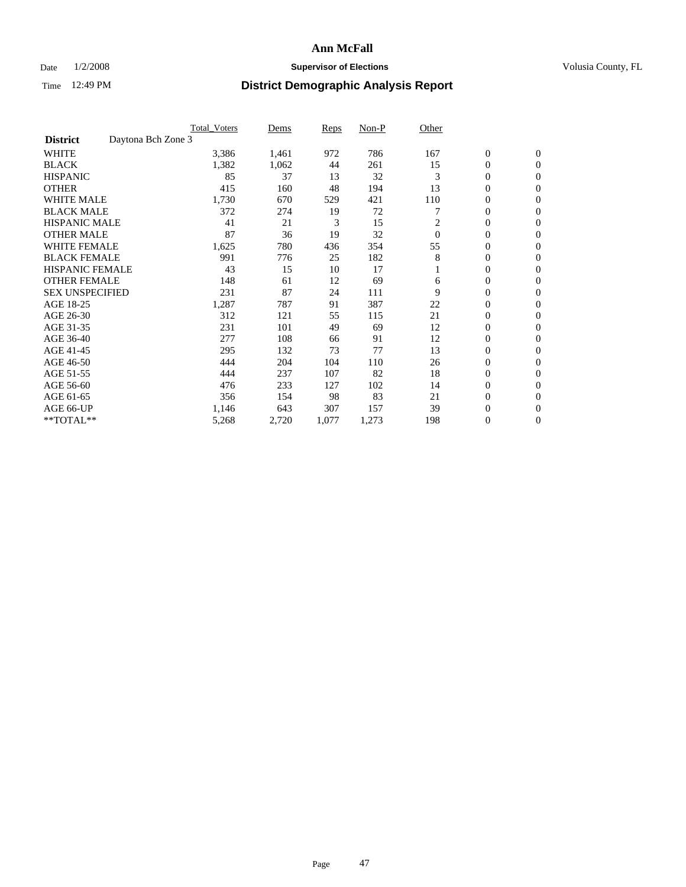### Date  $1/2/2008$  **Supervisor of Elections Supervisor of Elections** Volusia County, FL

|                                       | <b>Total Voters</b> | Dems  | Reps  | Non-P | Other    |                  |                  |  |
|---------------------------------------|---------------------|-------|-------|-------|----------|------------------|------------------|--|
| Daytona Bch Zone 3<br><b>District</b> |                     |       |       |       |          |                  |                  |  |
| <b>WHITE</b>                          | 3,386               | 1,461 | 972   | 786   | 167      | $\boldsymbol{0}$ | $\boldsymbol{0}$ |  |
| <b>BLACK</b>                          | 1,382               | 1,062 | 44    | 261   | 15       | $\mathbf{0}$     | $\mathbf{0}$     |  |
| <b>HISPANIC</b>                       | 85                  | 37    | 13    | 32    | 3        | $\mathbf{0}$     | $\mathbf{0}$     |  |
| <b>OTHER</b>                          | 415                 | 160   | 48    | 194   | 13       | 0                | $\overline{0}$   |  |
| <b>WHITE MALE</b>                     | 1,730               | 670   | 529   | 421   | 110      | 0                | $\mathbf{0}$     |  |
| <b>BLACK MALE</b>                     | 372                 | 274   | 19    | 72    |          | 0                | $\mathbf{0}$     |  |
| <b>HISPANIC MALE</b>                  | 41                  | 21    | 3     | 15    | 2        | 0                | $\Omega$         |  |
| <b>OTHER MALE</b>                     | 87                  | 36    | 19    | 32    | $\theta$ | 0                | $\mathbf{0}$     |  |
| <b>WHITE FEMALE</b>                   | 1,625               | 780   | 436   | 354   | 55       | 0                | $\Omega$         |  |
| <b>BLACK FEMALE</b>                   | 991                 | 776   | 25    | 182   | 8        | $\mathbf{0}$     | $\mathbf{0}$     |  |
| <b>HISPANIC FEMALE</b>                | 43                  | 15    | 10    | 17    |          | 0                | $\mathbf{0}$     |  |
| <b>OTHER FEMALE</b>                   | 148                 | 61    | 12    | 69    | 6        | 0                | $\mathbf{0}$     |  |
| <b>SEX UNSPECIFIED</b>                | 231                 | 87    | 24    | 111   | 9        | $\boldsymbol{0}$ | $\mathbf{0}$     |  |
| AGE 18-25                             | 1,287               | 787   | 91    | 387   | 22       | 0                | $\mathbf{0}$     |  |
| AGE 26-30                             | 312                 | 121   | 55    | 115   | 21       | 0                | $\mathbf{0}$     |  |
| AGE 31-35                             | 231                 | 101   | 49    | 69    | 12       | 0                | $\mathbf{0}$     |  |
| AGE 36-40                             | 277                 | 108   | 66    | 91    | 12       | $\boldsymbol{0}$ | $\mathbf{0}$     |  |
| AGE 41-45                             | 295                 | 132   | 73    | 77    | 13       | 0                | $\mathbf{0}$     |  |
| AGE 46-50                             | 444                 | 204   | 104   | 110   | 26       | $\mathbf{0}$     | $\mathbf{0}$     |  |
| AGE 51-55                             | 444                 | 237   | 107   | 82    | 18       | 0                | $\mathbf{0}$     |  |
| AGE 56-60                             | 476                 | 233   | 127   | 102   | 14       | 0                | $\mathbf{0}$     |  |
| AGE 61-65                             | 356                 | 154   | 98    | 83    | 21       | 0                | $\mathbf{0}$     |  |
| AGE 66-UP                             | 1,146               | 643   | 307   | 157   | 39       | 0                | 0                |  |
| **TOTAL**                             | 5,268               | 2,720 | 1,077 | 1,273 | 198      | 0                | $\boldsymbol{0}$ |  |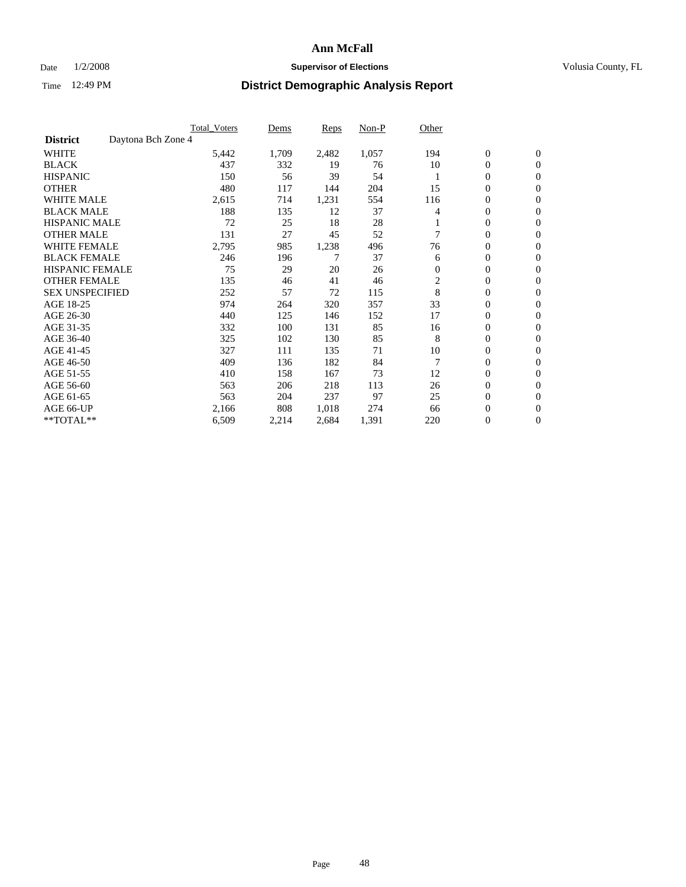### Date  $1/2/2008$  **Supervisor of Elections Supervisor of Elections** Volusia County, FL

|                                       | <b>Total Voters</b> | Dems  | <b>Reps</b> | Non-P | Other          |                  |                  |  |
|---------------------------------------|---------------------|-------|-------------|-------|----------------|------------------|------------------|--|
| Daytona Bch Zone 4<br><b>District</b> |                     |       |             |       |                |                  |                  |  |
| <b>WHITE</b>                          | 5,442               | 1,709 | 2,482       | 1,057 | 194            | $\boldsymbol{0}$ | $\mathbf{0}$     |  |
| <b>BLACK</b>                          | 437                 | 332   | 19          | 76    | 10             | $\mathbf{0}$     | $\mathbf{0}$     |  |
| <b>HISPANIC</b>                       | 150                 | 56    | 39          | 54    |                | 0                | $\mathbf{0}$     |  |
| <b>OTHER</b>                          | 480                 | 117   | 144         | 204   | 15             | 0                | $\mathbf{0}$     |  |
| <b>WHITE MALE</b>                     | 2,615               | 714   | 1,231       | 554   | 116            | 0                | $\mathbf{0}$     |  |
| <b>BLACK MALE</b>                     | 188                 | 135   | 12          | 37    | 4              | 0                | $\mathbf{0}$     |  |
| <b>HISPANIC MALE</b>                  | 72                  | 25    | 18          | 28    |                | 0                | $\mathbf{0}$     |  |
| <b>OTHER MALE</b>                     | 131                 | 27    | 45          | 52    |                | $\mathbf{0}$     | $\mathbf{0}$     |  |
| <b>WHITE FEMALE</b>                   | 2,795               | 985   | 1,238       | 496   | 76             | 0                | $\mathbf{0}$     |  |
| <b>BLACK FEMALE</b>                   | 246                 | 196   | 7           | 37    | 6              | $\boldsymbol{0}$ | $\mathbf{0}$     |  |
| <b>HISPANIC FEMALE</b>                | 75                  | 29    | 20          | 26    | $\mathbf{0}$   | 0                | $\mathbf{0}$     |  |
| <b>OTHER FEMALE</b>                   | 135                 | 46    | 41          | 46    | $\overline{c}$ | 0                | $\mathbf{0}$     |  |
| <b>SEX UNSPECIFIED</b>                | 252                 | 57    | 72          | 115   | 8              | 0                | 0                |  |
| AGE 18-25                             | 974                 | 264   | 320         | 357   | 33             | 0                | $\mathbf{0}$     |  |
| AGE 26-30                             | 440                 | 125   | 146         | 152   | 17             | $\mathbf{0}$     | $\mathbf{0}$     |  |
| AGE 31-35                             | 332                 | 100   | 131         | 85    | 16             | 0                | $\mathbf{0}$     |  |
| AGE 36-40                             | 325                 | 102   | 130         | 85    | 8              | $\boldsymbol{0}$ | $\mathbf{0}$     |  |
| AGE 41-45                             | 327                 | 111   | 135         | 71    | 10             | 0                | $\mathbf{0}$     |  |
| AGE 46-50                             | 409                 | 136   | 182         | 84    |                | 0                | $\mathbf{0}$     |  |
| AGE 51-55                             | 410                 | 158   | 167         | 73    | 12             | $\boldsymbol{0}$ | $\mathbf{0}$     |  |
| AGE 56-60                             | 563                 | 206   | 218         | 113   | 26             | 0                | $\mathbf{0}$     |  |
| AGE 61-65                             | 563                 | 204   | 237         | 97    | 25             | $\mathbf{0}$     | $\mathbf{0}$     |  |
| AGE 66-UP                             | 2,166               | 808   | 1,018       | 274   | 66             | $\boldsymbol{0}$ | $\mathbf{0}$     |  |
| **TOTAL**                             | 6,509               | 2,214 | 2,684       | 1,391 | 220            | 0                | $\boldsymbol{0}$ |  |
|                                       |                     |       |             |       |                |                  |                  |  |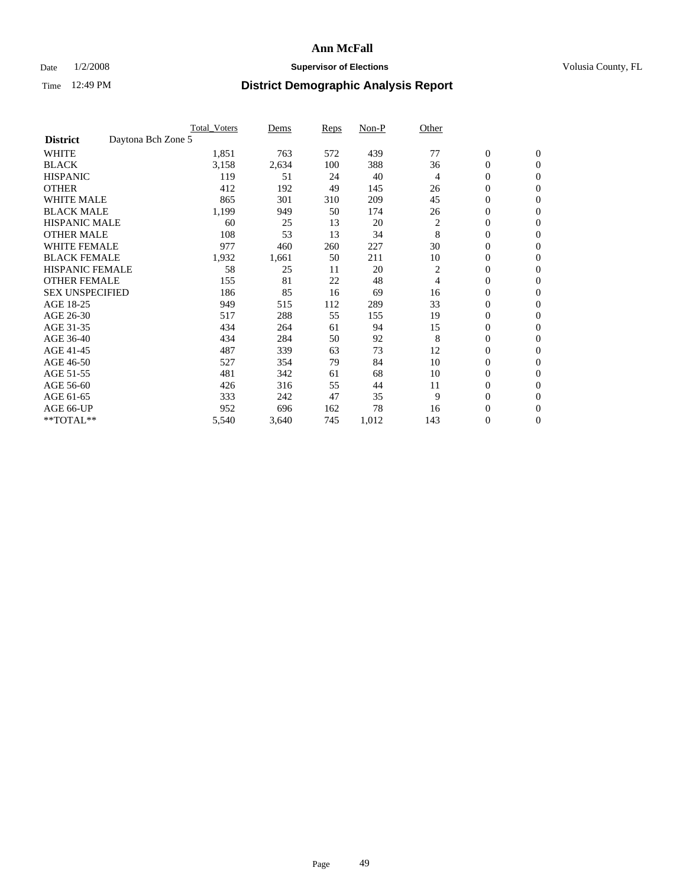### Date  $1/2/2008$  **Supervisor of Elections Supervisor of Elections** Volusia County, FL

|                        |                    | <b>Total_Voters</b> | Dems  | <b>Reps</b> | Non-P | Other          |                  |                  |  |
|------------------------|--------------------|---------------------|-------|-------------|-------|----------------|------------------|------------------|--|
| <b>District</b>        | Daytona Bch Zone 5 |                     |       |             |       |                |                  |                  |  |
| <b>WHITE</b>           |                    | 1,851               | 763   | 572         | 439   | 77             | $\boldsymbol{0}$ | $\mathbf{0}$     |  |
| <b>BLACK</b>           |                    | 3,158               | 2,634 | 100         | 388   | 36             | $\overline{0}$   | $\mathbf{0}$     |  |
| <b>HISPANIC</b>        |                    | 119                 | 51    | 24          | 40    | 4              | $\boldsymbol{0}$ | $\mathbf{0}$     |  |
| <b>OTHER</b>           |                    | 412                 | 192   | 49          | 145   | 26             | 0                | $\mathbf{0}$     |  |
| <b>WHITE MALE</b>      |                    | 865                 | 301   | 310         | 209   | 45             | $\boldsymbol{0}$ | $\mathbf{0}$     |  |
| <b>BLACK MALE</b>      |                    | 1,199               | 949   | 50          | 174   | 26             | $\boldsymbol{0}$ | $\boldsymbol{0}$ |  |
| <b>HISPANIC MALE</b>   |                    | 60                  | 25    | 13          | 20    | 2              | $\overline{0}$   | $\mathbf{0}$     |  |
| <b>OTHER MALE</b>      |                    | 108                 | 53    | 13          | 34    | 8              | $\overline{0}$   | $\mathbf{0}$     |  |
| <b>WHITE FEMALE</b>    |                    | 977                 | 460   | 260         | 227   | 30             | $\overline{0}$   | $\mathbf{0}$     |  |
| <b>BLACK FEMALE</b>    |                    | 1,932               | 1,661 | 50          | 211   | 10             | $\boldsymbol{0}$ | $\mathbf{0}$     |  |
| <b>HISPANIC FEMALE</b> |                    | 58                  | 25    | 11          | 20    | 2              | $\boldsymbol{0}$ | $\mathbf{0}$     |  |
| <b>OTHER FEMALE</b>    |                    | 155                 | 81    | 22          | 48    | $\overline{4}$ | 0                | $\mathbf{0}$     |  |
| <b>SEX UNSPECIFIED</b> |                    | 186                 | 85    | 16          | 69    | 16             | $\boldsymbol{0}$ | $\mathbf{0}$     |  |
| AGE 18-25              |                    | 949                 | 515   | 112         | 289   | 33             | $\boldsymbol{0}$ | $\mathbf{0}$     |  |
| AGE 26-30              |                    | 517                 | 288   | 55          | 155   | 19             | $\overline{0}$   | $\mathbf{0}$     |  |
| AGE 31-35              |                    | 434                 | 264   | 61          | 94    | 15             | $\boldsymbol{0}$ | $\mathbf{0}$     |  |
| AGE 36-40              |                    | 434                 | 284   | 50          | 92    | 8              | $\boldsymbol{0}$ | $\mathbf{0}$     |  |
| AGE 41-45              |                    | 487                 | 339   | 63          | 73    | 12             | $\boldsymbol{0}$ | $\mathbf{0}$     |  |
| AGE 46-50              |                    | 527                 | 354   | 79          | 84    | 10             | 0                | $\mathbf{0}$     |  |
| AGE 51-55              |                    | 481                 | 342   | 61          | 68    | 10             | $\boldsymbol{0}$ | $\boldsymbol{0}$ |  |
| AGE 56-60              |                    | 426                 | 316   | 55          | 44    | 11             | $\overline{0}$   | $\mathbf{0}$     |  |
| AGE 61-65              |                    | 333                 | 242   | 47          | 35    | 9              | $\mathbf{0}$     | $\mathbf{0}$     |  |
| AGE 66-UP              |                    | 952                 | 696   | 162         | 78    | 16             | $\boldsymbol{0}$ | $\boldsymbol{0}$ |  |
| **TOTAL**              |                    | 5,540               | 3,640 | 745         | 1,012 | 143            | 0                | $\overline{0}$   |  |
|                        |                    |                     |       |             |       |                |                  |                  |  |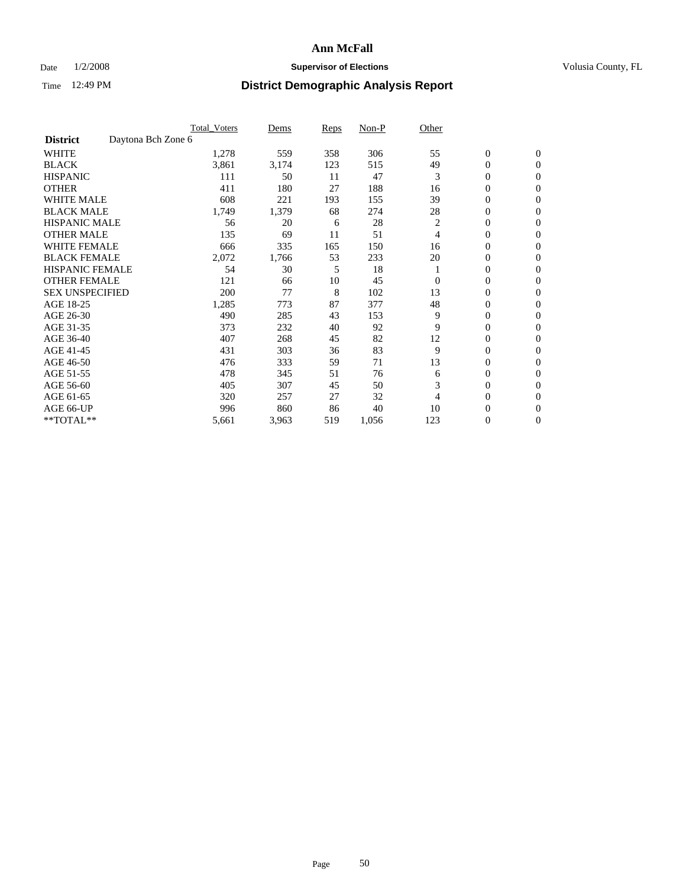#### Date  $1/2/2008$  **Supervisor of Elections** Volusia County, FL

|                        |                    | <b>Total_Voters</b> | Dems  | <b>Reps</b> | Non-P | Other          |                  |                |  |
|------------------------|--------------------|---------------------|-------|-------------|-------|----------------|------------------|----------------|--|
| <b>District</b>        | Daytona Bch Zone 6 |                     |       |             |       |                |                  |                |  |
| <b>WHITE</b>           |                    | 1,278               | 559   | 358         | 306   | 55             | $\boldsymbol{0}$ | $\mathbf{0}$   |  |
| <b>BLACK</b>           |                    | 3,861               | 3,174 | 123         | 515   | 49             | $\overline{0}$   | $\mathbf{0}$   |  |
| <b>HISPANIC</b>        |                    | 111                 | 50    | 11          | 47    | 3              | $\overline{0}$   | $\mathbf{0}$   |  |
| <b>OTHER</b>           |                    | 411                 | 180   | 27          | 188   | 16             | 0                | $\mathbf{0}$   |  |
| <b>WHITE MALE</b>      |                    | 608                 | 221   | 193         | 155   | 39             | 0                | $\mathbf{0}$   |  |
| <b>BLACK MALE</b>      |                    | 1,749               | 1,379 | 68          | 274   | 28             | $\boldsymbol{0}$ | $\mathbf{0}$   |  |
| <b>HISPANIC MALE</b>   |                    | 56                  | 20    | 6           | 28    | $\overline{c}$ | $\overline{0}$   | $\mathbf{0}$   |  |
| <b>OTHER MALE</b>      |                    | 135                 | 69    | 11          | 51    | 4              | $\overline{0}$   | $\mathbf{0}$   |  |
| <b>WHITE FEMALE</b>    |                    | 666                 | 335   | 165         | 150   | 16             | 0                | $\mathbf{0}$   |  |
| <b>BLACK FEMALE</b>    |                    | 2,072               | 1,766 | 53          | 233   | 20             | $\overline{0}$   | $\mathbf{0}$   |  |
| <b>HISPANIC FEMALE</b> |                    | 54                  | 30    | 5           | 18    |                | 0                | $\mathbf{0}$   |  |
| <b>OTHER FEMALE</b>    |                    | 121                 | 66    | 10          | 45    | $\Omega$       | 0                | $\Omega$       |  |
| <b>SEX UNSPECIFIED</b> |                    | 200                 | 77    | 8           | 102   | 13             | $\overline{0}$   | $\mathbf{0}$   |  |
| AGE 18-25              |                    | 1,285               | 773   | 87          | 377   | 48             | 0                | $\Omega$       |  |
| AGE 26-30              |                    | 490                 | 285   | 43          | 153   | 9              | $\overline{0}$   | $\mathbf{0}$   |  |
| AGE 31-35              |                    | 373                 | 232   | 40          | 92    | 9              | 0                | $\mathbf{0}$   |  |
| AGE 36-40              |                    | 407                 | 268   | 45          | 82    | 12             | 0                | $\mathbf{0}$   |  |
| AGE 41-45              |                    | 431                 | 303   | 36          | 83    | 9              | $\overline{0}$   | $\mathbf{0}$   |  |
| AGE 46-50              |                    | 476                 | 333   | 59          | 71    | 13             | 0                | $\Omega$       |  |
| AGE 51-55              |                    | 478                 | 345   | 51          | 76    | 6              | $\boldsymbol{0}$ | $\mathbf{0}$   |  |
| AGE 56-60              |                    | 405                 | 307   | 45          | 50    | 3              | 0                | $\mathbf{0}$   |  |
| AGE 61-65              |                    | 320                 | 257   | 27          | 32    | 4              | $\overline{0}$   | $\mathbf{0}$   |  |
| AGE 66-UP              |                    | 996                 | 860   | 86          | 40    | 10             | 0                | $\mathbf{0}$   |  |
| **TOTAL**              |                    | 5,661               | 3,963 | 519         | 1,056 | 123            | 0                | $\overline{0}$ |  |
|                        |                    |                     |       |             |       |                |                  |                |  |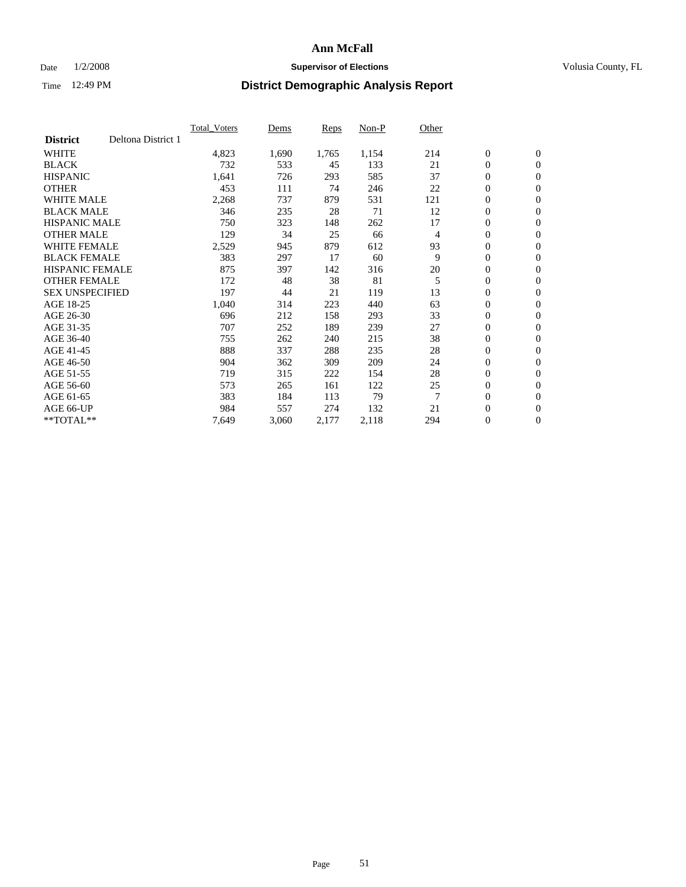### Date  $1/2/2008$  **Supervisor of Elections Supervisor of Elections** Volusia County, FL

|                        |                    | <b>Total_Voters</b> | Dems  | <b>Reps</b> | Non-P | Other          |                  |                |  |
|------------------------|--------------------|---------------------|-------|-------------|-------|----------------|------------------|----------------|--|
| <b>District</b>        | Deltona District 1 |                     |       |             |       |                |                  |                |  |
| <b>WHITE</b>           |                    | 4,823               | 1,690 | 1,765       | 1,154 | 214            | $\boldsymbol{0}$ | $\mathbf{0}$   |  |
| <b>BLACK</b>           |                    | 732                 | 533   | 45          | 133   | 21             | $\overline{0}$   | $\mathbf{0}$   |  |
| <b>HISPANIC</b>        |                    | 1,641               | 726   | 293         | 585   | 37             | $\boldsymbol{0}$ | $\mathbf{0}$   |  |
| <b>OTHER</b>           |                    | 453                 | 111   | 74          | 246   | 22             | $\boldsymbol{0}$ | $\mathbf{0}$   |  |
| <b>WHITE MALE</b>      |                    | 2,268               | 737   | 879         | 531   | 121            | $\boldsymbol{0}$ | $\mathbf{0}$   |  |
| <b>BLACK MALE</b>      |                    | 346                 | 235   | 28          | 71    | 12             | $\boldsymbol{0}$ | $\mathbf{0}$   |  |
| <b>HISPANIC MALE</b>   |                    | 750                 | 323   | 148         | 262   | 17             | $\overline{0}$   | $\mathbf{0}$   |  |
| <b>OTHER MALE</b>      |                    | 129                 | 34    | 25          | 66    | $\overline{4}$ | $\overline{0}$   | $\mathbf{0}$   |  |
| <b>WHITE FEMALE</b>    |                    | 2,529               | 945   | 879         | 612   | 93             | $\overline{0}$   | $\mathbf{0}$   |  |
| <b>BLACK FEMALE</b>    |                    | 383                 | 297   | 17          | 60    | 9              | $\overline{0}$   | $\mathbf{0}$   |  |
| <b>HISPANIC FEMALE</b> |                    | 875                 | 397   | 142         | 316   | 20             | $\boldsymbol{0}$ | $\mathbf{0}$   |  |
| <b>OTHER FEMALE</b>    |                    | 172                 | 48    | 38          | 81    | 5              | 0                | $\mathbf{0}$   |  |
| <b>SEX UNSPECIFIED</b> |                    | 197                 | 44    | 21          | 119   | 13             | $\boldsymbol{0}$ | $\mathbf{0}$   |  |
| AGE 18-25              |                    | 1,040               | 314   | 223         | 440   | 63             | $\boldsymbol{0}$ | $\mathbf{0}$   |  |
| AGE 26-30              |                    | 696                 | 212   | 158         | 293   | 33             | $\overline{0}$   | $\mathbf{0}$   |  |
| AGE 31-35              |                    | 707                 | 252   | 189         | 239   | 27             | $\overline{0}$   | $\mathbf{0}$   |  |
| AGE 36-40              |                    | 755                 | 262   | 240         | 215   | 38             | $\boldsymbol{0}$ | $\mathbf{0}$   |  |
| AGE 41-45              |                    | 888                 | 337   | 288         | 235   | 28             | $\boldsymbol{0}$ | $\mathbf{0}$   |  |
| AGE 46-50              |                    | 904                 | 362   | 309         | 209   | 24             | 0                | $\mathbf{0}$   |  |
| AGE 51-55              |                    | 719                 | 315   | 222         | 154   | 28             | $\boldsymbol{0}$ | $\mathbf{0}$   |  |
| AGE 56-60              |                    | 573                 | 265   | 161         | 122   | 25             | $\overline{0}$   | $\mathbf{0}$   |  |
| AGE 61-65              |                    | 383                 | 184   | 113         | 79    | $\overline{7}$ | $\mathbf{0}$     | $\mathbf{0}$   |  |
| AGE 66-UP              |                    | 984                 | 557   | 274         | 132   | 21             | $\boldsymbol{0}$ | $\mathbf{0}$   |  |
| **TOTAL**              |                    | 7,649               | 3,060 | 2,177       | 2,118 | 294            | 0                | $\overline{0}$ |  |
|                        |                    |                     |       |             |       |                |                  |                |  |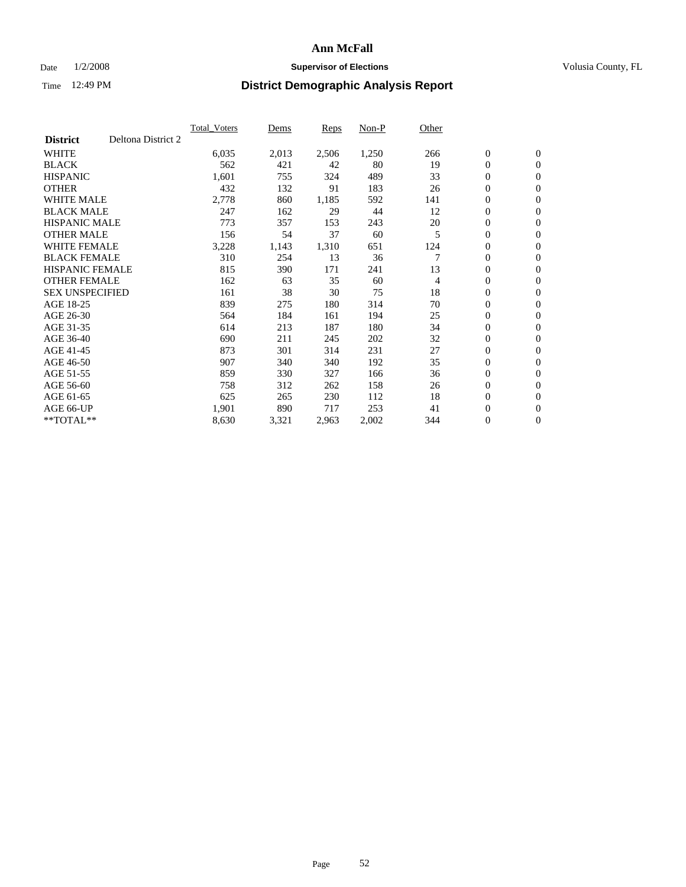### Date  $1/2/2008$  **Supervisor of Elections Supervisor of Elections** Volusia County, FL

|                        |                    | <b>Total Voters</b> | Dems  | Reps  | Non-P | Other |                  |                  |  |
|------------------------|--------------------|---------------------|-------|-------|-------|-------|------------------|------------------|--|
| <b>District</b>        | Deltona District 2 |                     |       |       |       |       |                  |                  |  |
| <b>WHITE</b>           |                    | 6,035               | 2,013 | 2,506 | 1,250 | 266   | $\boldsymbol{0}$ | $\boldsymbol{0}$ |  |
| <b>BLACK</b>           |                    | 562                 | 421   | 42    | 80    | 19    | $\mathbf{0}$     | $\mathbf{0}$     |  |
| <b>HISPANIC</b>        |                    | 1,601               | 755   | 324   | 489   | 33    | $\mathbf{0}$     | $\mathbf{0}$     |  |
| <b>OTHER</b>           |                    | 432                 | 132   | 91    | 183   | 26    | 0                | $\mathbf{0}$     |  |
| <b>WHITE MALE</b>      |                    | 2,778               | 860   | 1,185 | 592   | 141   | 0                | $\mathbf{0}$     |  |
| <b>BLACK MALE</b>      |                    | 247                 | 162   | 29    | 44    | 12    | 0                | $\boldsymbol{0}$ |  |
| <b>HISPANIC MALE</b>   |                    | 773                 | 357   | 153   | 243   | 20    | 0                | $\mathbf{0}$     |  |
| <b>OTHER MALE</b>      |                    | 156                 | 54    | 37    | 60    | 5     | 0                | $\boldsymbol{0}$ |  |
| <b>WHITE FEMALE</b>    |                    | 3,228               | 1,143 | 1,310 | 651   | 124   | 0                | $\mathbf{0}$     |  |
| <b>BLACK FEMALE</b>    |                    | 310                 | 254   | 13    | 36    |       | $\boldsymbol{0}$ | $\mathbf{0}$     |  |
| <b>HISPANIC FEMALE</b> |                    | 815                 | 390   | 171   | 241   | 13    | $\overline{0}$   | $\mathbf{0}$     |  |
| <b>OTHER FEMALE</b>    |                    | 162                 | 63    | 35    | 60    | 4     | $\mathbf{0}$     | $\mathbf{0}$     |  |
| <b>SEX UNSPECIFIED</b> |                    | 161                 | 38    | 30    | 75    | 18    | $\boldsymbol{0}$ | $\boldsymbol{0}$ |  |
| AGE 18-25              |                    | 839                 | 275   | 180   | 314   | 70    | 0                | $\mathbf{0}$     |  |
| AGE 26-30              |                    | 564                 | 184   | 161   | 194   | 25    | 0                | $\mathbf{0}$     |  |
| AGE 31-35              |                    | 614                 | 213   | 187   | 180   | 34    | 0                | $\mathbf{0}$     |  |
| AGE 36-40              |                    | 690                 | 211   | 245   | 202   | 32    | $\boldsymbol{0}$ | $\mathbf{0}$     |  |
| AGE 41-45              |                    | 873                 | 301   | 314   | 231   | 27    | 0                | $\mathbf{0}$     |  |
| AGE 46-50              |                    | 907                 | 340   | 340   | 192   | 35    | $\mathbf{0}$     | $\mathbf{0}$     |  |
| AGE 51-55              |                    | 859                 | 330   | 327   | 166   | 36    | $\overline{0}$   | $\mathbf{0}$     |  |
| AGE 56-60              |                    | 758                 | 312   | 262   | 158   | 26    | 0                | $\mathbf{0}$     |  |
| AGE 61-65              |                    | 625                 | 265   | 230   | 112   | 18    | 0                | $\boldsymbol{0}$ |  |
| AGE 66-UP              |                    | 1,901               | 890   | 717   | 253   | 41    | 0                | 0                |  |
| $*$ TOTAL $**$         |                    | 8,630               | 3,321 | 2,963 | 2,002 | 344   | $\boldsymbol{0}$ | $\boldsymbol{0}$ |  |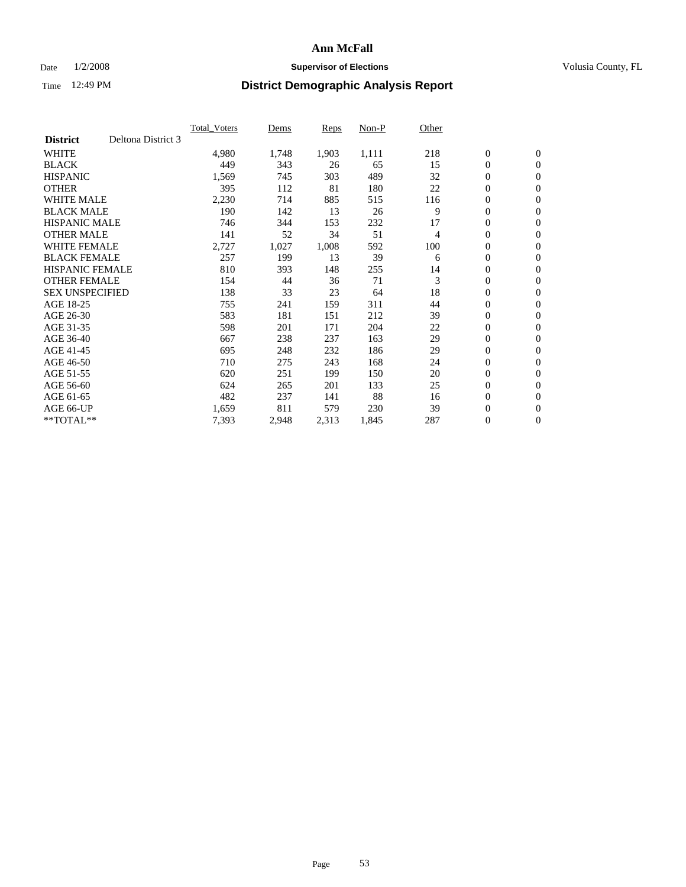### Date  $1/2/2008$  **Supervisor of Elections Supervisor of Elections** Volusia County, FL

|                        |                    | Total Voters | Dems  | <b>Reps</b> | Non-P | Other |                  |                  |  |
|------------------------|--------------------|--------------|-------|-------------|-------|-------|------------------|------------------|--|
| <b>District</b>        | Deltona District 3 |              |       |             |       |       |                  |                  |  |
| <b>WHITE</b>           |                    | 4,980        | 1,748 | 1,903       | 1,111 | 218   | $\boldsymbol{0}$ | $\boldsymbol{0}$ |  |
| <b>BLACK</b>           |                    | 449          | 343   | 26          | 65    | 15    | $\overline{0}$   | $\mathbf{0}$     |  |
| <b>HISPANIC</b>        |                    | 1,569        | 745   | 303         | 489   | 32    | $\overline{0}$   | $\mathbf{0}$     |  |
| <b>OTHER</b>           |                    | 395          | 112   | 81          | 180   | 22    | $\overline{0}$   | $\mathbf{0}$     |  |
| <b>WHITE MALE</b>      |                    | 2,230        | 714   | 885         | 515   | 116   | $\overline{0}$   | $\mathbf{0}$     |  |
| <b>BLACK MALE</b>      |                    | 190          | 142   | 13          | 26    | 9     | $\boldsymbol{0}$ | $\mathbf{0}$     |  |
| <b>HISPANIC MALE</b>   |                    | 746          | 344   | 153         | 232   | 17    | 0                | $\mathbf{0}$     |  |
| <b>OTHER MALE</b>      |                    | 141          | 52    | 34          | 51    | 4     | $\boldsymbol{0}$ | $\mathbf{0}$     |  |
| <b>WHITE FEMALE</b>    |                    | 2,727        | 1,027 | 1,008       | 592   | 100   | 0                | $\mathbf{0}$     |  |
| <b>BLACK FEMALE</b>    |                    | 257          | 199   | 13          | 39    | 6     | $\overline{0}$   | $\mathbf{0}$     |  |
| <b>HISPANIC FEMALE</b> |                    | 810          | 393   | 148         | 255   | 14    | 0                | $\mathbf{0}$     |  |
| <b>OTHER FEMALE</b>    |                    | 154          | 44    | 36          | 71    | 3     | $\mathbf{0}$     | $\mathbf{0}$     |  |
| <b>SEX UNSPECIFIED</b> |                    | 138          | 33    | 23          | 64    | 18    | $\boldsymbol{0}$ | $\mathbf{0}$     |  |
| AGE 18-25              |                    | 755          | 241   | 159         | 311   | 44    | 0                | $\mathbf{0}$     |  |
| AGE 26-30              |                    | 583          | 181   | 151         | 212   | 39    | $\boldsymbol{0}$ | $\mathbf{0}$     |  |
| AGE 31-35              |                    | 598          | 201   | 171         | 204   | 22    | 0                | $\mathbf{0}$     |  |
| AGE 36-40              |                    | 667          | 238   | 237         | 163   | 29    | $\boldsymbol{0}$ | $\mathbf{0}$     |  |
| AGE 41-45              |                    | 695          | 248   | 232         | 186   | 29    | $\mathbf{0}$     | $\mathbf{0}$     |  |
| AGE 46-50              |                    | 710          | 275   | 243         | 168   | 24    | $\overline{0}$   | $\mathbf{0}$     |  |
| AGE 51-55              |                    | 620          | 251   | 199         | 150   | 20    | $\mathbf{0}$     | $\mathbf{0}$     |  |
| AGE 56-60              |                    | 624          | 265   | 201         | 133   | 25    | $\boldsymbol{0}$ | $\mathbf{0}$     |  |
| AGE 61-65              |                    | 482          | 237   | 141         | 88    | 16    | $\boldsymbol{0}$ | $\mathbf{0}$     |  |
| AGE 66-UP              |                    | 1,659        | 811   | 579         | 230   | 39    | 0                | $\mathbf{0}$     |  |
| $*$ TOTAL $**$         |                    | 7,393        | 2,948 | 2,313       | 1,845 | 287   | 0                | $\boldsymbol{0}$ |  |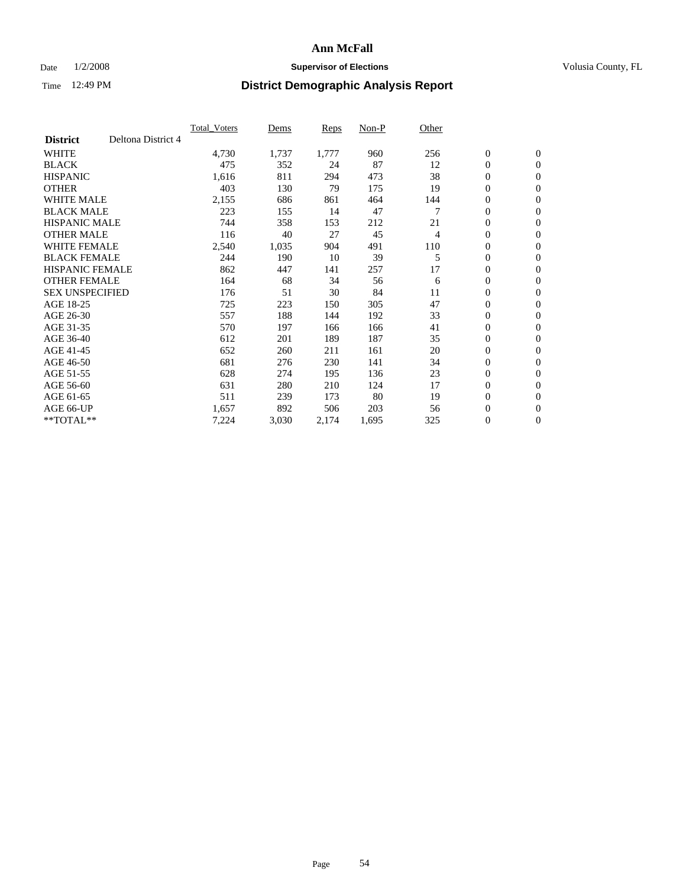### Date  $1/2/2008$  **Supervisor of Elections Supervisor of Elections** Volusia County, FL

|                        |                    | <b>Total Voters</b> | Dems  | Reps  | Non-P | Other |                  |                  |  |
|------------------------|--------------------|---------------------|-------|-------|-------|-------|------------------|------------------|--|
| <b>District</b>        | Deltona District 4 |                     |       |       |       |       |                  |                  |  |
| <b>WHITE</b>           |                    | 4,730               | 1,737 | 1,777 | 960   | 256   | $\boldsymbol{0}$ | $\mathbf{0}$     |  |
| <b>BLACK</b>           |                    | 475                 | 352   | 24    | 87    | 12    | $\mathbf{0}$     | $\mathbf{0}$     |  |
| <b>HISPANIC</b>        |                    | 1,616               | 811   | 294   | 473   | 38    | 0                | $\mathbf{0}$     |  |
| <b>OTHER</b>           |                    | 403                 | 130   | 79    | 175   | 19    | 0                | $\mathbf{0}$     |  |
| <b>WHITE MALE</b>      |                    | 2,155               | 686   | 861   | 464   | 144   | 0                | $\mathbf{0}$     |  |
| <b>BLACK MALE</b>      |                    | 223                 | 155   | 14    | 47    |       | $\boldsymbol{0}$ | $\mathbf{0}$     |  |
| <b>HISPANIC MALE</b>   |                    | 744                 | 358   | 153   | 212   | 21    | 0                | $\mathbf{0}$     |  |
| <b>OTHER MALE</b>      |                    | 116                 | 40    | 27    | 45    | 4     | $\mathbf{0}$     | $\mathbf{0}$     |  |
| <b>WHITE FEMALE</b>    |                    | 2,540               | 1,035 | 904   | 491   | 110   | 0                | $\mathbf{0}$     |  |
| <b>BLACK FEMALE</b>    |                    | 244                 | 190   | 10    | 39    | 5     | $\boldsymbol{0}$ | $\mathbf{0}$     |  |
| <b>HISPANIC FEMALE</b> |                    | 862                 | 447   | 141   | 257   | 17    | 0                | $\boldsymbol{0}$ |  |
| <b>OTHER FEMALE</b>    |                    | 164                 | 68    | 34    | 56    | 6     | 0                | $\mathbf{0}$     |  |
| <b>SEX UNSPECIFIED</b> |                    | 176                 | 51    | 30    | 84    | 11    | 0                | $\mathbf{0}$     |  |
| AGE 18-25              |                    | 725                 | 223   | 150   | 305   | 47    | 0                | $\mathbf{0}$     |  |
| AGE 26-30              |                    | 557                 | 188   | 144   | 192   | 33    | $\mathbf{0}$     | $\mathbf{0}$     |  |
| AGE 31-35              |                    | 570                 | 197   | 166   | 166   | 41    | 0                | $\mathbf{0}$     |  |
| AGE 36-40              |                    | 612                 | 201   | 189   | 187   | 35    | 0                | $\mathbf{0}$     |  |
| AGE 41-45              |                    | 652                 | 260   | 211   | 161   | 20    | 0                | $\mathbf{0}$     |  |
| AGE 46-50              |                    | 681                 | 276   | 230   | 141   | 34    | 0                | $\mathbf{0}$     |  |
| AGE 51-55              |                    | 628                 | 274   | 195   | 136   | 23    | $\boldsymbol{0}$ | $\boldsymbol{0}$ |  |
| AGE 56-60              |                    | 631                 | 280   | 210   | 124   | 17    | $\mathbf{0}$     | $\mathbf{0}$     |  |
| AGE 61-65              |                    | 511                 | 239   | 173   | 80    | 19    | $\mathbf{0}$     | $\mathbf{0}$     |  |
| AGE 66-UP              |                    | 1,657               | 892   | 506   | 203   | 56    | $\boldsymbol{0}$ | $\boldsymbol{0}$ |  |
| $*$ TOTAL $**$         |                    | 7,224               | 3,030 | 2,174 | 1,695 | 325   | 0                | $\overline{0}$   |  |
|                        |                    |                     |       |       |       |       |                  |                  |  |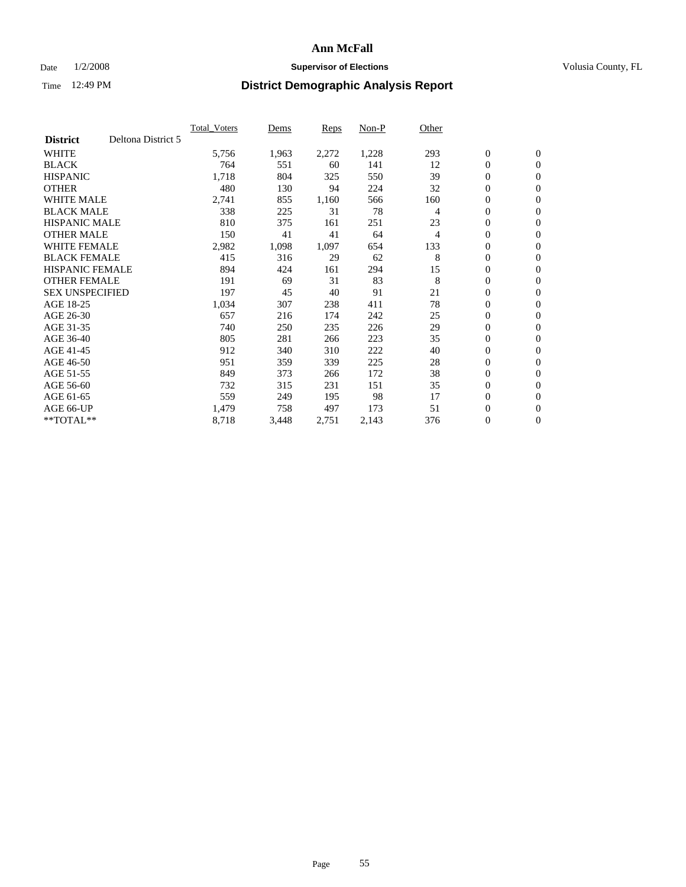### Date  $1/2/2008$  **Supervisor of Elections Supervisor of Elections** Volusia County, FL

|                        |                    | <b>Total Voters</b> | Dems  | Reps  | Non-P | Other |                  |                  |  |
|------------------------|--------------------|---------------------|-------|-------|-------|-------|------------------|------------------|--|
| <b>District</b>        | Deltona District 5 |                     |       |       |       |       |                  |                  |  |
| <b>WHITE</b>           |                    | 5,756               | 1,963 | 2,272 | 1,228 | 293   | $\boldsymbol{0}$ | $\boldsymbol{0}$ |  |
| <b>BLACK</b>           |                    | 764                 | 551   | 60    | 141   | 12    | $\mathbf{0}$     | $\mathbf{0}$     |  |
| <b>HISPANIC</b>        |                    | 1,718               | 804   | 325   | 550   | 39    | $\mathbf{0}$     | $\mathbf{0}$     |  |
| <b>OTHER</b>           |                    | 480                 | 130   | 94    | 224   | 32    | 0                | $\mathbf{0}$     |  |
| <b>WHITE MALE</b>      |                    | 2,741               | 855   | 1,160 | 566   | 160   | 0                | $\mathbf{0}$     |  |
| <b>BLACK MALE</b>      |                    | 338                 | 225   | 31    | 78    | 4     | 0                | $\boldsymbol{0}$ |  |
| <b>HISPANIC MALE</b>   |                    | 810                 | 375   | 161   | 251   | 23    | 0                | $\mathbf{0}$     |  |
| <b>OTHER MALE</b>      |                    | 150                 | 41    | 41    | 64    | 4     | 0                | $\boldsymbol{0}$ |  |
| <b>WHITE FEMALE</b>    |                    | 2,982               | 1,098 | 1,097 | 654   | 133   | 0                | $\mathbf{0}$     |  |
| <b>BLACK FEMALE</b>    |                    | 415                 | 316   | 29    | 62    | 8     | $\mathbf{0}$     | $\mathbf{0}$     |  |
| <b>HISPANIC FEMALE</b> |                    | 894                 | 424   | 161   | 294   | 15    | 0                | $\mathbf{0}$     |  |
| <b>OTHER FEMALE</b>    |                    | 191                 | 69    | 31    | 83    | 8     | $\mathbf{0}$     | $\mathbf{0}$     |  |
| <b>SEX UNSPECIFIED</b> |                    | 197                 | 45    | 40    | 91    | 21    | $\boldsymbol{0}$ | $\mathbf{0}$     |  |
| AGE 18-25              |                    | 1,034               | 307   | 238   | 411   | 78    | 0                | $\mathbf{0}$     |  |
| AGE 26-30              |                    | 657                 | 216   | 174   | 242   | 25    | 0                | $\mathbf{0}$     |  |
| AGE 31-35              |                    | 740                 | 250   | 235   | 226   | 29    | 0                | $\mathbf{0}$     |  |
| AGE 36-40              |                    | 805                 | 281   | 266   | 223   | 35    | $\boldsymbol{0}$ | $\mathbf{0}$     |  |
| AGE 41-45              |                    | 912                 | 340   | 310   | 222   | 40    | 0                | $\mathbf{0}$     |  |
| AGE 46-50              |                    | 951                 | 359   | 339   | 225   | 28    | $\mathbf{0}$     | $\mathbf{0}$     |  |
| AGE 51-55              |                    | 849                 | 373   | 266   | 172   | 38    | $\overline{0}$   | $\mathbf{0}$     |  |
| AGE 56-60              |                    | 732                 | 315   | 231   | 151   | 35    | $\boldsymbol{0}$ | $\mathbf{0}$     |  |
| AGE 61-65              |                    | 559                 | 249   | 195   | 98    | 17    | 0                | $\mathbf{0}$     |  |
| AGE 66-UP              |                    | 1,479               | 758   | 497   | 173   | 51    | 0                | 0                |  |
| $*$ TOTAL $**$         |                    | 8,718               | 3,448 | 2,751 | 2,143 | 376   | 0                | $\boldsymbol{0}$ |  |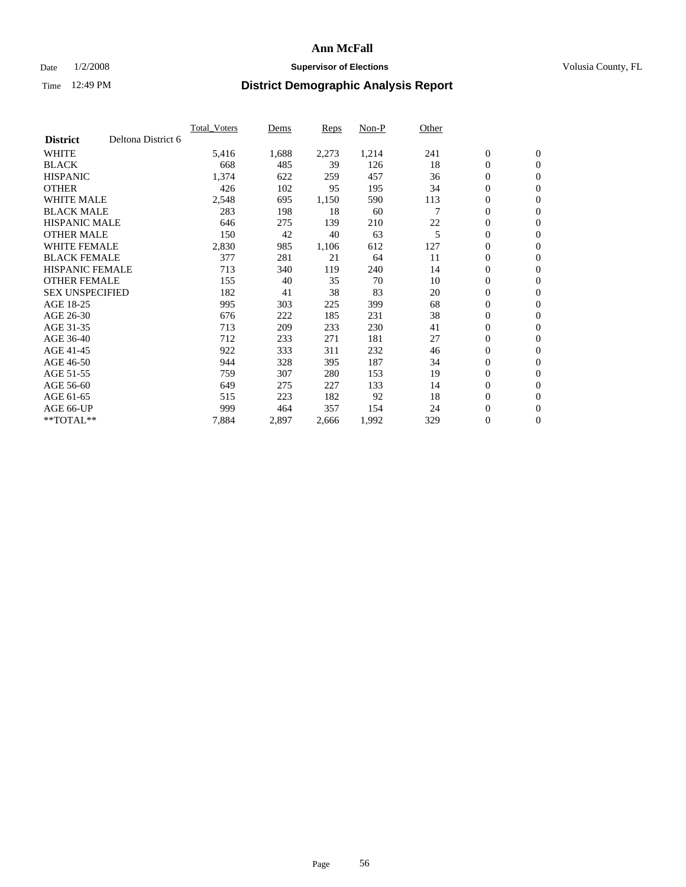### Date  $1/2/2008$  **Supervisor of Elections Supervisor of Elections** Volusia County, FL

|                        |                    | <b>Total Voters</b> | Dems  | Reps  | Non-P | Other |                  |                  |  |
|------------------------|--------------------|---------------------|-------|-------|-------|-------|------------------|------------------|--|
| <b>District</b>        | Deltona District 6 |                     |       |       |       |       |                  |                  |  |
| <b>WHITE</b>           |                    | 5,416               | 1,688 | 2,273 | 1,214 | 241   | $\boldsymbol{0}$ | $\boldsymbol{0}$ |  |
| <b>BLACK</b>           |                    | 668                 | 485   | 39    | 126   | 18    | $\mathbf{0}$     | $\mathbf{0}$     |  |
| <b>HISPANIC</b>        |                    | 1,374               | 622   | 259   | 457   | 36    | $\mathbf{0}$     | $\mathbf{0}$     |  |
| <b>OTHER</b>           |                    | 426                 | 102   | 95    | 195   | 34    | 0                | $\mathbf{0}$     |  |
| <b>WHITE MALE</b>      |                    | 2,548               | 695   | 1,150 | 590   | 113   | 0                | $\mathbf{0}$     |  |
| <b>BLACK MALE</b>      |                    | 283                 | 198   | 18    | 60    |       | $\boldsymbol{0}$ | $\boldsymbol{0}$ |  |
| <b>HISPANIC MALE</b>   |                    | 646                 | 275   | 139   | 210   | 22    | 0                | $\mathbf{0}$     |  |
| <b>OTHER MALE</b>      |                    | 150                 | 42    | 40    | 63    | 5     | 0                | $\boldsymbol{0}$ |  |
| <b>WHITE FEMALE</b>    |                    | 2,830               | 985   | 1,106 | 612   | 127   | 0                | $\mathbf{0}$     |  |
| <b>BLACK FEMALE</b>    |                    | 377                 | 281   | 21    | 64    | 11    | $\boldsymbol{0}$ | $\mathbf{0}$     |  |
| <b>HISPANIC FEMALE</b> |                    | 713                 | 340   | 119   | 240   | 14    | $\mathbf{0}$     | $\mathbf{0}$     |  |
| <b>OTHER FEMALE</b>    |                    | 155                 | 40    | 35    | 70    | 10    | $\mathbf{0}$     | $\mathbf{0}$     |  |
| <b>SEX UNSPECIFIED</b> |                    | 182                 | 41    | 38    | 83    | 20    | $\boldsymbol{0}$ | $\boldsymbol{0}$ |  |
| AGE 18-25              |                    | 995                 | 303   | 225   | 399   | 68    | 0                | $\mathbf{0}$     |  |
| AGE 26-30              |                    | 676                 | 222   | 185   | 231   | 38    | 0                | $\mathbf{0}$     |  |
| AGE 31-35              |                    | 713                 | 209   | 233   | 230   | 41    | 0                | $\mathbf{0}$     |  |
| AGE 36-40              |                    | 712                 | 233   | 271   | 181   | 27    | $\boldsymbol{0}$ | $\mathbf{0}$     |  |
| AGE 41-45              |                    | 922                 | 333   | 311   | 232   | 46    | 0                | $\mathbf{0}$     |  |
| AGE 46-50              |                    | 944                 | 328   | 395   | 187   | 34    | $\mathbf{0}$     | $\mathbf{0}$     |  |
| AGE 51-55              |                    | 759                 | 307   | 280   | 153   | 19    | $\overline{0}$   | $\mathbf{0}$     |  |
| AGE 56-60              |                    | 649                 | 275   | 227   | 133   | 14    | $\boldsymbol{0}$ | $\mathbf{0}$     |  |
| AGE 61-65              |                    | 515                 | 223   | 182   | 92    | 18    | 0                | $\boldsymbol{0}$ |  |
| AGE 66-UP              |                    | 999                 | 464   | 357   | 154   | 24    | 0                | 0                |  |
| $*$ TOTAL $**$         |                    | 7,884               | 2,897 | 2,666 | 1,992 | 329   | $\boldsymbol{0}$ | $\boldsymbol{0}$ |  |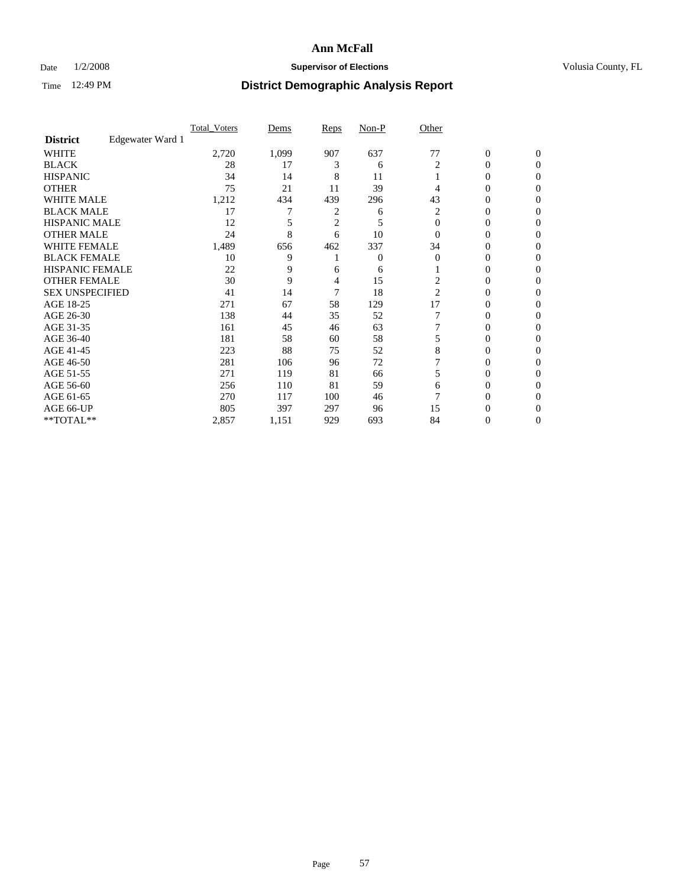### Date  $1/2/2008$  **Supervisor of Elections Supervisor of Elections** Volusia County, FL

|                        |                  | <b>Total Voters</b> | Dems  | Reps | Non-P          | Other    |                  |              |  |
|------------------------|------------------|---------------------|-------|------|----------------|----------|------------------|--------------|--|
| <b>District</b>        | Edgewater Ward 1 |                     |       |      |                |          |                  |              |  |
| <b>WHITE</b>           |                  | 2,720               | 1,099 | 907  | 637            | 77       | $\boldsymbol{0}$ | $\mathbf{0}$ |  |
| <b>BLACK</b>           |                  | 28                  | 17    | 3    | 6              | 2        | 0                | $\mathbf{0}$ |  |
| <b>HISPANIC</b>        |                  | 34                  | 14    | 8    | 11             |          | 0                | $\Omega$     |  |
| <b>OTHER</b>           |                  | 75                  | 21    | 11   | 39             |          | $\overline{0}$   | $\theta$     |  |
| <b>WHITE MALE</b>      |                  | 1,212               | 434   | 439  | 296            | 43       | 0                | 0            |  |
| <b>BLACK MALE</b>      |                  | 17                  | 7     | 2    | 6              | 2        | 0                | 0            |  |
| <b>HISPANIC MALE</b>   |                  | 12                  |       | 2    | 5              | $\Omega$ | 0                |              |  |
| <b>OTHER MALE</b>      |                  | 24                  | 8     | 6    | 10             | $\Omega$ | 0                | 0            |  |
| <b>WHITE FEMALE</b>    |                  | 1,489               | 656   | 462  | 337            | 34       | 0                | 0            |  |
| <b>BLACK FEMALE</b>    |                  | 10                  | 9     |      | $\overline{0}$ | $\Omega$ | 0                | 0            |  |
| <b>HISPANIC FEMALE</b> |                  | 22                  | 9     | 6    | 6              |          | 0                | $\Omega$     |  |
| <b>OTHER FEMALE</b>    |                  | 30                  | 9     | 4    | 15             | 2        | 0                | $\theta$     |  |
| <b>SEX UNSPECIFIED</b> |                  | 41                  | 14    | 7    | 18             | 2        | 0                | $\theta$     |  |
| AGE 18-25              |                  | 271                 | 67    | 58   | 129            | 17       | 0                | $_{0}$       |  |
| AGE 26-30              |                  | 138                 | 44    | 35   | 52             |          | 0                | 0            |  |
| AGE 31-35              |                  | 161                 | 45    | 46   | 63             |          | 0                | 0            |  |
| AGE 36-40              |                  | 181                 | 58    | 60   | 58             |          | 0                | 0            |  |
| AGE 41-45              |                  | 223                 | 88    | 75   | 52             | 8        | 0                | 0            |  |
| AGE 46-50              |                  | 281                 | 106   | 96   | 72             |          | 0                | $\Omega$     |  |
| AGE 51-55              |                  | 271                 | 119   | 81   | 66             | 5        | 0                | $\theta$     |  |
| AGE 56-60              |                  | 256                 | 110   | 81   | 59             | 6        | 0                | $\theta$     |  |
| AGE 61-65              |                  | 270                 | 117   | 100  | 46             |          | 0                | 0            |  |
| AGE 66-UP              |                  | 805                 | 397   | 297  | 96             | 15       | 0                |              |  |
| **TOTAL**              |                  | 2,857               | 1,151 | 929  | 693            | 84       | 0                | 0            |  |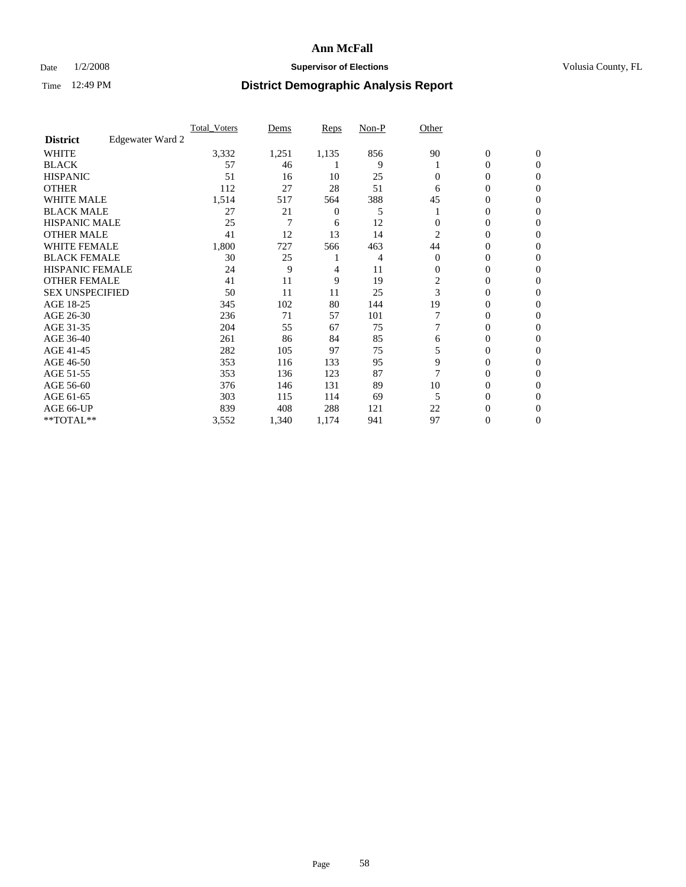### Date  $1/2/2008$  **Supervisor of Elections Supervisor of Elections** Volusia County, FL

|                        |                  | <b>Total Voters</b> | Dems  | Reps           | Non-P | Other    |                  |                  |  |
|------------------------|------------------|---------------------|-------|----------------|-------|----------|------------------|------------------|--|
| <b>District</b>        | Edgewater Ward 2 |                     |       |                |       |          |                  |                  |  |
| <b>WHITE</b>           |                  | 3,332               | 1,251 | 1,135          | 856   | 90       | $\boldsymbol{0}$ | $\mathbf{0}$     |  |
| <b>BLACK</b>           |                  | 57                  | 46    |                | 9     |          | 0                | $\mathbf{0}$     |  |
| <b>HISPANIC</b>        |                  | 51                  | 16    | 10             | 25    | $\Omega$ | 0                | $\mathbf{0}$     |  |
| <b>OTHER</b>           |                  | 112                 | 27    | 28             | 51    | 6        | 0                | $\boldsymbol{0}$ |  |
| <b>WHITE MALE</b>      |                  | 1,514               | 517   | 564            | 388   | 45       | 0                | $\theta$         |  |
| <b>BLACK MALE</b>      |                  | 27                  | 21    | $\overline{0}$ | 5     |          | 0                | 0                |  |
| <b>HISPANIC MALE</b>   |                  | 25                  | 7     | 6              | 12    |          | 0                | 0                |  |
| <b>OTHER MALE</b>      |                  | 41                  | 12    | 13             | 14    | 2        | 0                | 0                |  |
| <b>WHITE FEMALE</b>    |                  | 1,800               | 727   | 566            | 463   | 44       | 0                | 0                |  |
| <b>BLACK FEMALE</b>    |                  | 30                  | 25    |                | 4     | $\Omega$ | 0                | $\mathbf{0}$     |  |
| <b>HISPANIC FEMALE</b> |                  | 24                  | 9     | 4              | 11    | $\Omega$ | 0                | $\Omega$         |  |
| <b>OTHER FEMALE</b>    |                  | 41                  | 11    | 9              | 19    | 2        | 0                | $\theta$         |  |
| <b>SEX UNSPECIFIED</b> |                  | 50                  | 11    | 11             | 25    | 3        | 0                | $\Omega$         |  |
| AGE 18-25              |                  | 345                 | 102   | 80             | 144   | 19       | 0                | 0                |  |
| AGE 26-30              |                  | 236                 | 71    | 57             | 101   |          | 0                | $\Omega$         |  |
| AGE 31-35              |                  | 204                 | 55    | 67             | 75    |          | 0                | 0                |  |
| AGE 36-40              |                  | 261                 | 86    | 84             | 85    | 6        | 0                | 0                |  |
| AGE 41-45              |                  | 282                 | 105   | 97             | 75    |          | 0                | 0                |  |
| AGE 46-50              |                  | 353                 | 116   | 133            | 95    | 9        | 0                | $\mathbf{0}$     |  |
| AGE 51-55              |                  | 353                 | 136   | 123            | 87    |          | 0                | $\Omega$         |  |
| AGE 56-60              |                  | 376                 | 146   | 131            | 89    | 10       | 0                | $\theta$         |  |
| AGE 61-65              |                  | 303                 | 115   | 114            | 69    | 5        | 0                | 0                |  |
| AGE 66-UP              |                  | 839                 | 408   | 288            | 121   | 22       | 0                |                  |  |
| **TOTAL**              |                  | 3,552               | 1,340 | 1,174          | 941   | 97       | 0                | $\mathbf{0}$     |  |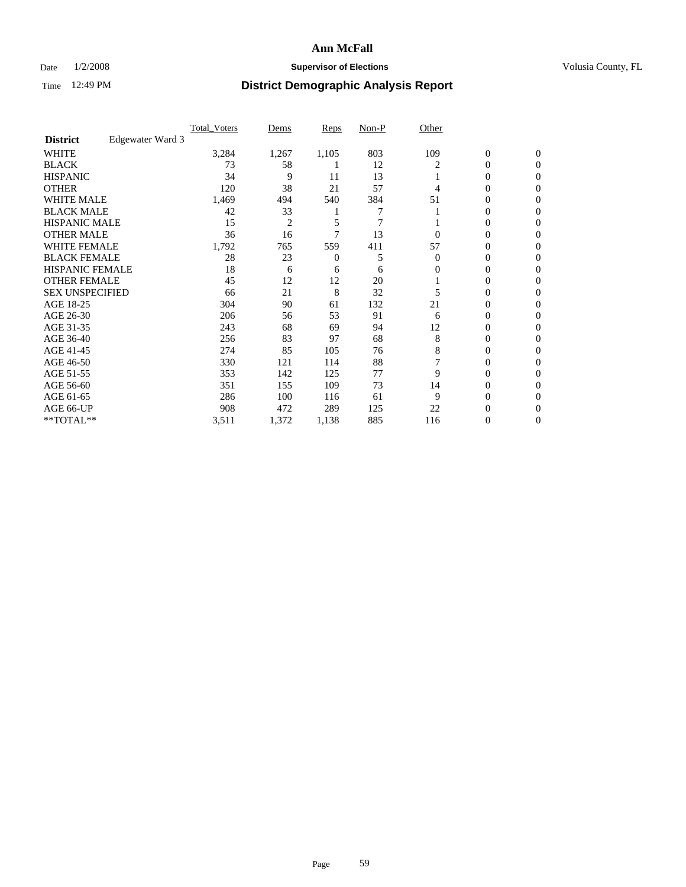### Date  $1/2/2008$  **Supervisor of Elections Supervisor of Elections** Volusia County, FL

|                        |                  | <b>Total Voters</b> | Dems           | Reps  | Non-P | Other    |                  |                  |  |
|------------------------|------------------|---------------------|----------------|-------|-------|----------|------------------|------------------|--|
| <b>District</b>        | Edgewater Ward 3 |                     |                |       |       |          |                  |                  |  |
| <b>WHITE</b>           |                  | 3,284               | 1,267          | 1,105 | 803   | 109      | $\boldsymbol{0}$ | $\mathbf{0}$     |  |
| <b>BLACK</b>           |                  | 73                  | 58             |       | 12    | 2        | 0                | $\mathbf{0}$     |  |
| <b>HISPANIC</b>        |                  | 34                  | 9              | 11    | 13    |          | 0                | $\mathbf{0}$     |  |
| <b>OTHER</b>           |                  | 120                 | 38             | 21    | 57    | 4        | $\overline{0}$   | $\boldsymbol{0}$ |  |
| <b>WHITE MALE</b>      |                  | 1,469               | 494            | 540   | 384   | 51       | 0                | $\theta$         |  |
| <b>BLACK MALE</b>      |                  | 42                  | 33             |       | 7     |          | 0                | 0                |  |
| <b>HISPANIC MALE</b>   |                  | 15                  | $\overline{2}$ | 5     | 7     |          | 0                | 0                |  |
| <b>OTHER MALE</b>      |                  | 36                  | 16             |       | 13    | 0        | 0                | 0                |  |
| <b>WHITE FEMALE</b>    |                  | 1,792               | 765            | 559   | 411   | 57       | 0                | 0                |  |
| <b>BLACK FEMALE</b>    |                  | 28                  | 23             | 0     | 5     | $\Omega$ | 0                | 0                |  |
| <b>HISPANIC FEMALE</b> |                  | 18                  | 6              | 6     | 6     | 0        | 0                | $\Omega$         |  |
| <b>OTHER FEMALE</b>    |                  | 45                  | 12             | 12    | 20    |          | 0                | $\theta$         |  |
| <b>SEX UNSPECIFIED</b> |                  | 66                  | 21             | 8     | 32    | 5        | 0                | $\theta$         |  |
| AGE 18-25              |                  | 304                 | 90             | 61    | 132   | 21       | 0                | 0                |  |
| AGE 26-30              |                  | 206                 | 56             | 53    | 91    | 6        | 0                | $\Omega$         |  |
| AGE 31-35              |                  | 243                 | 68             | 69    | 94    | 12       | 0                | 0                |  |
| AGE 36-40              |                  | 256                 | 83             | 97    | 68    | 8        | 0                | 0                |  |
| AGE 41-45              |                  | 274                 | 85             | 105   | 76    | 8        | 0                | 0                |  |
| AGE 46-50              |                  | 330                 | 121            | 114   | 88    |          | 0                | $\mathbf{0}$     |  |
| AGE 51-55              |                  | 353                 | 142            | 125   | 77    | 9        | 0                | $\Omega$         |  |
| AGE 56-60              |                  | 351                 | 155            | 109   | 73    | 14       | 0                | $\theta$         |  |
| AGE 61-65              |                  | 286                 | 100            | 116   | 61    | 9        | 0                | 0                |  |
| AGE 66-UP              |                  | 908                 | 472            | 289   | 125   | 22       | 0                |                  |  |
| **TOTAL**              |                  | 3,511               | 1,372          | 1,138 | 885   | 116      | 0                | $\mathbf{0}$     |  |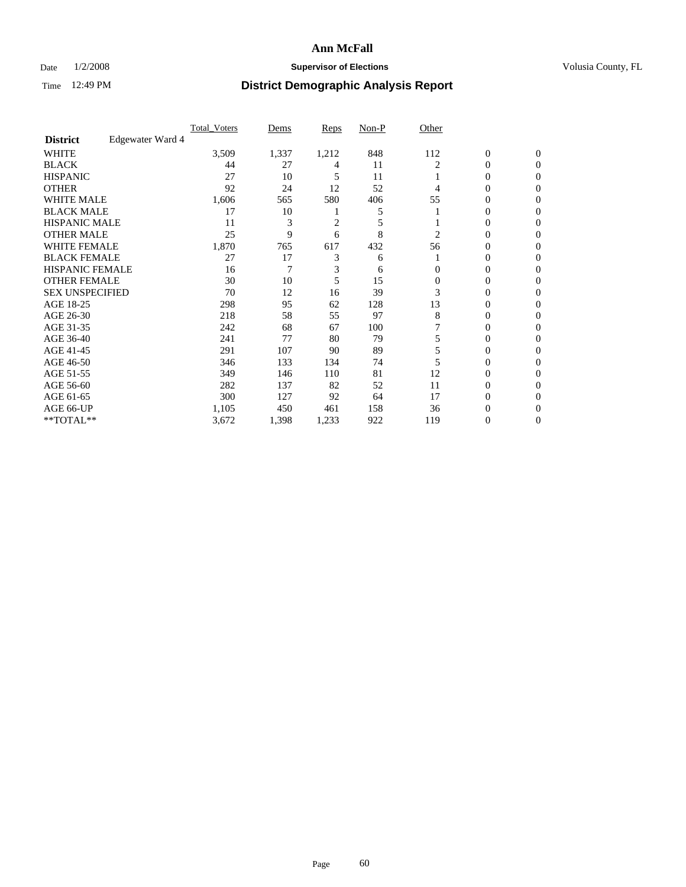### Date  $1/2/2008$  **Supervisor of Elections Supervisor of Elections** Volusia County, FL

|                        |                  | <b>Total Voters</b> | Dems  | Reps  | Non-P | Other    |                  |              |  |
|------------------------|------------------|---------------------|-------|-------|-------|----------|------------------|--------------|--|
| <b>District</b>        | Edgewater Ward 4 |                     |       |       |       |          |                  |              |  |
| <b>WHITE</b>           |                  | 3,509               | 1,337 | 1,212 | 848   | 112      | $\boldsymbol{0}$ | $\mathbf{0}$ |  |
| <b>BLACK</b>           |                  | 44                  | 27    | 4     | 11    | 2        | 0                | $\mathbf{0}$ |  |
| <b>HISPANIC</b>        |                  | 27                  | 10    | 5     | 11    |          | 0                | $\mathbf{0}$ |  |
| <b>OTHER</b>           |                  | 92                  | 24    | 12    | 52    | 4        | $\overline{0}$   | $\theta$     |  |
| <b>WHITE MALE</b>      |                  | 1,606               | 565   | 580   | 406   | 55       | 0                | $\theta$     |  |
| <b>BLACK MALE</b>      |                  | 17                  | 10    |       | 5     |          | 0                | 0            |  |
| <b>HISPANIC MALE</b>   |                  | 11                  | 3     | 2     | 5     |          | 0                | 0            |  |
| <b>OTHER MALE</b>      |                  | 25                  | 9     | 6     | 8     | 2        | 0                | 0            |  |
| <b>WHITE FEMALE</b>    |                  | 1,870               | 765   | 617   | 432   | 56       | 0                | 0            |  |
| <b>BLACK FEMALE</b>    |                  | 27                  | 17    | 3     | 6     |          | 0                | 0            |  |
| <b>HISPANIC FEMALE</b> |                  | 16                  | 7     | 3     | 6     | 0        | 0                | $\Omega$     |  |
| <b>OTHER FEMALE</b>    |                  | 30                  | 10    | 5     | 15    | $\Omega$ | 0                | $\theta$     |  |
| <b>SEX UNSPECIFIED</b> |                  | 70                  | 12    | 16    | 39    | 3        | 0                | $\theta$     |  |
| AGE 18-25              |                  | 298                 | 95    | 62    | 128   | 13       | 0                | 0            |  |
| AGE 26-30              |                  | 218                 | 58    | 55    | 97    | 8        | 0                | 0            |  |
| AGE 31-35              |                  | 242                 | 68    | 67    | 100   |          | 0                | 0            |  |
| AGE 36-40              |                  | 241                 | 77    | 80    | 79    |          | 0                | 0            |  |
| AGE 41-45              |                  | 291                 | 107   | 90    | 89    |          | 0                | 0            |  |
| AGE 46-50              |                  | 346                 | 133   | 134   | 74    |          | 0                | $\Omega$     |  |
| AGE 51-55              |                  | 349                 | 146   | 110   | 81    | 12       | 0                | $\Omega$     |  |
| AGE 56-60              |                  | 282                 | 137   | 82    | 52    | 11       | 0                | $\theta$     |  |
| AGE 61-65              |                  | 300                 | 127   | 92    | 64    | 17       | 0                | 0            |  |
| AGE 66-UP              |                  | 1,105               | 450   | 461   | 158   | 36       | 0                |              |  |
| **TOTAL**              |                  | 3,672               | 1,398 | 1,233 | 922   | 119      | 0                | $\mathbf{0}$ |  |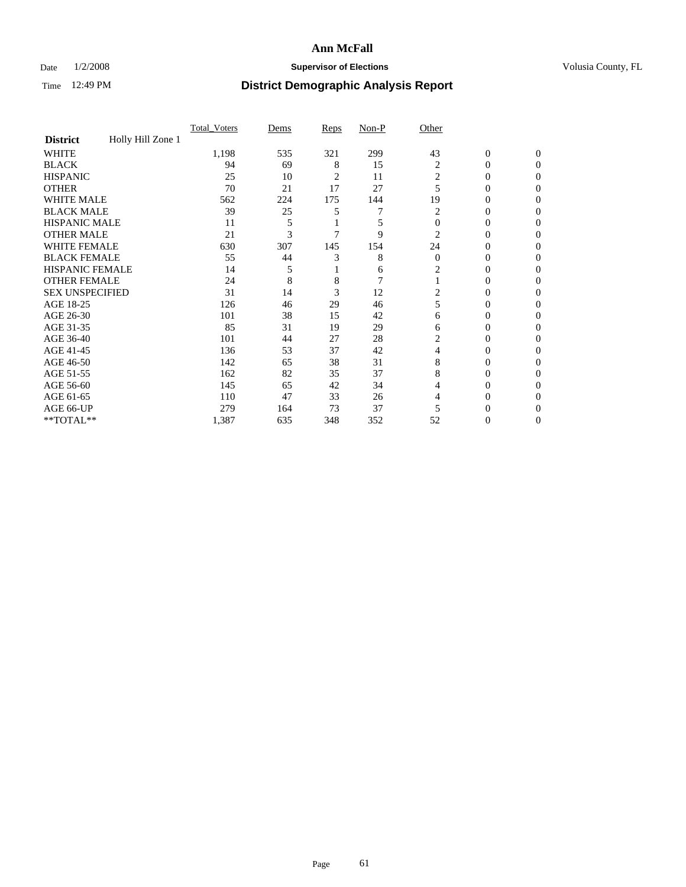### Date  $1/2/2008$  **Supervisor of Elections Supervisor of Elections** Volusia County, FL

|                        |                   | Total Voters | Dems | Reps | Non-P          | Other          |                  |                  |
|------------------------|-------------------|--------------|------|------|----------------|----------------|------------------|------------------|
| <b>District</b>        | Holly Hill Zone 1 |              |      |      |                |                |                  |                  |
| <b>WHITE</b>           |                   | 1,198        | 535  | 321  | 299            | 43             | $\boldsymbol{0}$ | $\mathbf{0}$     |
| <b>BLACK</b>           |                   | 94           | 69   | 8    | 15             | 2              | $\theta$         | $\Omega$         |
| <b>HISPANIC</b>        |                   | 25           | 10   | 2    | 11             | 2              | 0                | $\mathbf{0}$     |
| <b>OTHER</b>           |                   | 70           | 21   | 17   | 27             | 5              | 0                | $\theta$         |
| WHITE MALE             |                   | 562          | 224  | 175  | 144            | 19             | 0                | $\theta$         |
| <b>BLACK MALE</b>      |                   | 39           | 25   | 5    | 7              | 2              | 0                | 0                |
| <b>HISPANIC MALE</b>   |                   | 11           | 5    |      | 5              | $\theta$       | 0                | 0                |
| <b>OTHER MALE</b>      |                   | 21           | 3    |      | 9              | 2              | 0                | $\Omega$         |
| <b>WHITE FEMALE</b>    |                   | 630          | 307  | 145  | 154            | 24             | 0                | $\Omega$         |
| <b>BLACK FEMALE</b>    |                   | 55           | 44   | 3    | 8              | $\overline{0}$ | $\overline{0}$   | $\theta$         |
| <b>HISPANIC FEMALE</b> |                   | 14           | 5    |      | 6              | 2              | $\overline{0}$   | 0                |
| <b>OTHER FEMALE</b>    |                   | 24           | 8    | 8    | $\overline{7}$ |                | 0                | 0                |
| <b>SEX UNSPECIFIED</b> |                   | 31           | 14   | 3    | 12             | 2              | 0                | 0                |
| AGE 18-25              |                   | 126          | 46   | 29   | 46             | 5              | $\mathbf{0}$     | $\mathbf{0}$     |
| AGE 26-30              |                   | 101          | 38   | 15   | 42             | 6              | 0                | $\Omega$         |
| AGE 31-35              |                   | 85           | 31   | 19   | 29             | 6              | 0                | $\boldsymbol{0}$ |
| AGE 36-40              |                   | 101          | 44   | 27   | 28             | 2              | 0                | $\mathbf{0}$     |
| AGE 41-45              |                   | 136          | 53   | 37   | 42             | 4              | 0                | 0                |
| AGE 46-50              |                   | 142          | 65   | 38   | 31             | 8              | 0                | $\mathbf{0}$     |
| AGE 51-55              |                   | 162          | 82   | 35   | 37             | 8              | 0                | $\Omega$         |
| AGE 56-60              |                   | 145          | 65   | 42   | 34             | 4              | 0                | $\mathbf{0}$     |
| AGE 61-65              |                   | 110          | 47   | 33   | 26             | 4              | $\overline{0}$   | $\boldsymbol{0}$ |
| AGE 66-UP              |                   | 279          | 164  | 73   | 37             | 5              | 0                | 0                |
| **TOTAL**              |                   | 1,387        | 635  | 348  | 352            | 52             | 0                | $\mathbf{0}$     |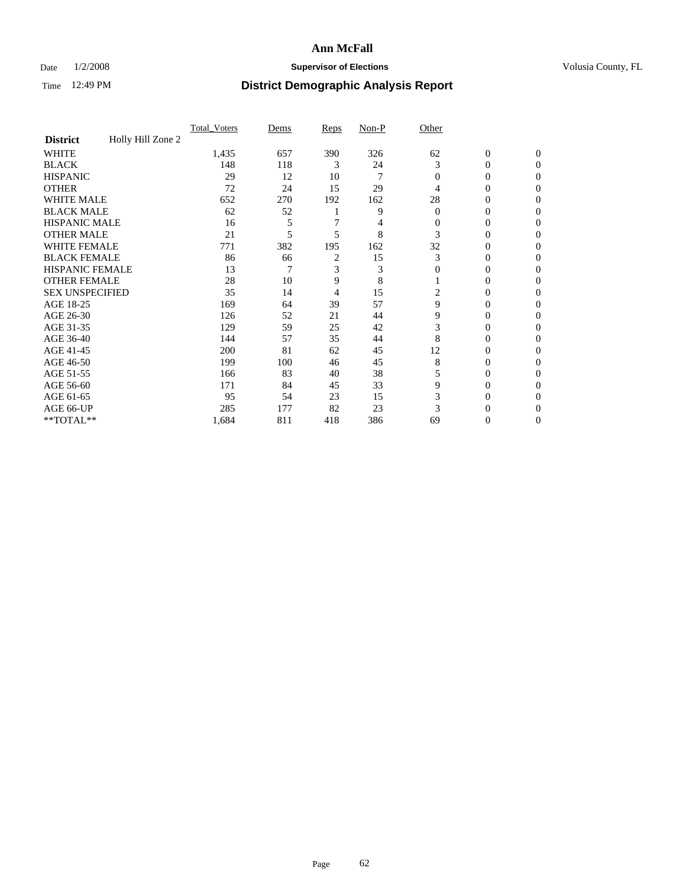### Date  $1/2/2008$  **Supervisor of Elections Supervisor of Elections** Volusia County, FL

|                        |                   | Total Voters | Dems | Reps | Non-P | Other        |                  |                  |
|------------------------|-------------------|--------------|------|------|-------|--------------|------------------|------------------|
| <b>District</b>        | Holly Hill Zone 2 |              |      |      |       |              |                  |                  |
| <b>WHITE</b>           |                   | 1,435        | 657  | 390  | 326   | 62           | $\boldsymbol{0}$ | $\mathbf{0}$     |
| <b>BLACK</b>           |                   | 148          | 118  | 3    | 24    | 3            | 0                | $\Omega$         |
| <b>HISPANIC</b>        |                   | 29           | 12   | 10   | 7     | $\Omega$     | 0                | $\mathbf{0}$     |
| <b>OTHER</b>           |                   | 72           | 24   | 15   | 29    | 4            | $\overline{0}$   | $\theta$         |
| WHITE MALE             |                   | 652          | 270  | 192  | 162   | 28           | 0                | $\theta$         |
| <b>BLACK MALE</b>      |                   | 62           | 52   |      | 9     | $\Omega$     | 0                | 0                |
| <b>HISPANIC MALE</b>   |                   | 16           | 5    |      | 4     | 0            | 0                | 0                |
| <b>OTHER MALE</b>      |                   | 21           | 5    | 5    | 8     | 3            | 0                | $\Omega$         |
| <b>WHITE FEMALE</b>    |                   | 771          | 382  | 195  | 162   | 32           | 0                | $\Omega$         |
| <b>BLACK FEMALE</b>    |                   | 86           | 66   | 2    | 15    | 3            | $\overline{0}$   | $\theta$         |
| <b>HISPANIC FEMALE</b> |                   | 13           | 7    | 3    | 3     | $\mathbf{0}$ | 0                | 0                |
| <b>OTHER FEMALE</b>    |                   | 28           | 10   | 9    | 8     |              | 0                | 0                |
| <b>SEX UNSPECIFIED</b> |                   | 35           | 14   | 4    | 15    | 2            | $\theta$         | 0                |
| AGE 18-25              |                   | 169          | 64   | 39   | 57    | 9            | 0                | $\mathbf{0}$     |
| AGE 26-30              |                   | 126          | 52   | 21   | 44    | 9            | 0                | $\Omega$         |
| AGE 31-35              |                   | 129          | 59   | 25   | 42    | 3            | 0                | $\boldsymbol{0}$ |
| AGE 36-40              |                   | 144          | 57   | 35   | 44    | 8            | 0                | $\mathbf{0}$     |
| AGE 41-45              |                   | 200          | 81   | 62   | 45    | 12           | 0                | 0                |
| AGE 46-50              |                   | 199          | 100  | 46   | 45    | 8            | 0                | $\mathbf{0}$     |
| AGE 51-55              |                   | 166          | 83   | 40   | 38    | 5            | 0                | $\Omega$         |
| AGE 56-60              |                   | 171          | 84   | 45   | 33    | 9            | 0                | $\mathbf{0}$     |
| AGE 61-65              |                   | 95           | 54   | 23   | 15    | 3            | $\overline{0}$   | $\boldsymbol{0}$ |
| AGE 66-UP              |                   | 285          | 177  | 82   | 23    | 3            | 0                | 0                |
| **TOTAL**              |                   | 1,684        | 811  | 418  | 386   | 69           | 0                | $\mathbf{0}$     |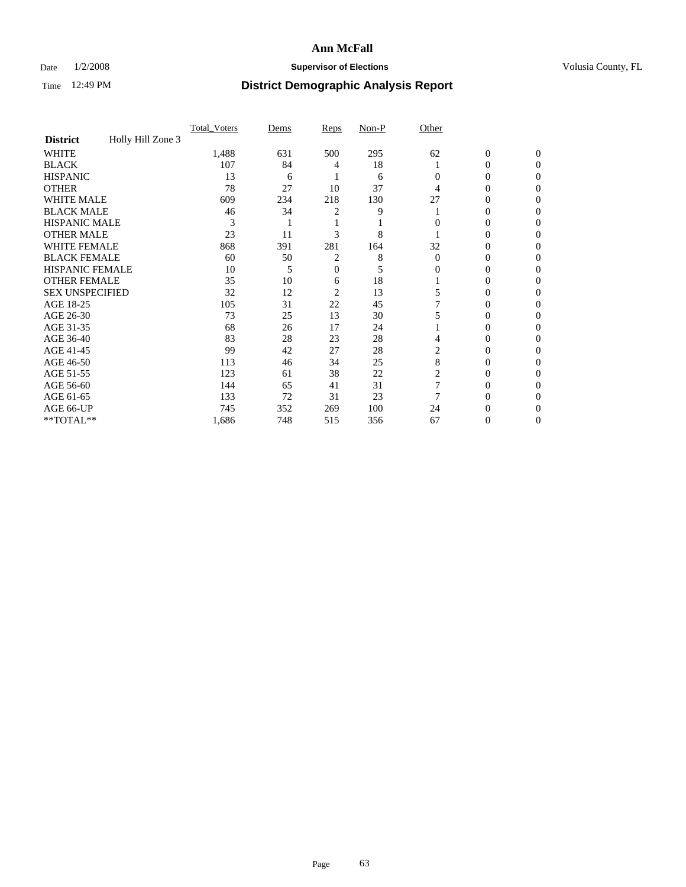### Date  $1/2/2008$  **Supervisor of Elections Supervisor of Elections** Volusia County, FL

|                        |                   | Total Voters | Dems | <b>Reps</b> | Non-P | Other    |                  |              |  |
|------------------------|-------------------|--------------|------|-------------|-------|----------|------------------|--------------|--|
| <b>District</b>        | Holly Hill Zone 3 |              |      |             |       |          |                  |              |  |
| <b>WHITE</b>           |                   | 1,488        | 631  | 500         | 295   | 62       | $\boldsymbol{0}$ | $\mathbf{0}$ |  |
| <b>BLACK</b>           |                   | 107          | 84   | 4           | 18    |          | 0                | $\Omega$     |  |
| <b>HISPANIC</b>        |                   | 13           | 6    |             | 6     | 0        | 0                | $\Omega$     |  |
| <b>OTHER</b>           |                   | 78           | 27   | 10          | 37    |          | 0                | 0            |  |
| <b>WHITE MALE</b>      |                   | 609          | 234  | 218         | 130   | 27       | 0                | 0            |  |
| <b>BLACK MALE</b>      |                   | 46           | 34   | 2           | 9     |          | 0                | 0            |  |
| <b>HISPANIC MALE</b>   |                   | 3            |      |             |       |          | 0                | 0            |  |
| <b>OTHER MALE</b>      |                   | 23           | 11   | 3           | 8     |          | 0                | 0            |  |
| WHITE FEMALE           |                   | 868          | 391  | 281         | 164   | 32       | 0                | 0            |  |
| <b>BLACK FEMALE</b>    |                   | 60           | 50   | 2           | 8     | $\Omega$ | 0                | 0            |  |
| <b>HISPANIC FEMALE</b> |                   | 10           | 5    | 0           | 5     | 0        | 0                | 0            |  |
| <b>OTHER FEMALE</b>    |                   | 35           | 10   | 6           | 18    |          | 0                | 0            |  |
| <b>SEX UNSPECIFIED</b> |                   | 32           | 12   | 2           | 13    | 5        | 0                | 0            |  |
| AGE 18-25              |                   | 105          | 31   | 22          | 45    |          | 0                | $_{0}$       |  |
| AGE 26-30              |                   | 73           | 25   | 13          | 30    |          | 0                | 0            |  |
| AGE 31-35              |                   | 68           | 26   | 17          | 24    |          | 0                | 0            |  |
| AGE 36-40              |                   | 83           | 28   | 23          | 28    | 4        | 0                | 0            |  |
| AGE 41-45              |                   | 99           | 42   | 27          | 28    |          | 0                | 0            |  |
| AGE 46-50              |                   | 113          | 46   | 34          | 25    | 8        | 0                | 0            |  |
| AGE 51-55              |                   | 123          | 61   | 38          | 22    | 2        | 0                | $\Omega$     |  |
| AGE 56-60              |                   | 144          | 65   | 41          | 31    | 7        | 0                | $\Omega$     |  |
| AGE 61-65              |                   | 133          | 72   | 31          | 23    |          | 0                | 0            |  |
| AGE 66-UP              |                   | 745          | 352  | 269         | 100   | 24       |                  |              |  |
| **TOTAL**              |                   | 1,686        | 748  | 515         | 356   | 67       | 0                | 0            |  |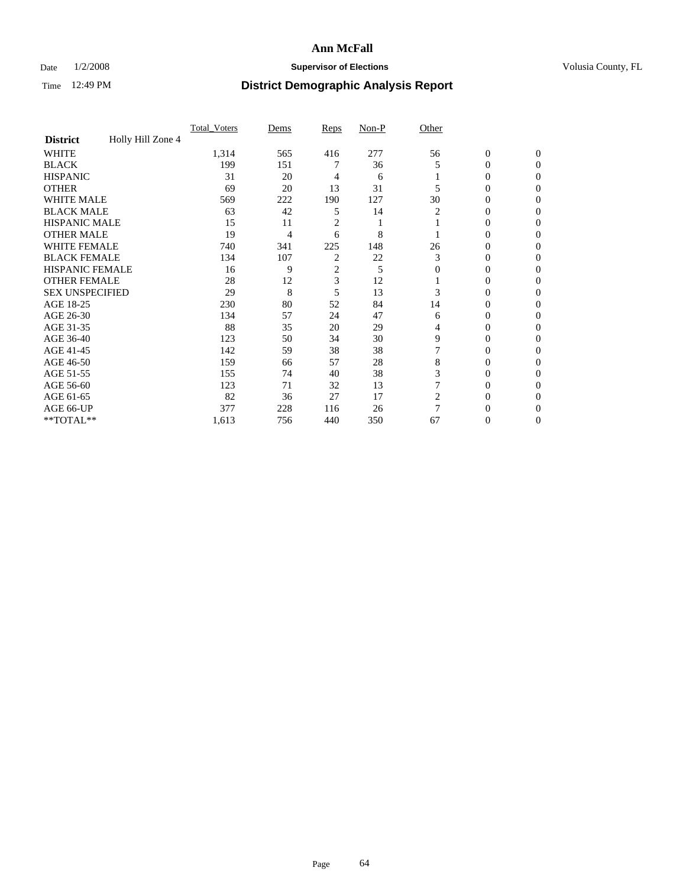### Date  $1/2/2008$  **Supervisor of Elections Supervisor of Elections** Volusia County, FL

|                        |                   | Total Voters | Dems | <b>Reps</b>    | Non-P | Other    |                  |                |  |
|------------------------|-------------------|--------------|------|----------------|-------|----------|------------------|----------------|--|
| <b>District</b>        | Holly Hill Zone 4 |              |      |                |       |          |                  |                |  |
| <b>WHITE</b>           |                   | 1,314        | 565  | 416            | 277   | 56       | $\boldsymbol{0}$ | $\mathbf{0}$   |  |
| <b>BLACK</b>           |                   | 199          | 151  |                | 36    | 5        | 0                | $\mathbf{0}$   |  |
| <b>HISPANIC</b>        |                   | 31           | 20   | 4              | 6     |          | 0                | $\Omega$       |  |
| <b>OTHER</b>           |                   | 69           | 20   | 13             | 31    |          | $\overline{0}$   | $\Omega$       |  |
| <b>WHITE MALE</b>      |                   | 569          | 222  | 190            | 127   | 30       | 0                | 0              |  |
| <b>BLACK MALE</b>      |                   | 63           | 42   | 5              | 14    | 2        | 0                | 0              |  |
| <b>HISPANIC MALE</b>   |                   | 15           | 11   | 2              |       |          | 0                | 0              |  |
| <b>OTHER MALE</b>      |                   | 19           | 4    | 6              | 8     |          | $\overline{0}$   | 0              |  |
| WHITE FEMALE           |                   | 740          | 341  | 225            | 148   | 26       | 0                | 0              |  |
| <b>BLACK FEMALE</b>    |                   | 134          | 107  | $\overline{c}$ | 22    | 3        | 0                | 0              |  |
| <b>HISPANIC FEMALE</b> |                   | 16           | 9    | $\overline{c}$ | 5     | $\Omega$ | 0                | $\Omega$       |  |
| <b>OTHER FEMALE</b>    |                   | 28           | 12   | 3              | 12    |          | 0                | $\Omega$       |  |
| <b>SEX UNSPECIFIED</b> |                   | 29           | 8    | 5              | 13    | 3        | 0                | $\Omega$       |  |
| AGE 18-25              |                   | 230          | 80   | 52             | 84    | 14       | 0                | $\theta$       |  |
| AGE 26-30              |                   | 134          | 57   | 24             | 47    | 6        | 0                | 0              |  |
| AGE 31-35              |                   | 88           | 35   | 20             | 29    | 4        | 0                | 0              |  |
| AGE 36-40              |                   | 123          | 50   | 34             | 30    | 9        | 0                | 0              |  |
| AGE 41-45              |                   | 142          | 59   | 38             | 38    |          | 0                | 0              |  |
| AGE 46-50              |                   | 159          | 66   | 57             | 28    | 8        | 0                | $\Omega$       |  |
| AGE 51-55              |                   | 155          | 74   | 40             | 38    | 3        | 0                | $\Omega$       |  |
| AGE 56-60              |                   | 123          | 71   | 32             | 13    |          | 0                | $\Omega$       |  |
| AGE 61-65              |                   | 82           | 36   | 27             | 17    | 2        | 0                | 0              |  |
| AGE 66-UP              |                   | 377          | 228  | 116            | 26    | 7        | $\theta$         | $\theta$       |  |
| **TOTAL**              |                   | 1,613        | 756  | 440            | 350   | 67       | 0                | $\overline{0}$ |  |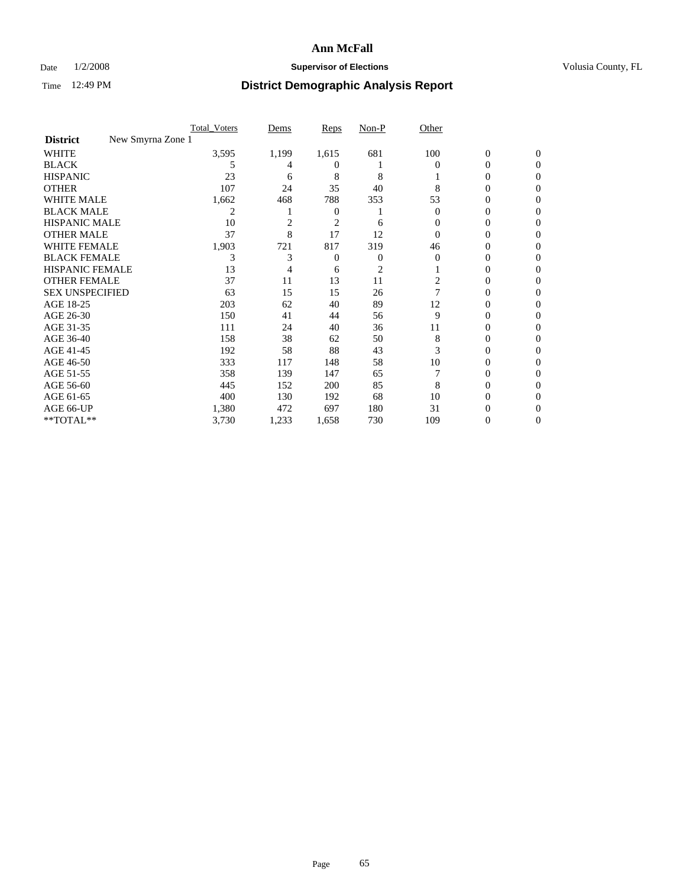### Date  $1/2/2008$  **Supervisor of Elections Supervisor of Elections** Volusia County, FL

|                                      | Total Voters | Dems           | <b>Reps</b> | Non-P | Other    |                  |              |  |
|--------------------------------------|--------------|----------------|-------------|-------|----------|------------------|--------------|--|
| New Smyrna Zone 1<br><b>District</b> |              |                |             |       |          |                  |              |  |
| <b>WHITE</b>                         | 3,595        | 1,199          | 1,615       | 681   | 100      | $\boldsymbol{0}$ | $\mathbf{0}$ |  |
| <b>BLACK</b>                         | 5            | 4              | $^{(1)}$    |       | $\Omega$ | 0                | $\Omega$     |  |
| <b>HISPANIC</b>                      | 23           | 6              | 8           | 8     |          | 0                | $\Omega$     |  |
| <b>OTHER</b>                         | 107          | 24             | 35          | 40    | 8        | 0                | 0            |  |
| <b>WHITE MALE</b>                    | 1,662        | 468            | 788         | 353   | 53       | 0                | 0            |  |
| <b>BLACK MALE</b>                    | 2            |                | 0           |       | $\Omega$ | 0                | 0            |  |
| <b>HISPANIC MALE</b>                 | 10           | $\overline{2}$ | 2           | 6     | $_{0}$   | 0                | $\theta$     |  |
| <b>OTHER MALE</b>                    | 37           | 8              | 17          | 12    | 0        | 0                | 0            |  |
| WHITE FEMALE                         | 1,903        | 721            | 817         | 319   | 46       | 0                | 0            |  |
| <b>BLACK FEMALE</b>                  | 3            | 3              | 0           | 0     | $\Omega$ | 0                | 0            |  |
| <b>HISPANIC FEMALE</b>               | 13           |                | 6           | 2     |          | 0                | 0            |  |
| <b>OTHER FEMALE</b>                  | 37           | 11             | 13          | 11    | 2        | 0                | 0            |  |
| <b>SEX UNSPECIFIED</b>               | 63           | 15             | 15          | 26    |          | 0                | 0            |  |
| AGE 18-25                            | 203          | 62             | 40          | 89    | 12       | 0                | $\theta$     |  |
| AGE 26-30                            | 150          | 41             | 44          | 56    | 9        | 0                | 0            |  |
| AGE 31-35                            | 111          | 24             | 40          | 36    | 11       | 0                | 0            |  |
| AGE 36-40                            | 158          | 38             | 62          | 50    | 8        | 0                | 0            |  |
| AGE 41-45                            | 192          | 58             | 88          | 43    | 3        | 0                | 0            |  |
| AGE 46-50                            | 333          | 117            | 148         | 58    | 10       | 0                | 0            |  |
| AGE 51-55                            | 358          | 139            | 147         | 65    |          | 0                | $\Omega$     |  |
| AGE 56-60                            | 445          | 152            | 200         | 85    | 8        | 0                | 0            |  |
| AGE 61-65                            | 400          | 130            | 192         | 68    | 10       | 0                | $\theta$     |  |
| AGE 66-UP                            | 1,380        | 472            | 697         | 180   | 31       |                  |              |  |
| **TOTAL**                            | 3,730        | 1,233          | 1,658       | 730   | 109      | 0                | 0            |  |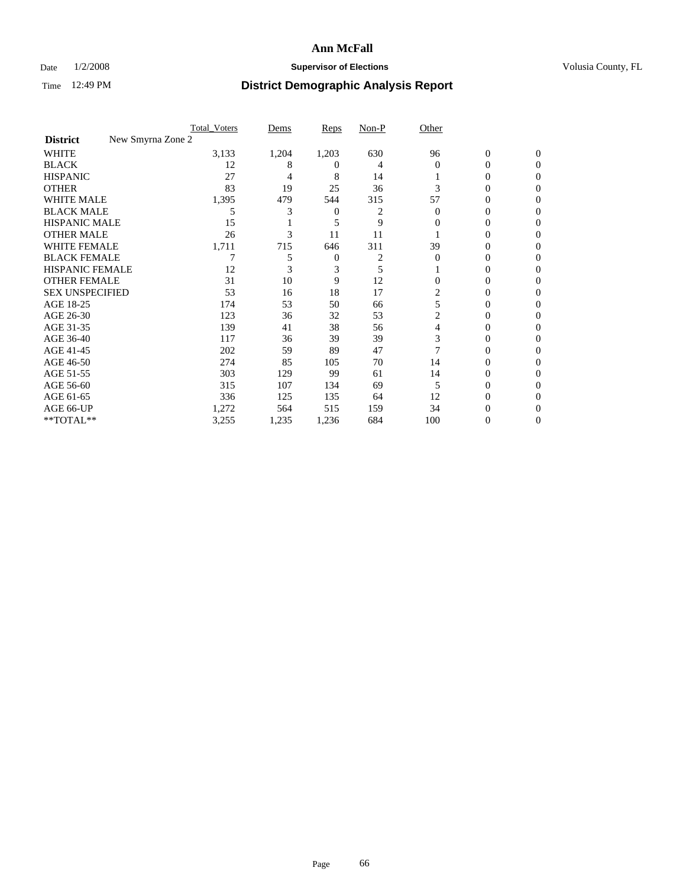### Date  $1/2/2008$  **Supervisor of Elections Supervisor of Elections** Volusia County, FL

|                                      | <b>Total Voters</b> | Dems  | Reps     | Non-P | Other    |                  |              |  |
|--------------------------------------|---------------------|-------|----------|-------|----------|------------------|--------------|--|
| New Smyrna Zone 2<br><b>District</b> |                     |       |          |       |          |                  |              |  |
| <b>WHITE</b>                         | 3,133               | 1,204 | 1,203    | 630   | 96       | $\boldsymbol{0}$ | $\mathbf{0}$ |  |
| <b>BLACK</b>                         | 12                  | 8     | $^{(1)}$ | 4     | $\Omega$ | 0                | $\mathbf{0}$ |  |
| <b>HISPANIC</b>                      | 27                  | 4     | 8        | 14    |          | 0                | $\Omega$     |  |
| <b>OTHER</b>                         | 83                  | 19    | 25       | 36    | 3        | 0                | $\theta$     |  |
| <b>WHITE MALE</b>                    | 1,395               | 479   | 544      | 315   | 57       | 0                | 0            |  |
| <b>BLACK MALE</b>                    | 5                   | 3     | 0        | 2     | $\Omega$ | 0                | 0            |  |
| <b>HISPANIC MALE</b>                 | 15                  |       | 5        | 9     | 0        | 0                |              |  |
| <b>OTHER MALE</b>                    | 26                  | 3     | 11       | 11    |          | 0                | 0            |  |
| <b>WHITE FEMALE</b>                  | 1,711               | 715   | 646      | 311   | 39       | 0                | 0            |  |
| <b>BLACK FEMALE</b>                  |                     |       | 0        | 2     | $\Omega$ | 0                | 0            |  |
| <b>HISPANIC FEMALE</b>               | 12                  |       | 3        | 5     |          | 0                | $\Omega$     |  |
| <b>OTHER FEMALE</b>                  | 31                  | 10    | 9        | 12    | $\Omega$ | 0                | $\theta$     |  |
| <b>SEX UNSPECIFIED</b>               | 53                  | 16    | 18       | 17    | 2        | 0                | 0            |  |
| AGE 18-25                            | 174                 | 53    | 50       | 66    | 5        | 0                |              |  |
| AGE 26-30                            | 123                 | 36    | 32       | 53    | 2        | 0                | 0            |  |
| AGE 31-35                            | 139                 | 41    | 38       | 56    | 4        | 0                |              |  |
| AGE 36-40                            | 117                 | 36    | 39       | 39    | 3        | 0                | 0            |  |
| AGE 41-45                            | 202                 | 59    | 89       | 47    |          | 0                | 0            |  |
| AGE 46-50                            | 274                 | 85    | 105      | 70    | 14       | 0                | 0            |  |
| AGE 51-55                            | 303                 | 129   | 99       | 61    | 14       | 0                | $\theta$     |  |
| AGE 56-60                            | 315                 | 107   | 134      | 69    | 5        | 0                | 0            |  |
| AGE 61-65                            | 336                 | 125   | 135      | 64    | 12       | 0                |              |  |
| AGE 66-UP                            | 1,272               | 564   | 515      | 159   | 34       | 0                |              |  |
| **TOTAL**                            | 3,255               | 1,235 | 1,236    | 684   | 100      | 0                | 0            |  |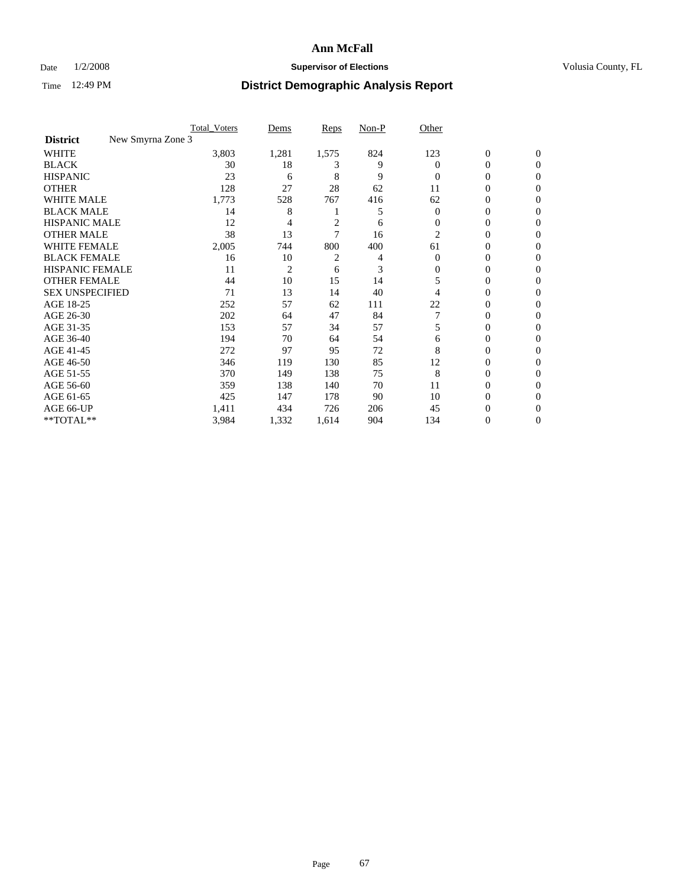### Date  $1/2/2008$  **Supervisor of Elections Supervisor of Elections** Volusia County, FL

|                                      | <b>Total Voters</b> | Dems           | Reps  | Non-P | Other    |                  |                  |  |
|--------------------------------------|---------------------|----------------|-------|-------|----------|------------------|------------------|--|
| New Smyrna Zone 3<br><b>District</b> |                     |                |       |       |          |                  |                  |  |
| <b>WHITE</b>                         | 3,803               | 1,281          | 1,575 | 824   | 123      | $\boldsymbol{0}$ | $\mathbf{0}$     |  |
| <b>BLACK</b>                         | 30                  | 18             | 3     | 9     | 0        | 0                | $\mathbf{0}$     |  |
| <b>HISPANIC</b>                      | 23                  | 6              | 8     | 9     | $\Omega$ | 0                | $\overline{0}$   |  |
| <b>OTHER</b>                         | 128                 | 27             | 28    | 62    | 11       | 0                | $\boldsymbol{0}$ |  |
| <b>WHITE MALE</b>                    | 1,773               | 528            | 767   | 416   | 62       | 0                | $\theta$         |  |
| <b>BLACK MALE</b>                    | 14                  | 8              |       | 5     | 0        | 0                | 0                |  |
| <b>HISPANIC MALE</b>                 | 12                  | 4              | 2     | 6     | $\Omega$ | 0                | 0                |  |
| <b>OTHER MALE</b>                    | 38                  | 13             | 7     | 16    | 2        | 0                | 0                |  |
| <b>WHITE FEMALE</b>                  | 2,005               | 744            | 800   | 400   | 61       | 0                | 0                |  |
| <b>BLACK FEMALE</b>                  | 16                  | 10             | 2     | 4     | $\Omega$ | 0                | $\overline{0}$   |  |
| <b>HISPANIC FEMALE</b>               | 11                  | $\overline{2}$ | 6     | 3     | 0        | 0                | $\Omega$         |  |
| <b>OTHER FEMALE</b>                  | 44                  | 10             | 15    | 14    | 5        | 0                | $\theta$         |  |
| <b>SEX UNSPECIFIED</b>               | 71                  | 13             | 14    | 40    | 4        | 0                | $\Omega$         |  |
| AGE 18-25                            | 252                 | 57             | 62    | 111   | 22       | 0                | 0                |  |
| AGE 26-30                            | 202                 | 64             | 47    | 84    |          | 0                | $\Omega$         |  |
| AGE 31-35                            | 153                 | 57             | 34    | 57    | 5        | 0                | 0                |  |
| AGE 36-40                            | 194                 | 70             | 64    | 54    | 6        | 0                | 0                |  |
| AGE 41-45                            | 272                 | 97             | 95    | 72    | 8        | 0                | 0                |  |
| AGE 46-50                            | 346                 | 119            | 130   | 85    | 12       | 0                | $\overline{0}$   |  |
| AGE 51-55                            | 370                 | 149            | 138   | 75    | 8        | 0                | $\Omega$         |  |
| AGE 56-60                            | 359                 | 138            | 140   | 70    | 11       | 0                | $\theta$         |  |
| AGE 61-65                            | 425                 | 147            | 178   | 90    | 10       | 0                | 0                |  |
| AGE 66-UP                            | 1,411               | 434            | 726   | 206   | 45       | 0                |                  |  |
| **TOTAL**                            | 3,984               | 1,332          | 1,614 | 904   | 134      | 0                | $\overline{0}$   |  |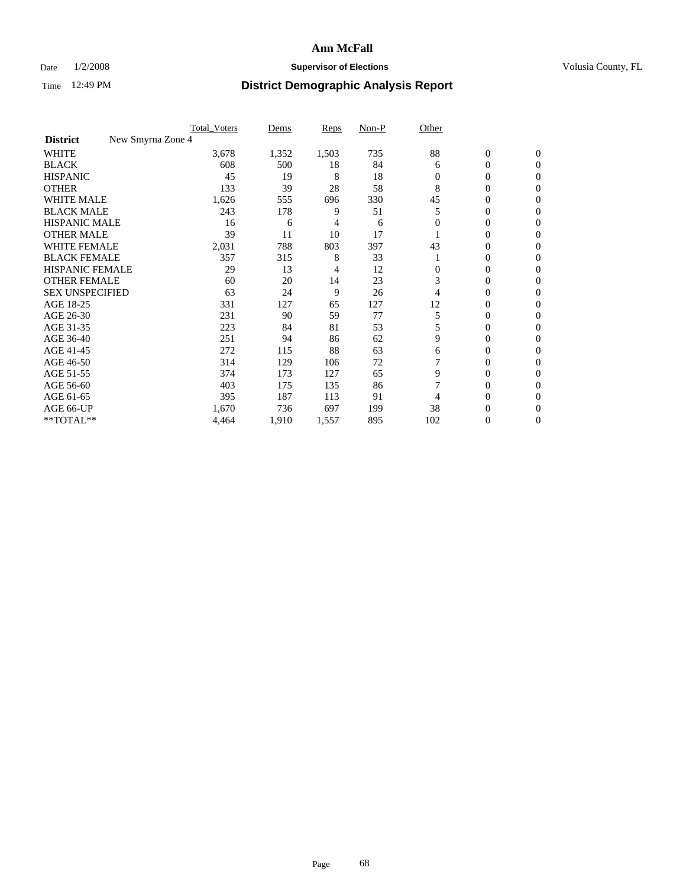### Date  $1/2/2008$  **Supervisor of Elections Supervisor of Elections** Volusia County, FL

|                                      | <b>Total_Voters</b> | Dems  | <b>Reps</b> | Non-P | Other |                  |                |  |
|--------------------------------------|---------------------|-------|-------------|-------|-------|------------------|----------------|--|
| New Smyrna Zone 4<br><b>District</b> |                     |       |             |       |       |                  |                |  |
| <b>WHITE</b>                         | 3,678               | 1,352 | 1,503       | 735   | 88    | $\boldsymbol{0}$ | $\mathbf{0}$   |  |
| <b>BLACK</b>                         | 608                 | 500   | 18          | 84    | 6     | 0                | $\mathbf{0}$   |  |
| <b>HISPANIC</b>                      | 45                  | 19    | 8           | 18    | 0     | 0                | $\overline{0}$ |  |
| <b>OTHER</b>                         | 133                 | 39    | 28          | 58    | 8     | $\overline{0}$   | $\Omega$       |  |
| <b>WHITE MALE</b>                    | 1,626               | 555   | 696         | 330   | 45    | 0                | $\Omega$       |  |
| <b>BLACK MALE</b>                    | 243                 | 178   | 9           | 51    | 5     | 0                | 0              |  |
| <b>HISPANIC MALE</b>                 | 16                  | 6     | 4           | 6     |       | 0                | 0              |  |
| <b>OTHER MALE</b>                    | 39                  | 11    | 10          | 17    |       | 0                | 0              |  |
| <b>WHITE FEMALE</b>                  | 2,031               | 788   | 803         | 397   | 43    | 0                | 0              |  |
| <b>BLACK FEMALE</b>                  | 357                 | 315   | 8           | 33    |       | 0                | $\mathbf{0}$   |  |
| <b>HISPANIC FEMALE</b>               | 29                  | 13    | 4           | 12    | 0     | 0                | $\Omega$       |  |
| <b>OTHER FEMALE</b>                  | 60                  | 20    | 14          | 23    | 3     | 0                | $\Omega$       |  |
| <b>SEX UNSPECIFIED</b>               | 63                  | 24    | 9           | 26    | 4     | 0                | $\Omega$       |  |
| AGE 18-25                            | 331                 | 127   | 65          | 127   | 12    | 0                | 0              |  |
| AGE 26-30                            | 231                 | 90    | 59          | 77    | 5     | 0                | $\Omega$       |  |
| AGE 31-35                            | 223                 | 84    | 81          | 53    | 5     | 0                | 0              |  |
| AGE 36-40                            | 251                 | 94    | 86          | 62    | 9     | 0                | 0              |  |
| AGE 41-45                            | 272                 | 115   | 88          | 63    | 6     | 0                | 0              |  |
| AGE 46-50                            | 314                 | 129   | 106         | 72    |       | 0                | $\overline{0}$ |  |
| AGE 51-55                            | 374                 | 173   | 127         | 65    | 9     | 0                | $\Omega$       |  |
| AGE 56-60                            | 403                 | 175   | 135         | 86    |       | 0                | $\Omega$       |  |
| AGE 61-65                            | 395                 | 187   | 113         | 91    |       | 0                | 0              |  |
| AGE 66-UP                            | 1,670               | 736   | 697         | 199   | 38    | 0                | $_{0}$         |  |
| **TOTAL**                            | 4,464               | 1,910 | 1,557       | 895   | 102   | $\overline{0}$   | $\overline{0}$ |  |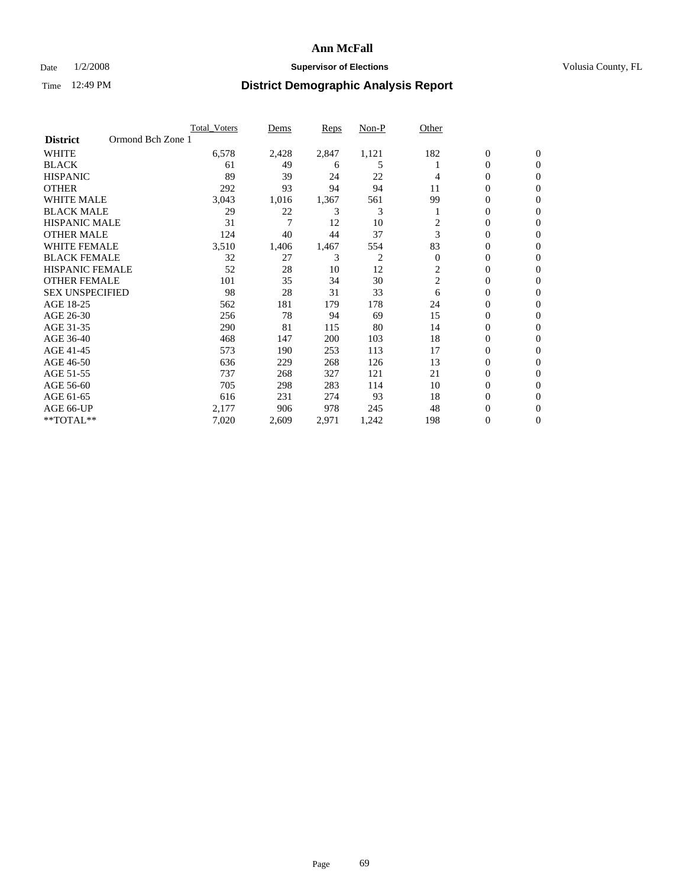### Date  $1/2/2008$  **Supervisor of Elections Supervisor of Elections** Volusia County, FL

|                                      | <b>Total Voters</b> | Dems  | Reps  | Non-P | Other          |                  |                |  |
|--------------------------------------|---------------------|-------|-------|-------|----------------|------------------|----------------|--|
| Ormond Bch Zone 1<br><b>District</b> |                     |       |       |       |                |                  |                |  |
| <b>WHITE</b>                         | 6,578               | 2,428 | 2,847 | 1,121 | 182            | $\boldsymbol{0}$ | $\mathbf{0}$   |  |
| <b>BLACK</b>                         | 61                  | 49    | 6     | 5     |                | $\mathbf{0}$     | $\mathbf{0}$   |  |
| <b>HISPANIC</b>                      | 89                  | 39    | 24    | 22    | 4              | 0                | $\overline{0}$ |  |
| <b>OTHER</b>                         | 292                 | 93    | 94    | 94    | 11             | 0                | $\overline{0}$ |  |
| <b>WHITE MALE</b>                    | 3,043               | 1,016 | 1,367 | 561   | 99             | 0                | $\overline{0}$ |  |
| <b>BLACK MALE</b>                    | 29                  | 22    | 3     | 3     |                | 0                | $\overline{0}$ |  |
| <b>HISPANIC MALE</b>                 | 31                  | 7     | 12    | 10    | 2              | 0                | $\Omega$       |  |
| <b>OTHER MALE</b>                    | 124                 | 40    | 44    | 37    | 3              | 0                | 0              |  |
| <b>WHITE FEMALE</b>                  | 3,510               | 1,406 | 1,467 | 554   | 83             | 0                | $\Omega$       |  |
| <b>BLACK FEMALE</b>                  | 32                  | 27    | 3     | 2     | $\overline{0}$ | 0                | $\mathbf{0}$   |  |
| <b>HISPANIC FEMALE</b>               | 52                  | 28    | 10    | 12    | 2              | 0                | $\mathbf{0}$   |  |
| <b>OTHER FEMALE</b>                  | 101                 | 35    | 34    | 30    | $\overline{c}$ | 0                | $\overline{0}$ |  |
| <b>SEX UNSPECIFIED</b>               | 98                  | 28    | 31    | 33    | 6              | 0                | $\overline{0}$ |  |
| AGE 18-25                            | 562                 | 181   | 179   | 178   | 24             | 0                | 0              |  |
| AGE 26-30                            | 256                 | 78    | 94    | 69    | 15             | 0                | $\Omega$       |  |
| AGE 31-35                            | 290                 | 81    | 115   | 80    | 14             | 0                | 0              |  |
| AGE 36-40                            | 468                 | 147   | 200   | 103   | 18             | 0                | $\overline{0}$ |  |
| AGE 41-45                            | 573                 | 190   | 253   | 113   | 17             | 0                | $\overline{0}$ |  |
| AGE 46-50                            | 636                 | 229   | 268   | 126   | 13             | 0                | $\mathbf{0}$   |  |
| AGE 51-55                            | 737                 | 268   | 327   | 121   | 21             | 0                | $\mathbf{0}$   |  |
| AGE 56-60                            | 705                 | 298   | 283   | 114   | 10             | 0                | $\overline{0}$ |  |
| AGE 61-65                            | 616                 | 231   | 274   | 93    | 18             | 0                | $\Omega$       |  |
| AGE 66-UP                            | 2,177               | 906   | 978   | 245   | 48             | 0                | 0              |  |
| **TOTAL**                            | 7,020               | 2,609 | 2,971 | 1,242 | 198            | 0                | 0              |  |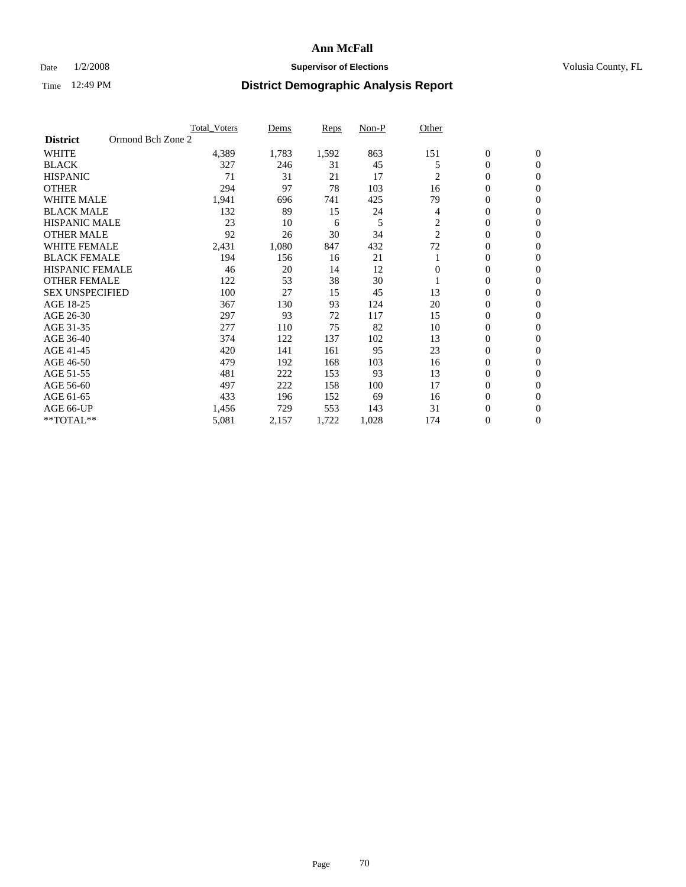### Date  $1/2/2008$  **Supervisor of Elections Supervisor of Elections** Volusia County, FL

|                        | <b>Total_Voters</b> | Dems  | <b>Reps</b> | Non-P | Other          |                  |                  |  |
|------------------------|---------------------|-------|-------------|-------|----------------|------------------|------------------|--|
| <b>District</b>        | Ormond Bch Zone 2   |       |             |       |                |                  |                  |  |
| <b>WHITE</b>           | 4,389               | 1,783 | 1,592       | 863   | 151            | $\boldsymbol{0}$ | $\mathbf{0}$     |  |
| <b>BLACK</b>           | 327                 | 246   | 31          | 45    | 5              | $\overline{0}$   | $\mathbf{0}$     |  |
| <b>HISPANIC</b>        | 71                  | 31    | 21          | 17    | $\overline{c}$ | $\overline{0}$   | $\mathbf{0}$     |  |
| <b>OTHER</b>           | 294                 | 97    | 78          | 103   | 16             | $\overline{0}$   | $\overline{0}$   |  |
| <b>WHITE MALE</b>      | 1,941               | 696   | 741         | 425   | 79             | $\overline{0}$   | $\overline{0}$   |  |
| <b>BLACK MALE</b>      | 132                 | 89    | 15          | 24    | 4              | $\boldsymbol{0}$ | $\mathbf{0}$     |  |
| <b>HISPANIC MALE</b>   | 23                  | 10    | 6           | 5     | 2              | 0                | $\Omega$         |  |
| <b>OTHER MALE</b>      | 92                  | 26    | 30          | 34    | $\overline{2}$ | 0                | $\mathbf{0}$     |  |
| <b>WHITE FEMALE</b>    | 2,431               | 1,080 | 847         | 432   | 72             | 0                | $\Omega$         |  |
| <b>BLACK FEMALE</b>    | 194                 | 156   | 16          | 21    |                | $\overline{0}$   | $\mathbf{0}$     |  |
| <b>HISPANIC FEMALE</b> | 46                  | 20    | 14          | 12    | $\Omega$       | 0                | $\mathbf{0}$     |  |
| <b>OTHER FEMALE</b>    | 122                 | 53    | 38          | 30    |                | 0                | $\mathbf{0}$     |  |
| <b>SEX UNSPECIFIED</b> | 100                 | 27    | 15          | 45    | 13             | $\boldsymbol{0}$ | $\mathbf{0}$     |  |
| AGE 18-25              | 367                 | 130   | 93          | 124   | 20             | 0                | $\overline{0}$   |  |
| AGE 26-30              | 297                 | 93    | 72          | 117   | 15             | $\boldsymbol{0}$ | $\mathbf{0}$     |  |
| AGE 31-35              | 277                 | 110   | 75          | 82    | 10             | 0                | $\overline{0}$   |  |
| AGE 36-40              | 374                 | 122   | 137         | 102   | 13             | $\overline{0}$   | $\mathbf{0}$     |  |
| AGE 41-45              | 420                 | 141   | 161         | 95    | 23             | $\overline{0}$   | $\mathbf{0}$     |  |
| AGE 46-50              | 479                 | 192   | 168         | 103   | 16             | $\overline{0}$   | $\mathbf{0}$     |  |
| AGE 51-55              | 481                 | 222   | 153         | 93    | 13             | 0                | $\mathbf{0}$     |  |
| AGE 56-60              | 497                 | 222   | 158         | 100   | 17             | $\overline{0}$   | $\overline{0}$   |  |
| AGE 61-65              | 433                 | 196   | 152         | 69    | 16             | 0                | $\overline{0}$   |  |
| AGE 66-UP              | 1,456               | 729   | 553         | 143   | 31             | 0                | 0                |  |
| **TOTAL**              | 5,081               | 2,157 | 1,722       | 1,028 | 174            | 0                | $\boldsymbol{0}$ |  |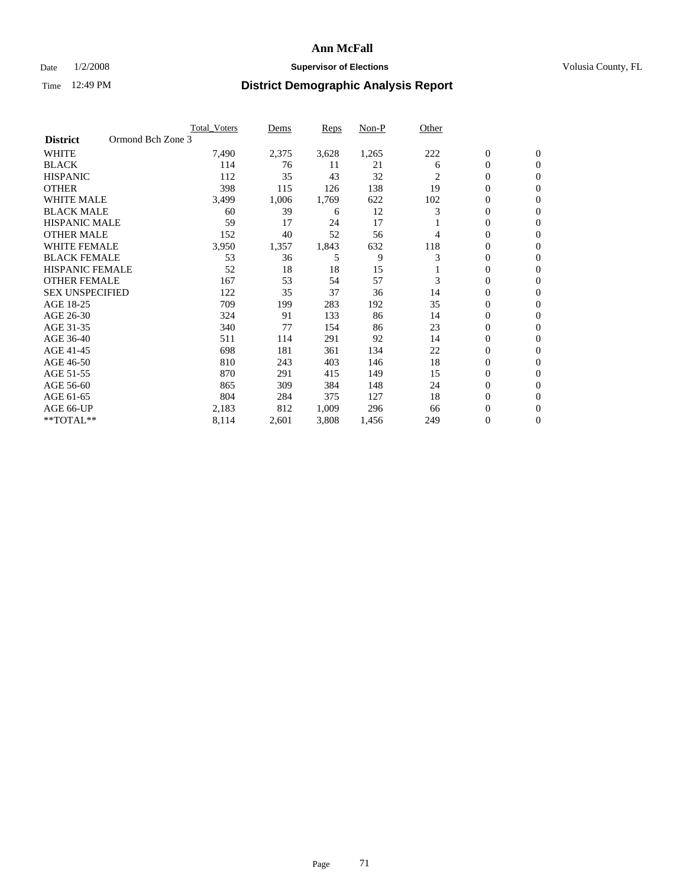### Date  $1/2/2008$  **Supervisor of Elections Supervisor of Elections** Volusia County, FL

|                        | <b>Total_Voters</b> | Dems  | Reps  | Non-P | Other |                  |                |  |
|------------------------|---------------------|-------|-------|-------|-------|------------------|----------------|--|
| <b>District</b>        | Ormond Bch Zone 3   |       |       |       |       |                  |                |  |
| <b>WHITE</b>           | 7,490               | 2,375 | 3,628 | 1,265 | 222   | $\overline{0}$   | $\mathbf{0}$   |  |
| <b>BLACK</b>           | 114                 | 76    | 11    | 21    | 6     | $\overline{0}$   | $\mathbf{0}$   |  |
| <b>HISPANIC</b>        | 112                 | 35    | 43    | 32    | 2     | 0                | $\mathbf{0}$   |  |
| <b>OTHER</b>           | 398                 | 115   | 126   | 138   | 19    | 0                | $\mathbf{0}$   |  |
| <b>WHITE MALE</b>      | 3,499               | 1,006 | 1,769 | 622   | 102   | 0                | $\overline{0}$ |  |
| <b>BLACK MALE</b>      | 60                  | 39    | 6     | 12    | 3     | $\boldsymbol{0}$ | $\mathbf{0}$   |  |
| <b>HISPANIC MALE</b>   | 59                  | 17    | 24    | 17    |       | 0                | $\mathbf{0}$   |  |
| <b>OTHER MALE</b>      | 152                 | 40    | 52    | 56    | 4     | $\overline{0}$   | $\mathbf{0}$   |  |
| <b>WHITE FEMALE</b>    | 3,950               | 1,357 | 1,843 | 632   | 118   | 0                | $\mathbf{0}$   |  |
| <b>BLACK FEMALE</b>    | 53                  | 36    | 5     | 9     | 3     | $\overline{0}$   | $\mathbf{0}$   |  |
| <b>HISPANIC FEMALE</b> | 52                  | 18    | 18    | 15    |       | 0                | $\mathbf{0}$   |  |
| <b>OTHER FEMALE</b>    | 167                 | 53    | 54    | 57    | 3     | 0                | $\overline{0}$ |  |
| <b>SEX UNSPECIFIED</b> | 122                 | 35    | 37    | 36    | 14    | $\overline{0}$   | $\mathbf{0}$   |  |
| AGE 18-25              | 709                 | 199   | 283   | 192   | 35    | $\overline{0}$   | $\Omega$       |  |
| AGE 26-30              | 324                 | 91    | 133   | 86    | 14    | $\overline{0}$   | $\mathbf{0}$   |  |
| AGE 31-35              | 340                 | 77    | 154   | 86    | 23    | $\overline{0}$   | $\mathbf{0}$   |  |
| AGE 36-40              | 511                 | 114   | 291   | 92    | 14    | $\boldsymbol{0}$ | $\mathbf{0}$   |  |
| AGE 41-45              | 698                 | 181   | 361   | 134   | 22    | $\overline{0}$   | $\mathbf{0}$   |  |
| AGE 46-50              | 810                 | 243   | 403   | 146   | 18    | 0                | $\Omega$       |  |
| AGE 51-55              | 870                 | 291   | 415   | 149   | 15    | $\boldsymbol{0}$ | $\mathbf{0}$   |  |
| AGE 56-60              | 865                 | 309   | 384   | 148   | 24    | $\overline{0}$   | $\mathbf{0}$   |  |
| AGE 61-65              | 804                 | 284   | 375   | 127   | 18    | $\overline{0}$   | $\mathbf{0}$   |  |
| AGE 66-UP              | 2,183               | 812   | 1,009 | 296   | 66    | 0                | $\mathbf{0}$   |  |
| **TOTAL**              | 8,114               | 2,601 | 3,808 | 1,456 | 249   | 0                | $\overline{0}$ |  |
|                        |                     |       |       |       |       |                  |                |  |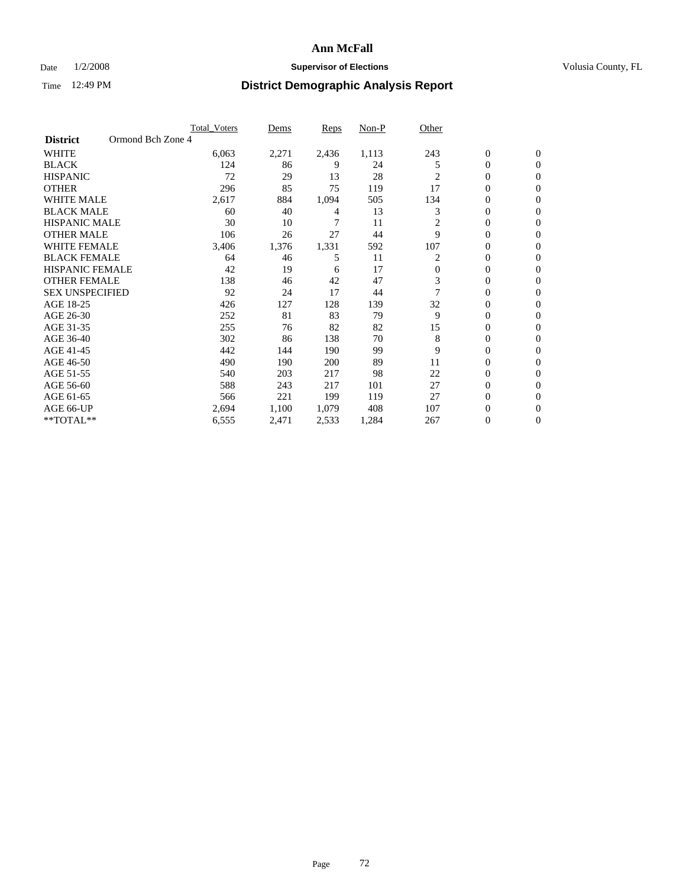### Date  $1/2/2008$  **Supervisor of Elections Supervisor of Elections** Volusia County, FL

|                                      | <b>Total_Voters</b> | Dems  | Reps  | Non-P | Other    |                  |                |  |
|--------------------------------------|---------------------|-------|-------|-------|----------|------------------|----------------|--|
| Ormond Bch Zone 4<br><b>District</b> |                     |       |       |       |          |                  |                |  |
| <b>WHITE</b>                         | 6,063               | 2,271 | 2,436 | 1,113 | 243      | $\boldsymbol{0}$ | $\mathbf{0}$   |  |
| <b>BLACK</b>                         | 124                 | 86    | 9     | 24    | 5        | $\overline{0}$   | $\mathbf{0}$   |  |
| <b>HISPANIC</b>                      | 72                  | 29    | 13    | 28    | 2        | $\overline{0}$   | $\mathbf{0}$   |  |
| <b>OTHER</b>                         | 296                 | 85    | 75    | 119   | 17       | $\overline{0}$   | $\overline{0}$ |  |
| <b>WHITE MALE</b>                    | 2,617               | 884   | 1,094 | 505   | 134      | 0                | $\overline{0}$ |  |
| <b>BLACK MALE</b>                    | 60                  | 40    | 4     | 13    | 3        | 0                | $\overline{0}$ |  |
| <b>HISPANIC MALE</b>                 | 30                  | 10    | 7     | 11    | 2        | 0                | $\Omega$       |  |
| <b>OTHER MALE</b>                    | 106                 | 26    | 27    | 44    | 9        | 0                | 0              |  |
| <b>WHITE FEMALE</b>                  | 3,406               | 1,376 | 1,331 | 592   | 107      | 0                | $\Omega$       |  |
| <b>BLACK FEMALE</b>                  | 64                  | 46    | 5     | 11    | 2        | $\overline{0}$   | $\mathbf{0}$   |  |
| <b>HISPANIC FEMALE</b>               | 42                  | 19    | 6     | 17    | $\Omega$ | 0                | $\Omega$       |  |
| <b>OTHER FEMALE</b>                  | 138                 | 46    | 42    | 47    | 3        | 0                | $\overline{0}$ |  |
| <b>SEX UNSPECIFIED</b>               | 92                  | 24    | 17    | 44    | 7        | 0                | $\overline{0}$ |  |
| AGE 18-25                            | 426                 | 127   | 128   | 139   | 32       | 0                | 0              |  |
| AGE 26-30                            | 252                 | 81    | 83    | 79    | 9        | 0                | $\Omega$       |  |
| AGE 31-35                            | 255                 | 76    | 82    | 82    | 15       | 0                | 0              |  |
| AGE 36-40                            | 302                 | 86    | 138   | 70    | 8        | $\overline{0}$   | $\mathbf{0}$   |  |
| AGE 41-45                            | 442                 | 144   | 190   | 99    | 9        | 0                | $\Omega$       |  |
| AGE 46-50                            | 490                 | 190   | 200   | 89    | 11       | 0                | $\mathbf{0}$   |  |
| AGE 51-55                            | 540                 | 203   | 217   | 98    | 22       | 0                | $\Omega$       |  |
| AGE 56-60                            | 588                 | 243   | 217   | 101   | 27       | 0                | $\Omega$       |  |
| AGE 61-65                            | 566                 | 221   | 199   | 119   | 27       | 0                | $\Omega$       |  |
| AGE 66-UP                            | 2,694               | 1,100 | 1,079 | 408   | 107      | 0                | 0              |  |
| **TOTAL**                            | 6,555               | 2,471 | 2,533 | 1,284 | 267      | 0                | 0              |  |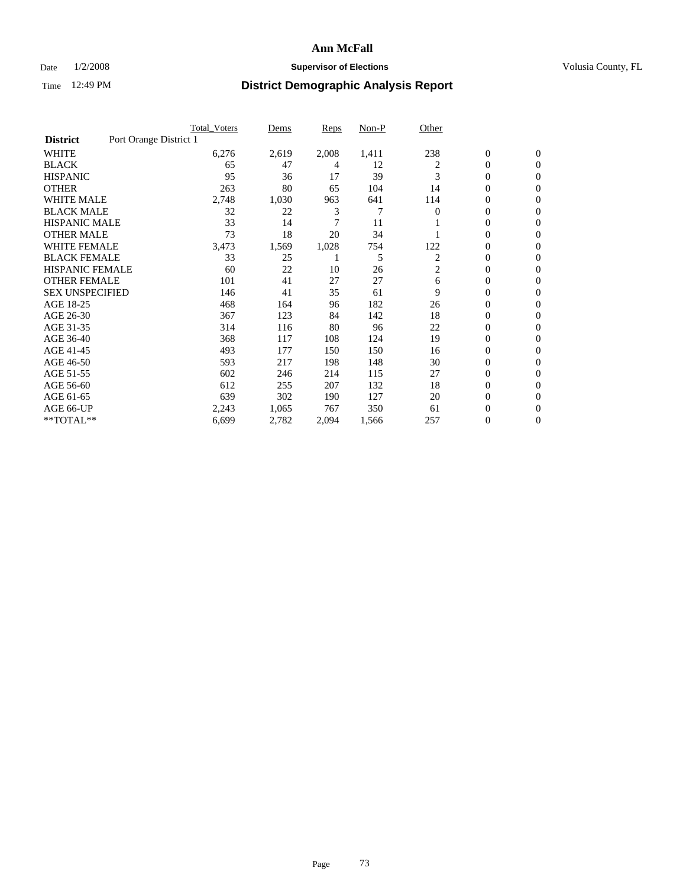## Date  $1/2/2008$  **Supervisor of Elections Supervisor of Elections** Volusia County, FL

|                        |                        | <b>Total_Voters</b> | Dems  | <b>Reps</b> | Non-P | Other    |                  |                |
|------------------------|------------------------|---------------------|-------|-------------|-------|----------|------------------|----------------|
| <b>District</b>        | Port Orange District 1 |                     |       |             |       |          |                  |                |
| <b>WHITE</b>           |                        | 6,276               | 2,619 | 2,008       | 1,411 | 238      | $\boldsymbol{0}$ | $\mathbf{0}$   |
| <b>BLACK</b>           |                        | 65                  | 47    | 4           | 12    | 2        | $\overline{0}$   | $\mathbf{0}$   |
| <b>HISPANIC</b>        |                        | 95                  | 36    | 17          | 39    | 3        | $\overline{0}$   | $\mathbf{0}$   |
| <b>OTHER</b>           |                        | 263                 | 80    | 65          | 104   | 14       | 0                | $\mathbf{0}$   |
| <b>WHITE MALE</b>      |                        | 2,748               | 1,030 | 963         | 641   | 114      | 0                | $\mathbf{0}$   |
| <b>BLACK MALE</b>      |                        | 32                  | 22    | 3           | 7     | $\Omega$ | $\boldsymbol{0}$ | $\mathbf{0}$   |
| <b>HISPANIC MALE</b>   |                        | 33                  | 14    | 7           | 11    |          | 0                | $\mathbf{0}$   |
| <b>OTHER MALE</b>      |                        | 73                  | 18    | 20          | 34    |          | $\overline{0}$   | $\mathbf{0}$   |
| <b>WHITE FEMALE</b>    |                        | 3,473               | 1,569 | 1,028       | 754   | 122      | 0                | $\mathbf{0}$   |
| <b>BLACK FEMALE</b>    |                        | 33                  | 25    |             | 5     | 2        | $\overline{0}$   | $\mathbf{0}$   |
| <b>HISPANIC FEMALE</b> |                        | 60                  | 22    | 10          | 26    | 2        | 0                | $\mathbf{0}$   |
| <b>OTHER FEMALE</b>    |                        | 101                 | 41    | 27          | 27    | 6        | 0                | $\Omega$       |
| <b>SEX UNSPECIFIED</b> |                        | 146                 | 41    | 35          | 61    | 9        | $\overline{0}$   | $\mathbf{0}$   |
| AGE 18-25              |                        | 468                 | 164   | 96          | 182   | 26       | 0                | $\Omega$       |
| AGE 26-30              |                        | 367                 | 123   | 84          | 142   | 18       | $\overline{0}$   | $\mathbf{0}$   |
| AGE 31-35              |                        | 314                 | 116   | 80          | 96    | 22       | $\overline{0}$   | $\mathbf{0}$   |
| AGE 36-40              |                        | 368                 | 117   | 108         | 124   | 19       | $\boldsymbol{0}$ | $\mathbf{0}$   |
| AGE 41-45              |                        | 493                 | 177   | 150         | 150   | 16       | $\boldsymbol{0}$ | $\mathbf{0}$   |
| AGE 46-50              |                        | 593                 | 217   | 198         | 148   | 30       | 0                | $\Omega$       |
| AGE 51-55              |                        | 602                 | 246   | 214         | 115   | 27       | $\boldsymbol{0}$ | $\mathbf{0}$   |
| AGE 56-60              |                        | 612                 | 255   | 207         | 132   | 18       | $\overline{0}$   | $\mathbf{0}$   |
| AGE 61-65              |                        | 639                 | 302   | 190         | 127   | 20       | $\overline{0}$   | $\mathbf{0}$   |
| AGE 66-UP              |                        | 2,243               | 1,065 | 767         | 350   | 61       | 0                | $\mathbf{0}$   |
| **TOTAL**              |                        | 6,699               | 2,782 | 2,094       | 1,566 | 257      | 0                | $\overline{0}$ |
|                        |                        |                     |       |             |       |          |                  |                |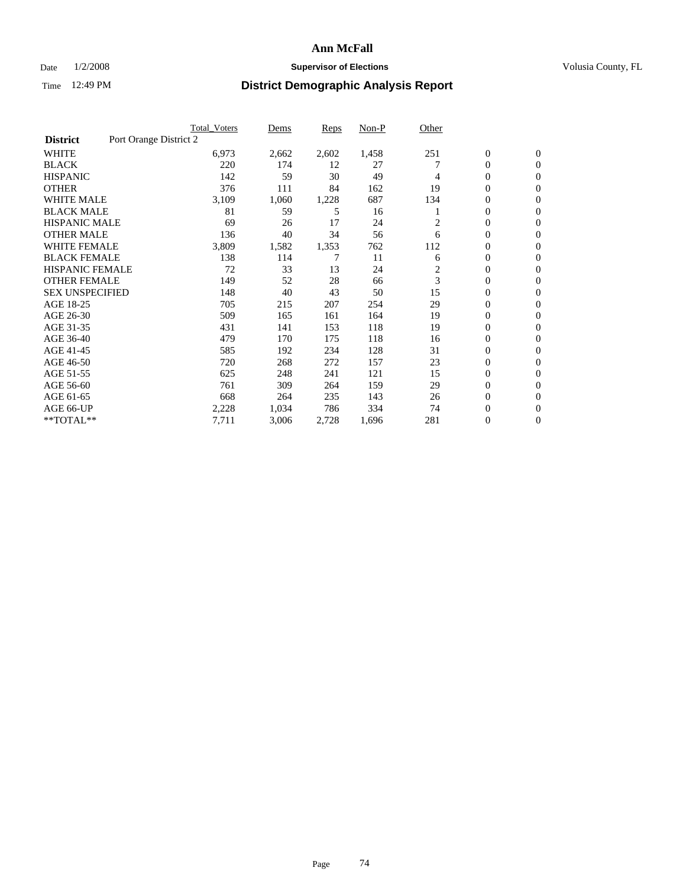## Date  $1/2/2008$  **Supervisor of Elections Supervisor of Elections** Volusia County, FL

|                        |                        | <b>Total_Voters</b> | Dems  | <b>Reps</b> | Non-P | Other |                  |                  |
|------------------------|------------------------|---------------------|-------|-------------|-------|-------|------------------|------------------|
| <b>District</b>        | Port Orange District 2 |                     |       |             |       |       |                  |                  |
| <b>WHITE</b>           |                        | 6,973               | 2,662 | 2,602       | 1,458 | 251   | $\boldsymbol{0}$ | $\mathbf{0}$     |
| <b>BLACK</b>           |                        | 220                 | 174   | 12          | 27    |       | $\overline{0}$   | $\mathbf{0}$     |
| <b>HISPANIC</b>        |                        | 142                 | 59    | 30          | 49    | 4     | 0                | $\mathbf{0}$     |
| <b>OTHER</b>           |                        | 376                 | 111   | 84          | 162   | 19    | 0                | $\mathbf{0}$     |
| <b>WHITE MALE</b>      |                        | 3,109               | 1,060 | 1,228       | 687   | 134   | 0                | $\mathbf{0}$     |
| <b>BLACK MALE</b>      |                        | 81                  | 59    | 5           | 16    |       | $\boldsymbol{0}$ | $\boldsymbol{0}$ |
| <b>HISPANIC MALE</b>   |                        | 69                  | 26    | 17          | 24    | 2     | $\overline{0}$   | $\mathbf{0}$     |
| <b>OTHER MALE</b>      |                        | 136                 | 40    | 34          | 56    | 6     | $\overline{0}$   | $\mathbf{0}$     |
| <b>WHITE FEMALE</b>    |                        | 3,809               | 1,582 | 1,353       | 762   | 112   | 0                | $\mathbf{0}$     |
| <b>BLACK FEMALE</b>    |                        | 138                 | 114   | 7           | 11    | 6     | $\overline{0}$   | $\mathbf{0}$     |
| <b>HISPANIC FEMALE</b> |                        | 72                  | 33    | 13          | 24    | 2     | $\boldsymbol{0}$ | $\mathbf{0}$     |
| <b>OTHER FEMALE</b>    |                        | 149                 | 52    | 28          | 66    | 3     | 0                | $\mathbf{0}$     |
| <b>SEX UNSPECIFIED</b> |                        | 148                 | 40    | 43          | 50    | 15    | $\overline{0}$   | $\mathbf{0}$     |
| AGE 18-25              |                        | 705                 | 215   | 207         | 254   | 29    | $\overline{0}$   | $\mathbf{0}$     |
| AGE 26-30              |                        | 509                 | 165   | 161         | 164   | 19    | $\overline{0}$   | $\mathbf{0}$     |
| AGE 31-35              |                        | 431                 | 141   | 153         | 118   | 19    | $\overline{0}$   | $\mathbf{0}$     |
| AGE 36-40              |                        | 479                 | 170   | 175         | 118   | 16    | $\boldsymbol{0}$ | $\mathbf{0}$     |
| AGE 41-45              |                        | 585                 | 192   | 234         | 128   | 31    | $\boldsymbol{0}$ | $\mathbf{0}$     |
| AGE 46-50              |                        | 720                 | 268   | 272         | 157   | 23    | 0                | $\Omega$         |
| AGE 51-55              |                        | 625                 | 248   | 241         | 121   | 15    | $\boldsymbol{0}$ | $\mathbf{0}$     |
| AGE 56-60              |                        | 761                 | 309   | 264         | 159   | 29    | $\overline{0}$   | $\mathbf{0}$     |
| AGE 61-65              |                        | 668                 | 264   | 235         | 143   | 26    | $\mathbf{0}$     | $\mathbf{0}$     |
| AGE 66-UP              |                        | 2,228               | 1,034 | 786         | 334   | 74    | 0                | $\mathbf{0}$     |
| **TOTAL**              |                        | 7,711               | 3,006 | 2,728       | 1,696 | 281   | 0                | $\overline{0}$   |
|                        |                        |                     |       |             |       |       |                  |                  |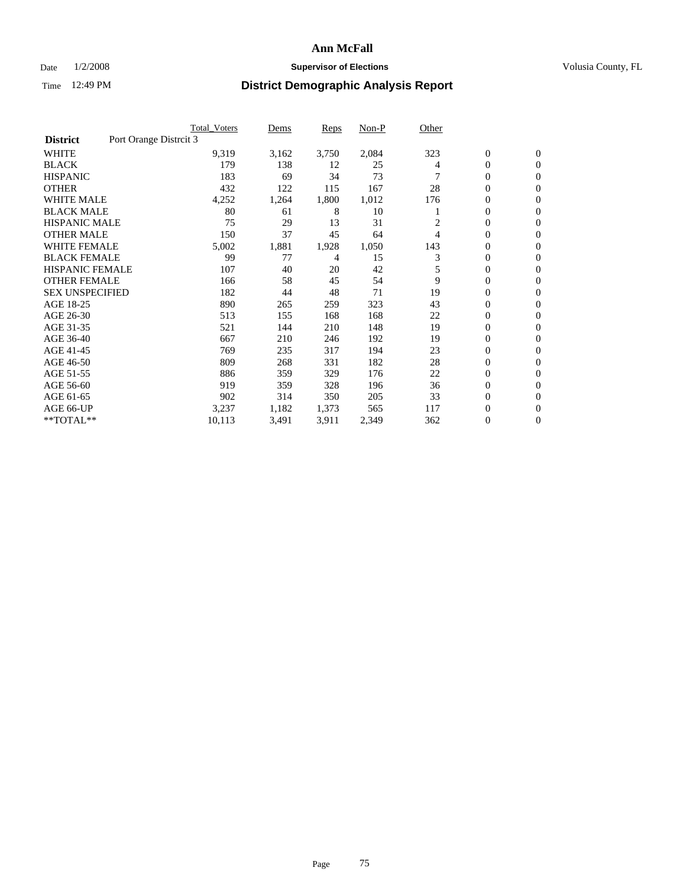#### Date  $1/2/2008$  **Supervisor of Elections** Volusia County, FL

|                        | <b>Total_Voters</b>    | Dems            |       | <b>Reps</b> | Non-P | Other |                  |                |
|------------------------|------------------------|-----------------|-------|-------------|-------|-------|------------------|----------------|
| <b>District</b>        | Port Orange Distrcit 3 |                 |       |             |       |       |                  |                |
| <b>WHITE</b>           |                        | 9,319           | 3,162 | 3,750       | 2,084 | 323   | $\boldsymbol{0}$ | $\mathbf{0}$   |
| <b>BLACK</b>           |                        | 179             | 138   | 12          | 25    | 4     | $\overline{0}$   | $\mathbf{0}$   |
| <b>HISPANIC</b>        |                        | 183             | 69    | 34          | 73    |       | $\overline{0}$   | $\mathbf{0}$   |
| <b>OTHER</b>           |                        | 432             | 122   | 115         | 167   | 28    | 0                | $\mathbf{0}$   |
| <b>WHITE MALE</b>      |                        | 4,252           | 1,264 | 1,800       | 1,012 | 176   | 0                | $\mathbf{0}$   |
| <b>BLACK MALE</b>      |                        | 80              | 61    | 8           | 10    |       | $\boldsymbol{0}$ | $\mathbf{0}$   |
| <b>HISPANIC MALE</b>   |                        | 75              | 29    | 13          | 31    |       | $\overline{0}$   | $\mathbf{0}$   |
| <b>OTHER MALE</b>      |                        | 150             | 37    | 45          | 64    | 4     | $\overline{0}$   | $\mathbf{0}$   |
| <b>WHITE FEMALE</b>    |                        | 5,002<br>1,881  |       | 1,928       | 1,050 | 143   | 0                | $\mathbf{0}$   |
| <b>BLACK FEMALE</b>    |                        | 99              | 77    | 4           | 15    | 3     | $\overline{0}$   | $\mathbf{0}$   |
| <b>HISPANIC FEMALE</b> |                        | 107             | 40    | 20          | 42    | 5     | $\boldsymbol{0}$ | $\mathbf{0}$   |
| <b>OTHER FEMALE</b>    |                        | 166             | 58    | 45          | 54    | 9     | 0                | $\mathbf{0}$   |
| <b>SEX UNSPECIFIED</b> |                        | 182             | 44    | 48          | 71    | 19    | $\overline{0}$   | $\mathbf{0}$   |
| AGE 18-25              |                        | 890             | 265   | 259         | 323   | 43    | $\mathbf{0}$     | $\mathbf{0}$   |
| AGE 26-30              |                        | 513             | 155   | 168         | 168   | 22    | $\overline{0}$   | $\mathbf{0}$   |
| AGE 31-35              |                        | 521             | 144   | 210         | 148   | 19    | $\overline{0}$   | $\mathbf{0}$   |
| AGE 36-40              |                        | 667             | 210   | 246         | 192   | 19    | $\boldsymbol{0}$ | $\mathbf{0}$   |
| AGE 41-45              |                        | 769             | 235   | 317         | 194   | 23    | $\boldsymbol{0}$ | $\mathbf{0}$   |
| AGE 46-50              |                        | 809             | 268   | 331         | 182   | 28    | 0                | $\Omega$       |
| AGE 51-55              |                        | 886             | 359   | 329         | 176   | 22    | $\boldsymbol{0}$ | $\mathbf{0}$   |
| AGE 56-60              |                        | 919             | 359   | 328         | 196   | 36    | $\overline{0}$   | $\mathbf{0}$   |
| AGE 61-65              |                        | 902             | 314   | 350         | 205   | 33    | $\mathbf{0}$     | $\mathbf{0}$   |
| AGE 66-UP              |                        | 3,237           | 1,182 | 1,373       | 565   | 117   | 0                | $\mathbf{0}$   |
| **TOTAL**              |                        | 3,491<br>10,113 |       | 3,911       | 2,349 | 362   | 0                | $\overline{0}$ |
|                        |                        |                 |       |             |       |       |                  |                |